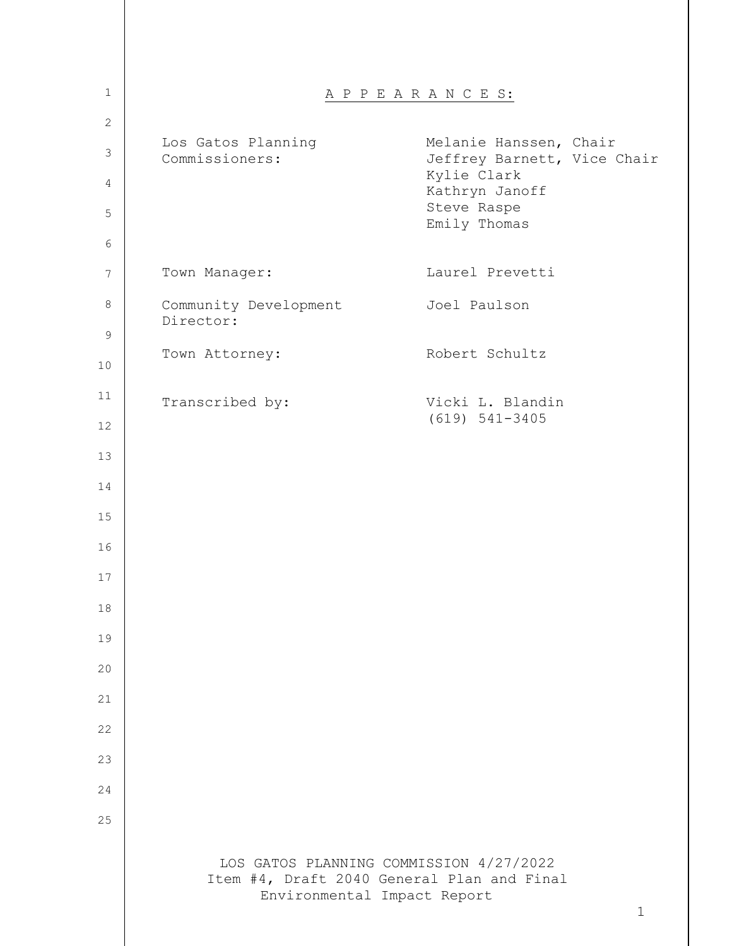| $\mathbf 1$     |                                      | A P P E A R A N C E S:                                                                |
|-----------------|--------------------------------------|---------------------------------------------------------------------------------------|
| $\mathbf{2}$    |                                      |                                                                                       |
| $\mathsf 3$     | Los Gatos Planning<br>Commissioners: | Melanie Hanssen, Chair<br>Jeffrey Barnett, Vice Chair<br>Kylie Clark                  |
| 4<br>5          |                                      | Kathryn Janoff<br>Steve Raspe                                                         |
| 6               |                                      | Emily Thomas                                                                          |
| $7\phantom{.0}$ | Town Manager:                        | Laurel Prevetti                                                                       |
| 8               | Community Development<br>Director:   | Joel Paulson                                                                          |
| $\mathsf 9$     |                                      |                                                                                       |
| 10              | Town Attorney:                       | Robert Schultz                                                                        |
| 11              | Transcribed by:                      | Vicki L. Blandin<br>$(619) 541 - 3405$                                                |
| 12              |                                      |                                                                                       |
| 13              |                                      |                                                                                       |
| 14              |                                      |                                                                                       |
| 15              |                                      |                                                                                       |
| 16              |                                      |                                                                                       |
| 17              |                                      |                                                                                       |
| 18              |                                      |                                                                                       |
| 19              |                                      |                                                                                       |
| 20              |                                      |                                                                                       |
| 21              |                                      |                                                                                       |
| 22              |                                      |                                                                                       |
| 23              |                                      |                                                                                       |
| 24              |                                      |                                                                                       |
| 25              |                                      |                                                                                       |
|                 |                                      |                                                                                       |
|                 | Environmental Impact Report          | LOS GATOS PLANNING COMMISSION 4/27/2022<br>Item #4, Draft 2040 General Plan and Final |
|                 |                                      | $\mathbf{1}$                                                                          |
|                 |                                      |                                                                                       |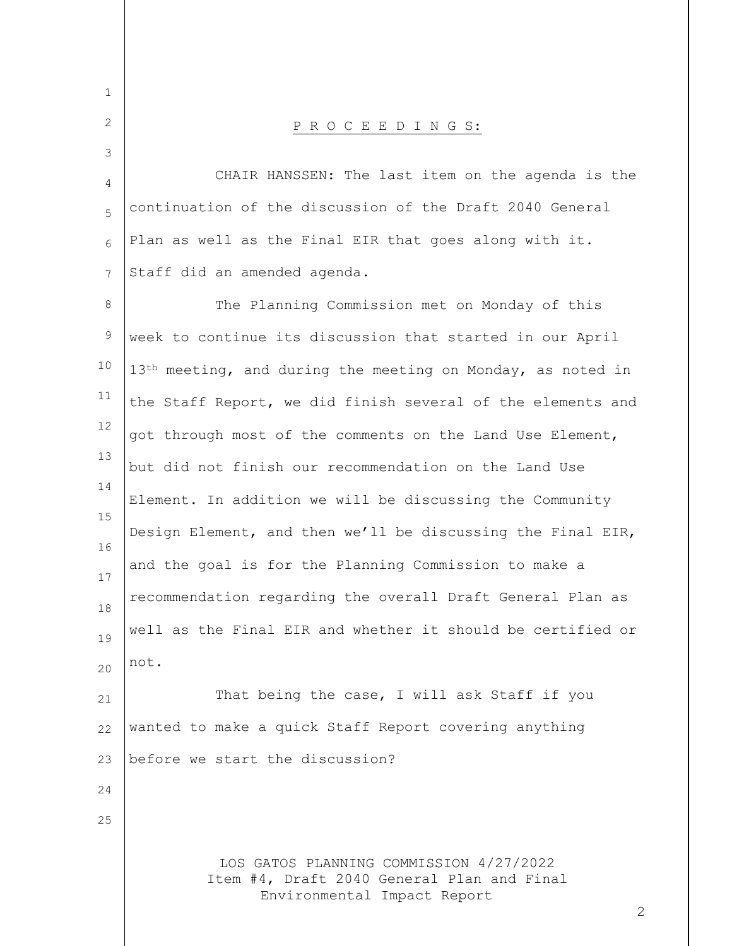| $\mathbf 1$ |                                                                                                                           |
|-------------|---------------------------------------------------------------------------------------------------------------------------|
| 2           | PROCEEDINGS:                                                                                                              |
| 3           |                                                                                                                           |
| 4           | CHAIR HANSSEN: The last item on the agenda is the                                                                         |
| 5           | continuation of the discussion of the Draft 2040 General                                                                  |
| 6           | Plan as well as the Final EIR that goes along with it.                                                                    |
| 7           | Staff did an amended agenda.                                                                                              |
| 8           | The Planning Commission met on Monday of this                                                                             |
| $\mathsf 9$ | week to continue its discussion that started in our April                                                                 |
| 10          | $13th$ meeting, and during the meeting on Monday, as noted in                                                             |
| 11          | the Staff Report, we did finish several of the elements and                                                               |
| 12          | got through most of the comments on the Land Use Element,                                                                 |
| 13          | but did not finish our recommendation on the Land Use                                                                     |
| 14          | Element. In addition we will be discussing the Community                                                                  |
| 15<br>16    | Design Element, and then we'll be discussing the Final EIR,                                                               |
| 17          | and the goal is for the Planning Commission to make a                                                                     |
| 18          | recommendation regarding the overall Draft General Plan as                                                                |
| 19          | well as the Final EIR and whether it should be certified or                                                               |
| 20          | not.                                                                                                                      |
| 21          | That being the case, I will ask Staff if you                                                                              |
| 22          | wanted to make a quick Staff Report covering anything                                                                     |
| 23          | before we start the discussion?                                                                                           |
| 24          |                                                                                                                           |
| 25          |                                                                                                                           |
|             | LOS GATOS PLANNING COMMISSION 4/27/2022<br>Item #4, Draft 2040 General Plan and Final<br>Environmental Impact Report<br>2 |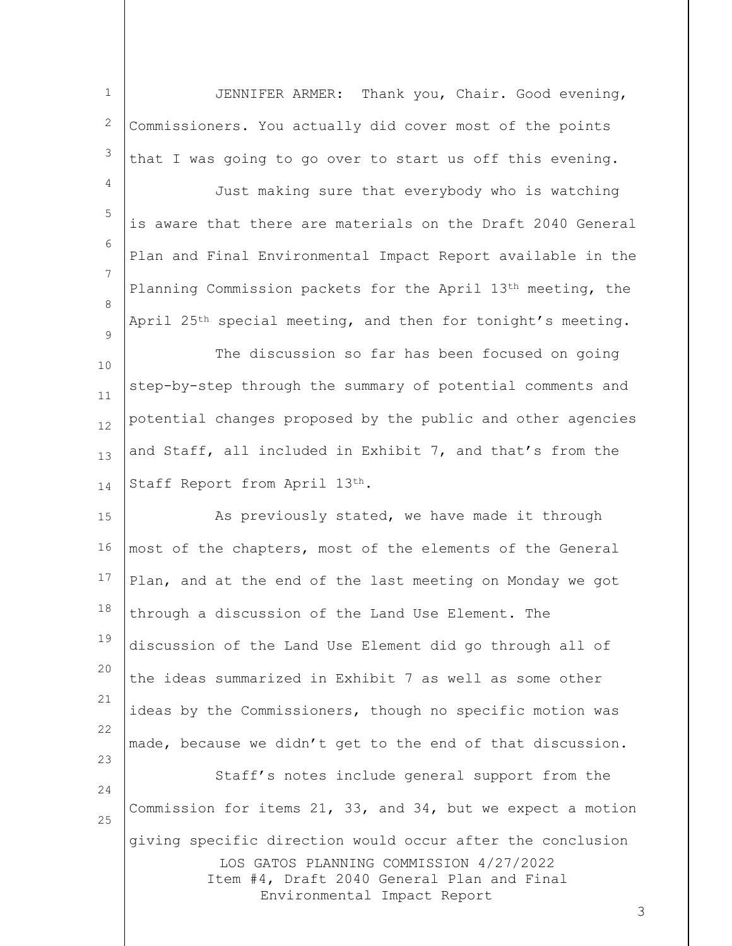1 2 3 JENNIFER ARMER: Thank you, Chair. Good evening, Commissioners. You actually did cover most of the points that I was going to go over to start us off this evening.

4 5 6 7 8  $\mathsf{Q}$ Just making sure that everybody who is watching is aware that there are materials on the Draft 2040 General Plan and Final Environmental Impact Report available in the Planning Commission packets for the April 13th meeting, the April 25th special meeting, and then for tonight's meeting.

10 11 12 13 14 The discussion so far has been focused on going step-by-step through the summary of potential comments and potential changes proposed by the public and other agencies and Staff, all included in Exhibit 7, and that's from the Staff Report from April 13th.

LOS GATOS PLANNING COMMISSION 4/27/2022 Item #4, Draft 2040 General Plan and Final 15 16 17 18 19 20 21 22 23 24 25 As previously stated, we have made it through most of the chapters, most of the elements of the General Plan, and at the end of the last meeting on Monday we got through a discussion of the Land Use Element. The discussion of the Land Use Element did go through all of the ideas summarized in Exhibit 7 as well as some other ideas by the Commissioners, though no specific motion was made, because we didn't get to the end of that discussion. Staff's notes include general support from the Commission for items 21, 33, and 34, but we expect a motion giving specific direction would occur after the conclusion

Environmental Impact Report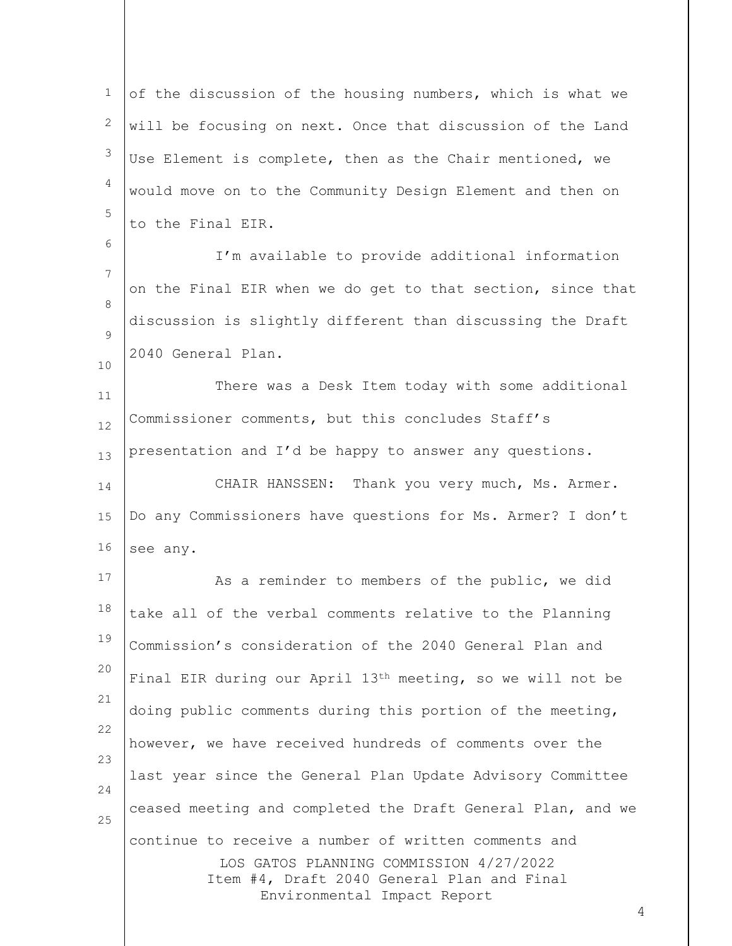1 2 3 4 5 of the discussion of the housing numbers, which is what we will be focusing on next. Once that discussion of the Land Use Element is complete, then as the Chair mentioned, we would move on to the Community Design Element and then on to the Final EIR.

7 8  $\mathsf{Q}$ I'm available to provide additional information on the Final EIR when we do get to that section, since that discussion is slightly different than discussing the Draft 2040 General Plan.

6

10

11 12 13 There was a Desk Item today with some additional Commissioner comments, but this concludes Staff's presentation and I'd be happy to answer any questions.

14 15 16 CHAIR HANSSEN: Thank you very much, Ms. Armer. Do any Commissioners have questions for Ms. Armer? I don't see any.

LOS GATOS PLANNING COMMISSION 4/27/2022 Item #4, Draft 2040 General Plan and Final Environmental Impact Report 17 18 19 20 21 22 23 24 25 As a reminder to members of the public, we did take all of the verbal comments relative to the Planning Commission's consideration of the 2040 General Plan and Final EIR during our April 13th meeting, so we will not be doing public comments during this portion of the meeting, however, we have received hundreds of comments over the last year since the General Plan Update Advisory Committee ceased meeting and completed the Draft General Plan, and we continue to receive a number of written comments and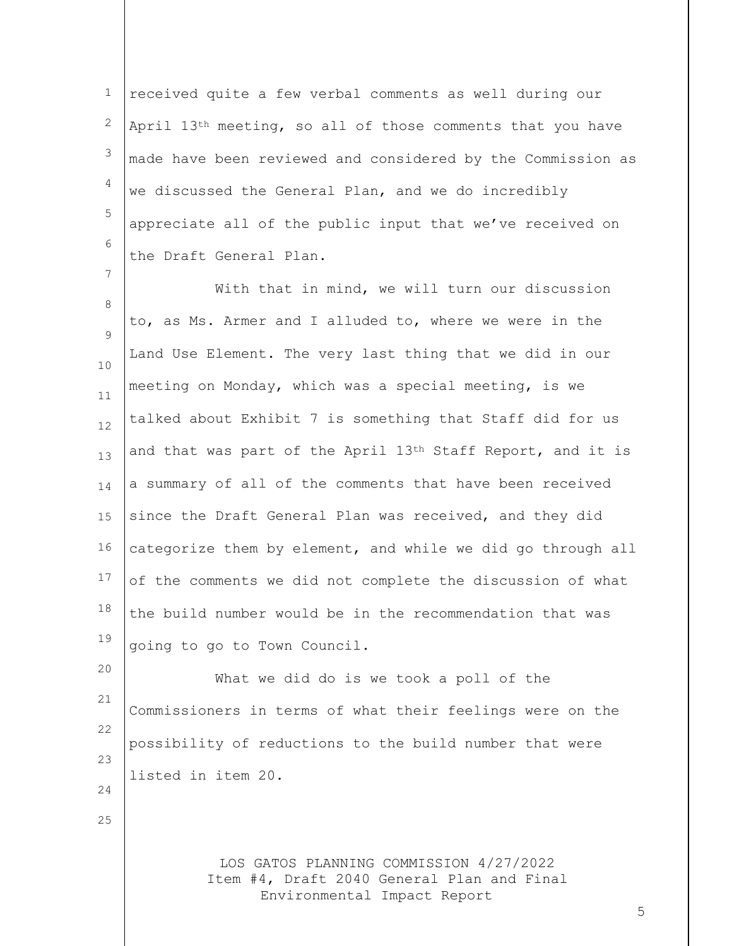1 2 3 4 5 6 received quite a few verbal comments as well during our April 13th meeting, so all of those comments that you have made have been reviewed and considered by the Commission as we discussed the General Plan, and we do incredibly appreciate all of the public input that we've received on the Draft General Plan.

7

25

8 9 10 11 12 13 14 15 16 17 18 19 With that in mind, we will turn our discussion to, as Ms. Armer and I alluded to, where we were in the Land Use Element. The very last thing that we did in our meeting on Monday, which was a special meeting, is we talked about Exhibit 7 is something that Staff did for us and that was part of the April 13<sup>th</sup> Staff Report, and it is a summary of all of the comments that have been received since the Draft General Plan was received, and they did categorize them by element, and while we did go through all of the comments we did not complete the discussion of what the build number would be in the recommendation that was going to go to Town Council.

20 21 22 23 24 What we did do is we took a poll of the Commissioners in terms of what their feelings were on the possibility of reductions to the build number that were listed in item 20.

> LOS GATOS PLANNING COMMISSION 4/27/2022 Item #4, Draft 2040 General Plan and Final Environmental Impact Report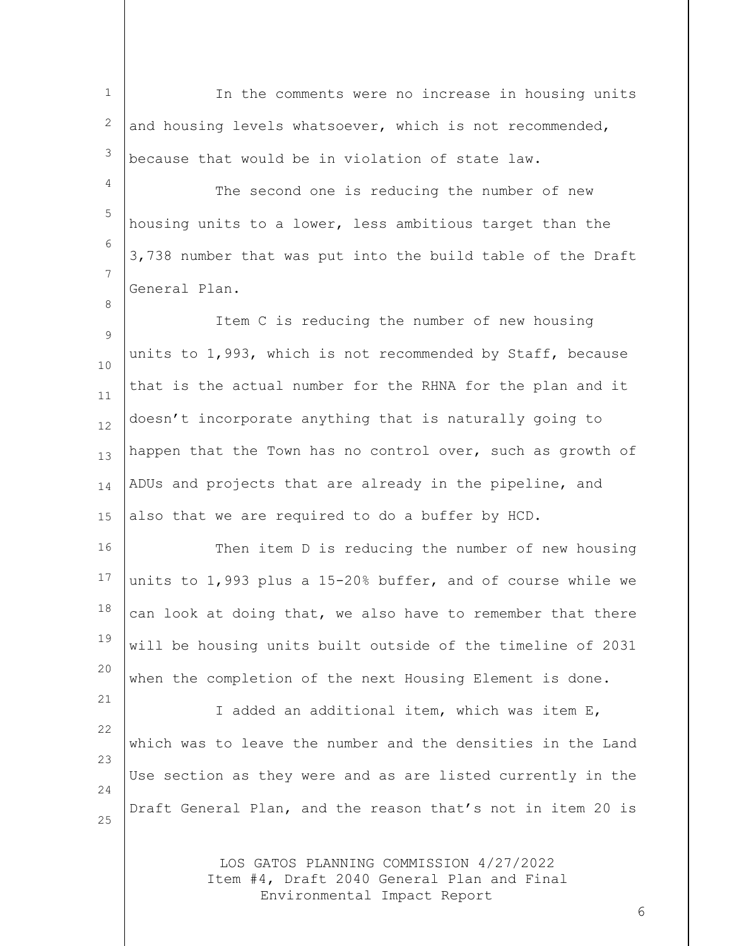1 2 3 In the comments were no increase in housing units and housing levels whatsoever, which is not recommended, because that would be in violation of state law.

4 5 6 7 The second one is reducing the number of new housing units to a lower, less ambitious target than the 3,738 number that was put into the build table of the Draft General Plan.

8

21

9 10 11 12 13 14 15 Item C is reducing the number of new housing units to 1,993, which is not recommended by Staff, because that is the actual number for the RHNA for the plan and it doesn't incorporate anything that is naturally going to happen that the Town has no control over, such as growth of ADUs and projects that are already in the pipeline, and also that we are required to do a buffer by HCD.

16 17 18 19 20 Then item D is reducing the number of new housing units to 1,993 plus a 15-20% buffer, and of course while we can look at doing that, we also have to remember that there will be housing units built outside of the timeline of 2031 when the completion of the next Housing Element is done.

22 23 24 25 I added an additional item, which was item E, which was to leave the number and the densities in the Land Use section as they were and as are listed currently in the Draft General Plan, and the reason that's not in item 20 is

> LOS GATOS PLANNING COMMISSION 4/27/2022 Item #4, Draft 2040 General Plan and Final Environmental Impact Report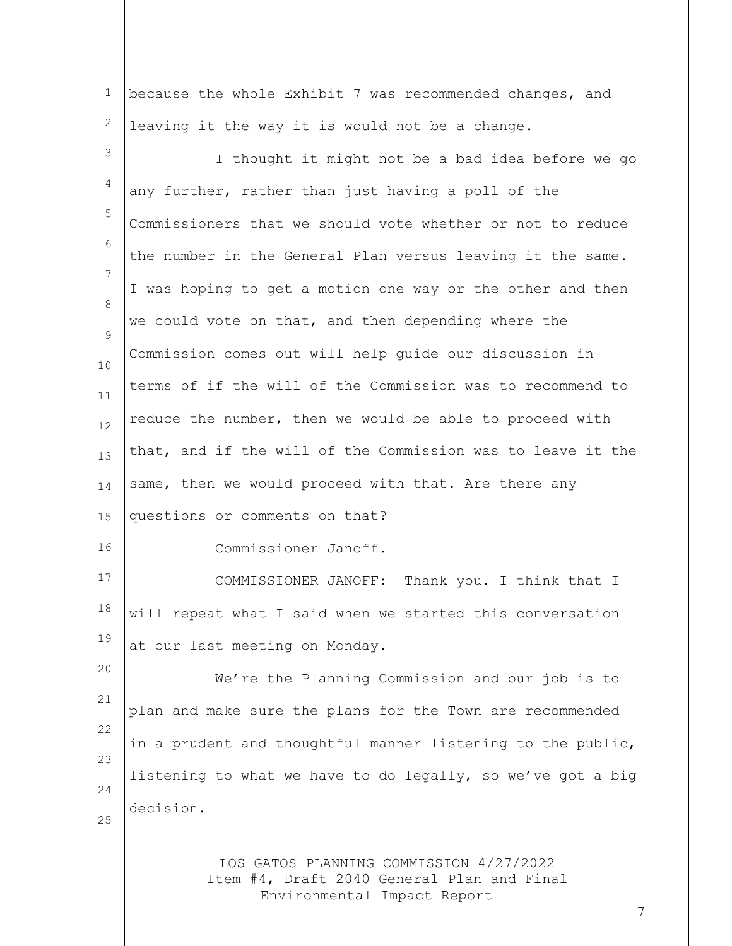1 2 because the whole Exhibit 7 was recommended changes, and leaving it the way it is would not be a change.

LOS GATOS PLANNING COMMISSION 4/27/2022 Item #4, Draft 2040 General Plan and Final 3 4 5 6 7 8  $\mathsf{Q}$ 10 11 12 13 14 15 16 17 18 19 20 21 22 23 24 25 I thought it might not be a bad idea before we go any further, rather than just having a poll of the Commissioners that we should vote whether or not to reduce the number in the General Plan versus leaving it the same. I was hoping to get a motion one way or the other and then we could vote on that, and then depending where the Commission comes out will help guide our discussion in terms of if the will of the Commission was to recommend to reduce the number, then we would be able to proceed with that, and if the will of the Commission was to leave it the same, then we would proceed with that. Are there any questions or comments on that? Commissioner Janoff. COMMISSIONER JANOFF: Thank you. I think that I will repeat what I said when we started this conversation at our last meeting on Monday. We're the Planning Commission and our job is to plan and make sure the plans for the Town are recommended in a prudent and thoughtful manner listening to the public, listening to what we have to do legally, so we've got a big decision.

Environmental Impact Report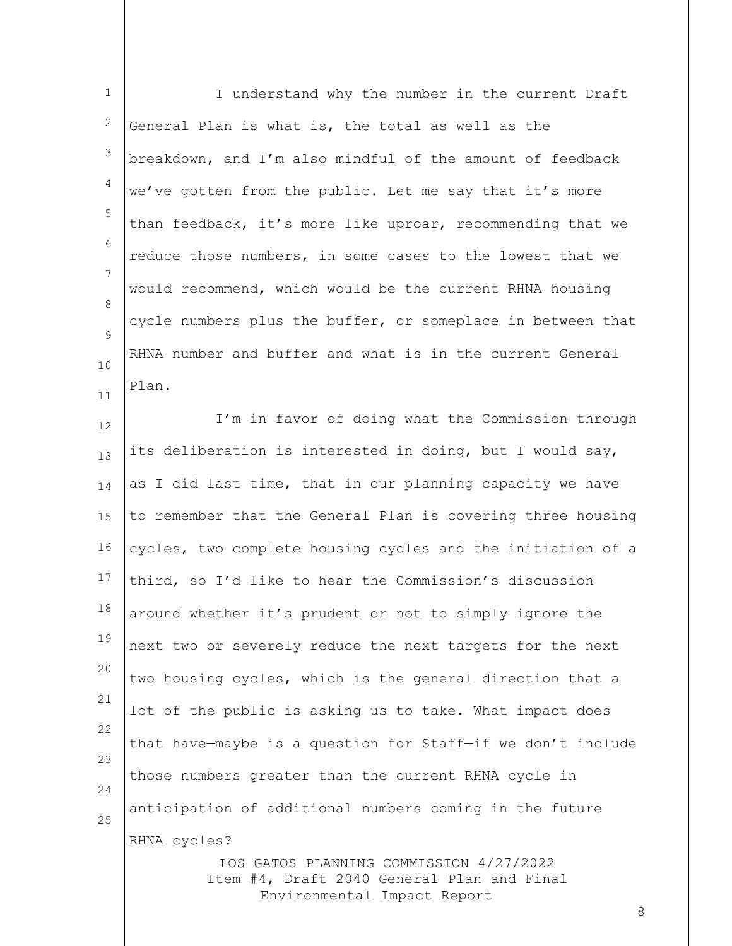1 2 3 4 5 6 7 8  $\mathsf{Q}$ 10 11 12 13 14 15 16 17 18 19 20 21 22 23 I understand why the number in the current Draft General Plan is what is, the total as well as the breakdown, and I'm also mindful of the amount of feedback we've gotten from the public. Let me say that it's more than feedback, it's more like uproar, recommending that we reduce those numbers, in some cases to the lowest that we would recommend, which would be the current RHNA housing cycle numbers plus the buffer, or someplace in between that RHNA number and buffer and what is in the current General Plan. I'm in favor of doing what the Commission through its deliberation is interested in doing, but I would say, as I did last time, that in our planning capacity we have to remember that the General Plan is covering three housing cycles, two complete housing cycles and the initiation of a third, so I'd like to hear the Commission's discussion around whether it's prudent or not to simply ignore the next two or severely reduce the next targets for the next two housing cycles, which is the general direction that a lot of the public is asking us to take. What impact does that have—maybe is a question for Staff—if we don't include

24 25 anticipation of additional numbers coming in the future RHNA cycles?

those numbers greater than the current RHNA cycle in

LOS GATOS PLANNING COMMISSION 4/27/2022 Item #4, Draft 2040 General Plan and Final Environmental Impact Report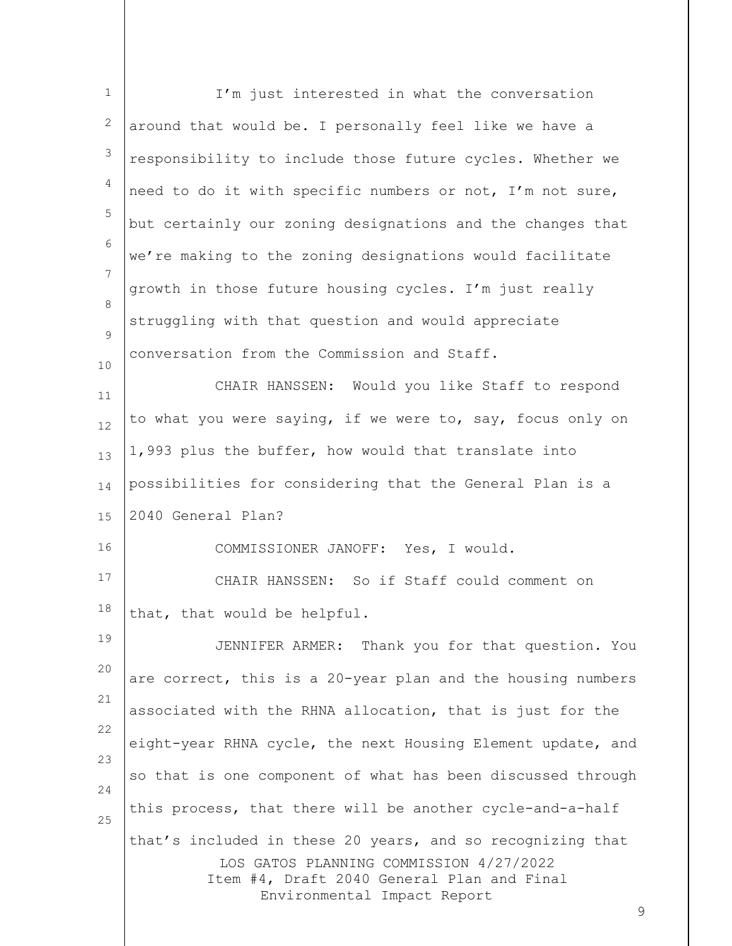| $\mathbf 1$ | I'm just interested in what the conversation                                          |
|-------------|---------------------------------------------------------------------------------------|
| 2           | around that would be. I personally feel like we have a                                |
| 3           | responsibility to include those future cycles. Whether we                             |
| 4           | need to do it with specific numbers or not, I'm not sure,                             |
| 5           | but certainly our zoning designations and the changes that                            |
| 6           | we're making to the zoning designations would facilitate                              |
| 7           | growth in those future housing cycles. I'm just really                                |
| 8           | struggling with that question and would appreciate                                    |
| 9<br>10     | conversation from the Commission and Staff.                                           |
| 11          | CHAIR HANSSEN: Would you like Staff to respond                                        |
| 12          | to what you were saying, if we were to, say, focus only on                            |
| 13          | 1,993 plus the buffer, how would that translate into                                  |
| 14          | possibilities for considering that the General Plan is a                              |
| 15          | 2040 General Plan?                                                                    |
| 16          | COMMISSIONER JANOFF: Yes, I would.                                                    |
| 17          | CHAIR HANSSEN: So if Staff could comment on                                           |
| 18          | that, that would be helpful.                                                          |
| 19          | JENNIFER ARMER: Thank you for that question. You                                      |
| 20          | are correct, this is a 20-year plan and the housing numbers                           |
| 21          | associated with the RHNA allocation, that is just for the                             |
| 22          | eight-year RHNA cycle, the next Housing Element update, and                           |
| 23          | so that is one component of what has been discussed through                           |
| 24          | this process, that there will be another cycle-and-a-half                             |
| 25          | that's included in these 20 years, and so recognizing that                            |
|             | LOS GATOS PLANNING COMMISSION 4/27/2022<br>Item #4, Draft 2040 General Plan and Final |
|             | Environmental Impact Report<br>9                                                      |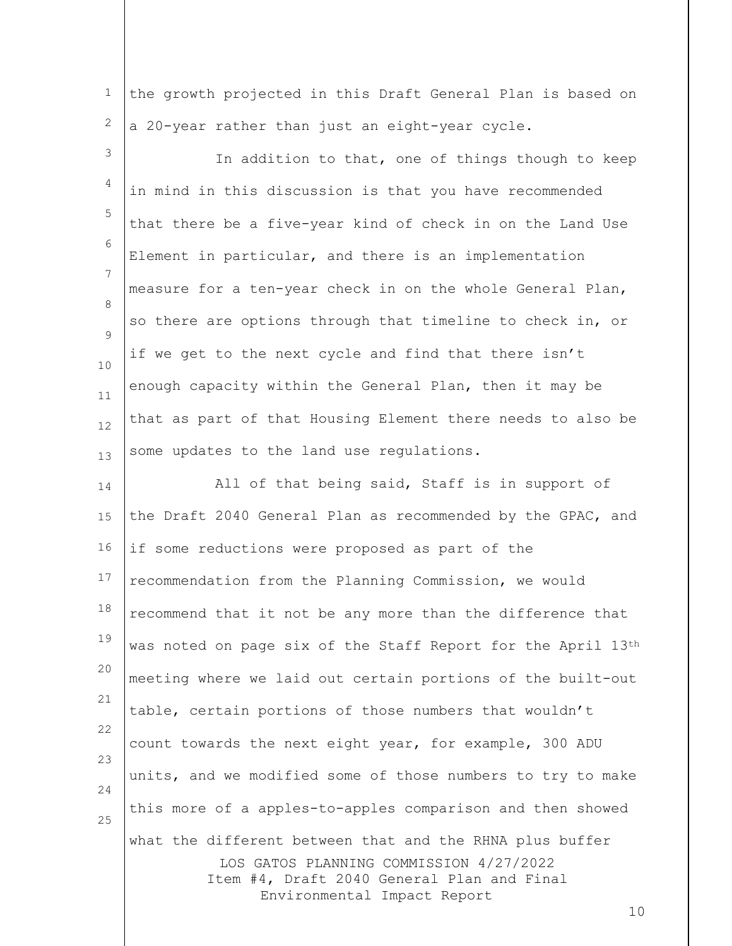1 2 the growth projected in this Draft General Plan is based on a 20-year rather than just an eight-year cycle.

3 4 5 6 7 8  $\mathsf{Q}$ 10 11 12 13 In addition to that, one of things though to keep in mind in this discussion is that you have recommended that there be a five-year kind of check in on the Land Use Element in particular, and there is an implementation measure for a ten-year check in on the whole General Plan, so there are options through that timeline to check in, or if we get to the next cycle and find that there isn't enough capacity within the General Plan, then it may be that as part of that Housing Element there needs to also be some updates to the land use regulations.

LOS GATOS PLANNING COMMISSION 4/27/2022 Item #4, Draft 2040 General Plan and Final Environmental Impact Report 14 15 16 17 18 19 20 21 22 23 24 25 All of that being said, Staff is in support of the Draft 2040 General Plan as recommended by the GPAC, and if some reductions were proposed as part of the recommendation from the Planning Commission, we would recommend that it not be any more than the difference that was noted on page six of the Staff Report for the April 13th meeting where we laid out certain portions of the built-out table, certain portions of those numbers that wouldn't count towards the next eight year, for example, 300 ADU units, and we modified some of those numbers to try to make this more of a apples-to-apples comparison and then showed what the different between that and the RHNA plus buffer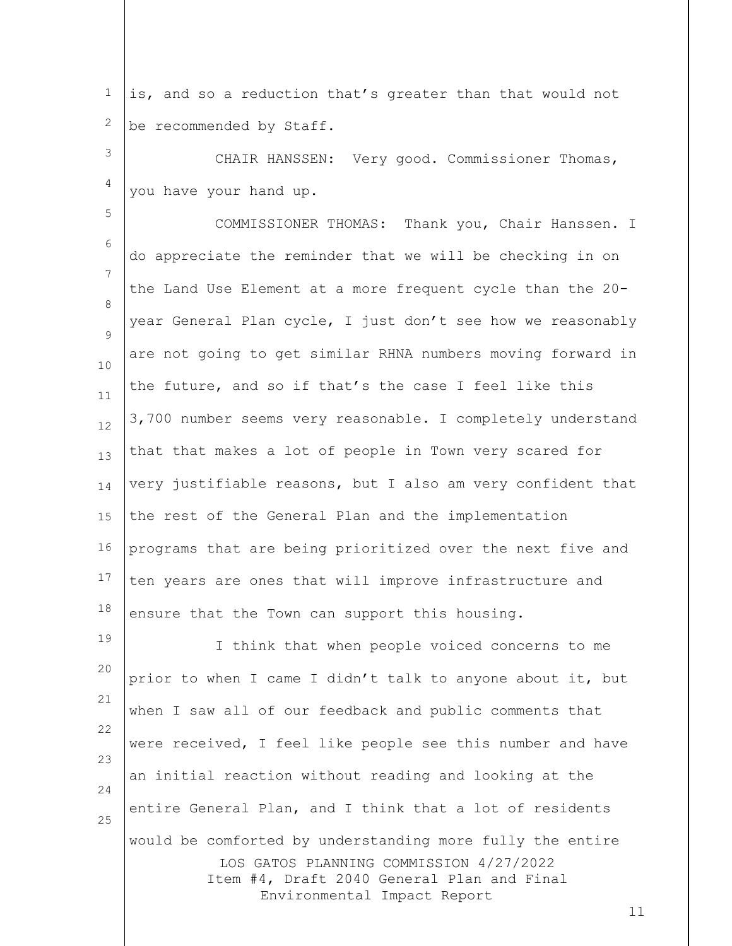1 2 is, and so a reduction that's greater than that would not be recommended by Staff.

3 4 CHAIR HANSSEN: Very good. Commissioner Thomas, you have your hand up.

5 6 7 8  $\mathsf{Q}$ 10 11 12 13 14 15 16 17 18 19 COMMISSIONER THOMAS: Thank you, Chair Hanssen. I do appreciate the reminder that we will be checking in on the Land Use Element at a more frequent cycle than the 20 year General Plan cycle, I just don't see how we reasonably are not going to get similar RHNA numbers moving forward in the future, and so if that's the case I feel like this 3,700 number seems very reasonable. I completely understand that that makes a lot of people in Town very scared for very justifiable reasons, but I also am very confident that the rest of the General Plan and the implementation programs that are being prioritized over the next five and ten years are ones that will improve infrastructure and ensure that the Town can support this housing. I think that when people voiced concerns to me

LOS GATOS PLANNING COMMISSION 4/27/2022 Item #4, Draft 2040 General Plan and Final Environmental Impact Report 20 21 22 23 24 25 prior to when I came I didn't talk to anyone about it, but when I saw all of our feedback and public comments that were received, I feel like people see this number and have an initial reaction without reading and looking at the entire General Plan, and I think that a lot of residents would be comforted by understanding more fully the entire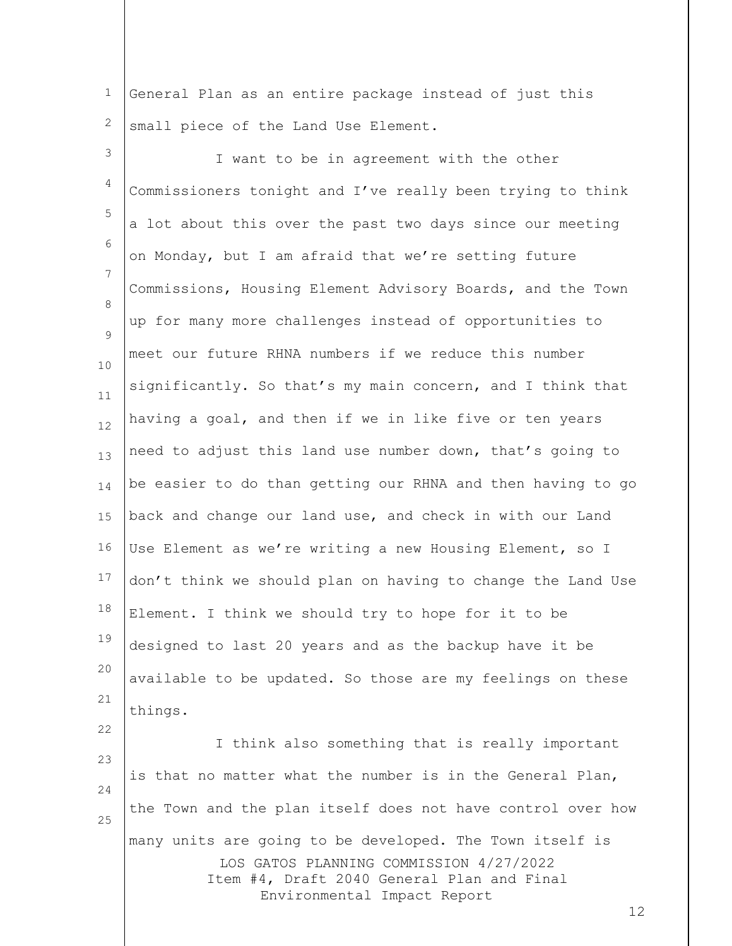1 2 General Plan as an entire package instead of just this small piece of the Land Use Element.

3 4 5 6 7 8  $\mathsf{Q}$ 10 11 12 13 14 15 16 17 18 19 20 21 22 I want to be in agreement with the other Commissioners tonight and I've really been trying to think a lot about this over the past two days since our meeting on Monday, but I am afraid that we're setting future Commissions, Housing Element Advisory Boards, and the Town up for many more challenges instead of opportunities to meet our future RHNA numbers if we reduce this number significantly. So that's my main concern, and I think that having a goal, and then if we in like five or ten years need to adjust this land use number down, that's going to be easier to do than getting our RHNA and then having to go back and change our land use, and check in with our Land Use Element as we're writing a new Housing Element, so I don't think we should plan on having to change the Land Use Element. I think we should try to hope for it to be designed to last 20 years and as the backup have it be available to be updated. So those are my feelings on these things.

LOS GATOS PLANNING COMMISSION 4/27/2022 Item #4, Draft 2040 General Plan and Final Environmental Impact Report 23 24 25 I think also something that is really important is that no matter what the number is in the General Plan, the Town and the plan itself does not have control over how many units are going to be developed. The Town itself is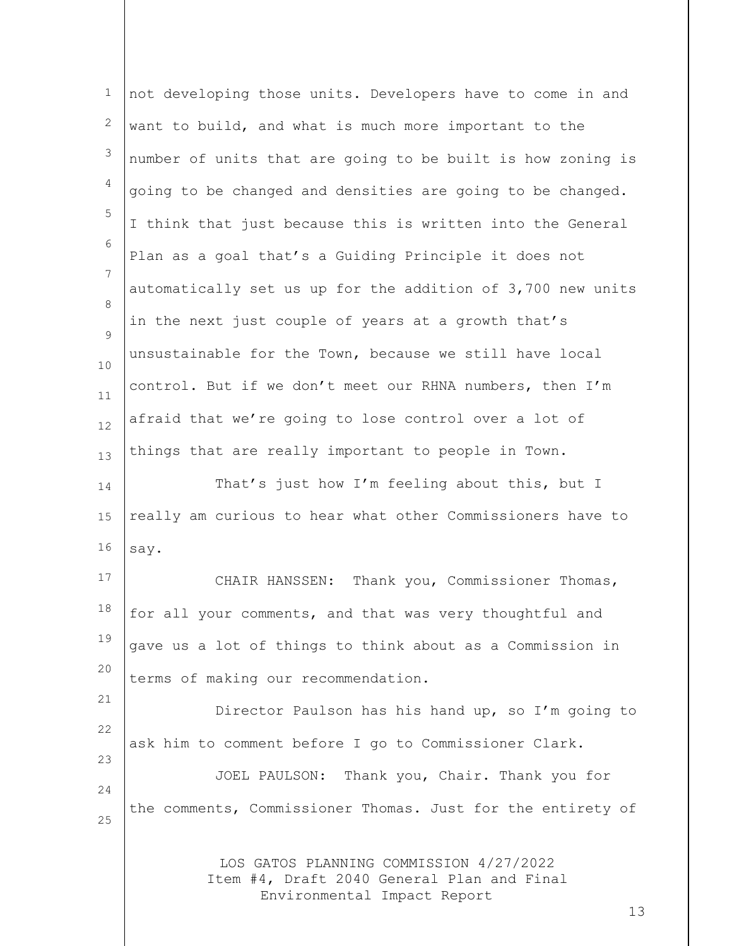| $\mathbf 1$ | not developing those units. Developers have to come in and                                                           |
|-------------|----------------------------------------------------------------------------------------------------------------------|
| 2           | want to build, and what is much more important to the                                                                |
| 3           | number of units that are going to be built is how zoning is                                                          |
| 4           | going to be changed and densities are going to be changed.                                                           |
| 5           | I think that just because this is written into the General                                                           |
| 6           | Plan as a goal that's a Guiding Principle it does not                                                                |
| 7           | automatically set us up for the addition of 3,700 new units                                                          |
| 8           | in the next just couple of years at a growth that's                                                                  |
| 9           | unsustainable for the Town, because we still have local                                                              |
| 10          | control. But if we don't meet our RHNA numbers, then I'm                                                             |
| 11<br>12    | afraid that we're going to lose control over a lot of                                                                |
| 13          | things that are really important to people in Town.                                                                  |
| 14          | That's just how I'm feeling about this, but I                                                                        |
| 15          | really am curious to hear what other Commissioners have to                                                           |
| 16          | say.                                                                                                                 |
| 17          | CHAIR HANSSEN: Thank you, Commissioner Thomas,                                                                       |
| 18          | for all your comments, and that was very thoughtful and                                                              |
| 19          | gave us a lot of things to think about as a Commission in                                                            |
| 20          | terms of making our recommendation.                                                                                  |
| 21          | Director Paulson has his hand up, so I'm going to                                                                    |
| 22          | ask him to comment before I go to Commissioner Clark.                                                                |
| 23          | JOEL PAULSON: Thank you, Chair. Thank you for                                                                        |
| 24          | the comments, Commissioner Thomas. Just for the entirety of                                                          |
| 25          |                                                                                                                      |
|             | LOS GATOS PLANNING COMMISSION 4/27/2022<br>Item #4, Draft 2040 General Plan and Final<br>Environmental Impact Report |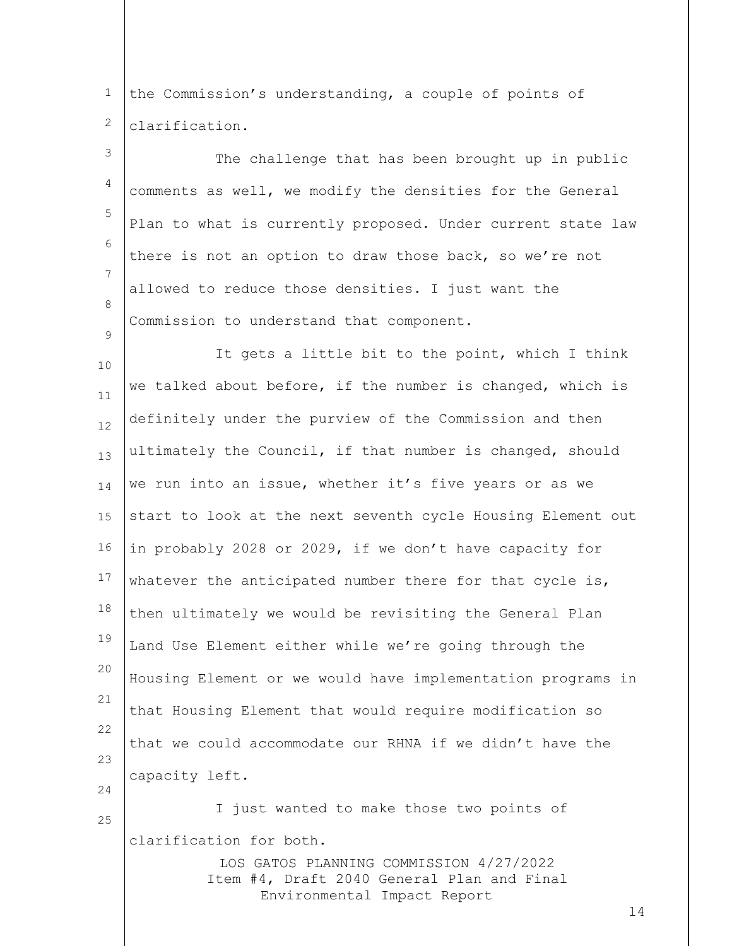1 2 the Commission's understanding, a couple of points of clarification.

 $\mathsf{Q}$ 

25

3 4 5 6 7 8 The challenge that has been brought up in public comments as well, we modify the densities for the General Plan to what is currently proposed. Under current state law there is not an option to draw those back, so we're not allowed to reduce those densities. I just want the Commission to understand that component.

10 11 12 13 14 15 16 17 18 19 20 21 22 23 24 It gets a little bit to the point, which I think we talked about before, if the number is changed, which is definitely under the purview of the Commission and then ultimately the Council, if that number is changed, should we run into an issue, whether it's five years or as we start to look at the next seventh cycle Housing Element out in probably 2028 or 2029, if we don't have capacity for whatever the anticipated number there for that cycle is, then ultimately we would be revisiting the General Plan Land Use Element either while we're going through the Housing Element or we would have implementation programs in that Housing Element that would require modification so that we could accommodate our RHNA if we didn't have the capacity left. I just wanted to make those two points of

clarification for both.

LOS GATOS PLANNING COMMISSION 4/27/2022 Item #4, Draft 2040 General Plan and Final Environmental Impact Report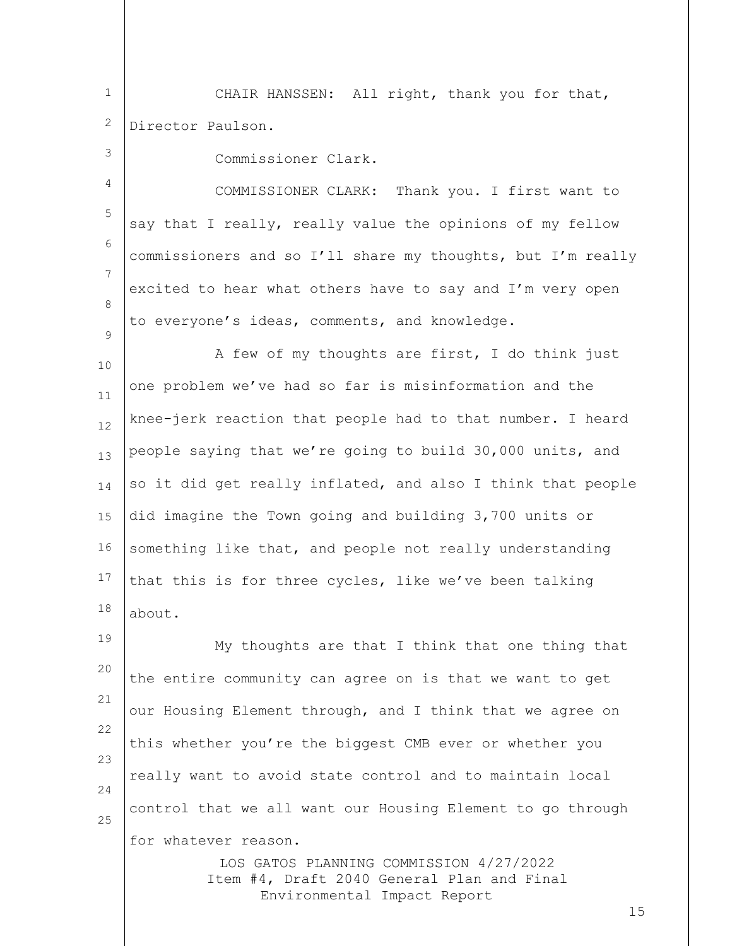1 2 CHAIR HANSSEN: All right, thank you for that, Director Paulson.

3

 $\mathsf{Q}$ 

Commissioner Clark.

4 5 6 7 8 COMMISSIONER CLARK: Thank you. I first want to say that I really, really value the opinions of my fellow commissioners and so I'll share my thoughts, but I'm really excited to hear what others have to say and I'm very open to everyone's ideas, comments, and knowledge.

10 11 12 13 14 15 16 17 18 A few of my thoughts are first, I do think just one problem we've had so far is misinformation and the knee-jerk reaction that people had to that number. I heard people saying that we're going to build 30,000 units, and so it did get really inflated, and also I think that people did imagine the Town going and building 3,700 units or something like that, and people not really understanding that this is for three cycles, like we've been talking about.

19 20 21 22 23 24 25 My thoughts are that I think that one thing that the entire community can agree on is that we want to get our Housing Element through, and I think that we agree on this whether you're the biggest CMB ever or whether you really want to avoid state control and to maintain local control that we all want our Housing Element to go through for whatever reason.

> LOS GATOS PLANNING COMMISSION 4/27/2022 Item #4, Draft 2040 General Plan and Final Environmental Impact Report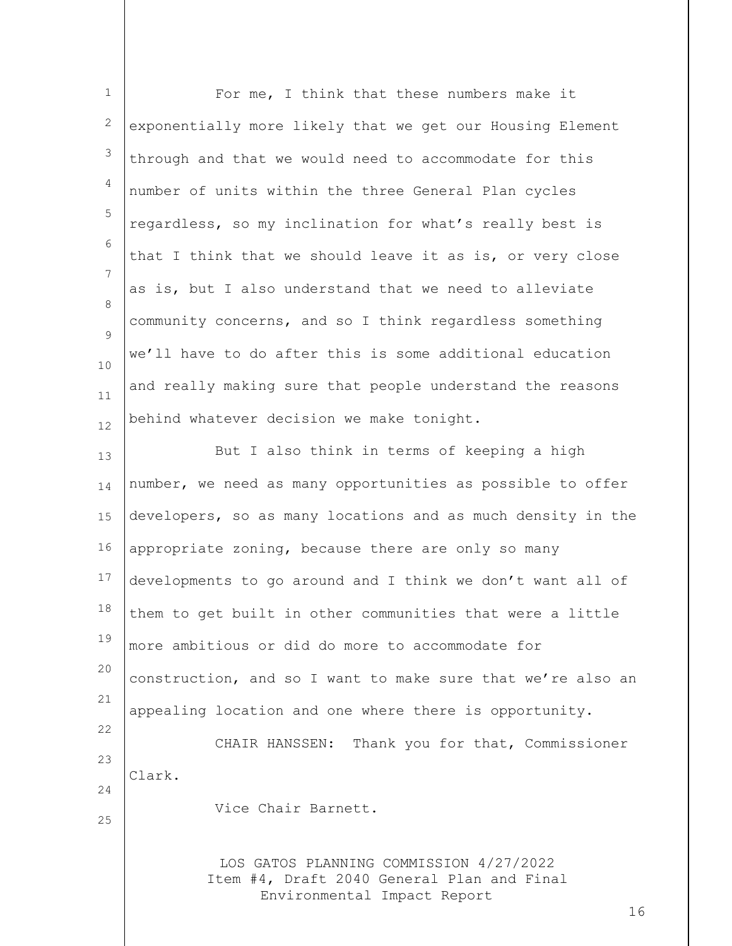| $\mathbf{1}$ | For me, I think that these numbers make it                                                                                 |
|--------------|----------------------------------------------------------------------------------------------------------------------------|
| 2            | exponentially more likely that we get our Housing Element                                                                  |
| 3            | through and that we would need to accommodate for this                                                                     |
| 4            | number of units within the three General Plan cycles                                                                       |
| 5            | regardless, so my inclination for what's really best is                                                                    |
| 6            | that I think that we should leave it as is, or very close                                                                  |
| 7            | as is, but I also understand that we need to alleviate                                                                     |
| 8            | community concerns, and so I think regardless something                                                                    |
| 9            | we'll have to do after this is some additional education                                                                   |
| 10           | and really making sure that people understand the reasons                                                                  |
| 11<br>12     | behind whatever decision we make tonight.                                                                                  |
| 13           | But I also think in terms of keeping a high                                                                                |
| 14           | number, we need as many opportunities as possible to offer                                                                 |
| 15           | developers, so as many locations and as much density in the                                                                |
| 16           | appropriate zoning, because there are only so many                                                                         |
| 17           | developments to go around and I think we don't want all of                                                                 |
| 18           | them to get built in other communities that were a little                                                                  |
| 19           | more ambitious or did do more to accommodate for                                                                           |
| 20           | construction, and so I want to make sure that we're also an                                                                |
| 21           |                                                                                                                            |
| 22           | appealing location and one where there is opportunity.                                                                     |
| 23           | CHAIR HANSSEN: Thank you for that, Commissioner                                                                            |
| 24           | Clark.                                                                                                                     |
| 25           | Vice Chair Barnett.                                                                                                        |
|              | LOS GATOS PLANNING COMMISSION 4/27/2022<br>Item #4, Draft 2040 General Plan and Final<br>Environmental Impact Report<br>16 |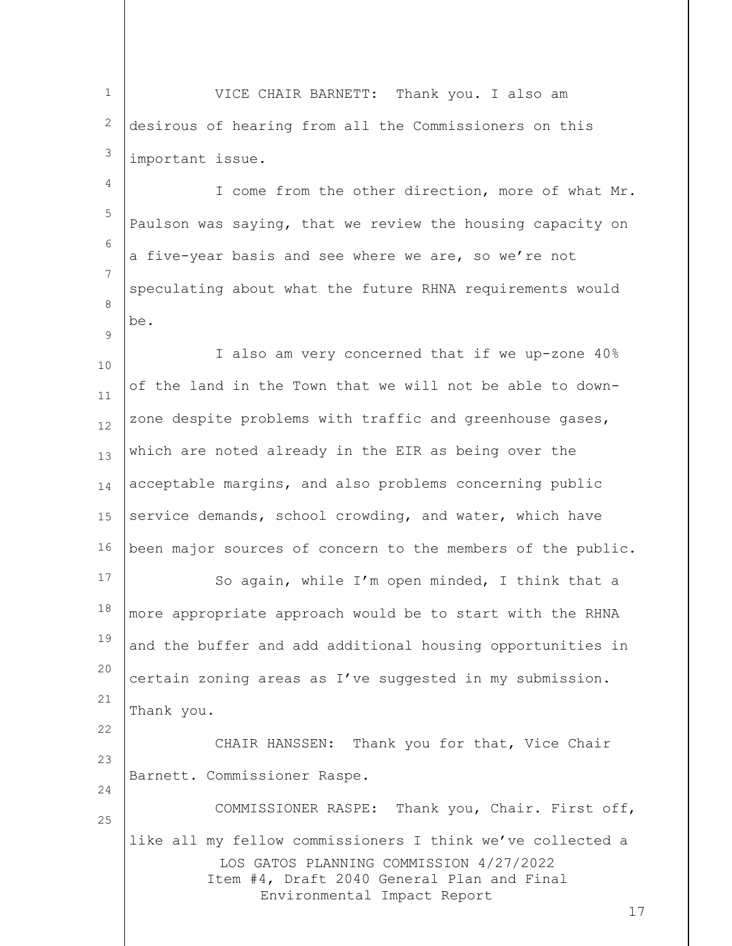1 2 3 VICE CHAIR BARNETT: Thank you. I also am desirous of hearing from all the Commissioners on this important issue.

4 5 6 7 8 I come from the other direction, more of what Mr. Paulson was saying, that we review the housing capacity on a five-year basis and see where we are, so we're not speculating about what the future RHNA requirements would be.

 $\mathsf{Q}$ 

22

10 11 12 13 14 15 16 I also am very concerned that if we up-zone 40% of the land in the Town that we will not be able to downzone despite problems with traffic and greenhouse gases, which are noted already in the EIR as being over the acceptable margins, and also problems concerning public service demands, school crowding, and water, which have been major sources of concern to the members of the public.

17 18 19 20 21 So again, while I'm open minded, I think that a more appropriate approach would be to start with the RHNA and the buffer and add additional housing opportunities in certain zoning areas as I've suggested in my submission. Thank you.

 $23$ 24 25 CHAIR HANSSEN: Thank you for that, Vice Chair Barnett. Commissioner Raspe. COMMISSIONER RASPE: Thank you, Chair. First off,

LOS GATOS PLANNING COMMISSION 4/27/2022 Item #4, Draft 2040 General Plan and Final Environmental Impact Report like all my fellow commissioners I think we've collected a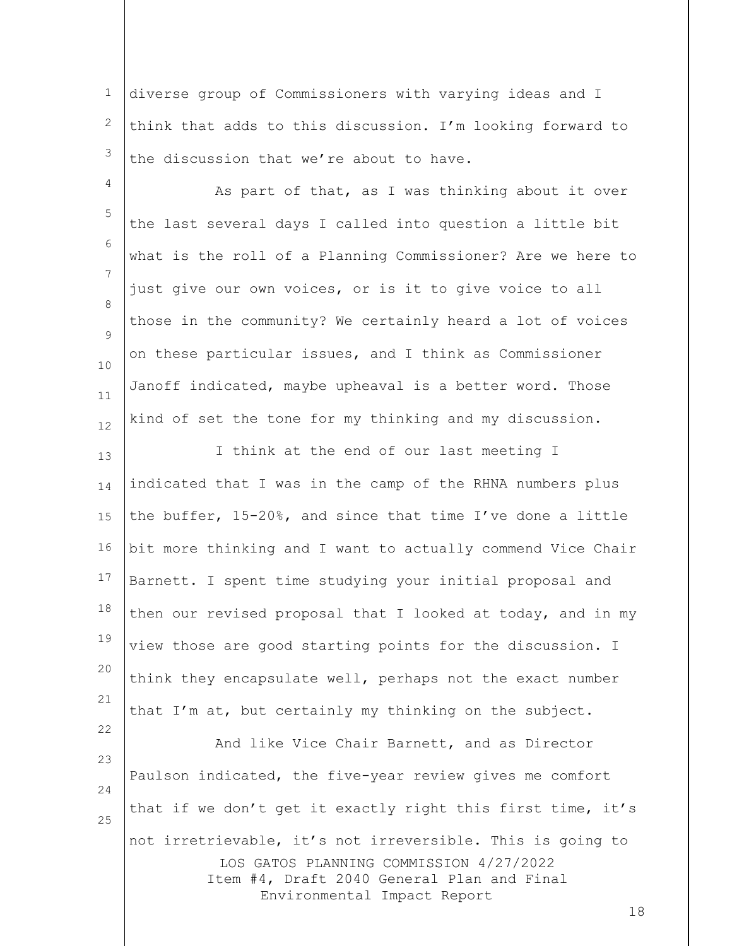1 2 3 diverse group of Commissioners with varying ideas and I think that adds to this discussion. I'm looking forward to the discussion that we're about to have.

4 5 6 7 8  $\mathsf{Q}$ 10 11 12 As part of that, as I was thinking about it over the last several days I called into question a little bit what is the roll of a Planning Commissioner? Are we here to just give our own voices, or is it to give voice to all those in the community? We certainly heard a lot of voices on these particular issues, and I think as Commissioner Janoff indicated, maybe upheaval is a better word. Those kind of set the tone for my thinking and my discussion.

13 14 15 16 17 18 19 20 21 I think at the end of our last meeting I indicated that I was in the camp of the RHNA numbers plus the buffer, 15-20%, and since that time I've done a little bit more thinking and I want to actually commend Vice Chair Barnett. I spent time studying your initial proposal and then our revised proposal that I looked at today, and in my view those are good starting points for the discussion. I think they encapsulate well, perhaps not the exact number that I'm at, but certainly my thinking on the subject.

LOS GATOS PLANNING COMMISSION 4/27/2022 Item #4, Draft 2040 General Plan and Final Environmental Impact Report 23 24 25 And like Vice Chair Barnett, and as Director Paulson indicated, the five-year review gives me comfort that if we don't get it exactly right this first time, it's not irretrievable, it's not irreversible. This is going to

22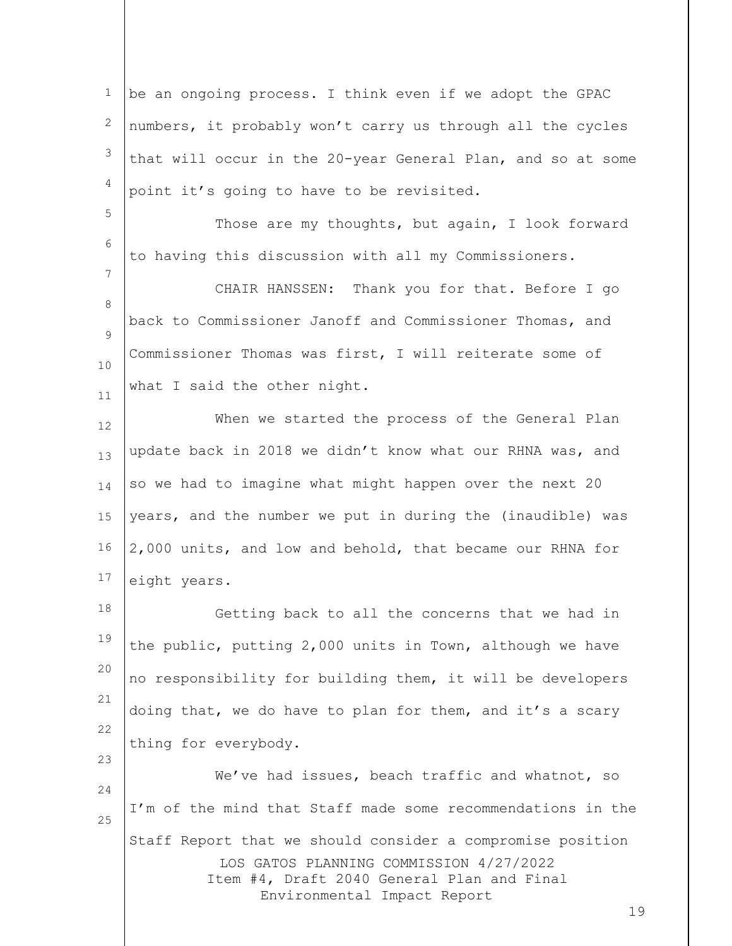1 2 3 4 be an ongoing process. I think even if we adopt the GPAC numbers, it probably won't carry us through all the cycles that will occur in the 20-year General Plan, and so at some point it's going to have to be revisited.

Those are my thoughts, but again, I look forward to having this discussion with all my Commissioners.

5

6

7

23

8  $\mathsf{Q}$ 10 11 CHAIR HANSSEN: Thank you for that. Before I go back to Commissioner Janoff and Commissioner Thomas, and Commissioner Thomas was first, I will reiterate some of what I said the other night.

12 13 14 15 16 17 When we started the process of the General Plan update back in 2018 we didn't know what our RHNA was, and so we had to imagine what might happen over the next 20 years, and the number we put in during the (inaudible) was 2,000 units, and low and behold, that became our RHNA for eight years.

18 19 20 21 22 Getting back to all the concerns that we had in the public, putting 2,000 units in Town, although we have no responsibility for building them, it will be developers doing that, we do have to plan for them, and it's a scary thing for everybody.

LOS GATOS PLANNING COMMISSION 4/27/2022 Item #4, Draft 2040 General Plan and Final Environmental Impact Report 24 25 We've had issues, beach traffic and whatnot, so I'm of the mind that Staff made some recommendations in the Staff Report that we should consider a compromise position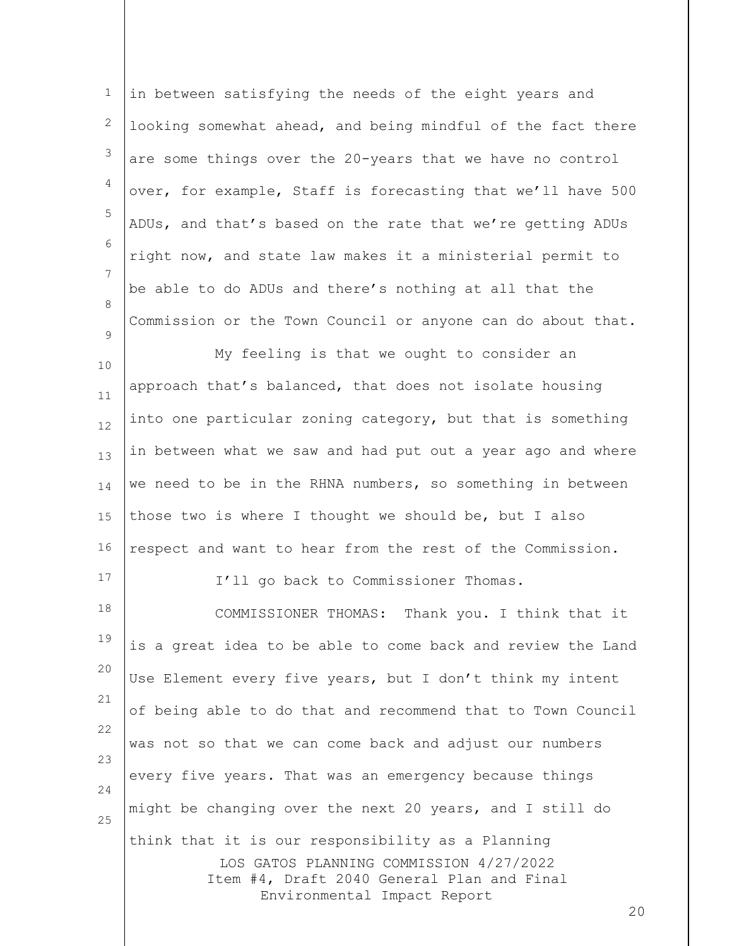1 2 3 4 5 6 7 8  $\mathsf{Q}$ in between satisfying the needs of the eight years and looking somewhat ahead, and being mindful of the fact there are some things over the 20-years that we have no control over, for example, Staff is forecasting that we'll have 500 ADUs, and that's based on the rate that we're getting ADUs right now, and state law makes it a ministerial permit to be able to do ADUs and there's nothing at all that the Commission or the Town Council or anyone can do about that.

10 11 12 13 14 15 16 My feeling is that we ought to consider an approach that's balanced, that does not isolate housing into one particular zoning category, but that is something in between what we saw and had put out a year ago and where we need to be in the RHNA numbers, so something in between those two is where I thought we should be, but I also respect and want to hear from the rest of the Commission.

I'll go back to Commissioner Thomas.

17

LOS GATOS PLANNING COMMISSION 4/27/2022 Item #4, Draft 2040 General Plan and Final Environmental Impact Report 18 19 20 21 22 23 24 25 COMMISSIONER THOMAS: Thank you. I think that it is a great idea to be able to come back and review the Land Use Element every five years, but I don't think my intent of being able to do that and recommend that to Town Council was not so that we can come back and adjust our numbers every five years. That was an emergency because things might be changing over the next 20 years, and I still do think that it is our responsibility as a Planning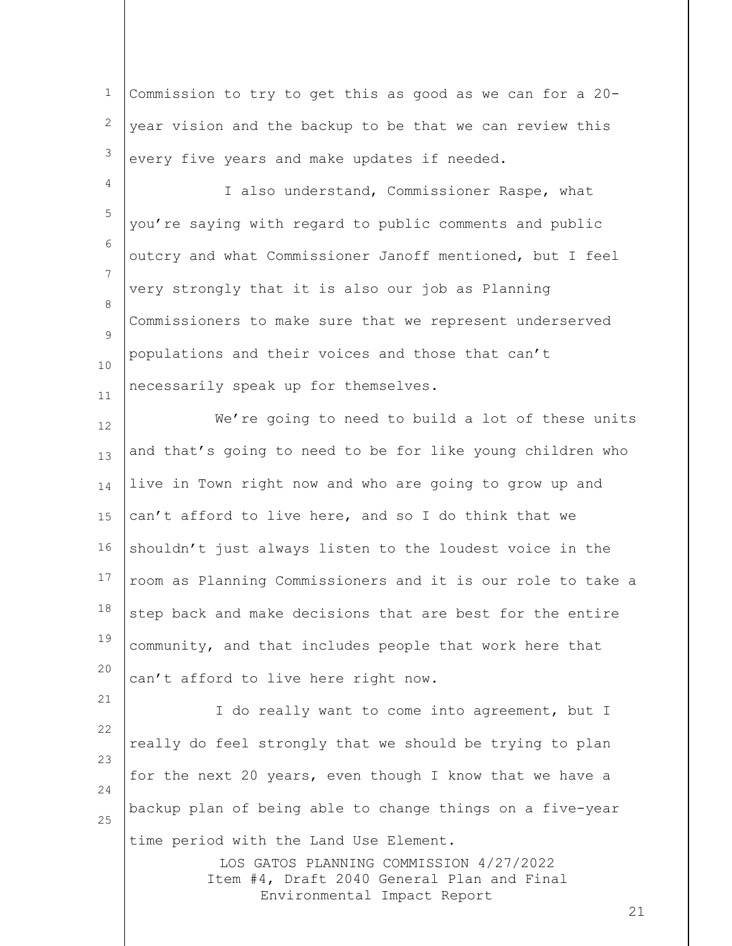| <sup>1</sup> Commission to try to get this as good as we can for a 20- |  |
|------------------------------------------------------------------------|--|
| $2$ year vision and the backup to be that we can review this           |  |
| $3$ every five years and make updates if needed.                       |  |

4

21

5 6 7 8  $\mathsf{Q}$ 10 11 I also understand, Commissioner Raspe, what you're saying with regard to public comments and public outcry and what Commissioner Janoff mentioned, but I feel very strongly that it is also our job as Planning Commissioners to make sure that we represent underserved populations and their voices and those that can't necessarily speak up for themselves.

12 13 14 15 16 17 18 19 20 We're going to need to build a lot of these units and that's going to need to be for like young children who live in Town right now and who are going to grow up and can't afford to live here, and so I do think that we shouldn't just always listen to the loudest voice in the room as Planning Commissioners and it is our role to take a step back and make decisions that are best for the entire community, and that includes people that work here that can't afford to live here right now.

22 23 24 25 I do really want to come into agreement, but I really do feel strongly that we should be trying to plan for the next 20 years, even though I know that we have a backup plan of being able to change things on a five-year time period with the Land Use Element.

> LOS GATOS PLANNING COMMISSION 4/27/2022 Item #4, Draft 2040 General Plan and Final Environmental Impact Report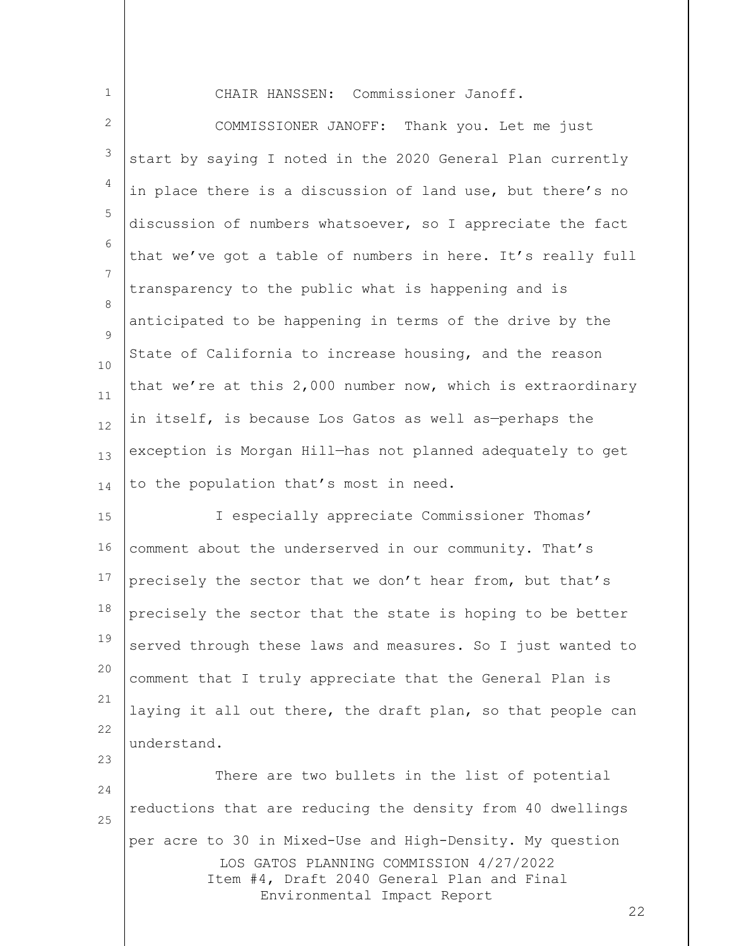CHAIR HANSSEN: Commissioner Janoff.

1

23

2 3 4 5 6 7 8  $\mathsf{Q}$ 10 11 12 13 14 COMMISSIONER JANOFF: Thank you. Let me just start by saying I noted in the 2020 General Plan currently in place there is a discussion of land use, but there's no discussion of numbers whatsoever, so I appreciate the fact that we've got a table of numbers in here. It's really full transparency to the public what is happening and is anticipated to be happening in terms of the drive by the State of California to increase housing, and the reason that we're at this 2,000 number now, which is extraordinary in itself, is because Los Gatos as well as—perhaps the exception is Morgan Hill—has not planned adequately to get to the population that's most in need.

15 16 17 18 19 20 21 22 I especially appreciate Commissioner Thomas' comment about the underserved in our community. That's precisely the sector that we don't hear from, but that's precisely the sector that the state is hoping to be better served through these laws and measures. So I just wanted to comment that I truly appreciate that the General Plan is laying it all out there, the draft plan, so that people can understand.

LOS GATOS PLANNING COMMISSION 4/27/2022 Item #4, Draft 2040 General Plan and Final Environmental Impact Report 24 25 There are two bullets in the list of potential reductions that are reducing the density from 40 dwellings per acre to 30 in Mixed-Use and High-Density. My question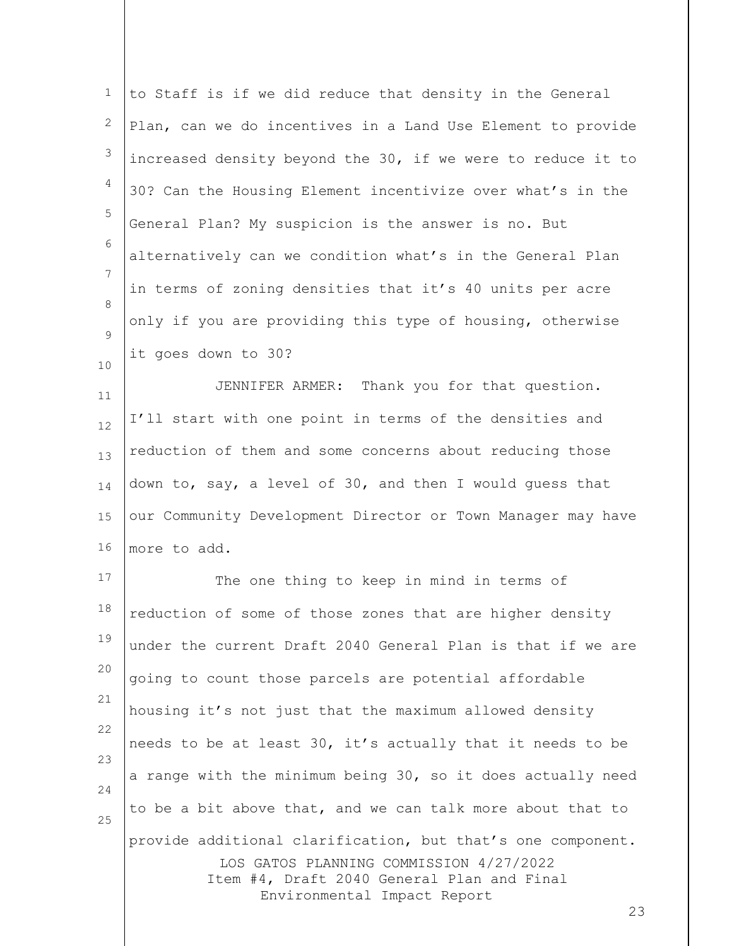| $\mathbf 1$ | to Staff is if we did reduce that density in the General                                                                                                                                  |
|-------------|-------------------------------------------------------------------------------------------------------------------------------------------------------------------------------------------|
| 2           | Plan, can we do incentives in a Land Use Element to provide                                                                                                                               |
| 3           | increased density beyond the 30, if we were to reduce it to                                                                                                                               |
| 4           | 30? Can the Housing Element incentivize over what's in the                                                                                                                                |
| 5           | General Plan? My suspicion is the answer is no. But                                                                                                                                       |
| 6           | alternatively can we condition what's in the General Plan                                                                                                                                 |
| 7           | in terms of zoning densities that it's 40 units per acre                                                                                                                                  |
| 8           | only if you are providing this type of housing, otherwise                                                                                                                                 |
| 9           | it goes down to 30?                                                                                                                                                                       |
| 10<br>11    | JENNIFER ARMER: Thank you for that question.                                                                                                                                              |
| 12          | I'll start with one point in terms of the densities and                                                                                                                                   |
| 13          | reduction of them and some concerns about reducing those                                                                                                                                  |
| 14          | down to, say, a level of 30, and then I would guess that                                                                                                                                  |
| 15          | our Community Development Director or Town Manager may have                                                                                                                               |
| 16          | more to add.                                                                                                                                                                              |
| 17          | The one thing to keep in mind in terms of                                                                                                                                                 |
| 18          | reduction of some of those zones that are higher density                                                                                                                                  |
| 19          | under the current Draft 2040 General Plan is that if we are                                                                                                                               |
| 20          | going to count those parcels are potential affordable                                                                                                                                     |
| 21          | housing it's not just that the maximum allowed density                                                                                                                                    |
| 22          | needs to be at least 30, it's actually that it needs to be                                                                                                                                |
| 23          | a range with the minimum being 30, so it does actually need                                                                                                                               |
| 24          | to be a bit above that, and we can talk more about that to                                                                                                                                |
| 25          | provide additional clarification, but that's one component.<br>LOS GATOS PLANNING COMMISSION 4/27/2022<br>Item #4, Draft 2040 General Plan and Final<br>Environmental Impact Report<br>23 |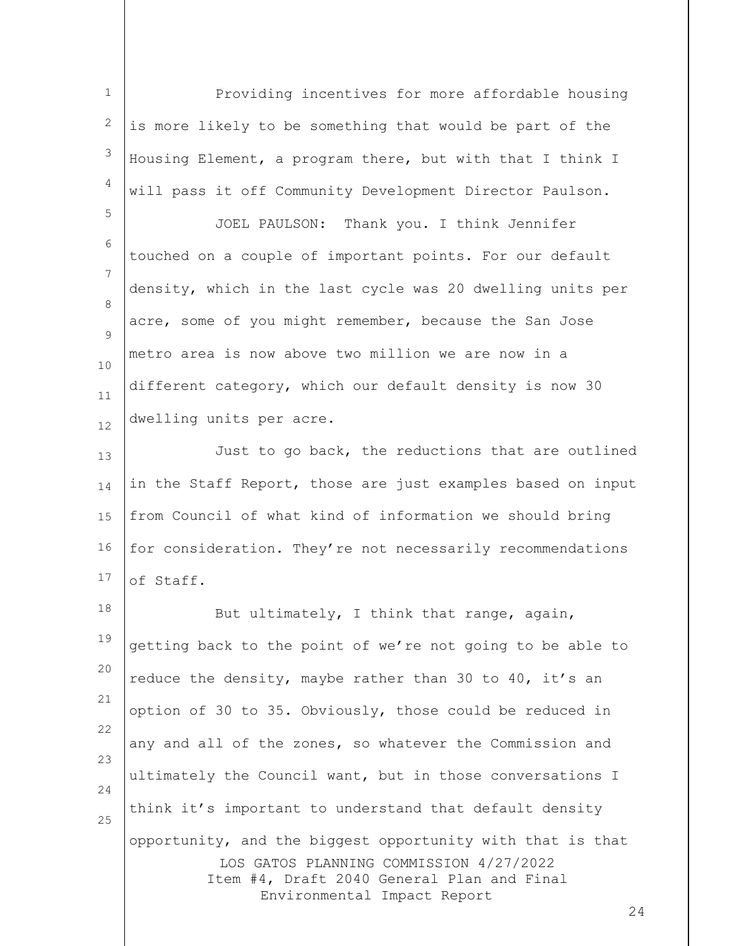1 2 3 4 Providing incentives for more affordable housing is more likely to be something that would be part of the Housing Element, a program there, but with that I think I will pass it off Community Development Director Paulson.

5

6 7 8  $\mathsf{Q}$ 10 11 12 JOEL PAULSON: Thank you. I think Jennifer touched on a couple of important points. For our default density, which in the last cycle was 20 dwelling units per acre, some of you might remember, because the San Jose metro area is now above two million we are now in a different category, which our default density is now 30 dwelling units per acre.

13 14 15 16 17 Just to go back, the reductions that are outlined in the Staff Report, those are just examples based on input from Council of what kind of information we should bring for consideration. They're not necessarily recommendations of Staff.

LOS GATOS PLANNING COMMISSION 4/27/2022 Item #4, Draft 2040 General Plan and Final Environmental Impact Report 18 19 20 21 22 23 24 25 But ultimately, I think that range, again, getting back to the point of we're not going to be able to reduce the density, maybe rather than 30 to 40, it's an option of 30 to 35. Obviously, those could be reduced in any and all of the zones, so whatever the Commission and ultimately the Council want, but in those conversations I think it's important to understand that default density opportunity, and the biggest opportunity with that is that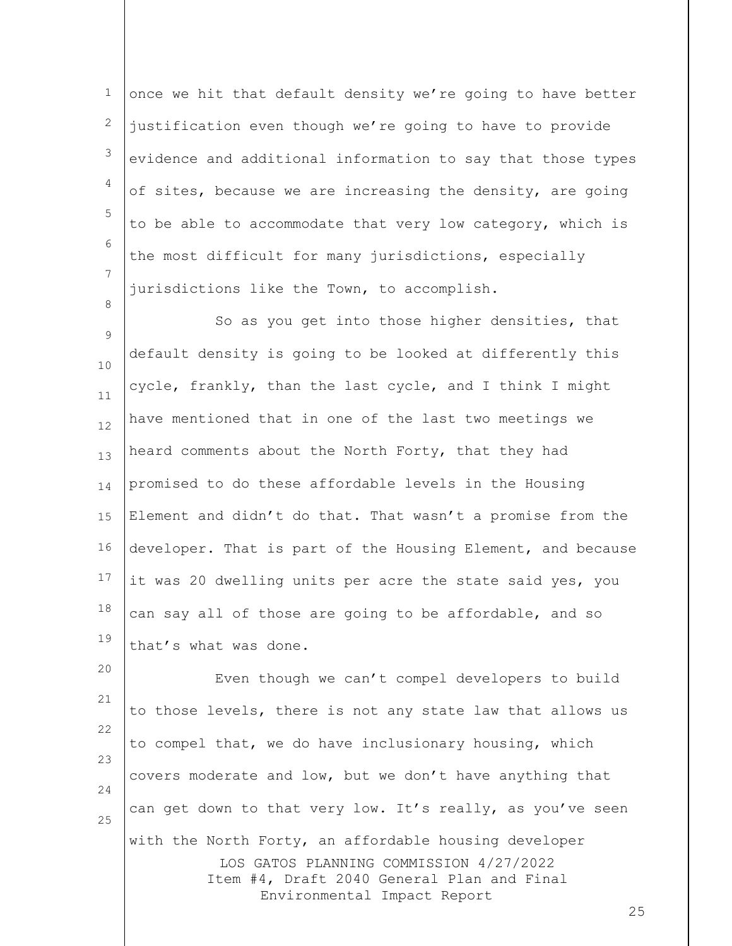1 2 3 4 5 6 7 once we hit that default density we're going to have better justification even though we're going to have to provide evidence and additional information to say that those types of sites, because we are increasing the density, are going to be able to accommodate that very low category, which is the most difficult for many jurisdictions, especially jurisdictions like the Town, to accomplish.

8

9 10 11 12 13 14 15 16 17 18 19 So as you get into those higher densities, that default density is going to be looked at differently this cycle, frankly, than the last cycle, and I think I might have mentioned that in one of the last two meetings we heard comments about the North Forty, that they had promised to do these affordable levels in the Housing Element and didn't do that. That wasn't a promise from the developer. That is part of the Housing Element, and because it was 20 dwelling units per acre the state said yes, you can say all of those are going to be affordable, and so that's what was done.

LOS GATOS PLANNING COMMISSION 4/27/2022 Item #4, Draft 2040 General Plan and Final Environmental Impact Report 20 21 22 23 24 25 Even though we can't compel developers to build to those levels, there is not any state law that allows us to compel that, we do have inclusionary housing, which covers moderate and low, but we don't have anything that can get down to that very low. It's really, as you've seen with the North Forty, an affordable housing developer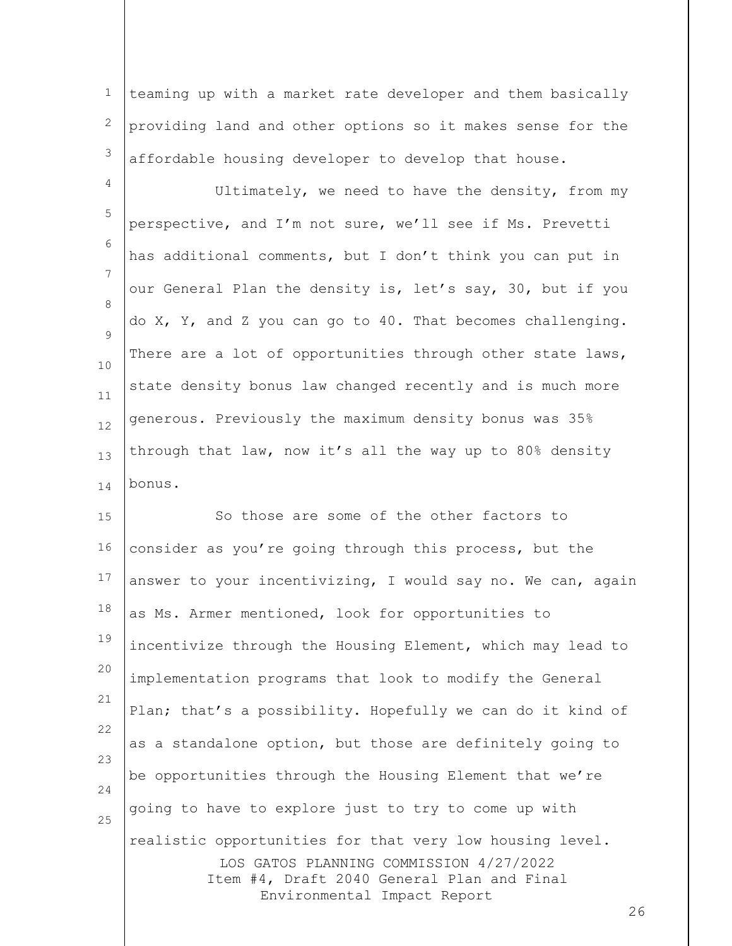1 2 3 teaming up with a market rate developer and them basically providing land and other options so it makes sense for the affordable housing developer to develop that house.

4 5 6 7 8  $\mathsf{Q}$ 10 11 12 13 14 Ultimately, we need to have the density, from my perspective, and I'm not sure, we'll see if Ms. Prevetti has additional comments, but I don't think you can put in our General Plan the density is, let's say, 30, but if you do X, Y, and Z you can go to 40. That becomes challenging. There are a lot of opportunities through other state laws, state density bonus law changed recently and is much more generous. Previously the maximum density bonus was 35% through that law, now it's all the way up to 80% density bonus.

LOS GATOS PLANNING COMMISSION 4/27/2022 Item #4, Draft 2040 General Plan and Final Environmental Impact Report 15 16 17 18 19 20 21 22 23 24 25 So those are some of the other factors to consider as you're going through this process, but the answer to your incentivizing, I would say no. We can, again as Ms. Armer mentioned, look for opportunities to incentivize through the Housing Element, which may lead to implementation programs that look to modify the General Plan; that's a possibility. Hopefully we can do it kind of as a standalone option, but those are definitely going to be opportunities through the Housing Element that we're going to have to explore just to try to come up with realistic opportunities for that very low housing level.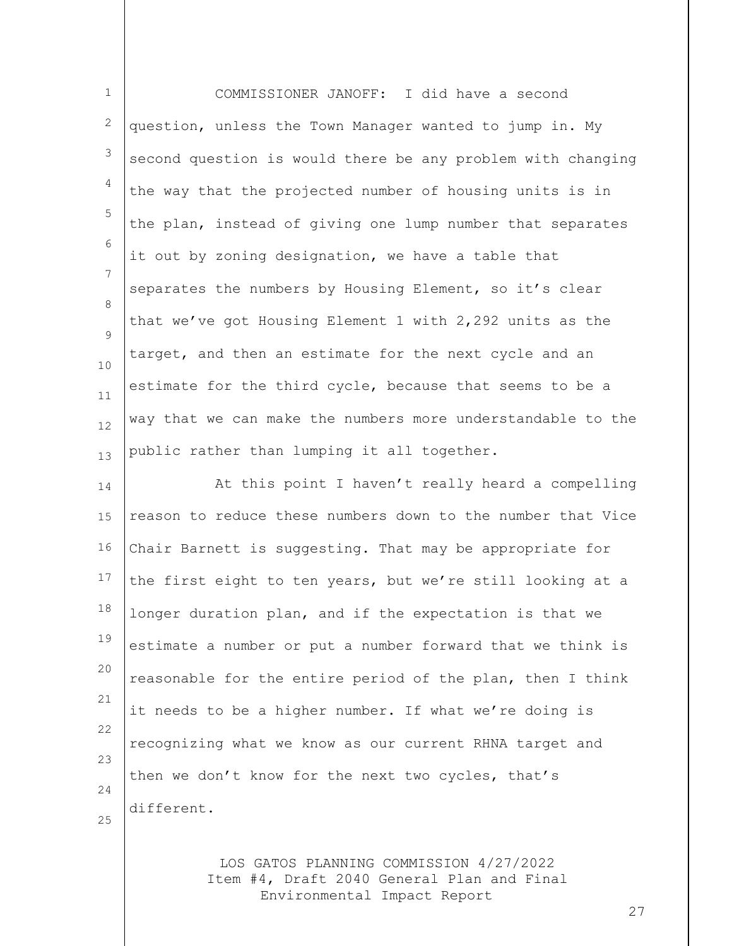1 2 3 4 5 6 7 8  $\mathsf{Q}$ 10 11 12 13 COMMISSIONER JANOFF: I did have a second question, unless the Town Manager wanted to jump in. My second question is would there be any problem with changing the way that the projected number of housing units is in the plan, instead of giving one lump number that separates it out by zoning designation, we have a table that separates the numbers by Housing Element, so it's clear that we've got Housing Element 1 with 2,292 units as the target, and then an estimate for the next cycle and an estimate for the third cycle, because that seems to be a way that we can make the numbers more understandable to the public rather than lumping it all together.

14 15 16 17 18 19 20 21 22 23 24 At this point I haven't really heard a compelling reason to reduce these numbers down to the number that Vice Chair Barnett is suggesting. That may be appropriate for the first eight to ten years, but we're still looking at a longer duration plan, and if the expectation is that we estimate a number or put a number forward that we think is reasonable for the entire period of the plan, then I think it needs to be a higher number. If what we're doing is recognizing what we know as our current RHNA target and then we don't know for the next two cycles, that's different.

25

LOS GATOS PLANNING COMMISSION 4/27/2022 Item #4, Draft 2040 General Plan and Final Environmental Impact Report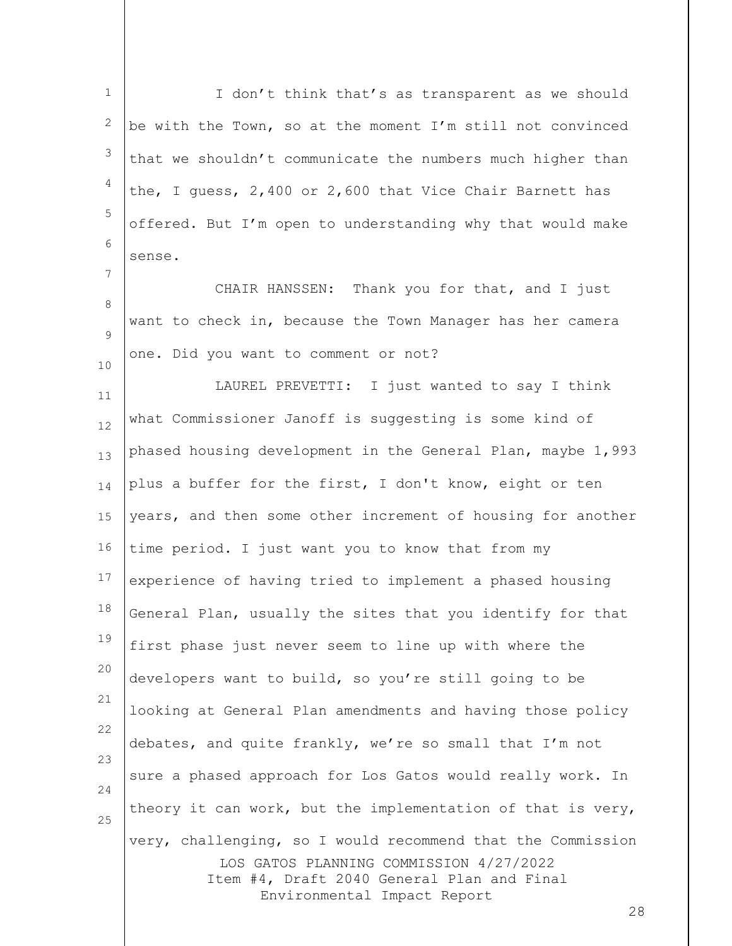LOS GATOS PLANNING COMMISSION 4/27/2022 Item #4, Draft 2040 General Plan and Final 1 2 3 4 5 6 7 8  $\mathsf{Q}$ 10 11 12 13 14 15 16 17 18 19 20 21 22 23 24 25 I don't think that's as transparent as we should be with the Town, so at the moment I'm still not convinced that we shouldn't communicate the numbers much higher than the, I guess, 2,400 or 2,600 that Vice Chair Barnett has offered. But I'm open to understanding why that would make sense. CHAIR HANSSEN: Thank you for that, and I just want to check in, because the Town Manager has her camera one. Did you want to comment or not? LAUREL PREVETTI: I just wanted to say I think what Commissioner Janoff is suggesting is some kind of phased housing development in the General Plan, maybe 1,993 plus a buffer for the first, I don't know, eight or ten years, and then some other increment of housing for another time period. I just want you to know that from my experience of having tried to implement a phased housing General Plan, usually the sites that you identify for that first phase just never seem to line up with where the developers want to build, so you're still going to be looking at General Plan amendments and having those policy debates, and quite frankly, we're so small that I'm not sure a phased approach for Los Gatos would really work. In theory it can work, but the implementation of that is very, very, challenging, so I would recommend that the Commission

Environmental Impact Report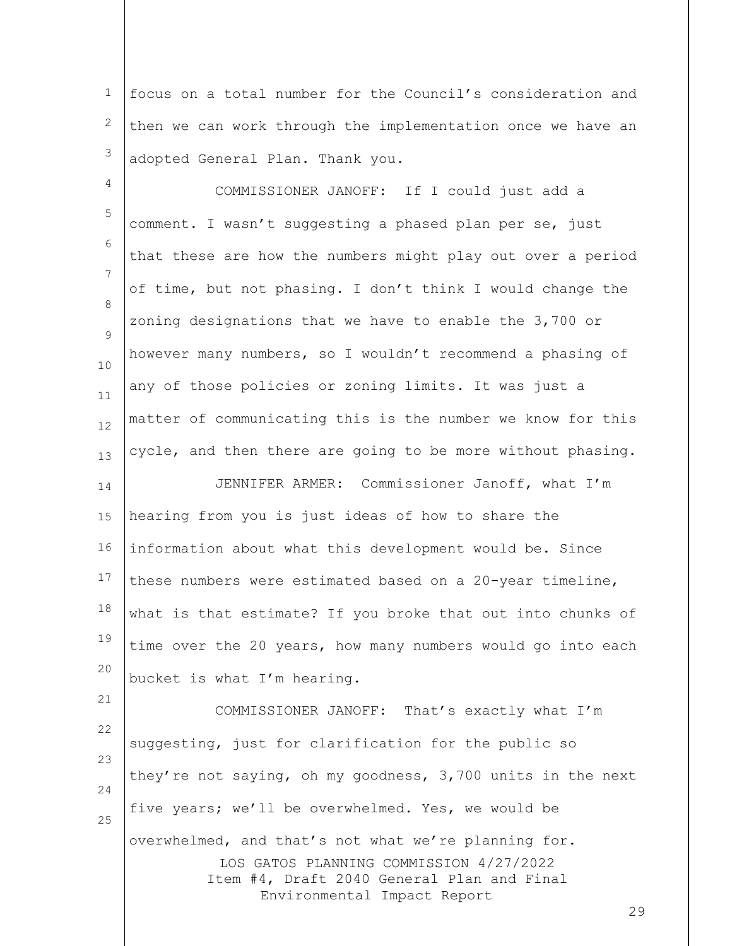1 2 3 focus on a total number for the Council's consideration and then we can work through the implementation once we have an adopted General Plan. Thank you.

4 5 6 7 8  $\mathsf{Q}$ 10 11 12 13 14 15 16 COMMISSIONER JANOFF: If I could just add a comment. I wasn't suggesting a phased plan per se, just that these are how the numbers might play out over a period of time, but not phasing. I don't think I would change the zoning designations that we have to enable the 3,700 or however many numbers, so I wouldn't recommend a phasing of any of those policies or zoning limits. It was just a matter of communicating this is the number we know for this cycle, and then there are going to be more without phasing. JENNIFER ARMER: Commissioner Janoff, what I'm hearing from you is just ideas of how to share the information about what this development would be. Since

17 18 19 20 these numbers were estimated based on a 20-year timeline, what is that estimate? If you broke that out into chunks of time over the 20 years, how many numbers would go into each bucket is what I'm hearing.

21

LOS GATOS PLANNING COMMISSION 4/27/2022 Item #4, Draft 2040 General Plan and Final Environmental Impact Report 22 23 24 25 COMMISSIONER JANOFF: That's exactly what I'm suggesting, just for clarification for the public so they're not saying, oh my goodness, 3,700 units in the next five years; we'll be overwhelmed. Yes, we would be overwhelmed, and that's not what we're planning for.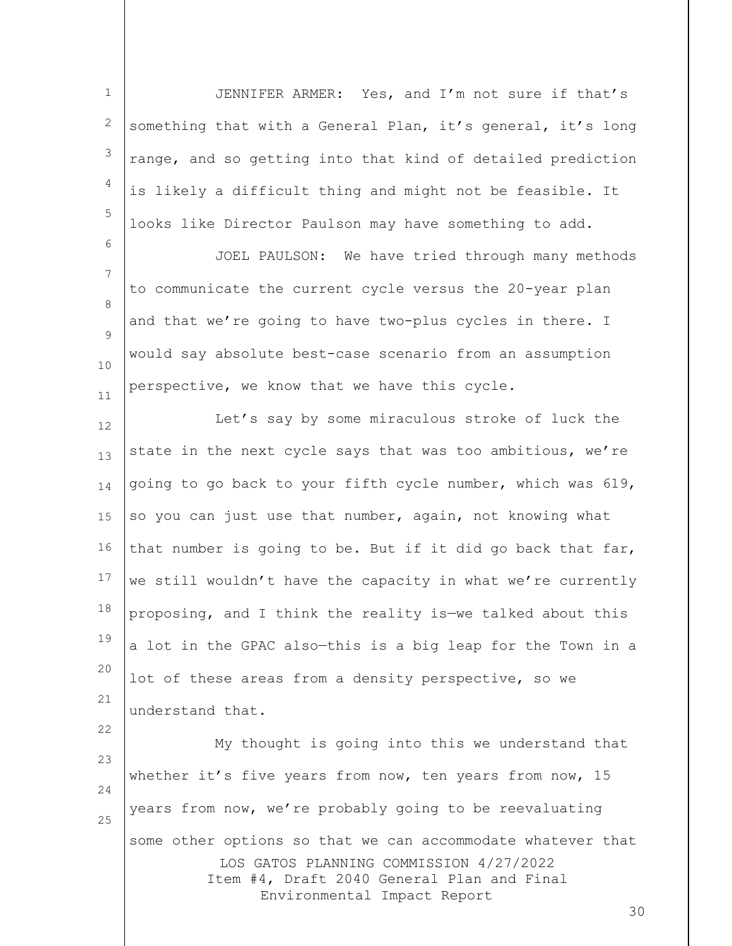1 2 3 4 5 JENNIFER ARMER: Yes, and I'm not sure if that's something that with a General Plan, it's general, it's long range, and so getting into that kind of detailed prediction is likely a difficult thing and might not be feasible. It looks like Director Paulson may have something to add.

7 8  $\mathsf{Q}$ 10 11 JOEL PAULSON: We have tried through many methods to communicate the current cycle versus the 20-year plan and that we're going to have two-plus cycles in there. I would say absolute best-case scenario from an assumption perspective, we know that we have this cycle.

6

22

12 13 14 15 16 17 18 19 20 21 Let's say by some miraculous stroke of luck the state in the next cycle says that was too ambitious, we're going to go back to your fifth cycle number, which was 619, so you can just use that number, again, not knowing what that number is going to be. But if it did go back that far, we still wouldn't have the capacity in what we're currently proposing, and I think the reality is—we talked about this a lot in the GPAC also—this is a big leap for the Town in a lot of these areas from a density perspective, so we understand that.

LOS GATOS PLANNING COMMISSION 4/27/2022 Item #4, Draft 2040 General Plan and Final Environmental Impact Report 23 24 25 My thought is going into this we understand that whether it's five years from now, ten years from now, 15 years from now, we're probably going to be reevaluating some other options so that we can accommodate whatever that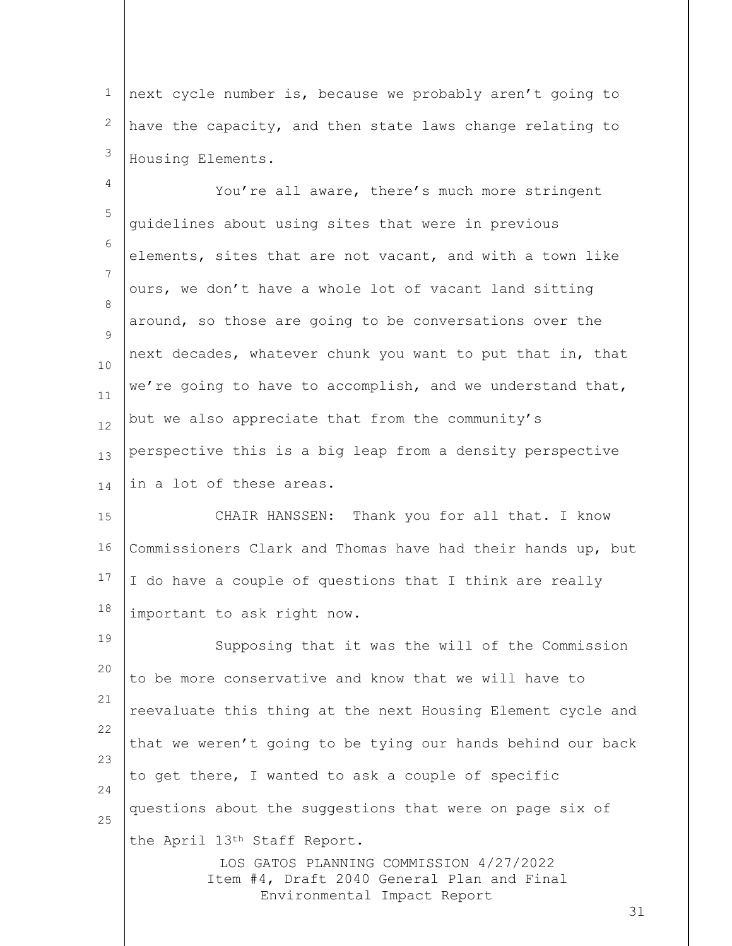1 2 3 next cycle number is, because we probably aren't going to have the capacity, and then state laws change relating to Housing Elements.

4 5 6 7 8  $\mathsf{Q}$ 10 11 12 13 14 You're all aware, there's much more stringent guidelines about using sites that were in previous elements, sites that are not vacant, and with a town like ours, we don't have a whole lot of vacant land sitting around, so those are going to be conversations over the next decades, whatever chunk you want to put that in, that we're going to have to accomplish, and we understand that, but we also appreciate that from the community's perspective this is a big leap from a density perspective in a lot of these areas.

15 16 17 18 CHAIR HANSSEN: Thank you for all that. I know Commissioners Clark and Thomas have had their hands up, but I do have a couple of questions that I think are really important to ask right now.

LOS GATOS PLANNING COMMISSION 4/27/2022 Item #4, Draft 2040 General Plan and Final 19 20 21 22 23 24 25 Supposing that it was the will of the Commission to be more conservative and know that we will have to reevaluate this thing at the next Housing Element cycle and that we weren't going to be tying our hands behind our back to get there, I wanted to ask a couple of specific questions about the suggestions that were on page six of the April 13th Staff Report.

Environmental Impact Report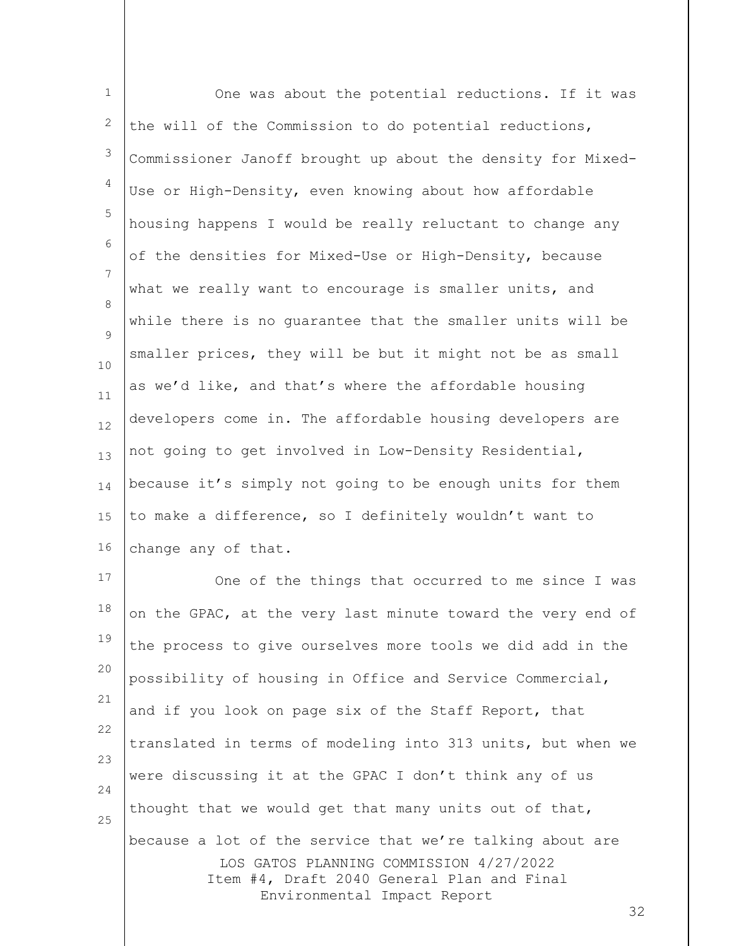1 2 3 4 5 6 7 8  $\mathsf{Q}$ 10 11 12 13 14 15 16 17 One was about the potential reductions. If it was the will of the Commission to do potential reductions, Commissioner Janoff brought up about the density for Mixed-Use or High-Density, even knowing about how affordable housing happens I would be really reluctant to change any of the densities for Mixed-Use or High-Density, because what we really want to encourage is smaller units, and while there is no guarantee that the smaller units will be smaller prices, they will be but it might not be as small as we'd like, and that's where the affordable housing developers come in. The affordable housing developers are not going to get involved in Low-Density Residential, because it's simply not going to be enough units for them to make a difference, so I definitely wouldn't want to change any of that. One of the things that occurred to me since I was

LOS GATOS PLANNING COMMISSION 4/27/2022 Item #4, Draft 2040 General Plan and Final Environmental Impact Report 18 19 20 21 22 23 24 25 on the GPAC, at the very last minute toward the very end of the process to give ourselves more tools we did add in the possibility of housing in Office and Service Commercial, and if you look on page six of the Staff Report, that translated in terms of modeling into 313 units, but when we were discussing it at the GPAC I don't think any of us thought that we would get that many units out of that, because a lot of the service that we're talking about are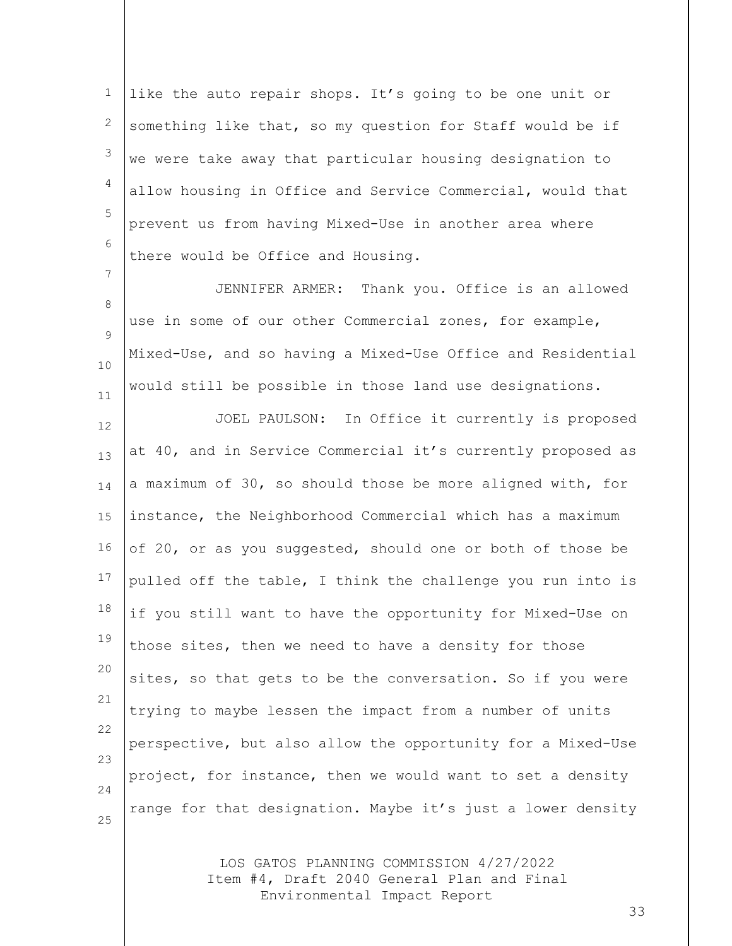1 2 3 4 5 6 like the auto repair shops. It's going to be one unit or something like that, so my question for Staff would be if we were take away that particular housing designation to allow housing in Office and Service Commercial, would that prevent us from having Mixed-Use in another area where there would be Office and Housing.

8  $\mathsf{Q}$ 10 11 JENNIFER ARMER: Thank you. Office is an allowed use in some of our other Commercial zones, for example, Mixed-Use, and so having a Mixed-Use Office and Residential would still be possible in those land use designations.

7

12 13 14 15 16 17 18 19 20 21 22 23 24 25 JOEL PAULSON: In Office it currently is proposed at 40, and in Service Commercial it's currently proposed as a maximum of 30, so should those be more aligned with, for instance, the Neighborhood Commercial which has a maximum of 20, or as you suggested, should one or both of those be pulled off the table, I think the challenge you run into is if you still want to have the opportunity for Mixed-Use on those sites, then we need to have a density for those sites, so that gets to be the conversation. So if you were trying to maybe lessen the impact from a number of units perspective, but also allow the opportunity for a Mixed-Use project, for instance, then we would want to set a density range for that designation. Maybe it's just a lower density

> LOS GATOS PLANNING COMMISSION 4/27/2022 Item #4, Draft 2040 General Plan and Final Environmental Impact Report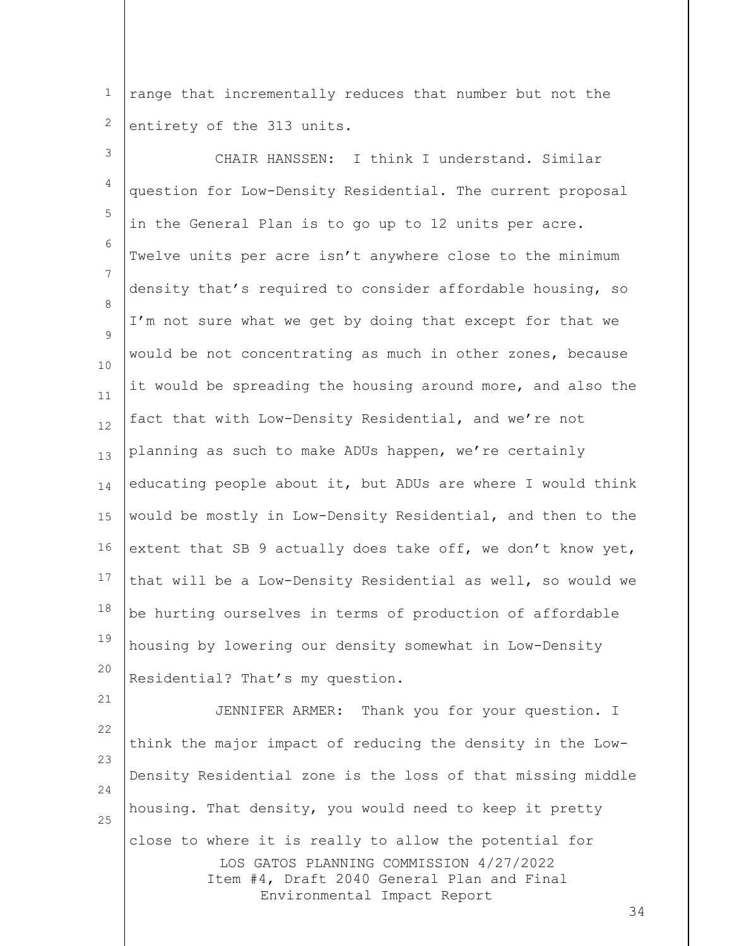1 2 range that incrementally reduces that number but not the entirety of the 313 units.

3 4 5 6 7 8  $\mathsf{Q}$ 10 11 12 13 14 15 16 17 18 19 20 CHAIR HANSSEN: I think I understand. Similar question for Low-Density Residential. The current proposal in the General Plan is to go up to 12 units per acre. Twelve units per acre isn't anywhere close to the minimum density that's required to consider affordable housing, so I'm not sure what we get by doing that except for that we would be not concentrating as much in other zones, because it would be spreading the housing around more, and also the fact that with Low-Density Residential, and we're not planning as such to make ADUs happen, we're certainly educating people about it, but ADUs are where I would think would be mostly in Low-Density Residential, and then to the extent that SB 9 actually does take off, we don't know yet, that will be a Low-Density Residential as well, so would we be hurting ourselves in terms of production of affordable housing by lowering our density somewhat in Low-Density Residential? That's my question.

LOS GATOS PLANNING COMMISSION 4/27/2022 Item #4, Draft 2040 General Plan and Final Environmental Impact Report 22 23 24 25 JENNIFER ARMER: Thank you for your question. I think the major impact of reducing the density in the Low-Density Residential zone is the loss of that missing middle housing. That density, you would need to keep it pretty close to where it is really to allow the potential for

21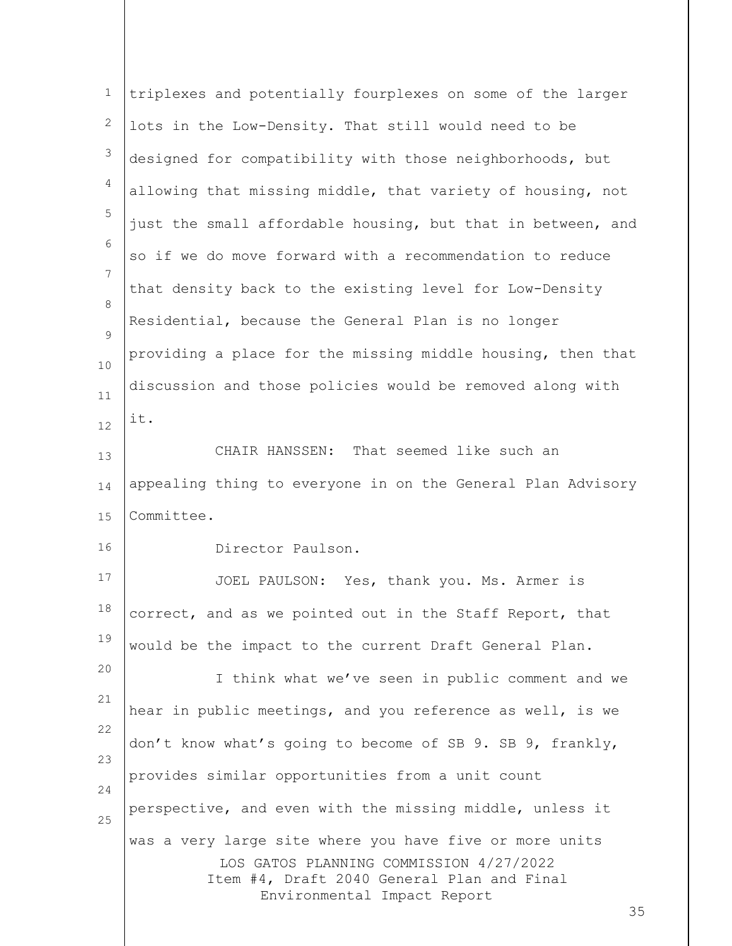| 1              | triplexes and potentially fourplexes on some of the larger                                                                                                                            |
|----------------|---------------------------------------------------------------------------------------------------------------------------------------------------------------------------------------|
| 2              | lots in the Low-Density. That still would need to be                                                                                                                                  |
| 3              | designed for compatibility with those neighborhoods, but                                                                                                                              |
| $\overline{4}$ | allowing that missing middle, that variety of housing, not                                                                                                                            |
| 5              | just the small affordable housing, but that in between, and                                                                                                                           |
| 6              | so if we do move forward with a recommendation to reduce                                                                                                                              |
| $\overline{7}$ | that density back to the existing level for Low-Density                                                                                                                               |
| 8<br>9         | Residential, because the General Plan is no longer                                                                                                                                    |
| 10             | providing a place for the missing middle housing, then that                                                                                                                           |
| 11             | discussion and those policies would be removed along with                                                                                                                             |
| 12             | it.                                                                                                                                                                                   |
| 13             | CHAIR HANSSEN: That seemed like such an                                                                                                                                               |
| 14             | appealing thing to everyone in on the General Plan Advisory                                                                                                                           |
| 15             | Committee.                                                                                                                                                                            |
| 16             | Director Paulson.                                                                                                                                                                     |
| 17             | JOEL PAULSON: Yes, thank you. Ms. Armer is                                                                                                                                            |
| 18             | correct, and as we pointed out in the Staff Report, that                                                                                                                              |
| 19             | would be the impact to the current Draft General Plan.                                                                                                                                |
| 20             | I think what we've seen in public comment and we                                                                                                                                      |
| 21             | hear in public meetings, and you reference as well, is we                                                                                                                             |
| 22             | don't know what's going to become of SB 9. SB 9, frankly,                                                                                                                             |
| 23<br>24       | provides similar opportunities from a unit count                                                                                                                                      |
| 25             | perspective, and even with the missing middle, unless it                                                                                                                              |
|                | was a very large site where you have five or more units<br>LOS GATOS PLANNING COMMISSION 4/27/2022<br>Item #4, Draft 2040 General Plan and Final<br>Environmental Impact Report<br>35 |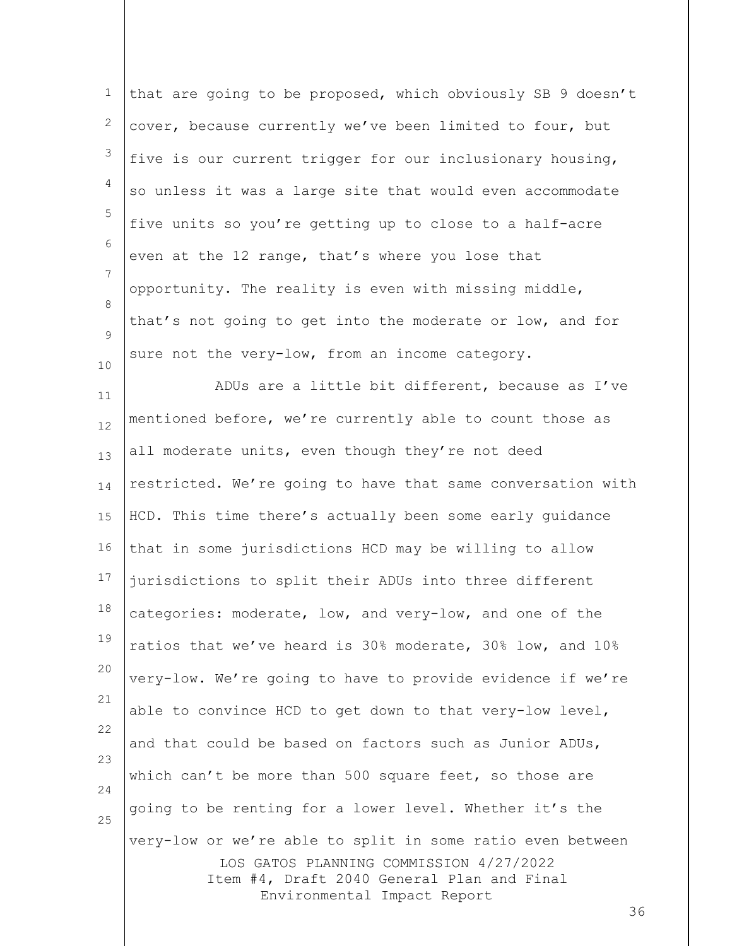| $\mathbf 1$      | that are going to be proposed, which obviously SB 9 doesn't                                                                                         |
|------------------|-----------------------------------------------------------------------------------------------------------------------------------------------------|
| 2                | cover, because currently we've been limited to four, but                                                                                            |
| 3                | five is our current trigger for our inclusionary housing,                                                                                           |
| $\overline{4}$   | so unless it was a large site that would even accommodate                                                                                           |
| $\mathsf S$      | five units so you're getting up to close to a half-acre                                                                                             |
| 6                | even at the 12 range, that's where you lose that                                                                                                    |
| 7                | opportunity. The reality is even with missing middle,                                                                                               |
| 8<br>$\mathsf 9$ | that's not going to get into the moderate or low, and for                                                                                           |
| 10               | sure not the very-low, from an income category.                                                                                                     |
| 11               | ADUs are a little bit different, because as I've                                                                                                    |
| 12               | mentioned before, we're currently able to count those as                                                                                            |
| 13               | all moderate units, even though they're not deed                                                                                                    |
| 14               | restricted. We're going to have that same conversation with                                                                                         |
| 15               | HCD. This time there's actually been some early guidance                                                                                            |
| 16               | that in some jurisdictions HCD may be willing to allow                                                                                              |
| 17               | jurisdictions to split their ADUs into three different                                                                                              |
| 18               | categories: moderate, low, and very-low, and one of the                                                                                             |
| 19               | ratios that we've heard is 30% moderate, 30% low, and 10%                                                                                           |
| 20               | very-low. We're going to have to provide evidence if we're                                                                                          |
| 21               | able to convince HCD to get down to that very-low level,                                                                                            |
| 22               | and that could be based on factors such as Junior ADUs,                                                                                             |
| 23<br>24         | which can't be more than 500 square feet, so those are                                                                                              |
| 25               | going to be renting for a lower level. Whether it's the                                                                                             |
|                  | very-low or we're able to split in some ratio even between<br>LOS GATOS PLANNING COMMISSION 4/27/2022<br>Item #4, Draft 2040 General Plan and Final |
|                  | Environmental Impact Report<br>36                                                                                                                   |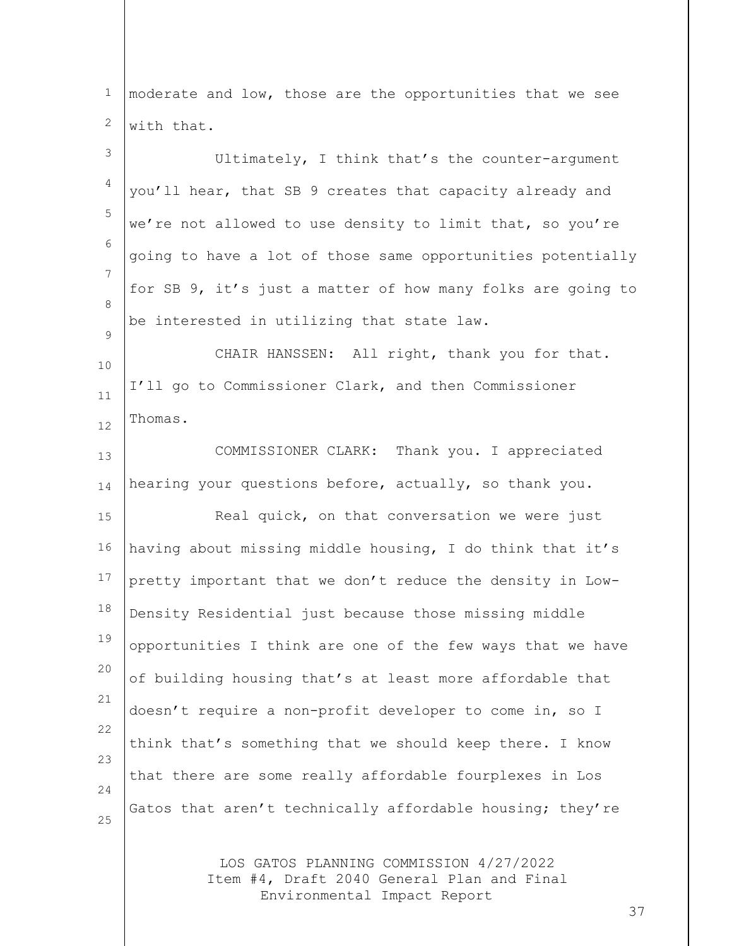| $\mathbf{1}$   | moderate and low, those are the opportunities that we see                             |
|----------------|---------------------------------------------------------------------------------------|
| $\mathbf{2}$   | with that.                                                                            |
| 3              | Ultimately, I think that's the counter-argument                                       |
| $\overline{4}$ | you'll hear, that SB 9 creates that capacity already and                              |
| 5              | we're not allowed to use density to limit that, so you're                             |
| 6              | going to have a lot of those same opportunities potentially                           |
| 7              | for SB 9, it's just a matter of how many folks are going to                           |
| 8              | be interested in utilizing that state law.                                            |
| 9              | CHAIR HANSSEN: All right, thank you for that.                                         |
| 10<br>11       | I'll go to Commissioner Clark, and then Commissioner                                  |
| 12             | Thomas.                                                                               |
| 13             | COMMISSIONER CLARK: Thank you. I appreciated                                          |
| 14             | hearing your questions before, actually, so thank you.                                |
| 15             | Real quick, on that conversation we were just                                         |
| 16             | having about missing middle housing, I do think that it's                             |
| 17             | pretty important that we don't reduce the density in Low-                             |
| 18             | Density Residential just because those missing middle                                 |
| 19             | opportunities I think are one of the few ways that we have                            |
| 20             | of building housing that's at least more affordable that                              |
| 21             | doesn't require a non-profit developer to come in, so I                               |
| 22             | think that's something that we should keep there. I know                              |
| 23             | that there are some really affordable fourplexes in Los                               |
| 24<br>25       | Gatos that aren't technically affordable housing; they're                             |
|                |                                                                                       |
|                | LOS GATOS PLANNING COMMISSION 4/27/2022<br>Item #4, Draft 2040 General Plan and Final |

Environmental Impact Report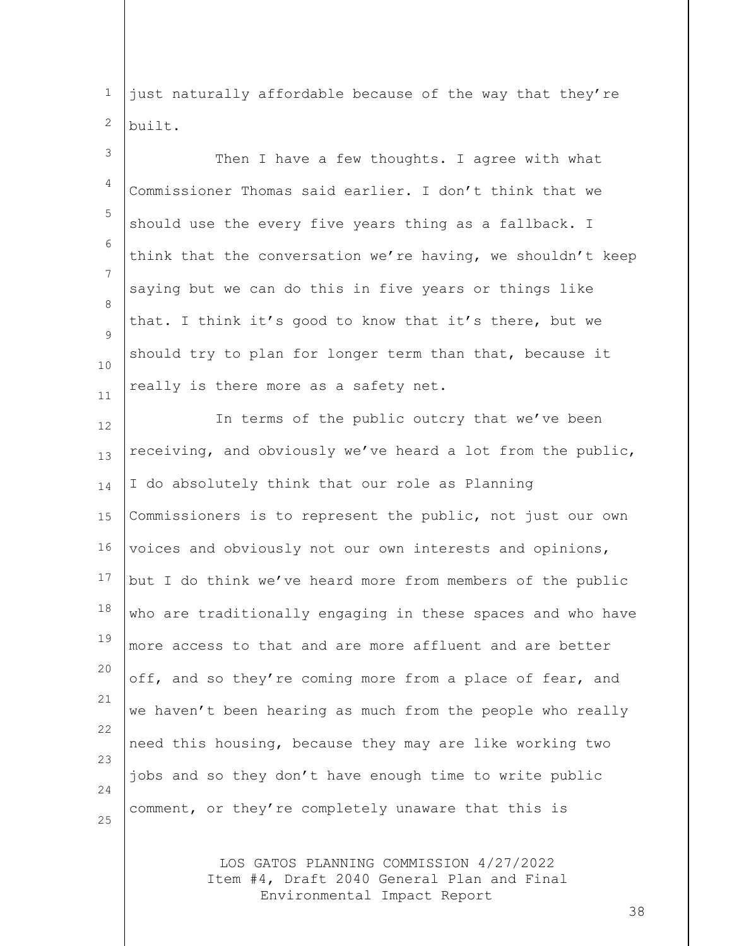1 2 just naturally affordable because of the way that they're built.

3 4 5 6 7 8  $\mathsf{Q}$ 10 11 Then I have a few thoughts. I agree with what Commissioner Thomas said earlier. I don't think that we should use the every five years thing as a fallback. I think that the conversation we're having, we shouldn't keep saying but we can do this in five years or things like that. I think it's good to know that it's there, but we should try to plan for longer term than that, because it really is there more as a safety net.

12 13 14 15 16 17 18 19 20 21 22 23 24 25 In terms of the public outcry that we've been receiving, and obviously we've heard a lot from the public, I do absolutely think that our role as Planning Commissioners is to represent the public, not just our own voices and obviously not our own interests and opinions, but I do think we've heard more from members of the public who are traditionally engaging in these spaces and who have more access to that and are more affluent and are better off, and so they're coming more from a place of fear, and we haven't been hearing as much from the people who really need this housing, because they may are like working two jobs and so they don't have enough time to write public comment, or they're completely unaware that this is

> LOS GATOS PLANNING COMMISSION 4/27/2022 Item #4, Draft 2040 General Plan and Final Environmental Impact Report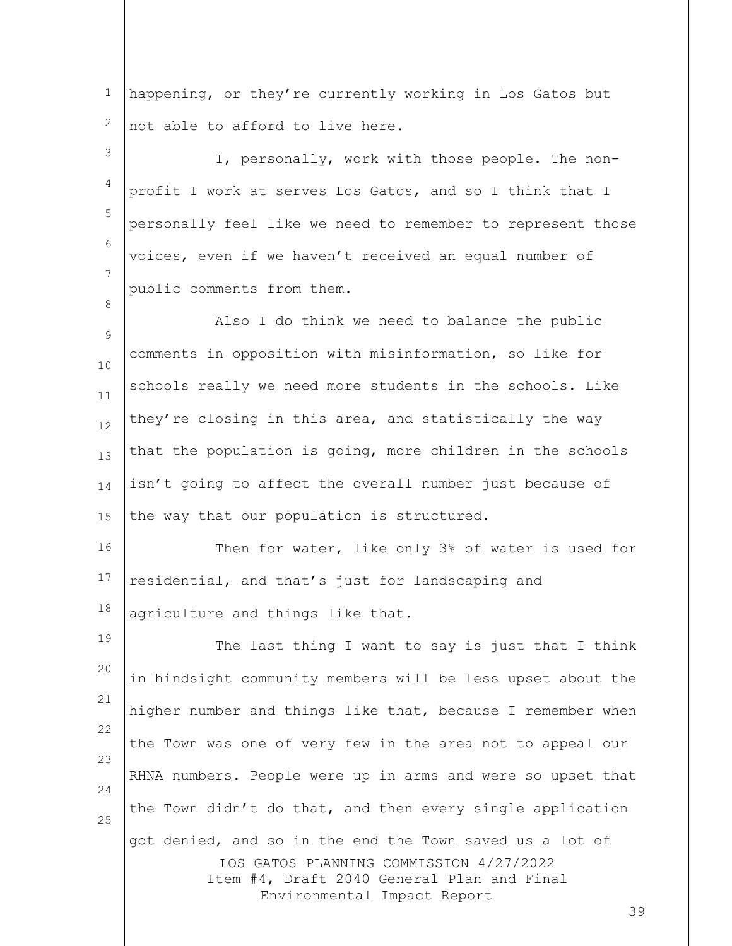1 2 happening, or they're currently working in Los Gatos but not able to afford to live here.

3 4 5 6 7 I, personally, work with those people. The nonprofit I work at serves Los Gatos, and so I think that I personally feel like we need to remember to represent those voices, even if we haven't received an equal number of public comments from them.

 $\mathsf{Q}$ 10 11 12 13 14 15 Also I do think we need to balance the public comments in opposition with misinformation, so like for schools really we need more students in the schools. Like they're closing in this area, and statistically the way that the population is going, more children in the schools isn't going to affect the overall number just because of the way that our population is structured.

8

16 17 18 Then for water, like only 3% of water is used for residential, and that's just for landscaping and agriculture and things like that.

LOS GATOS PLANNING COMMISSION 4/27/2022 Item #4, Draft 2040 General Plan and Final Environmental Impact Report 19 20 21 22 23 24 25 The last thing I want to say is just that I think in hindsight community members will be less upset about the higher number and things like that, because I remember when the Town was one of very few in the area not to appeal our RHNA numbers. People were up in arms and were so upset that the Town didn't do that, and then every single application got denied, and so in the end the Town saved us a lot of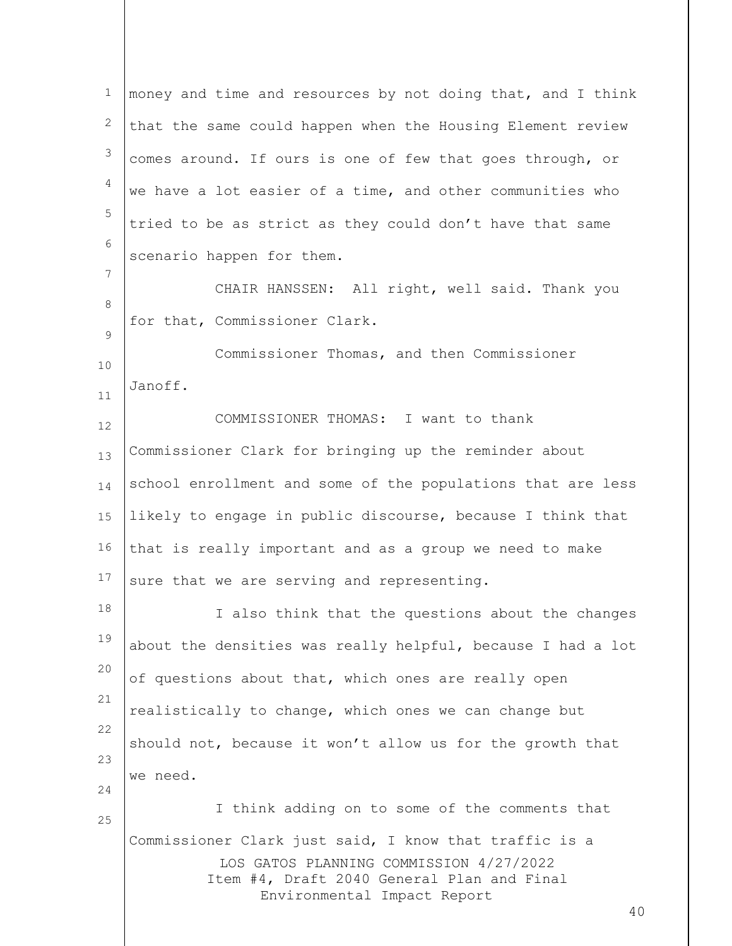LOS GATOS PLANNING COMMISSION 4/27/2022 Item #4, Draft 2040 General Plan and Final Environmental Impact Report 40 1 2 3 4 5 6 7 8  $\mathsf{Q}$ 10 11 12 13 14 15 16 17 18 19 20 21 22 23 24 25 money and time and resources by not doing that, and I think that the same could happen when the Housing Element review comes around. If ours is one of few that goes through, or we have a lot easier of a time, and other communities who tried to be as strict as they could don't have that same scenario happen for them. CHAIR HANSSEN: All right, well said. Thank you for that, Commissioner Clark. Commissioner Thomas, and then Commissioner Janoff. COMMISSIONER THOMAS: I want to thank Commissioner Clark for bringing up the reminder about school enrollment and some of the populations that are less likely to engage in public discourse, because I think that that is really important and as a group we need to make sure that we are serving and representing. I also think that the questions about the changes about the densities was really helpful, because I had a lot of questions about that, which ones are really open realistically to change, which ones we can change but should not, because it won't allow us for the growth that we need. I think adding on to some of the comments that Commissioner Clark just said, I know that traffic is a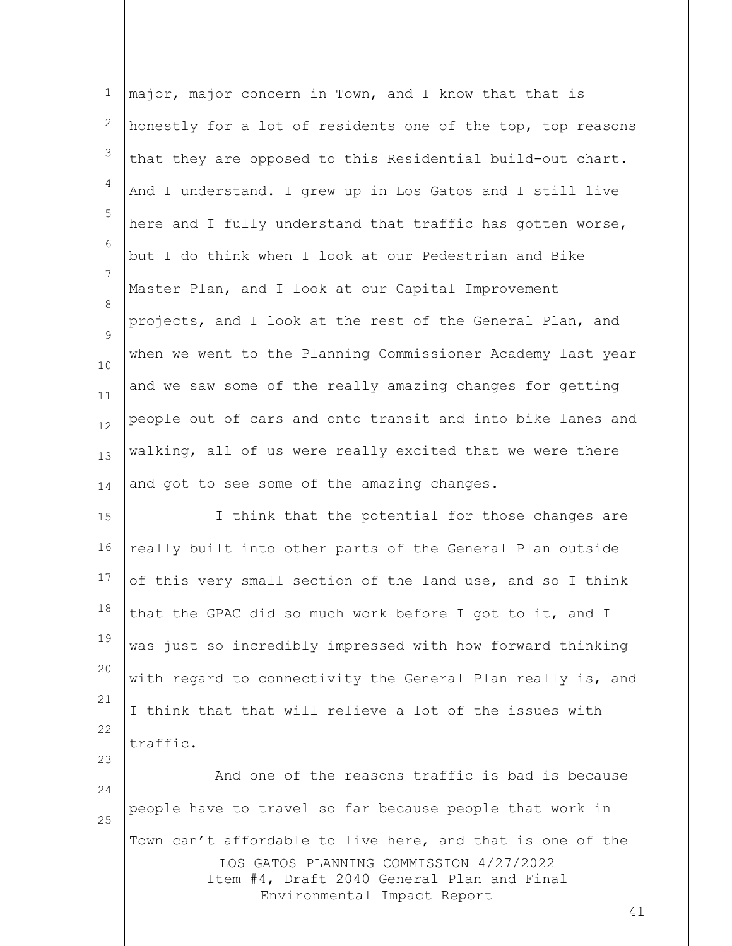|    | major, major concern in Town, and I know that that is       |
|----|-------------------------------------------------------------|
| 2  | honestly for a lot of residents one of the top, top reasons |
| 3  | that they are opposed to this Residential build-out chart.  |
| 4  | And I understand. I grew up in Los Gatos and I still live   |
| 5  | here and I fully understand that traffic has gotten worse,  |
| 6  | but I do think when I look at our Pedestrian and Bike       |
| 7  | Master Plan, and I look at our Capital Improvement          |
| 8  | projects, and I look at the rest of the General Plan, and   |
| 9  | when we went to the Planning Commissioner Academy last year |
| 10 | and we saw some of the really amazing changes for getting   |
| 11 | people out of cars and onto transit and into bike lanes and |
| 12 |                                                             |
| 13 | walking, all of us were really excited that we were there   |
| 14 | and got to see some of the amazing changes.                 |
|    |                                                             |
| 15 | I think that the potential for those changes are            |
| 16 | really built into other parts of the General Plan outside   |
| 17 | of this very small section of the land use, and so I think  |
| 18 | that the GPAC did so much work before I got to it, and I    |
| 19 | was just so incredibly impressed with how forward thinking  |
| 20 | with regard to connectivity the General Plan really is, and |
| 21 | I think that that will relieve a lot of the issues with     |
| 22 | traffic.                                                    |
| 23 | And one of the reasons traffic is bad is because            |
| 24 | people have to travel so far because people that work in    |
| 25 | Town can't affordable to live here, and that is one of the  |
|    |                                                             |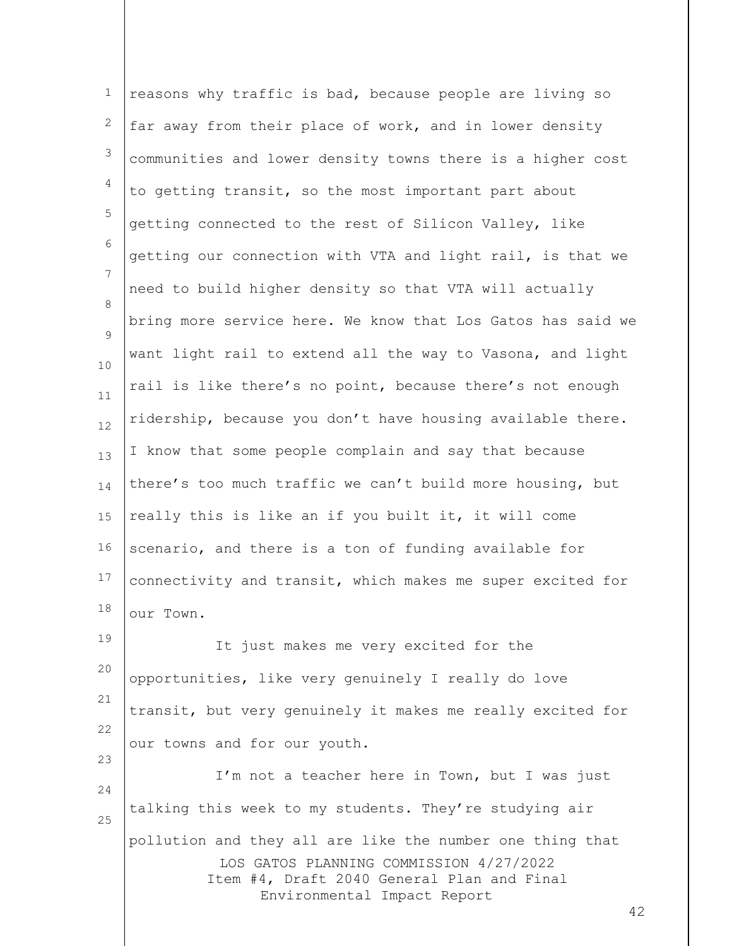LOS GATOS PLANNING COMMISSION 4/27/2022 Item #4, Draft 2040 General Plan and Final Environmental Impact Report 42 1 2 3 4 5 6 7 8  $\mathsf{Q}$ 10 11 12 13 14 15 16 17 18 19 20 21 22 23 24 25 reasons why traffic is bad, because people are living so far away from their place of work, and in lower density communities and lower density towns there is a higher cost to getting transit, so the most important part about getting connected to the rest of Silicon Valley, like getting our connection with VTA and light rail, is that we need to build higher density so that VTA will actually bring more service here. We know that Los Gatos has said we want light rail to extend all the way to Vasona, and light rail is like there's no point, because there's not enough ridership, because you don't have housing available there. I know that some people complain and say that because there's too much traffic we can't build more housing, but really this is like an if you built it, it will come scenario, and there is a ton of funding available for connectivity and transit, which makes me super excited for our Town. It just makes me very excited for the opportunities, like very genuinely I really do love transit, but very genuinely it makes me really excited for our towns and for our youth. I'm not a teacher here in Town, but I was just talking this week to my students. They're studying air pollution and they all are like the number one thing that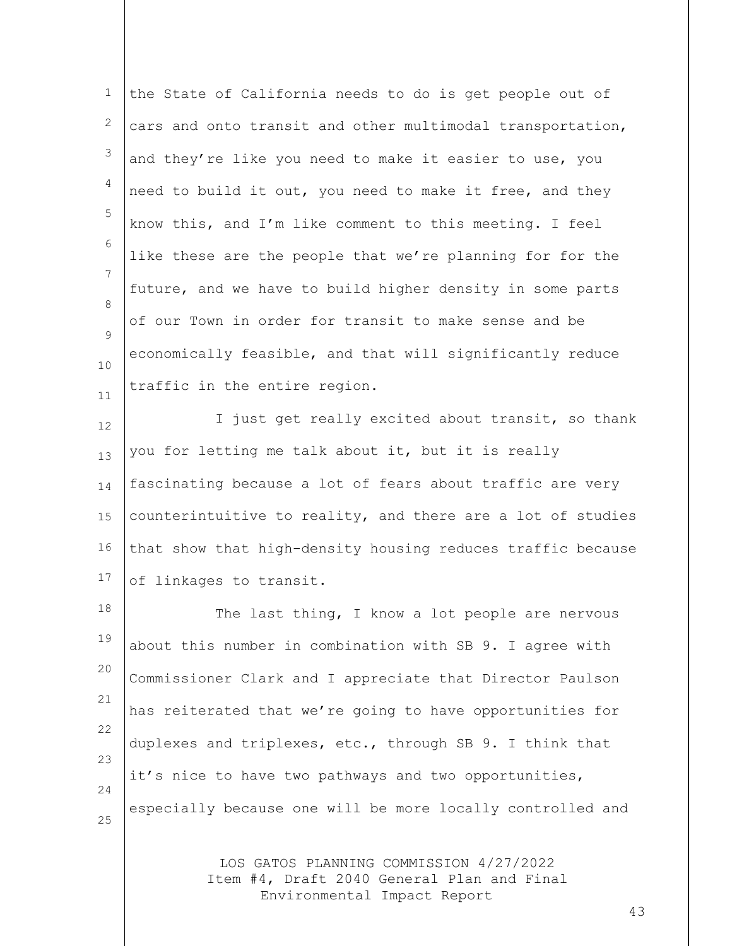| $\mathbf 1$       | the State of California needs to do is get people out of   |
|-------------------|------------------------------------------------------------|
| $\mathbf{2}$      | cars and onto transit and other multimodal transportation, |
| 3                 | and they're like you need to make it easier to use, you    |
| $\overline{4}$    | need to build it out, you need to make it free, and they   |
| 5                 | know this, and I'm like comment to this meeting. I feel    |
| 6                 | like these are the people that we're planning for for the  |
| 7<br>$\mathsf{R}$ | future, and we have to build higher density in some parts  |
| $\mathsf{Q}$      | of our Town in order for transit to make sense and be      |
| 10                | economically feasible, and that will significantly reduce  |
| 11                | traffic in the entire region.                              |

12 13 14 15 16 17 I just get really excited about transit, so thank you for letting me talk about it, but it is really fascinating because a lot of fears about traffic are very counterintuitive to reality, and there are a lot of studies that show that high-density housing reduces traffic because of linkages to transit.

18 19 20 21 22 23 24 25 The last thing, I know a lot people are nervous about this number in combination with SB 9. I agree with Commissioner Clark and I appreciate that Director Paulson has reiterated that we're going to have opportunities for duplexes and triplexes, etc., through SB 9. I think that it's nice to have two pathways and two opportunities, especially because one will be more locally controlled and

> LOS GATOS PLANNING COMMISSION 4/27/2022 Item #4, Draft 2040 General Plan and Final Environmental Impact Report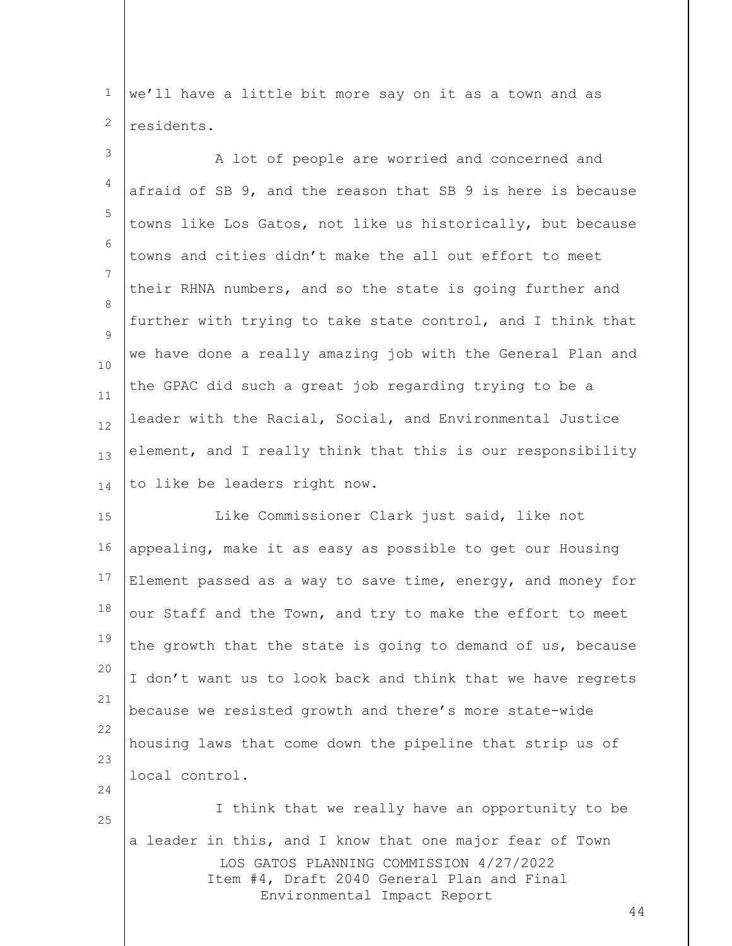1 2 we'll have a little bit more say on it as a town and as residents.

3 4 5 6 7 8  $\mathsf{Q}$ 10 11 12 13 14 A lot of people are worried and concerned and afraid of SB 9, and the reason that SB 9 is here is because towns like Los Gatos, not like us historically, but because towns and cities didn't make the all out effort to meet their RHNA numbers, and so the state is going further and further with trying to take state control, and I think that we have done a really amazing job with the General Plan and the GPAC did such a great job regarding trying to be a leader with the Racial, Social, and Environmental Justice element, and I really think that this is our responsibility to like be leaders right now.

15 16 17 18 19 20 21 22 23 24 Like Commissioner Clark just said, like not appealing, make it as easy as possible to get our Housing Element passed as a way to save time, energy, and money for our Staff and the Town, and try to make the effort to meet the growth that the state is going to demand of us, because I don't want us to look back and think that we have regrets because we resisted growth and there's more state-wide housing laws that come down the pipeline that strip us of local control.

LOS GATOS PLANNING COMMISSION 4/27/2022 Item #4, Draft 2040 General Plan and Final Environmental Impact Report I think that we really have an opportunity to be a leader in this, and I know that one major fear of Town

25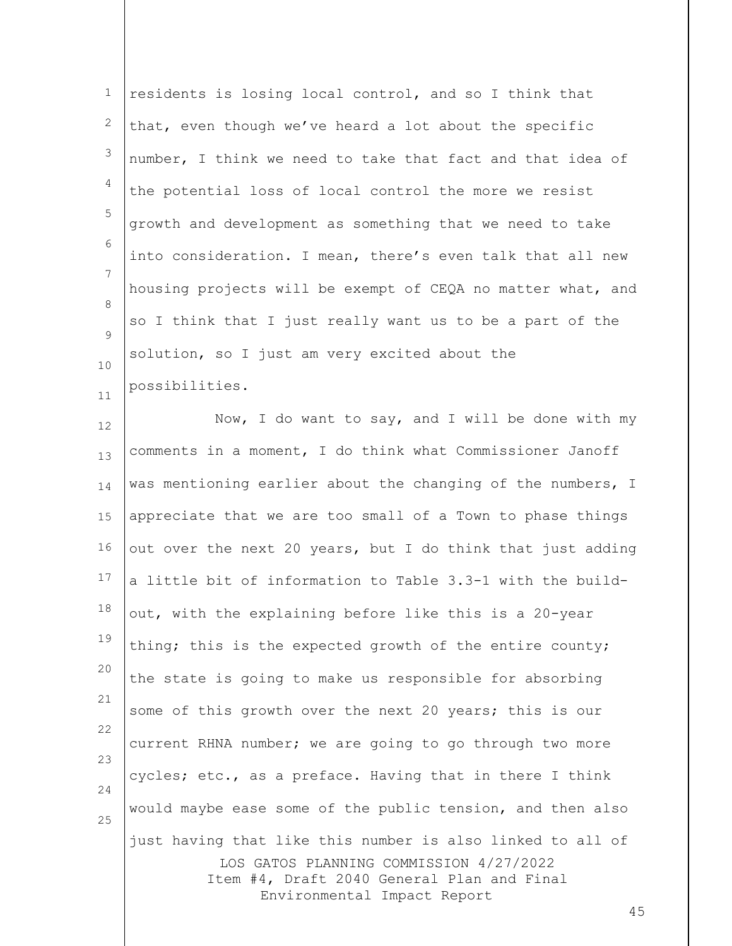| $\mathbf 1$                   | residents is losing local control, and so I think that      |
|-------------------------------|-------------------------------------------------------------|
| 2                             | that, even though we've heard a lot about the specific      |
| 3                             | number, I think we need to take that fact and that idea of  |
| 4                             | the potential loss of local control the more we resist      |
| 5                             | growth and development as something that we need to take    |
| 6                             | into consideration. I mean, there's even talk that all new  |
| 7                             | housing projects will be exempt of CEQA no matter what, and |
| $\mathcal{B}$<br>$\mathsf{Q}$ | so I think that I just really want us to be a part of the   |
| 10                            | solution, so I just am very excited about the               |
| 11                            | possibilities.                                              |

LOS GATOS PLANNING COMMISSION 4/27/2022 Item #4, Draft 2040 General Plan and Final Environmental Impact Report 12 13 14 15 16 17 18 19 20 21 22 23 24 25 Now, I do want to say, and I will be done with my comments in a moment, I do think what Commissioner Janoff was mentioning earlier about the changing of the numbers, I appreciate that we are too small of a Town to phase things out over the next 20 years, but I do think that just adding a little bit of information to Table 3.3-1 with the buildout, with the explaining before like this is a 20-year thing; this is the expected growth of the entire county; the state is going to make us responsible for absorbing some of this growth over the next 20 years; this is our current RHNA number; we are going to go through two more cycles; etc., as a preface. Having that in there I think would maybe ease some of the public tension, and then also just having that like this number is also linked to all of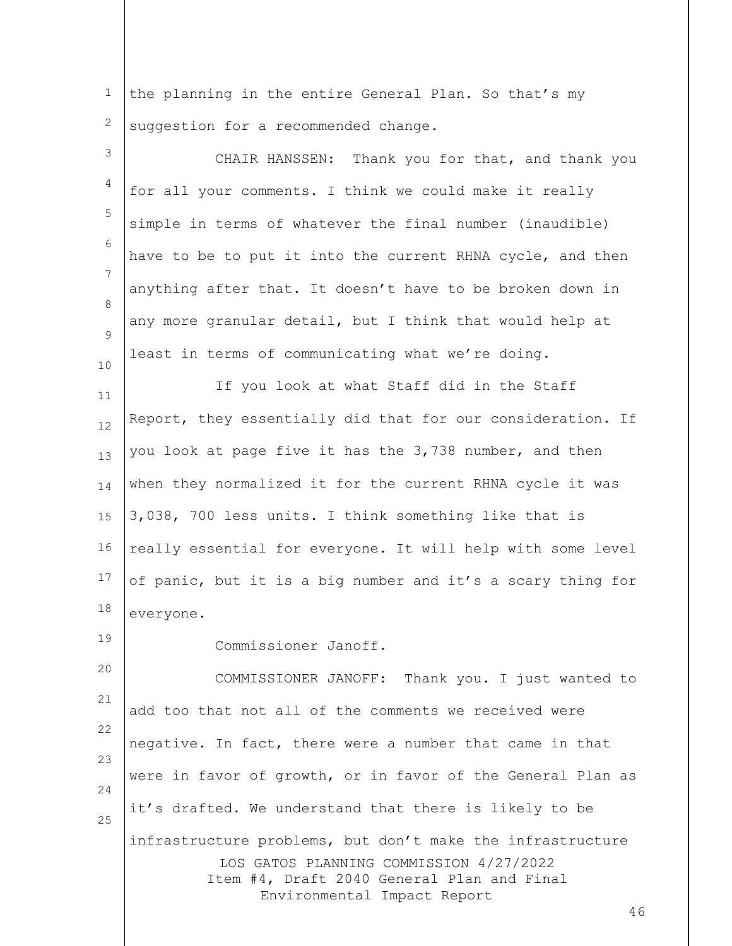1 2 the planning in the entire General Plan. So that's my suggestion for a recommended change.

LOS GATOS PLANNING COMMISSION 4/27/2022 Item #4, Draft 2040 General Plan and Final Environmental Impact Report 3 4 5 6 7 8  $\mathsf{Q}$ 10 11 12 13 14 15 16 17 18 19 20 21 22 23 24 25 CHAIR HANSSEN: Thank you for that, and thank you for all your comments. I think we could make it really simple in terms of whatever the final number (inaudible) have to be to put it into the current RHNA cycle, and then anything after that. It doesn't have to be broken down in any more granular detail, but I think that would help at least in terms of communicating what we're doing. If you look at what Staff did in the Staff Report, they essentially did that for our consideration. If you look at page five it has the 3,738 number, and then when they normalized it for the current RHNA cycle it was 3,038, 700 less units. I think something like that is really essential for everyone. It will help with some level of panic, but it is a big number and it's a scary thing for everyone. Commissioner Janoff. COMMISSIONER JANOFF: Thank you. I just wanted to add too that not all of the comments we received were negative. In fact, there were a number that came in that were in favor of growth, or in favor of the General Plan as it's drafted. We understand that there is likely to be infrastructure problems, but don't make the infrastructure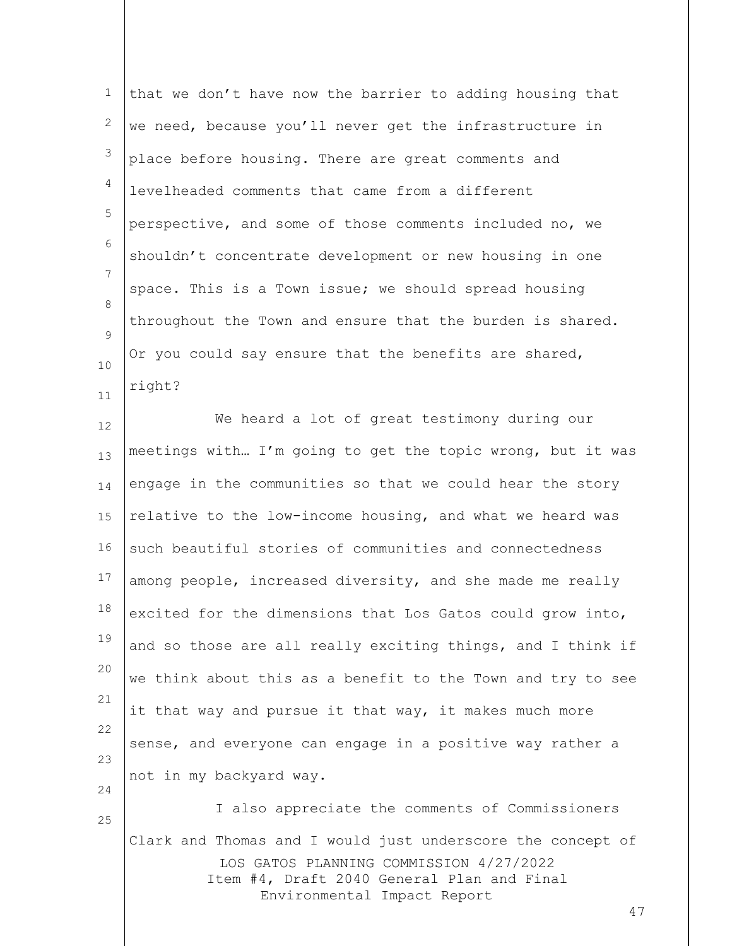| 1            | that we don't have now the barrier to adding housing that                             |
|--------------|---------------------------------------------------------------------------------------|
| $\mathbf{2}$ | we need, because you'll never get the infrastructure in                               |
| 3            | place before housing. There are great comments and                                    |
| 4            | levelheaded comments that came from a different                                       |
| 5            | perspective, and some of those comments included no, we                               |
| 6            | shouldn't concentrate development or new housing in one                               |
| 7            | space. This is a Town issue; we should spread housing                                 |
| 8            | throughout the Town and ensure that the burden is shared.                             |
| 9<br>10      | Or you could say ensure that the benefits are shared,                                 |
| 11           | right?                                                                                |
| 12           | We heard a lot of great testimony during our                                          |
| 13           | meetings with I'm going to get the topic wrong, but it was                            |
| 14           | engage in the communities so that we could hear the story                             |
| 15           | relative to the low-income housing, and what we heard was                             |
| 16           | such beautiful stories of communities and connectedness                               |
| 17           | among people, increased diversity, and she made me really                             |
| 18           | excited for the dimensions that Los Gatos could grow into,                            |
| 19           | and so those are all really exciting things, and I think if                           |
| 20           | we think about this as a benefit to the Town and try to see                           |
| 21           | it that way and pursue it that way, it makes much more                                |
| 22           | sense, and everyone can engage in a positive way rather a                             |
| 23           | not in my backyard way.                                                               |
| 24<br>25     | I also appreciate the comments of Commissioners                                       |
|              | Clark and Thomas and I would just underscore the concept of                           |
|              | LOS GATOS PLANNING COMMISSION 4/27/2022<br>Item #4, Draft 2040 General Plan and Final |
|              | Environmental Impact Report<br>47                                                     |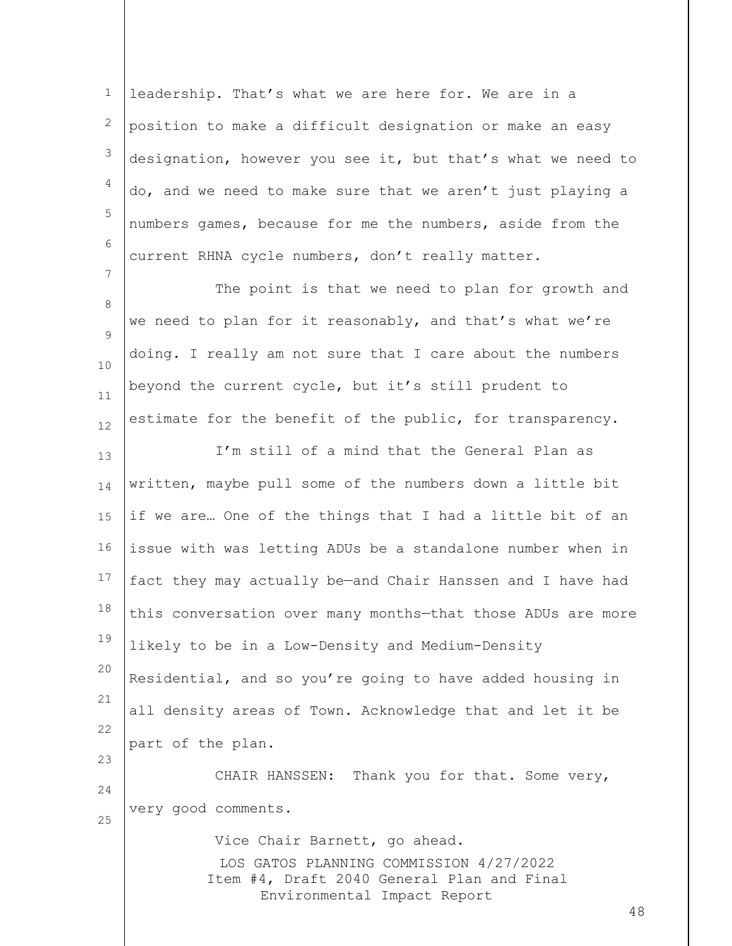1 2 3 4 5 6 leadership. That's what we are here for. We are in a position to make a difficult designation or make an easy designation, however you see it, but that's what we need to do, and we need to make sure that we aren't just playing a numbers games, because for me the numbers, aside from the current RHNA cycle numbers, don't really matter.

8 9 10 11 12 The point is that we need to plan for growth and we need to plan for it reasonably, and that's what we're doing. I really am not sure that I care about the numbers beyond the current cycle, but it's still prudent to estimate for the benefit of the public, for transparency.

7

13 14 15 16 17 18 19 20 21 22 23 24 25 I'm still of a mind that the General Plan as written, maybe pull some of the numbers down a little bit if we are… One of the things that I had a little bit of an issue with was letting ADUs be a standalone number when in fact they may actually be—and Chair Hanssen and I have had this conversation over many months—that those ADUs are more likely to be in a Low-Density and Medium-Density Residential, and so you're going to have added housing in all density areas of Town. Acknowledge that and let it be part of the plan. CHAIR HANSSEN: Thank you for that. Some very, very good comments. Vice Chair Barnett, go ahead.

> LOS GATOS PLANNING COMMISSION 4/27/2022 Item #4, Draft 2040 General Plan and Final Environmental Impact Report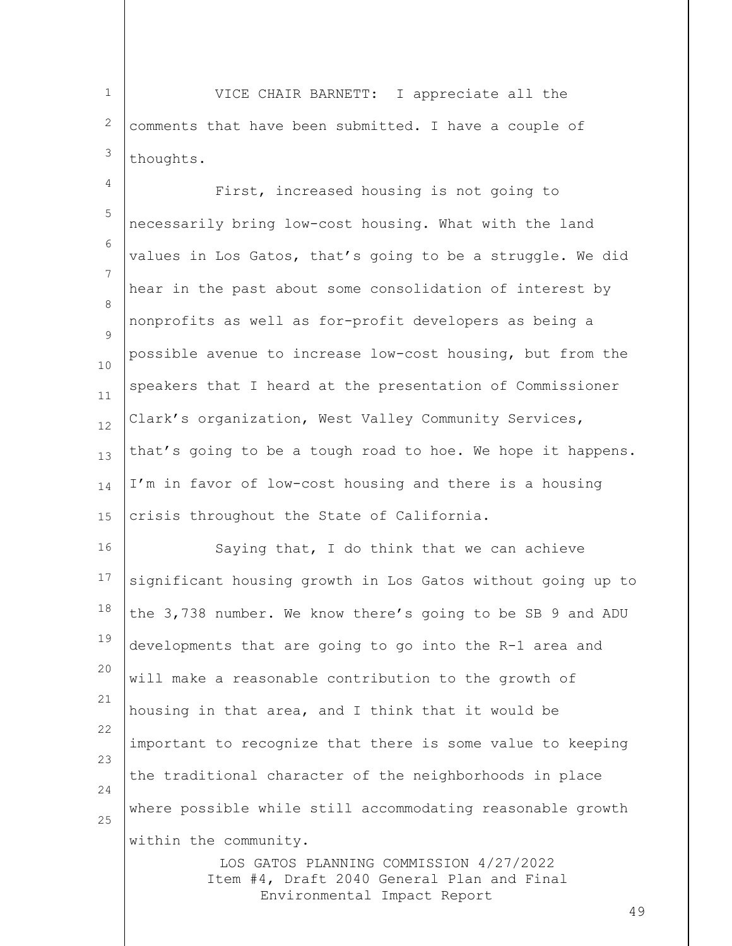1 2 3 VICE CHAIR BARNETT: I appreciate all the comments that have been submitted. I have a couple of thoughts.

4 5 6 7 8  $\mathsf{Q}$ 10 11 12 13 14 15 First, increased housing is not going to necessarily bring low-cost housing. What with the land values in Los Gatos, that's going to be a struggle. We did hear in the past about some consolidation of interest by nonprofits as well as for-profit developers as being a possible avenue to increase low-cost housing, but from the speakers that I heard at the presentation of Commissioner Clark's organization, West Valley Community Services, that's going to be a tough road to hoe. We hope it happens. I'm in favor of low-cost housing and there is a housing crisis throughout the State of California.

16 17 18 19 20 21 22 23 24 25 Saying that, I do think that we can achieve significant housing growth in Los Gatos without going up to the 3,738 number. We know there's going to be SB 9 and ADU developments that are going to go into the R-1 area and will make a reasonable contribution to the growth of housing in that area, and I think that it would be important to recognize that there is some value to keeping the traditional character of the neighborhoods in place where possible while still accommodating reasonable growth within the community.

> LOS GATOS PLANNING COMMISSION 4/27/2022 Item #4, Draft 2040 General Plan and Final Environmental Impact Report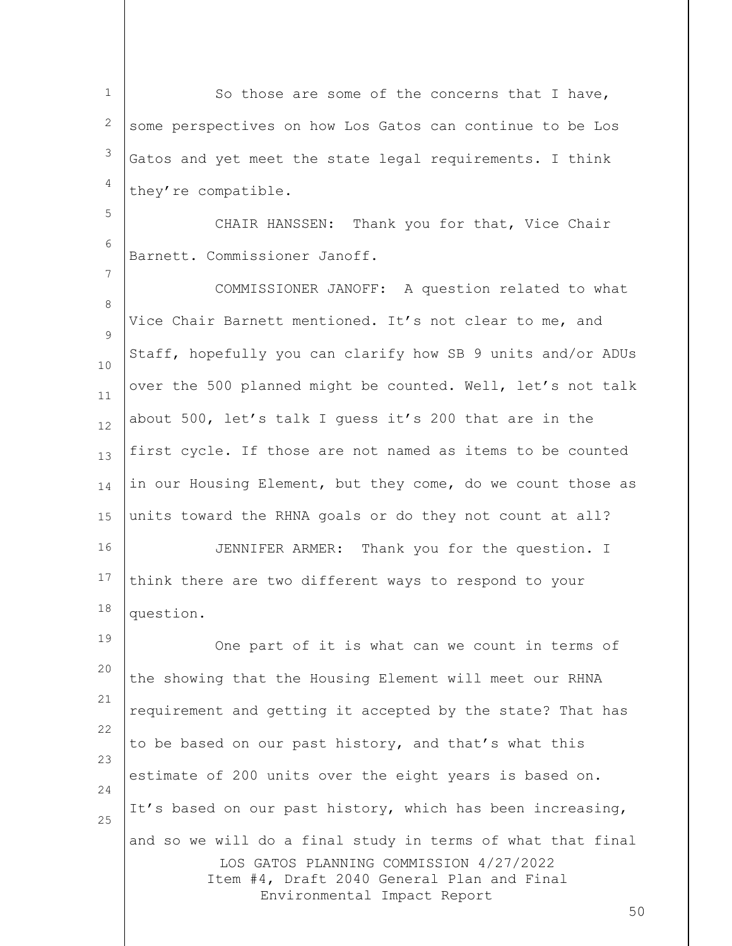1 2 3 4 So those are some of the concerns that I have, some perspectives on how Los Gatos can continue to be Los Gatos and yet meet the state legal requirements. I think they're compatible.

CHAIR HANSSEN: Thank you for that, Vice Chair Barnett. Commissioner Janoff.

5

6

7

8  $\mathsf{Q}$ 10 11 12 13 14 15 COMMISSIONER JANOFF: A question related to what Vice Chair Barnett mentioned. It's not clear to me, and Staff, hopefully you can clarify how SB 9 units and/or ADUs over the 500 planned might be counted. Well, let's not talk about 500, let's talk I guess it's 200 that are in the first cycle. If those are not named as items to be counted in our Housing Element, but they come, do we count those as units toward the RHNA goals or do they not count at all?

16 17 18 JENNIFER ARMER: Thank you for the question. I think there are two different ways to respond to your question.

LOS GATOS PLANNING COMMISSION 4/27/2022 Item #4, Draft 2040 General Plan and Final Environmental Impact Report 19 20 21 22 23 24 25 One part of it is what can we count in terms of the showing that the Housing Element will meet our RHNA requirement and getting it accepted by the state? That has to be based on our past history, and that's what this estimate of 200 units over the eight years is based on. It's based on our past history, which has been increasing, and so we will do a final study in terms of what that final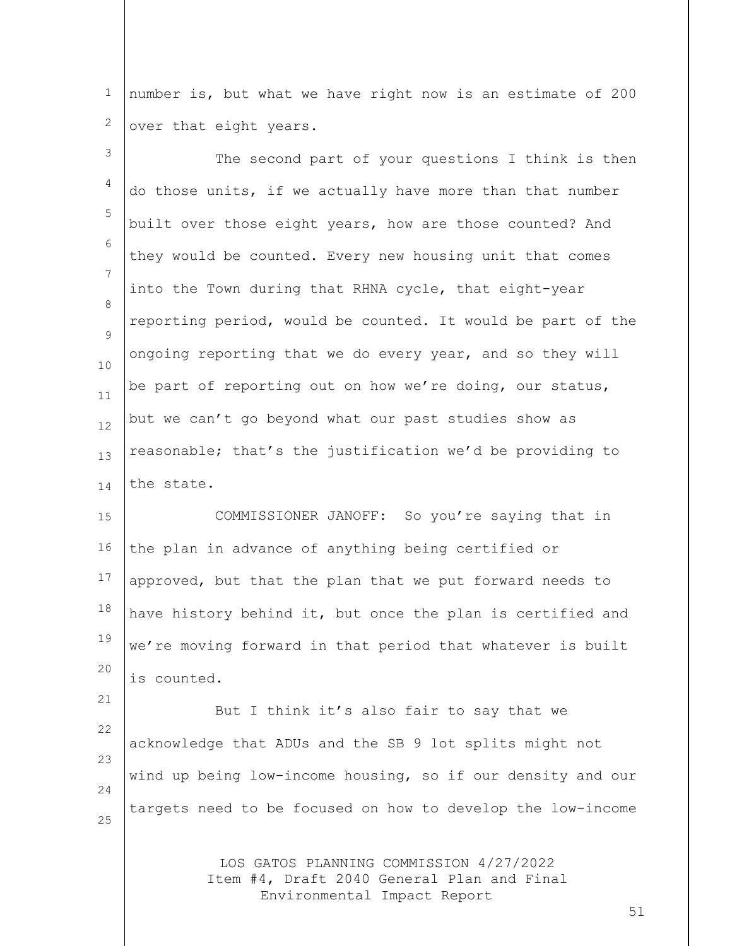1 2 number is, but what we have right now is an estimate of 200 over that eight years.

3 4 5 6 7 8  $\mathsf{Q}$ 10 11 12 13 14 15 16 17 18 19 20 21 22 23 24 The second part of your questions I think is then do those units, if we actually have more than that number built over those eight years, how are those counted? And they would be counted. Every new housing unit that comes into the Town during that RHNA cycle, that eight-year reporting period, would be counted. It would be part of the ongoing reporting that we do every year, and so they will be part of reporting out on how we're doing, our status, but we can't go beyond what our past studies show as reasonable; that's the justification we'd be providing to the state. COMMISSIONER JANOFF: So you're saying that in the plan in advance of anything being certified or approved, but that the plan that we put forward needs to have history behind it, but once the plan is certified and we're moving forward in that period that whatever is built is counted. But I think it's also fair to say that we acknowledge that ADUs and the SB 9 lot splits might not wind up being low-income housing, so if our density and our

targets need to be focused on how to develop the low-income

25

LOS GATOS PLANNING COMMISSION 4/27/2022 Item #4, Draft 2040 General Plan and Final Environmental Impact Report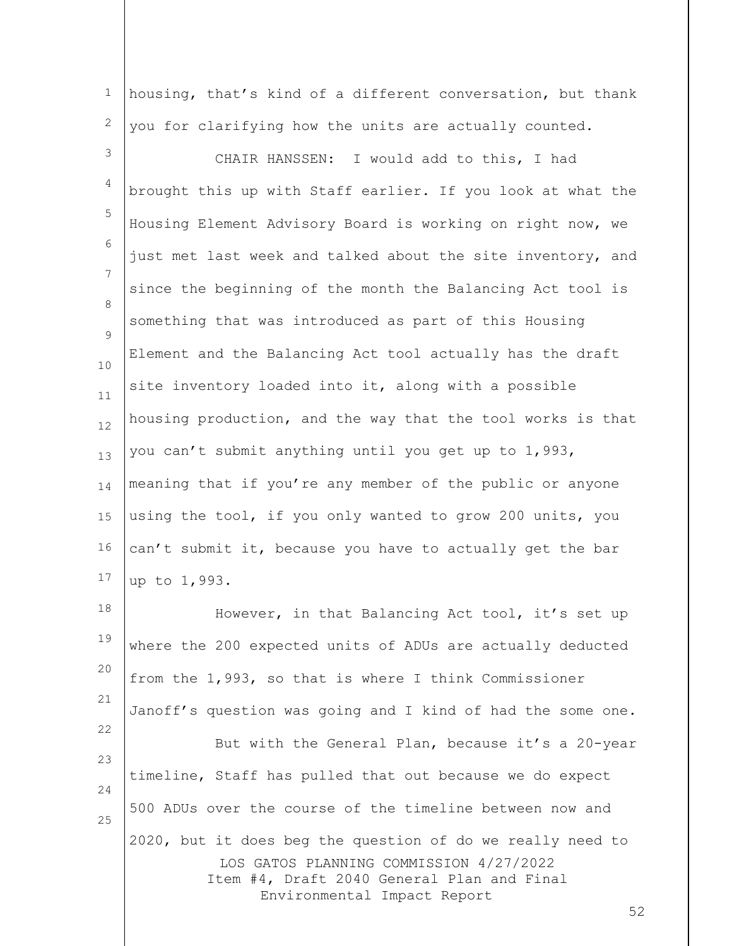1 2 housing, that's kind of a different conversation, but thank you for clarifying how the units are actually counted.

3 4 5 6 7 8  $\mathsf{Q}$ 10 11 12 13 14 15 16 17 CHAIR HANSSEN: I would add to this, I had brought this up with Staff earlier. If you look at what the Housing Element Advisory Board is working on right now, we just met last week and talked about the site inventory, and since the beginning of the month the Balancing Act tool is something that was introduced as part of this Housing Element and the Balancing Act tool actually has the draft site inventory loaded into it, along with a possible housing production, and the way that the tool works is that you can't submit anything until you get up to 1,993, meaning that if you're any member of the public or anyone using the tool, if you only wanted to grow 200 units, you can't submit it, because you have to actually get the bar up to 1,993.

LOS GATOS PLANNING COMMISSION 4/27/2022 Item #4, Draft 2040 General Plan and Final Environmental Impact Report 18 19 20 21 22 23 24 25 However, in that Balancing Act tool, it's set up where the 200 expected units of ADUs are actually deducted from the 1,993, so that is where I think Commissioner Janoff's question was going and I kind of had the some one. But with the General Plan, because it's a 20-year timeline, Staff has pulled that out because we do expect 500 ADUs over the course of the timeline between now and 2020, but it does beg the question of do we really need to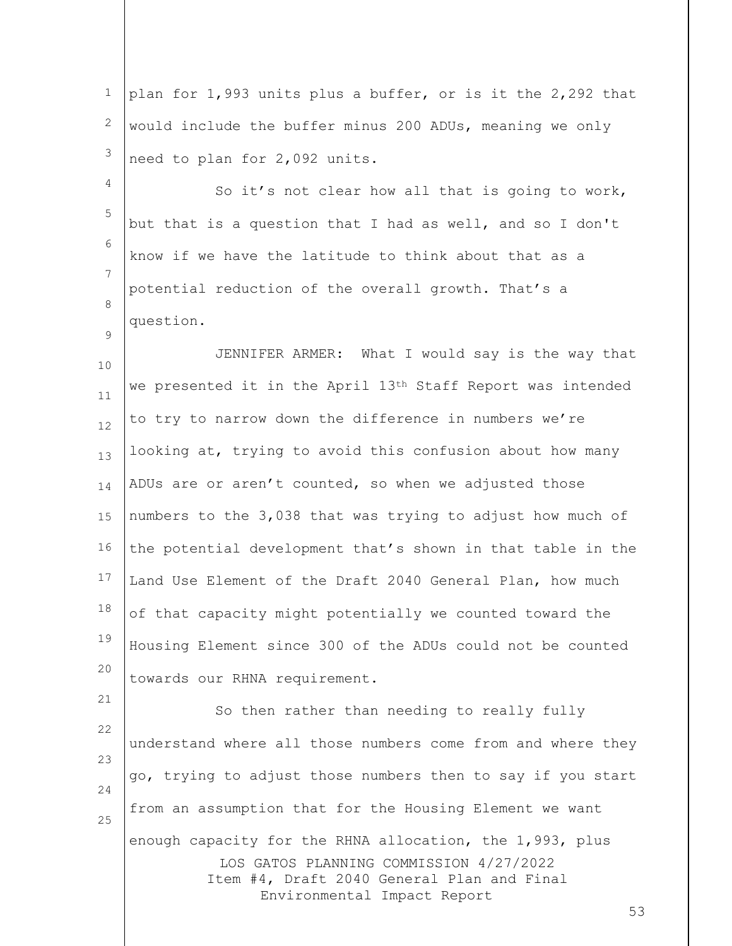1 2 3 plan for 1,993 units plus a buffer, or is it the 2,292 that would include the buffer minus 200 ADUs, meaning we only need to plan for 2,092 units.

5 6 7 8 So it's not clear how all that is going to work, but that is a question that I had as well, and so I don't know if we have the latitude to think about that as a potential reduction of the overall growth. That's a question.

4

 $\mathsf{Q}$ 

10 11 12 13 14 15 16 17 18 19 20 JENNIFER ARMER: What I would say is the way that we presented it in the April 13<sup>th</sup> Staff Report was intended to try to narrow down the difference in numbers we're looking at, trying to avoid this confusion about how many ADUs are or aren't counted, so when we adjusted those numbers to the 3,038 that was trying to adjust how much of the potential development that's shown in that table in the Land Use Element of the Draft 2040 General Plan, how much of that capacity might potentially we counted toward the Housing Element since 300 of the ADUs could not be counted towards our RHNA requirement.

LOS GATOS PLANNING COMMISSION 4/27/2022 Item #4, Draft 2040 General Plan and Final Environmental Impact Report 21 22 23 24 25 So then rather than needing to really fully understand where all those numbers come from and where they go, trying to adjust those numbers then to say if you start from an assumption that for the Housing Element we want enough capacity for the RHNA allocation, the 1,993, plus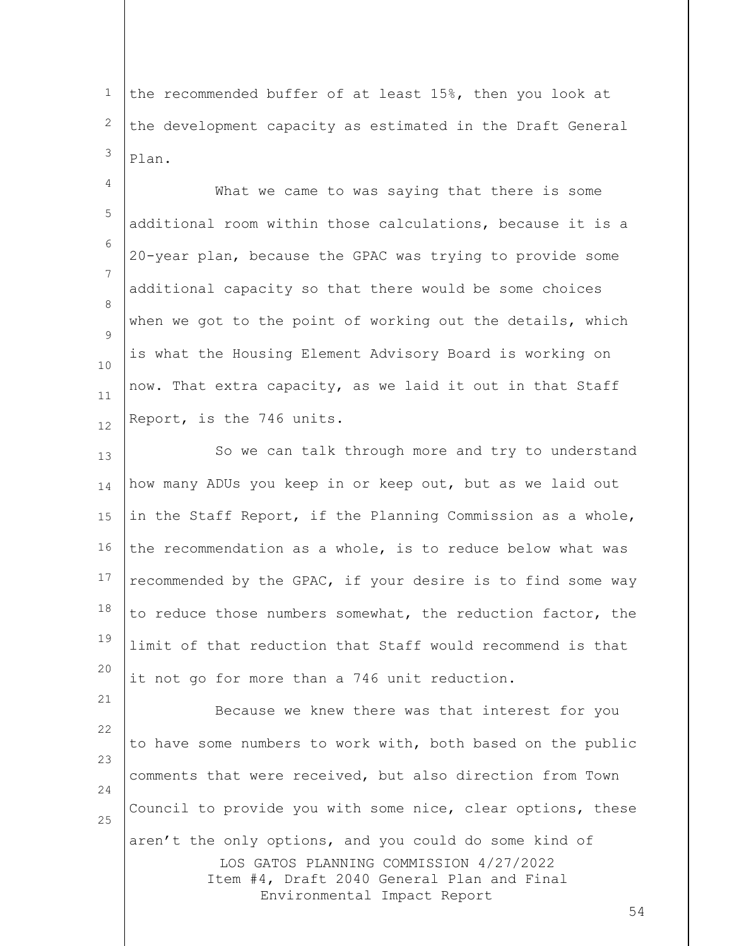1 2 3 the recommended buffer of at least 15%, then you look at the development capacity as estimated in the Draft General Plan.

4 5 6 7 8  $\mathsf{Q}$ 10 11 12 What we came to was saying that there is some additional room within those calculations, because it is a 20-year plan, because the GPAC was trying to provide some additional capacity so that there would be some choices when we got to the point of working out the details, which is what the Housing Element Advisory Board is working on now. That extra capacity, as we laid it out in that Staff Report, is the 746 units.

13 14 15 16 17 18 19 20 So we can talk through more and try to understand how many ADUs you keep in or keep out, but as we laid out in the Staff Report, if the Planning Commission as a whole, the recommendation as a whole, is to reduce below what was recommended by the GPAC, if your desire is to find some way to reduce those numbers somewhat, the reduction factor, the limit of that reduction that Staff would recommend is that it not go for more than a 746 unit reduction.

LOS GATOS PLANNING COMMISSION 4/27/2022 Item #4, Draft 2040 General Plan and Final Environmental Impact Report 21 22 23 24 25 Because we knew there was that interest for you to have some numbers to work with, both based on the public comments that were received, but also direction from Town Council to provide you with some nice, clear options, these aren't the only options, and you could do some kind of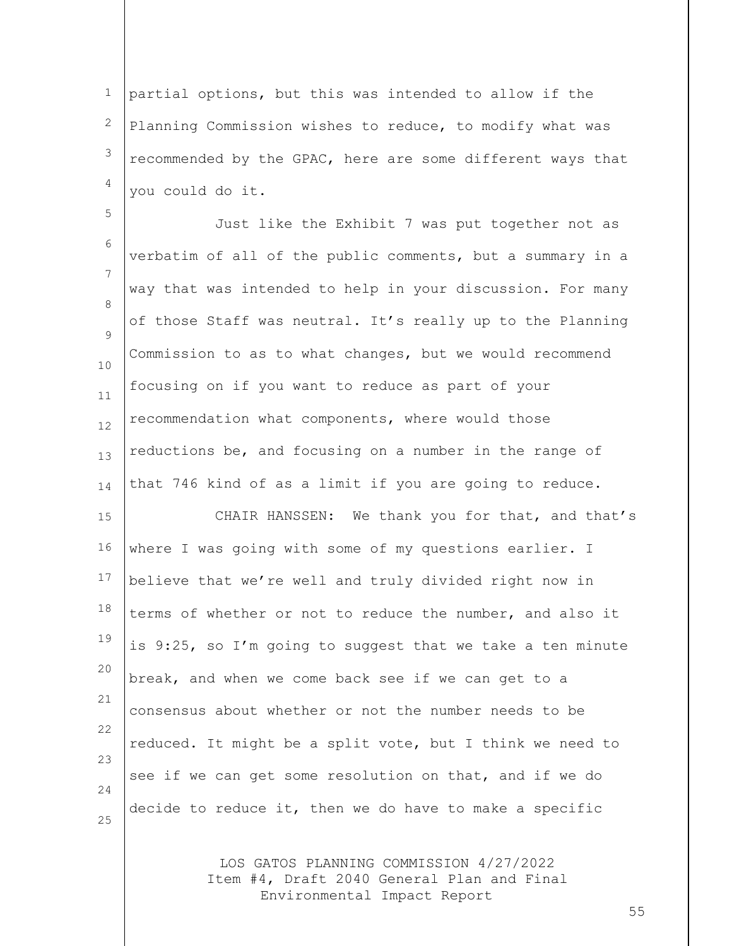1 2 3 4 partial options, but this was intended to allow if the Planning Commission wishes to reduce, to modify what was recommended by the GPAC, here are some different ways that you could do it.

5 6 7 8  $\mathsf{Q}$ 10 11 12 13 14 Just like the Exhibit 7 was put together not as verbatim of all of the public comments, but a summary in a way that was intended to help in your discussion. For many of those Staff was neutral. It's really up to the Planning Commission to as to what changes, but we would recommend focusing on if you want to reduce as part of your recommendation what components, where would those reductions be, and focusing on a number in the range of that 746 kind of as a limit if you are going to reduce.

15 16 17 18 19 20 21 22 23 24 25 CHAIR HANSSEN: We thank you for that, and that's where I was going with some of my questions earlier. I believe that we're well and truly divided right now in terms of whether or not to reduce the number, and also it is 9:25, so I'm going to suggest that we take a ten minute break, and when we come back see if we can get to a consensus about whether or not the number needs to be reduced. It might be a split vote, but I think we need to see if we can get some resolution on that, and if we do decide to reduce it, then we do have to make a specific

> LOS GATOS PLANNING COMMISSION 4/27/2022 Item #4, Draft 2040 General Plan and Final Environmental Impact Report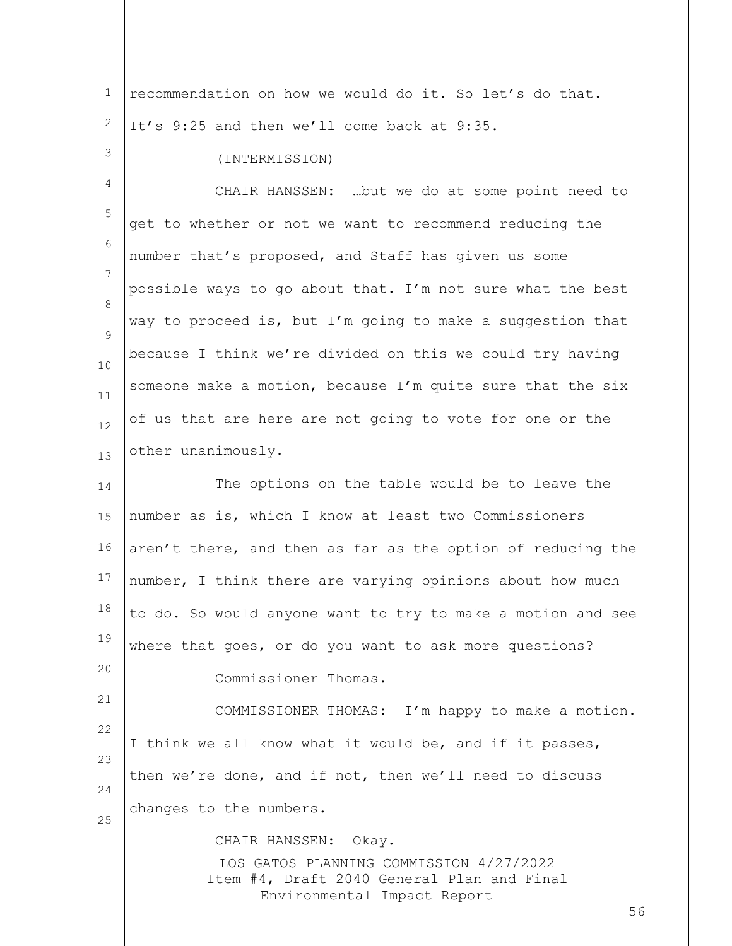LOS GATOS PLANNING COMMISSION 4/27/2022 Item #4, Draft 2040 General Plan and Final Environmental Impact Report 56 1 2 3 4 5 6 7 8  $\mathsf{Q}$ 10 11 12 13 14 15 16 17 18 19 20 21 22 23 24 25 recommendation on how we would do it. So let's do that. It's 9:25 and then we'll come back at 9:35. (INTERMISSION) CHAIR HANSSEN: …but we do at some point need to get to whether or not we want to recommend reducing the number that's proposed, and Staff has given us some possible ways to go about that. I'm not sure what the best way to proceed is, but I'm going to make a suggestion that because I think we're divided on this we could try having someone make a motion, because I'm quite sure that the six of us that are here are not going to vote for one or the other unanimously. The options on the table would be to leave the number as is, which I know at least two Commissioners aren't there, and then as far as the option of reducing the number, I think there are varying opinions about how much to do. So would anyone want to try to make a motion and see where that goes, or do you want to ask more questions? Commissioner Thomas. COMMISSIONER THOMAS: I'm happy to make a motion. I think we all know what it would be, and if it passes, then we're done, and if not, then we'll need to discuss changes to the numbers. CHAIR HANSSEN: Okay.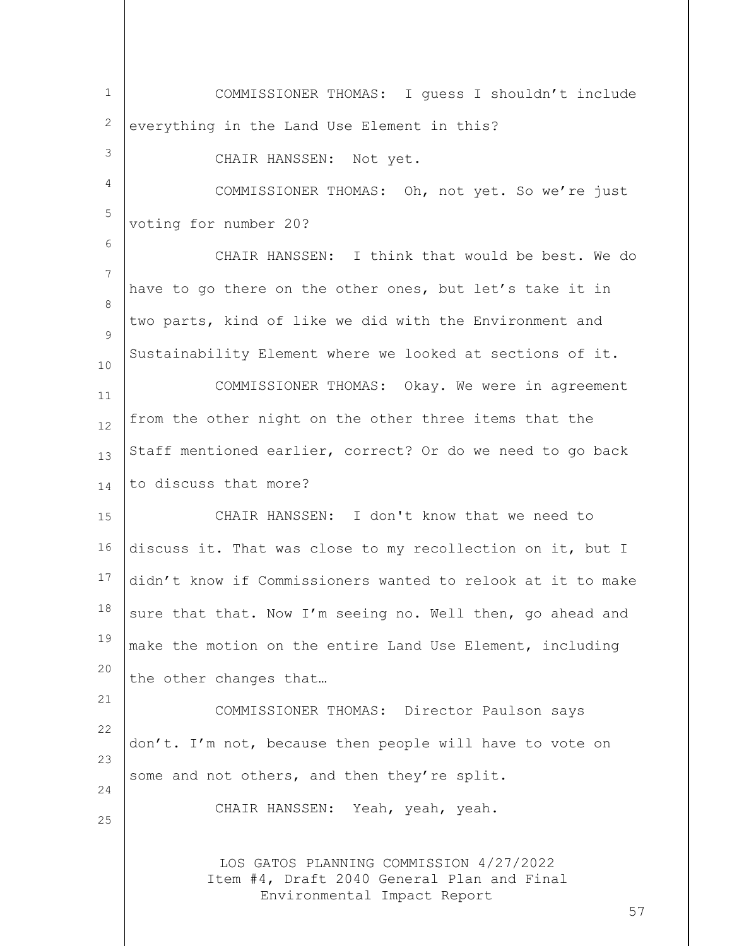LOS GATOS PLANNING COMMISSION 4/27/2022 Item #4, Draft 2040 General Plan and Final Environmental Impact Report 57 1 2 3 4 5 6 7 8  $\mathsf{Q}$ 10 11 12 13 14 15 16 17 18 19 20 21 22 23 24 25 COMMISSIONER THOMAS: I guess I shouldn't include everything in the Land Use Element in this? CHAIR HANSSEN: Not yet. COMMISSIONER THOMAS: Oh, not yet. So we're just voting for number 20? CHAIR HANSSEN: I think that would be best. We do have to go there on the other ones, but let's take it in two parts, kind of like we did with the Environment and Sustainability Element where we looked at sections of it. COMMISSIONER THOMAS: Okay. We were in agreement from the other night on the other three items that the Staff mentioned earlier, correct? Or do we need to go back to discuss that more? CHAIR HANSSEN: I don't know that we need to discuss it. That was close to my recollection on it, but I didn't know if Commissioners wanted to relook at it to make sure that that. Now I'm seeing no. Well then, go ahead and make the motion on the entire Land Use Element, including the other changes that… COMMISSIONER THOMAS: Director Paulson says don't. I'm not, because then people will have to vote on some and not others, and then they're split. CHAIR HANSSEN: Yeah, yeah, yeah.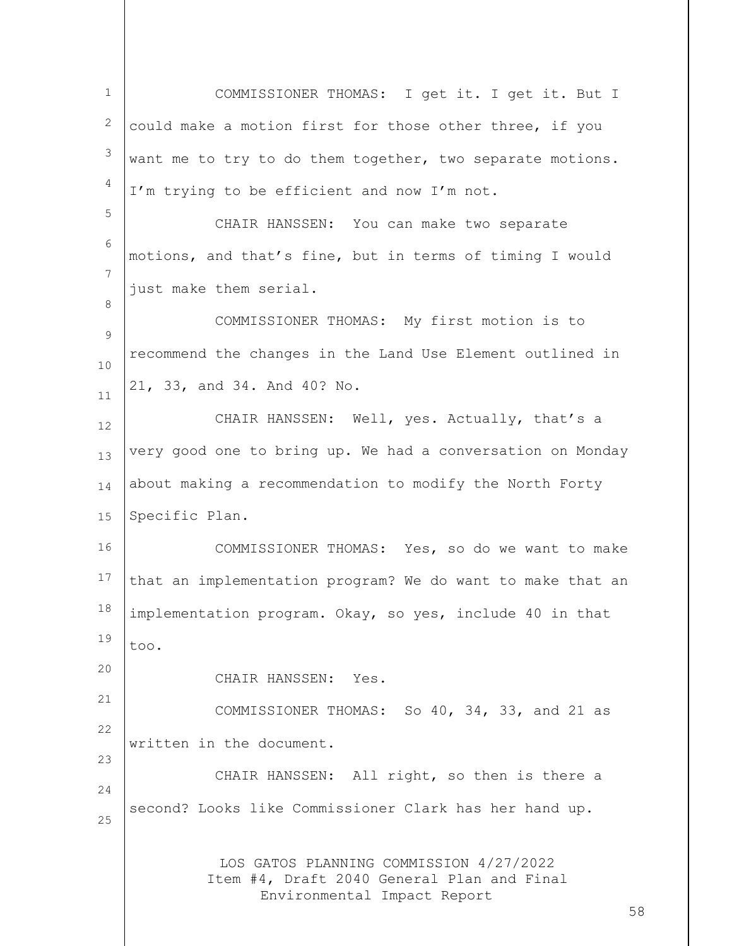LOS GATOS PLANNING COMMISSION 4/27/2022 Item #4, Draft 2040 General Plan and Final Environmental Impact Report 58 1 2 3 4 5 6 7 8  $\mathsf{Q}$ 10 11 12 13 14 15 16 17 18 19 20 21 22 23 24 25 COMMISSIONER THOMAS: I get it. I get it. But I could make a motion first for those other three, if you want me to try to do them together, two separate motions. I'm trying to be efficient and now I'm not. CHAIR HANSSEN: You can make two separate motions, and that's fine, but in terms of timing I would just make them serial. COMMISSIONER THOMAS: My first motion is to recommend the changes in the Land Use Element outlined in 21, 33, and 34. And 40? No. CHAIR HANSSEN: Well, yes. Actually, that's a very good one to bring up. We had a conversation on Monday about making a recommendation to modify the North Forty Specific Plan. COMMISSIONER THOMAS: Yes, so do we want to make that an implementation program? We do want to make that an implementation program. Okay, so yes, include 40 in that too. CHAIR HANSSEN: Yes. COMMISSIONER THOMAS: So 40, 34, 33, and 21 as written in the document. CHAIR HANSSEN: All right, so then is there a second? Looks like Commissioner Clark has her hand up.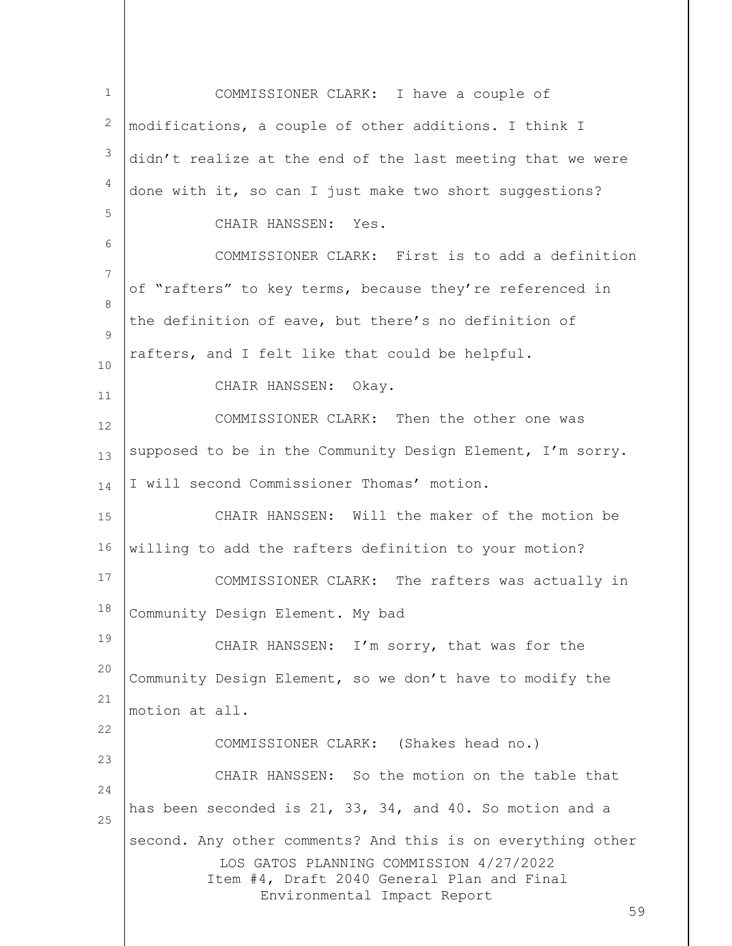LOS GATOS PLANNING COMMISSION 4/27/2022 Item #4, Draft 2040 General Plan and Final Environmental Impact Report 59 1 2 3 4 5 6 7 8  $\mathsf{Q}$ 10 11 12 13 14 15 16 17 18 19 20 21 22 23 24 25 COMMISSIONER CLARK: I have a couple of modifications, a couple of other additions. I think I didn't realize at the end of the last meeting that we were done with it, so can I just make two short suggestions? CHAIR HANSSEN: Yes. COMMISSIONER CLARK: First is to add a definition of "rafters" to key terms, because they're referenced in the definition of eave, but there's no definition of rafters, and I felt like that could be helpful. CHAIR HANSSEN: Okay. COMMISSIONER CLARK: Then the other one was supposed to be in the Community Design Element, I'm sorry. I will second Commissioner Thomas' motion. CHAIR HANSSEN: Will the maker of the motion be willing to add the rafters definition to your motion? COMMISSIONER CLARK: The rafters was actually in Community Design Element. My bad CHAIR HANSSEN: I'm sorry, that was for the Community Design Element, so we don't have to modify the motion at all. COMMISSIONER CLARK: (Shakes head no.) CHAIR HANSSEN: So the motion on the table that has been seconded is 21, 33, 34, and 40. So motion and a second. Any other comments? And this is on everything other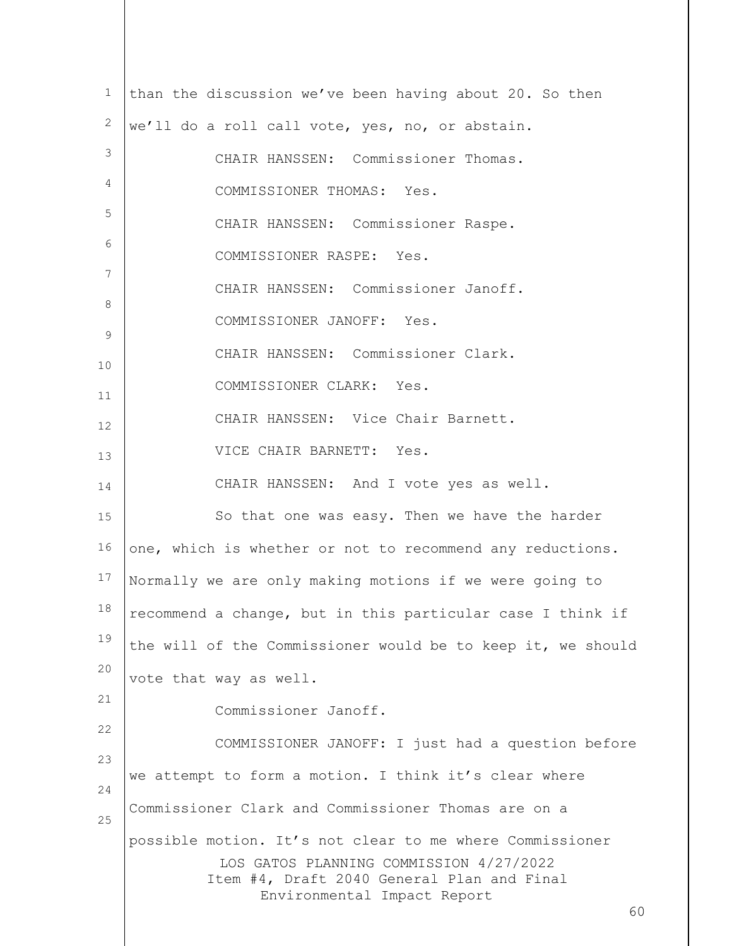| $\mathbf{1}$<br>than the discussion we've been having about 20. So then<br>2<br>we'll do a roll call vote, yes, no, or abstain.<br>3<br>CHAIR HANSSEN: Commissioner Thomas.<br>4<br>COMMISSIONER THOMAS: Yes.<br>5<br>CHAIR HANSSEN: Commissioner Raspe.<br>6<br>COMMISSIONER RASPE: Yes.<br>7<br>CHAIR HANSSEN: Commissioner Janoff.<br>8<br>COMMISSIONER JANOFF: Yes.<br>9<br>CHAIR HANSSEN: Commissioner Clark.<br>10<br>COMMISSIONER CLARK: Yes.<br>11<br>CHAIR HANSSEN: Vice Chair Barnett.<br>VICE CHAIR BARNETT: Yes.<br>CHAIR HANSSEN: And I vote yes as well.<br>So that one was easy. Then we have the harder<br>one, which is whether or not to recommend any reductions.<br>Normally we are only making motions if we were going to<br>recommend a change, but in this particular case I think if<br>the will of the Commissioner would be to keep it, we should<br>vote that way as well.<br>Commissioner Janoff.<br>22<br>COMMISSIONER JANOFF: I just had a question before<br>23<br>we attempt to form a motion. I think it's clear where<br>24<br>Commissioner Clark and Commissioner Thomas are on a<br>25<br>possible motion. It's not clear to me where Commissioner<br>LOS GATOS PLANNING COMMISSION 4/27/2022<br>Item #4, Draft 2040 General Plan and Final<br>Environmental Impact Report |    |    |
|-----------------------------------------------------------------------------------------------------------------------------------------------------------------------------------------------------------------------------------------------------------------------------------------------------------------------------------------------------------------------------------------------------------------------------------------------------------------------------------------------------------------------------------------------------------------------------------------------------------------------------------------------------------------------------------------------------------------------------------------------------------------------------------------------------------------------------------------------------------------------------------------------------------------------------------------------------------------------------------------------------------------------------------------------------------------------------------------------------------------------------------------------------------------------------------------------------------------------------------------------------------------------------------------------------------------|----|----|
|                                                                                                                                                                                                                                                                                                                                                                                                                                                                                                                                                                                                                                                                                                                                                                                                                                                                                                                                                                                                                                                                                                                                                                                                                                                                                                                 |    |    |
|                                                                                                                                                                                                                                                                                                                                                                                                                                                                                                                                                                                                                                                                                                                                                                                                                                                                                                                                                                                                                                                                                                                                                                                                                                                                                                                 |    |    |
|                                                                                                                                                                                                                                                                                                                                                                                                                                                                                                                                                                                                                                                                                                                                                                                                                                                                                                                                                                                                                                                                                                                                                                                                                                                                                                                 |    |    |
|                                                                                                                                                                                                                                                                                                                                                                                                                                                                                                                                                                                                                                                                                                                                                                                                                                                                                                                                                                                                                                                                                                                                                                                                                                                                                                                 |    |    |
|                                                                                                                                                                                                                                                                                                                                                                                                                                                                                                                                                                                                                                                                                                                                                                                                                                                                                                                                                                                                                                                                                                                                                                                                                                                                                                                 |    |    |
|                                                                                                                                                                                                                                                                                                                                                                                                                                                                                                                                                                                                                                                                                                                                                                                                                                                                                                                                                                                                                                                                                                                                                                                                                                                                                                                 |    |    |
|                                                                                                                                                                                                                                                                                                                                                                                                                                                                                                                                                                                                                                                                                                                                                                                                                                                                                                                                                                                                                                                                                                                                                                                                                                                                                                                 |    |    |
|                                                                                                                                                                                                                                                                                                                                                                                                                                                                                                                                                                                                                                                                                                                                                                                                                                                                                                                                                                                                                                                                                                                                                                                                                                                                                                                 |    |    |
|                                                                                                                                                                                                                                                                                                                                                                                                                                                                                                                                                                                                                                                                                                                                                                                                                                                                                                                                                                                                                                                                                                                                                                                                                                                                                                                 |    |    |
|                                                                                                                                                                                                                                                                                                                                                                                                                                                                                                                                                                                                                                                                                                                                                                                                                                                                                                                                                                                                                                                                                                                                                                                                                                                                                                                 |    |    |
|                                                                                                                                                                                                                                                                                                                                                                                                                                                                                                                                                                                                                                                                                                                                                                                                                                                                                                                                                                                                                                                                                                                                                                                                                                                                                                                 | 12 |    |
|                                                                                                                                                                                                                                                                                                                                                                                                                                                                                                                                                                                                                                                                                                                                                                                                                                                                                                                                                                                                                                                                                                                                                                                                                                                                                                                 | 13 |    |
|                                                                                                                                                                                                                                                                                                                                                                                                                                                                                                                                                                                                                                                                                                                                                                                                                                                                                                                                                                                                                                                                                                                                                                                                                                                                                                                 | 14 |    |
|                                                                                                                                                                                                                                                                                                                                                                                                                                                                                                                                                                                                                                                                                                                                                                                                                                                                                                                                                                                                                                                                                                                                                                                                                                                                                                                 | 15 |    |
|                                                                                                                                                                                                                                                                                                                                                                                                                                                                                                                                                                                                                                                                                                                                                                                                                                                                                                                                                                                                                                                                                                                                                                                                                                                                                                                 | 16 |    |
|                                                                                                                                                                                                                                                                                                                                                                                                                                                                                                                                                                                                                                                                                                                                                                                                                                                                                                                                                                                                                                                                                                                                                                                                                                                                                                                 | 17 |    |
|                                                                                                                                                                                                                                                                                                                                                                                                                                                                                                                                                                                                                                                                                                                                                                                                                                                                                                                                                                                                                                                                                                                                                                                                                                                                                                                 | 18 |    |
|                                                                                                                                                                                                                                                                                                                                                                                                                                                                                                                                                                                                                                                                                                                                                                                                                                                                                                                                                                                                                                                                                                                                                                                                                                                                                                                 | 19 |    |
|                                                                                                                                                                                                                                                                                                                                                                                                                                                                                                                                                                                                                                                                                                                                                                                                                                                                                                                                                                                                                                                                                                                                                                                                                                                                                                                 | 20 |    |
|                                                                                                                                                                                                                                                                                                                                                                                                                                                                                                                                                                                                                                                                                                                                                                                                                                                                                                                                                                                                                                                                                                                                                                                                                                                                                                                 | 21 |    |
|                                                                                                                                                                                                                                                                                                                                                                                                                                                                                                                                                                                                                                                                                                                                                                                                                                                                                                                                                                                                                                                                                                                                                                                                                                                                                                                 |    |    |
|                                                                                                                                                                                                                                                                                                                                                                                                                                                                                                                                                                                                                                                                                                                                                                                                                                                                                                                                                                                                                                                                                                                                                                                                                                                                                                                 |    |    |
|                                                                                                                                                                                                                                                                                                                                                                                                                                                                                                                                                                                                                                                                                                                                                                                                                                                                                                                                                                                                                                                                                                                                                                                                                                                                                                                 |    |    |
|                                                                                                                                                                                                                                                                                                                                                                                                                                                                                                                                                                                                                                                                                                                                                                                                                                                                                                                                                                                                                                                                                                                                                                                                                                                                                                                 |    | 60 |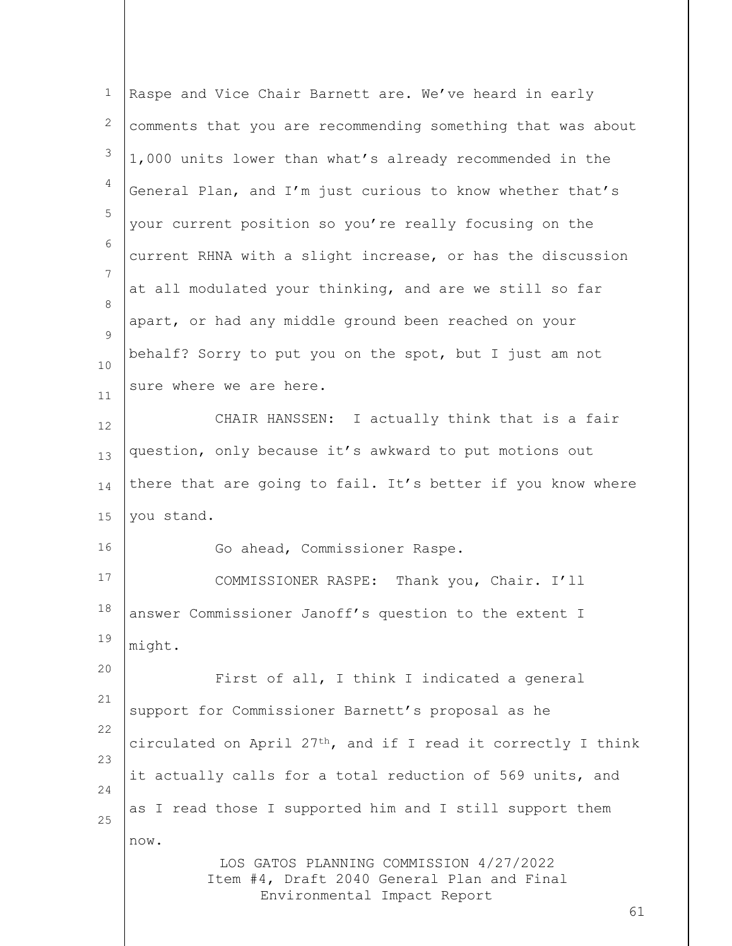| $\mathbf{1}$       | Raspe and Vice Chair Barnett are. We've heard in early                                                                     |
|--------------------|----------------------------------------------------------------------------------------------------------------------------|
| $\mathbf{2}$       | comments that you are recommending something that was about                                                                |
| 3                  | 1,000 units lower than what's already recommended in the                                                                   |
| $\overline{4}$     | General Plan, and I'm just curious to know whether that's                                                                  |
| 5                  | your current position so you're really focusing on the                                                                     |
| 6                  | current RHNA with a slight increase, or has the discussion                                                                 |
| 7                  | at all modulated your thinking, and are we still so far                                                                    |
| 8<br>$\mathcal{G}$ | apart, or had any middle ground been reached on your                                                                       |
| 10                 | behalf? Sorry to put you on the spot, but I just am not                                                                    |
| 11                 | sure where we are here.                                                                                                    |
| 12                 | CHAIR HANSSEN: I actually think that is a fair                                                                             |
| 13                 | question, only because it's awkward to put motions out                                                                     |
| 14                 | there that are going to fail. It's better if you know where                                                                |
| 15                 | you stand.                                                                                                                 |
| 16                 | Go ahead, Commissioner Raspe.                                                                                              |
| 17                 | COMMISSIONER RASPE: Thank you, Chair. I'll                                                                                 |
| 18                 | answer Commissioner Janoff's question to the extent I                                                                      |
| 19                 | might.                                                                                                                     |
| 20                 | First of all, I think I indicated a general                                                                                |
| 21                 | support for Commissioner Barnett's proposal as he                                                                          |
| 22                 | circulated on April 27 <sup>th</sup> , and if I read it correctly I think                                                  |
| 23                 | it actually calls for a total reduction of 569 units, and                                                                  |
| 24<br>25           | as I read those I supported him and I still support them                                                                   |
|                    | now.                                                                                                                       |
|                    | LOS GATOS PLANNING COMMISSION 4/27/2022<br>Item #4, Draft 2040 General Plan and Final<br>Environmental Impact Report<br>61 |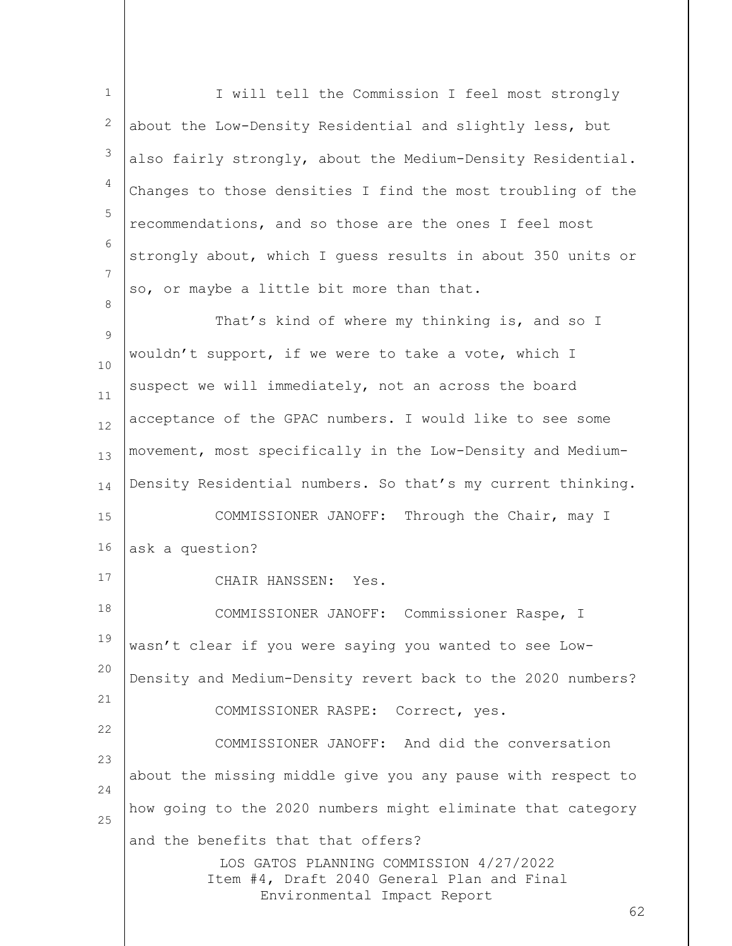LOS GATOS PLANNING COMMISSION 4/27/2022 Item #4, Draft 2040 General Plan and Final Environmental Impact Report 1 2 3 4 5 6 7 8 9 10 11 12 13 14 15 16 17 18 19 20 21 22 23 24 25 I will tell the Commission I feel most strongly about the Low-Density Residential and slightly less, but also fairly strongly, about the Medium-Density Residential. Changes to those densities I find the most troubling of the recommendations, and so those are the ones I feel most strongly about, which I guess results in about 350 units or so, or maybe a little bit more than that. That's kind of where my thinking is, and so I wouldn't support, if we were to take a vote, which I suspect we will immediately, not an across the board acceptance of the GPAC numbers. I would like to see some movement, most specifically in the Low-Density and Medium-Density Residential numbers. So that's my current thinking. COMMISSIONER JANOFF: Through the Chair, may I ask a question? CHAIR HANSSEN: Yes. COMMISSIONER JANOFF: Commissioner Raspe, I wasn't clear if you were saying you wanted to see Low-Density and Medium-Density revert back to the 2020 numbers? COMMISSIONER RASPE: Correct, yes. COMMISSIONER JANOFF: And did the conversation about the missing middle give you any pause with respect to how going to the 2020 numbers might eliminate that category and the benefits that that offers?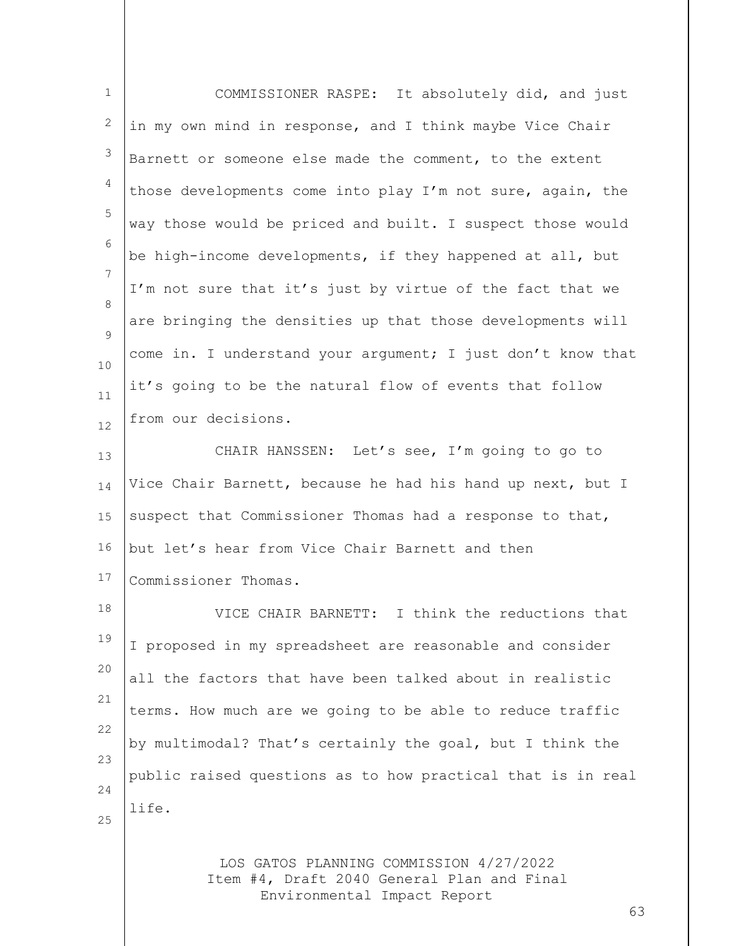| $\mathbf{1}$ | COMMISSIONER RASPE: It absolutely did, and just                                                                      |
|--------------|----------------------------------------------------------------------------------------------------------------------|
| 2            | in my own mind in response, and I think maybe Vice Chair                                                             |
| 3            | Barnett or someone else made the comment, to the extent                                                              |
| 4            | those developments come into play I'm not sure, again, the                                                           |
| 5            | way those would be priced and built. I suspect those would                                                           |
| 6            | be high-income developments, if they happened at all, but                                                            |
| 7            | I'm not sure that it's just by virtue of the fact that we                                                            |
| 8<br>9       | are bringing the densities up that those developments will                                                           |
| 10           | come in. I understand your argument; I just don't know that                                                          |
| 11           | it's going to be the natural flow of events that follow                                                              |
| 12           | from our decisions.                                                                                                  |
| 13           | CHAIR HANSSEN: Let's see, I'm going to go to                                                                         |
| 14           | Vice Chair Barnett, because he had his hand up next, but I                                                           |
| 15           | suspect that Commissioner Thomas had a response to that,                                                             |
| 16           | but let's hear from Vice Chair Barnett and then                                                                      |
| 17           | Commissioner Thomas.                                                                                                 |
| 18           | VICE CHAIR BARNETT: I think the reductions that                                                                      |
| 19           | I proposed in my spreadsheet are reasonable and consider                                                             |
| 20           | all the factors that have been talked about in realistic                                                             |
| 21           | terms. How much are we going to be able to reduce traffic                                                            |
| 22           | by multimodal? That's certainly the goal, but I think the                                                            |
| 23<br>24     | public raised questions as to how practical that is in real                                                          |
| 25           | life.                                                                                                                |
|              | LOS GATOS PLANNING COMMISSION 4/27/2022<br>Item #4, Draft 2040 General Plan and Final<br>Environmental Impact Report |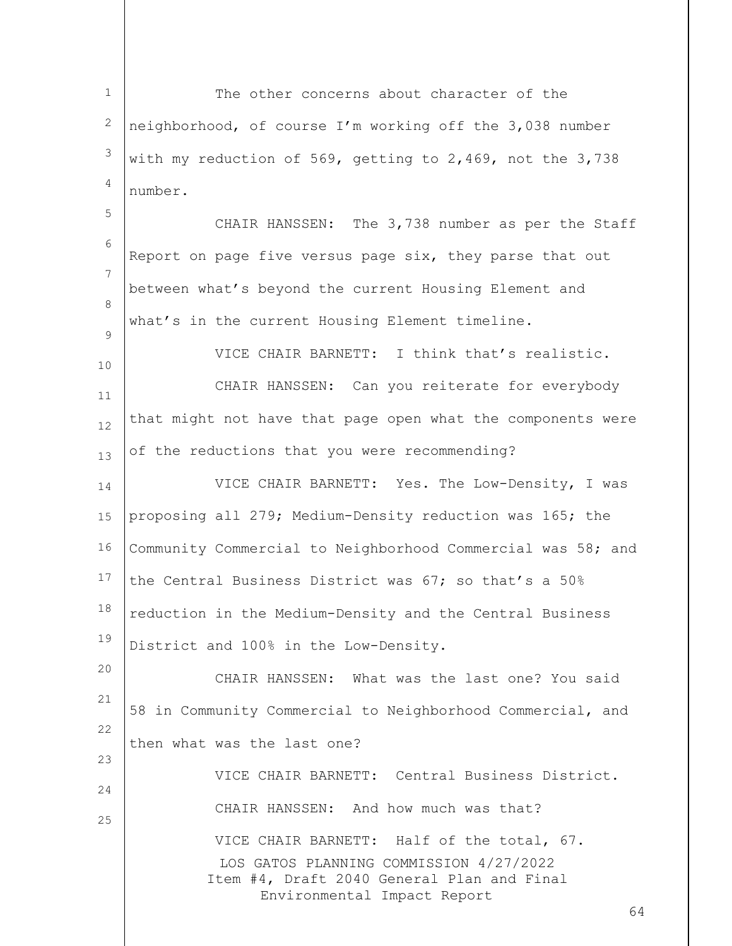LOS GATOS PLANNING COMMISSION 4/27/2022 Item #4, Draft 2040 General Plan and Final Environmental Impact Report 1 2 3 4 5 6 7 8  $\mathsf{Q}$ 10 11 12 13 14 15 16 17 18 19 20 21 22 23 24 25 The other concerns about character of the neighborhood, of course I'm working off the 3,038 number with my reduction of 569, getting to 2,469, not the 3,738 number. CHAIR HANSSEN: The 3,738 number as per the Staff Report on page five versus page six, they parse that out between what's beyond the current Housing Element and what's in the current Housing Element timeline. VICE CHAIR BARNETT: I think that's realistic. CHAIR HANSSEN: Can you reiterate for everybody that might not have that page open what the components were of the reductions that you were recommending? VICE CHAIR BARNETT: Yes. The Low-Density, I was proposing all 279; Medium-Density reduction was 165; the Community Commercial to Neighborhood Commercial was 58; and the Central Business District was 67; so that's a 50% reduction in the Medium-Density and the Central Business District and 100% in the Low-Density. CHAIR HANSSEN: What was the last one? You said 58 in Community Commercial to Neighborhood Commercial, and then what was the last one? VICE CHAIR BARNETT: Central Business District. CHAIR HANSSEN: And how much was that? VICE CHAIR BARNETT: Half of the total, 67.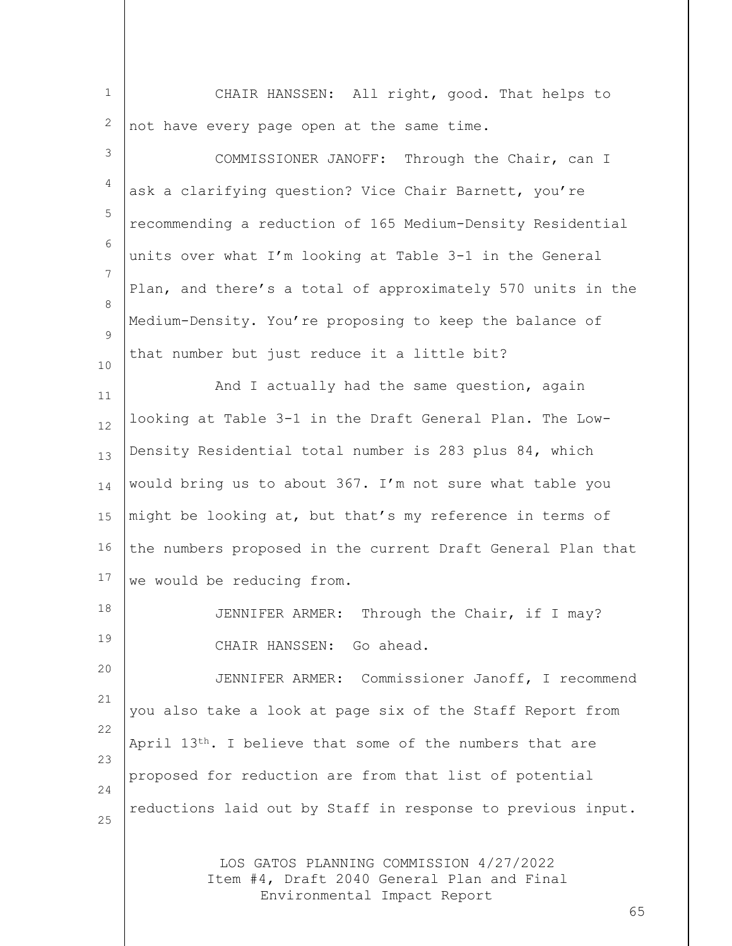| $\mathbf 1$ | CHAIR HANSSEN: All right, good. That helps to                                                                        |
|-------------|----------------------------------------------------------------------------------------------------------------------|
| 2           | not have every page open at the same time.                                                                           |
| 3           | COMMISSIONER JANOFF: Through the Chair, can I                                                                        |
| 4           | ask a clarifying question? Vice Chair Barnett, you're                                                                |
| 5           | recommending a reduction of 165 Medium-Density Residential                                                           |
| 6           | units over what I'm looking at Table 3-1 in the General                                                              |
| 7           | Plan, and there's a total of approximately 570 units in the                                                          |
| $\,8\,$     | Medium-Density. You're proposing to keep the balance of                                                              |
| 9           | that number but just reduce it a little bit?                                                                         |
| 10          | And I actually had the same question, again                                                                          |
| 11<br>12    | looking at Table 3-1 in the Draft General Plan. The Low-                                                             |
| 13          | Density Residential total number is 283 plus 84, which                                                               |
| 14          | would bring us to about 367. I'm not sure what table you                                                             |
| 15          | might be looking at, but that's my reference in terms of                                                             |
| 16          | the numbers proposed in the current Draft General Plan that                                                          |
| 17          | we would be reducing from.                                                                                           |
| 18          | JENNIFER ARMER: Through the Chair, if I may?                                                                         |
| 19          | CHAIR HANSSEN: Go ahead.                                                                                             |
| 20          | JENNIFER ARMER: Commissioner Janoff, I recommend                                                                     |
| 21          | you also take a look at page six of the Staff Report from                                                            |
| 22          | April 13th. I believe that some of the numbers that are                                                              |
| 23          | proposed for reduction are from that list of potential                                                               |
| 24          | reductions laid out by Staff in response to previous input.                                                          |
| 25          |                                                                                                                      |
|             | LOS GATOS PLANNING COMMISSION 4/27/2022<br>Item #4, Draft 2040 General Plan and Final<br>Environmental Impact Report |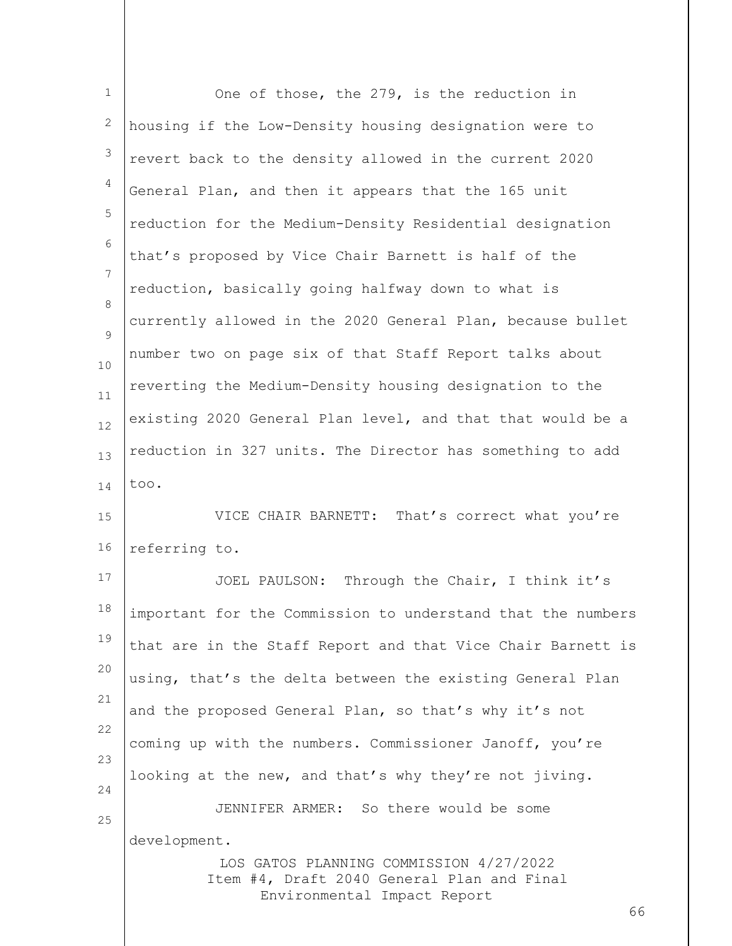| $\mathbf 1$     | One of those, the 279, is the reduction in                                                                                 |
|-----------------|----------------------------------------------------------------------------------------------------------------------------|
| 2               | housing if the Low-Density housing designation were to                                                                     |
| 3               | revert back to the density allowed in the current 2020                                                                     |
| 4               | General Plan, and then it appears that the 165 unit                                                                        |
| 5               | reduction for the Medium-Density Residential designation                                                                   |
| 6               | that's proposed by Vice Chair Barnett is half of the                                                                       |
| $7\phantom{.0}$ | reduction, basically going halfway down to what is                                                                         |
| 8<br>9          | currently allowed in the 2020 General Plan, because bullet                                                                 |
| 10              | number two on page six of that Staff Report talks about                                                                    |
| 11              | reverting the Medium-Density housing designation to the                                                                    |
| 12              | existing 2020 General Plan level, and that that would be a                                                                 |
| 13              | reduction in 327 units. The Director has something to add                                                                  |
| 14              | too.                                                                                                                       |
| 15              | VICE CHAIR BARNETT: That's correct what you're                                                                             |
| 16              | referring to.                                                                                                              |
| 17              | Through the Chair, I think it's<br>JOEL PAULSON:                                                                           |
| 18              | important for the Commission to understand that the numbers                                                                |
| 19              | that are in the Staff Report and that Vice Chair Barnett is                                                                |
| 20              | using, that's the delta between the existing General Plan                                                                  |
| 21              | and the proposed General Plan, so that's why it's not                                                                      |
| 22<br>23        | coming up with the numbers. Commissioner Janoff, you're                                                                    |
| 24              | looking at the new, and that's why they're not jiving.                                                                     |
| 25              | JENNIFER ARMER: So there would be some                                                                                     |
|                 | development.                                                                                                               |
|                 | LOS GATOS PLANNING COMMISSION 4/27/2022<br>Item #4, Draft 2040 General Plan and Final<br>Environmental Impact Report<br>66 |
|                 |                                                                                                                            |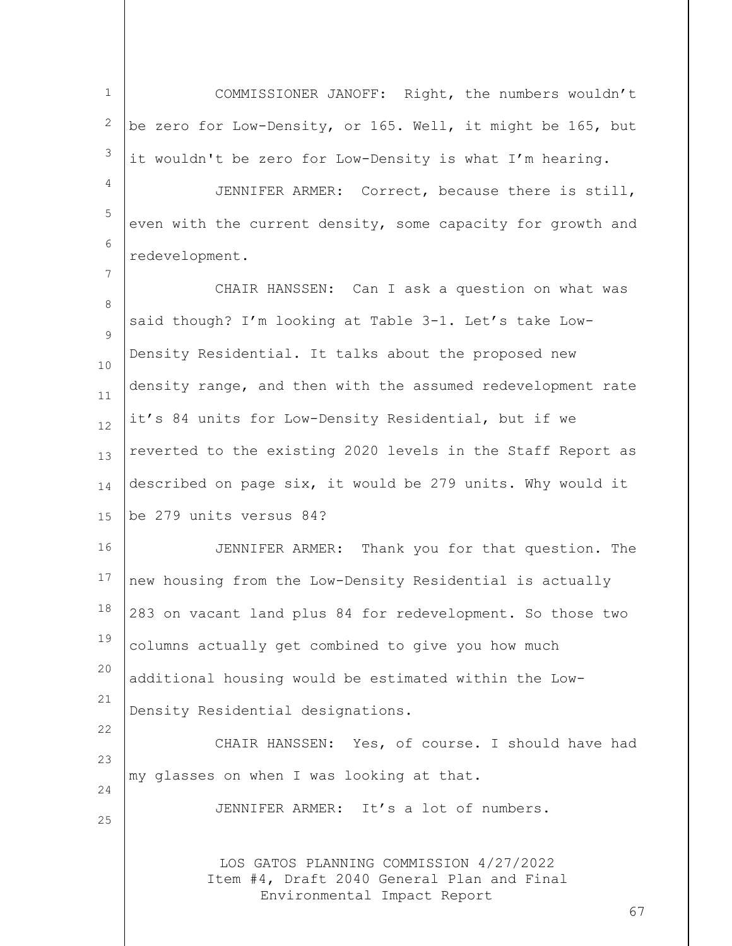LOS GATOS PLANNING COMMISSION 4/27/2022 Item #4, Draft 2040 General Plan and Final Environmental Impact Report 67 1 2 3 4 5 6 7 8  $\mathsf{Q}$ 10 11 12 13 14 15 16 17 18 19 20 21 22  $23$ 24 25 COMMISSIONER JANOFF: Right, the numbers wouldn't be zero for Low-Density, or 165. Well, it might be 165, but it wouldn't be zero for Low-Density is what I'm hearing. JENNIFER ARMER: Correct, because there is still, even with the current density, some capacity for growth and redevelopment. CHAIR HANSSEN: Can I ask a question on what was said though? I'm looking at Table 3-1. Let's take Low-Density Residential. It talks about the proposed new density range, and then with the assumed redevelopment rate it's 84 units for Low-Density Residential, but if we reverted to the existing 2020 levels in the Staff Report as described on page six, it would be 279 units. Why would it be 279 units versus 84? JENNIFER ARMER: Thank you for that question. The new housing from the Low-Density Residential is actually 283 on vacant land plus 84 for redevelopment. So those two columns actually get combined to give you how much additional housing would be estimated within the Low-Density Residential designations. CHAIR HANSSEN: Yes, of course. I should have had my glasses on when I was looking at that. JENNIFER ARMER: It's a lot of numbers.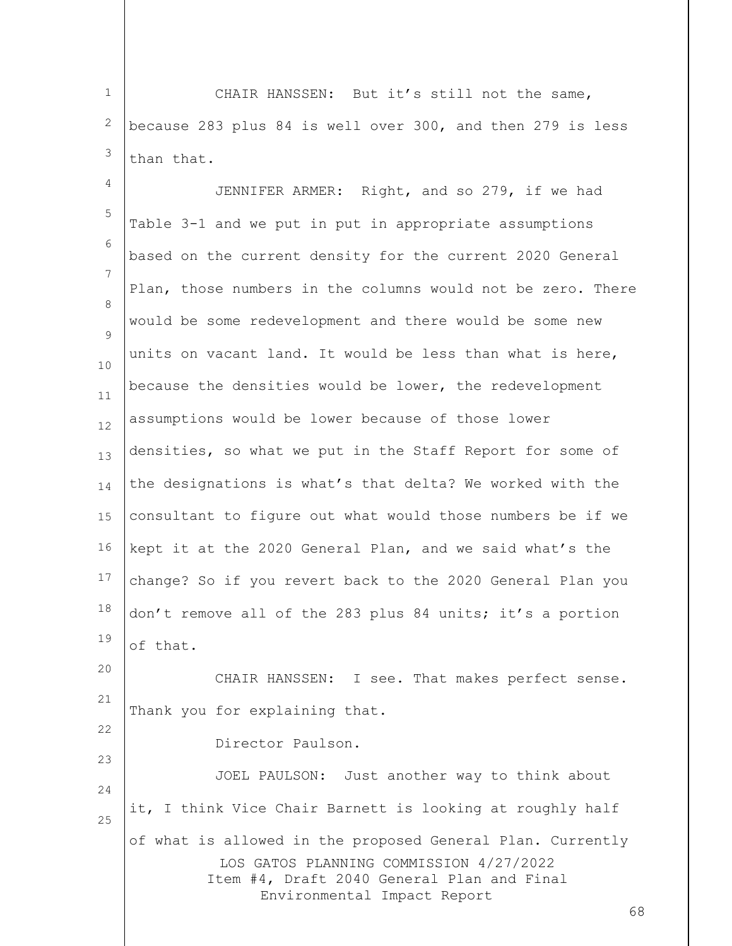1 2 3 CHAIR HANSSEN: But it's still not the same, because 283 plus 84 is well over 300, and then 279 is less than that.

4 5 6 7 8  $\mathsf{Q}$ 10 11 12 13 14 15 16 17 18 19 20 JENNIFER ARMER: Right, and so 279, if we had Table 3-1 and we put in put in appropriate assumptions based on the current density for the current 2020 General Plan, those numbers in the columns would not be zero. There would be some redevelopment and there would be some new units on vacant land. It would be less than what is here, because the densities would be lower, the redevelopment assumptions would be lower because of those lower densities, so what we put in the Staff Report for some of the designations is what's that delta? We worked with the consultant to figure out what would those numbers be if we kept it at the 2020 General Plan, and we said what's the change? So if you revert back to the 2020 General Plan you don't remove all of the 283 plus 84 units; it's a portion of that.

21 CHAIR HANSSEN: I see. That makes perfect sense. Thank you for explaining that.

Director Paulson.

22

23

LOS GATOS PLANNING COMMISSION 4/27/2022 Item #4, Draft 2040 General Plan and Final Environmental Impact Report 24 25 JOEL PAULSON: Just another way to think about it, I think Vice Chair Barnett is looking at roughly half of what is allowed in the proposed General Plan. Currently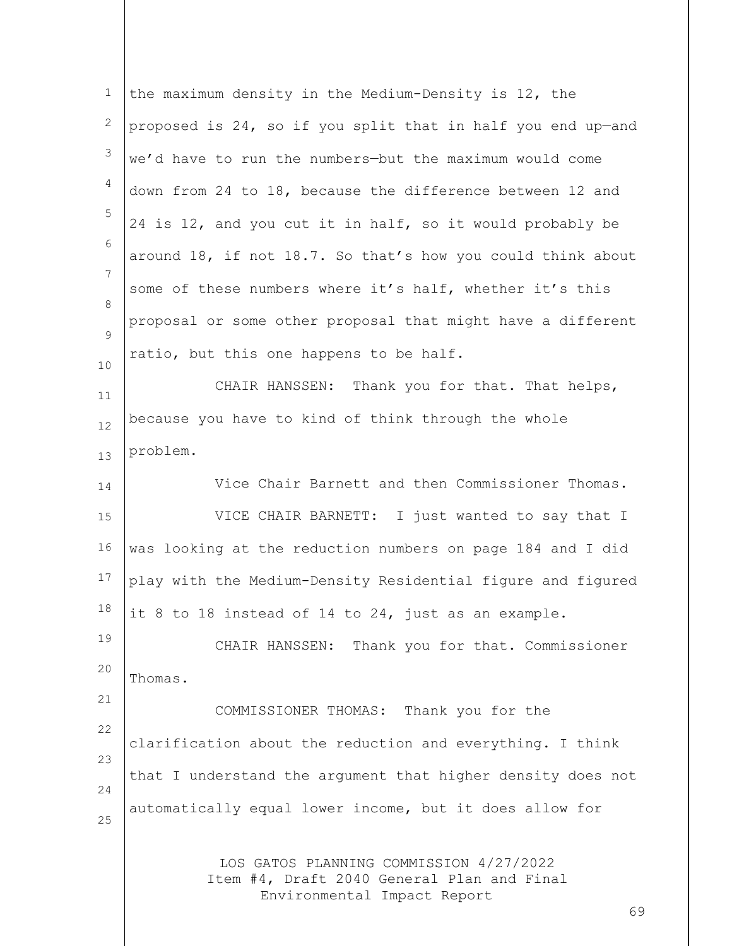| $\mathbf 1$ | the maximum density in the Medium-Density is 12, the                                                                 |
|-------------|----------------------------------------------------------------------------------------------------------------------|
| 2           | proposed is 24, so if you split that in half you end up-and                                                          |
| 3           | we'd have to run the numbers-but the maximum would come                                                              |
| 4           | down from 24 to 18, because the difference between 12 and                                                            |
| 5           | 24 is 12, and you cut it in half, so it would probably be                                                            |
| 6           | around 18, if not 18.7. So that's how you could think about                                                          |
| 7           | some of these numbers where it's half, whether it's this                                                             |
| 8           | proposal or some other proposal that might have a different                                                          |
| 9<br>10     | ratio, but this one happens to be half.                                                                              |
| 11          | CHAIR HANSSEN: Thank you for that. That helps,                                                                       |
| 12          | because you have to kind of think through the whole                                                                  |
| 13          | problem.                                                                                                             |
| 14          | Vice Chair Barnett and then Commissioner Thomas.                                                                     |
| 15          | VICE CHAIR BARNETT: I just wanted to say that I                                                                      |
| 16          | was looking at the reduction numbers on page 184 and I did                                                           |
| 17          | play with the Medium-Density Residential figure and figured                                                          |
| 18          | it 8 to 18 instead of 14 to 24, just as an example.                                                                  |
| 19          | CHAIR HANSSEN: Thank you for that. Commissioner                                                                      |
| 20          | Thomas.                                                                                                              |
| 21          | COMMISSIONER THOMAS: Thank you for the                                                                               |
| 22          | clarification about the reduction and everything. I think                                                            |
| 23          | that I understand the argument that higher density does not                                                          |
| 24          | automatically equal lower income, but it does allow for                                                              |
| 25          | LOS GATOS PLANNING COMMISSION 4/27/2022<br>Item #4, Draft 2040 General Plan and Final<br>Environmental Impact Report |
|             | 69                                                                                                                   |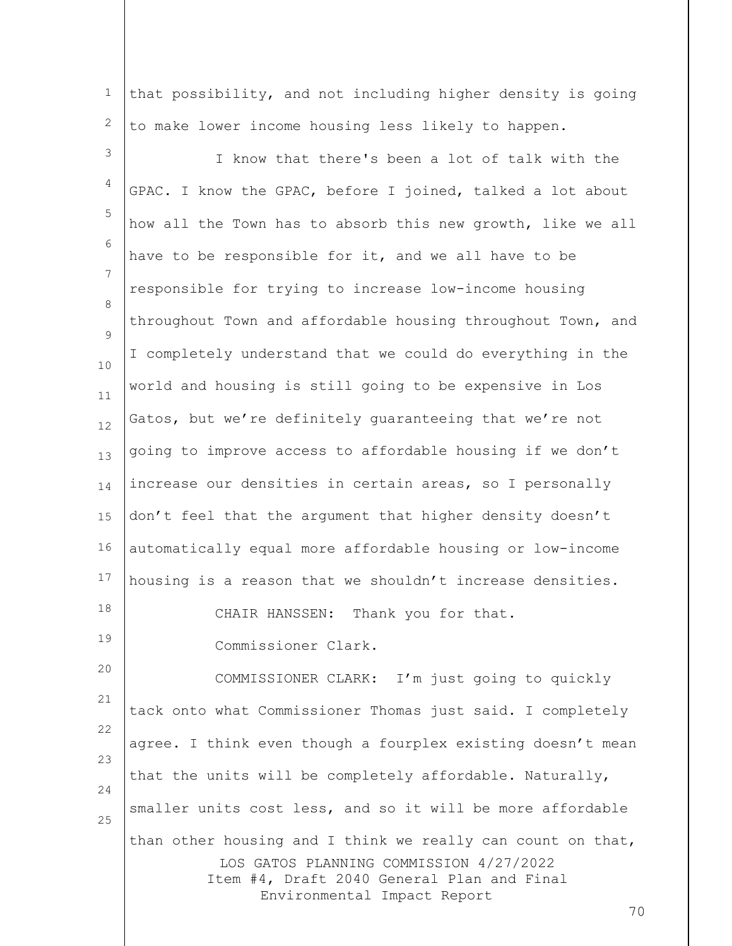1 2 that possibility, and not including higher density is going to make lower income housing less likely to happen.

LOS GATOS PLANNING COMMISSION 4/27/2022 Item #4, Draft 2040 General Plan and Final Environmental Impact Report 3 4 5 6 7 8  $\mathsf{Q}$ 10 11 12 13 14 15 16 17 18 19 20 21 22 23 24 25 I know that there's been a lot of talk with the GPAC. I know the GPAC, before I joined, talked a lot about how all the Town has to absorb this new growth, like we all have to be responsible for it, and we all have to be responsible for trying to increase low-income housing throughout Town and affordable housing throughout Town, and I completely understand that we could do everything in the world and housing is still going to be expensive in Los Gatos, but we're definitely guaranteeing that we're not going to improve access to affordable housing if we don't increase our densities in certain areas, so I personally don't feel that the argument that higher density doesn't automatically equal more affordable housing or low-income housing is a reason that we shouldn't increase densities. CHAIR HANSSEN: Thank you for that. Commissioner Clark. COMMISSIONER CLARK: I'm just going to quickly tack onto what Commissioner Thomas just said. I completely agree. I think even though a fourplex existing doesn't mean that the units will be completely affordable. Naturally, smaller units cost less, and so it will be more affordable than other housing and I think we really can count on that,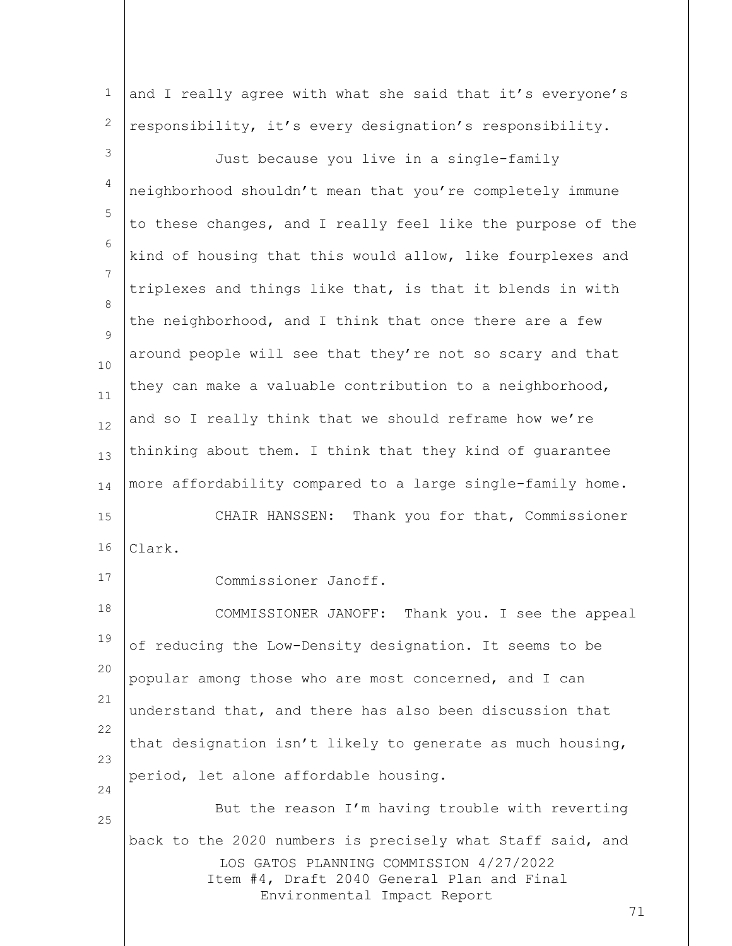1 2 and I really agree with what she said that it's everyone's responsibility, it's every designation's responsibility.

3 4 5 6 7 8  $\mathsf{Q}$ 10 11 12 13 14 15 16 Just because you live in a single-family neighborhood shouldn't mean that you're completely immune to these changes, and I really feel like the purpose of the kind of housing that this would allow, like fourplexes and triplexes and things like that, is that it blends in with the neighborhood, and I think that once there are a few around people will see that they're not so scary and that they can make a valuable contribution to a neighborhood, and so I really think that we should reframe how we're thinking about them. I think that they kind of guarantee more affordability compared to a large single-family home. CHAIR HANSSEN: Thank you for that, Commissioner Clark.

17

25

Commissioner Janoff.

18 19 20 21 22 23 24 COMMISSIONER JANOFF: Thank you. I see the appeal of reducing the Low-Density designation. It seems to be popular among those who are most concerned, and I can understand that, and there has also been discussion that that designation isn't likely to generate as much housing, period, let alone affordable housing.

LOS GATOS PLANNING COMMISSION 4/27/2022 Item #4, Draft 2040 General Plan and Final Environmental Impact Report But the reason I'm having trouble with reverting back to the 2020 numbers is precisely what Staff said, and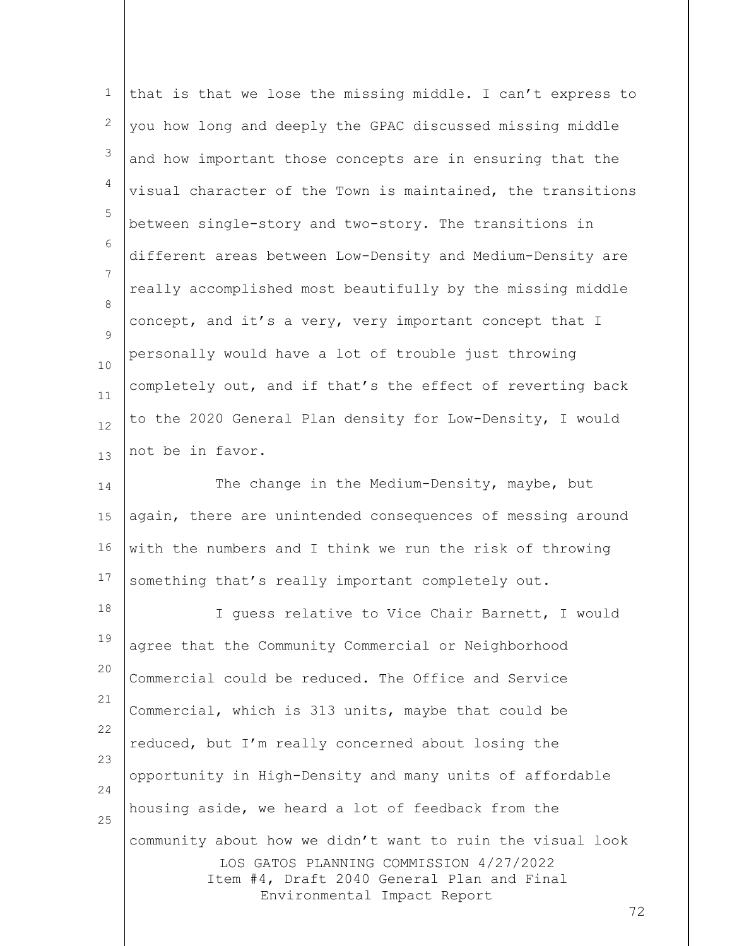| $\mathbf 1$     | that is that we lose the missing middle. I can't express to                                                                                                                              |
|-----------------|------------------------------------------------------------------------------------------------------------------------------------------------------------------------------------------|
| 2               | you how long and deeply the GPAC discussed missing middle                                                                                                                                |
| 3               | and how important those concepts are in ensuring that the                                                                                                                                |
| 4               | visual character of the Town is maintained, the transitions                                                                                                                              |
| 5               | between single-story and two-story. The transitions in                                                                                                                                   |
| 6               | different areas between Low-Density and Medium-Density are                                                                                                                               |
| $7\phantom{.0}$ | really accomplished most beautifully by the missing middle                                                                                                                               |
| 8<br>9          | concept, and it's a very, very important concept that I                                                                                                                                  |
| 10              | personally would have a lot of trouble just throwing                                                                                                                                     |
| 11              | completely out, and if that's the effect of reverting back                                                                                                                               |
| 12              | to the 2020 General Plan density for Low-Density, I would                                                                                                                                |
| 13              | not be in favor.                                                                                                                                                                         |
| 14              | The change in the Medium-Density, maybe, but                                                                                                                                             |
| 15              | again, there are unintended consequences of messing around                                                                                                                               |
| 16              | with the numbers and I think we run the risk of throwing                                                                                                                                 |
| 17              | something that's really important completely out.                                                                                                                                        |
| 18              | I quess relative to Vice Chair Barnett, I would                                                                                                                                          |
| 19              | agree that the Community Commercial or Neighborhood                                                                                                                                      |
| 20              | Commercial could be reduced. The Office and Service                                                                                                                                      |
| 21              | Commercial, which is 313 units, maybe that could be                                                                                                                                      |
| 22              | reduced, but I'm really concerned about losing the                                                                                                                                       |
| 23<br>24        | opportunity in High-Density and many units of affordable                                                                                                                                 |
| 25              | housing aside, we heard a lot of feedback from the                                                                                                                                       |
|                 | community about how we didn't want to ruin the visual look<br>LOS GATOS PLANNING COMMISSION 4/27/2022<br>Item #4, Draft 2040 General Plan and Final<br>Environmental Impact Report<br>72 |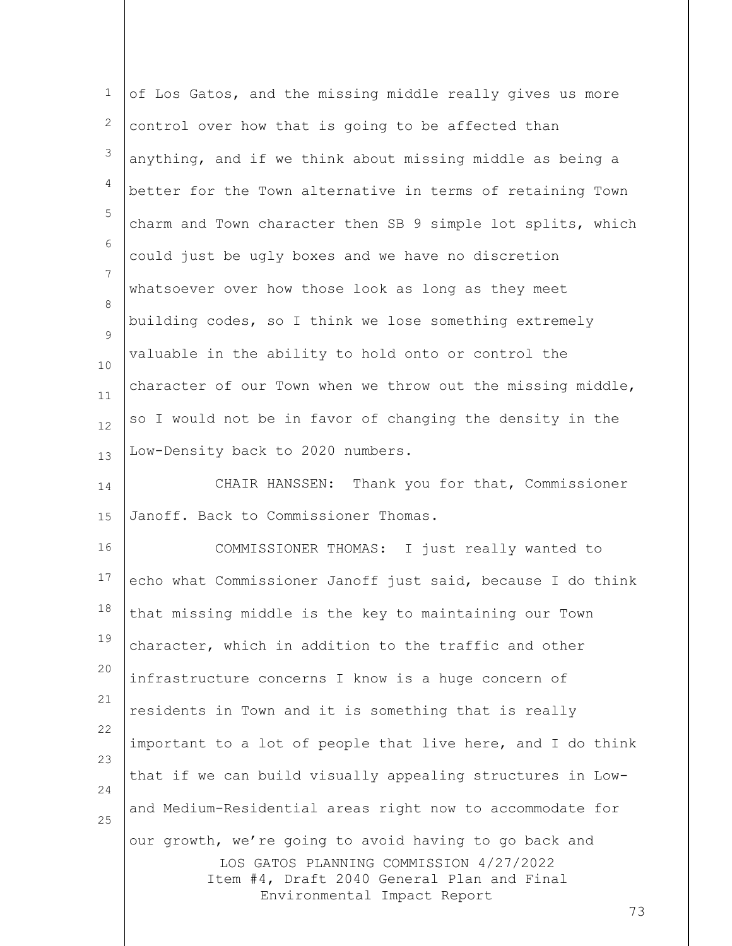| $\mathbf 1$ | of Los Gatos, and the missing middle really gives us more                                                            |
|-------------|----------------------------------------------------------------------------------------------------------------------|
| 2           | control over how that is going to be affected than                                                                   |
| 3           | anything, and if we think about missing middle as being a                                                            |
| 4           | better for the Town alternative in terms of retaining Town                                                           |
| 5           | charm and Town character then SB 9 simple lot splits, which                                                          |
| 6           | could just be ugly boxes and we have no discretion                                                                   |
| 7           | whatsoever over how those look as long as they meet                                                                  |
| 8           | building codes, so I think we lose something extremely                                                               |
| 9<br>$10$   | valuable in the ability to hold onto or control the                                                                  |
| 11          | character of our Town when we throw out the missing middle,                                                          |
| 12          | so I would not be in favor of changing the density in the                                                            |
| 13          | Low-Density back to 2020 numbers.                                                                                    |
| 14          | CHAIR HANSSEN: Thank you for that, Commissioner                                                                      |
| 15          | Janoff. Back to Commissioner Thomas.                                                                                 |
| 16          | COMMISSIONER THOMAS: I just really wanted to                                                                         |
| 17          | echo what Commissioner Janoff just said, because I do think                                                          |
| 18          | that missing middle is the key to maintaining our Town                                                               |
| 19          | character, which in addition to the traffic and other                                                                |
| 20          | infrastructure concerns I know is a huge concern of                                                                  |
| 21          | residents in Town and it is something that is really                                                                 |
| 22          | important to a lot of people that live here, and I do think                                                          |
| 23          | that if we can build visually appealing structures in Low-                                                           |
| 24          | and Medium-Residential areas right now to accommodate for                                                            |
| 25          | our growth, we're going to avoid having to go back and                                                               |
|             | LOS GATOS PLANNING COMMISSION 4/27/2022<br>Item #4, Draft 2040 General Plan and Final<br>Environmental Impact Report |
|             | 73                                                                                                                   |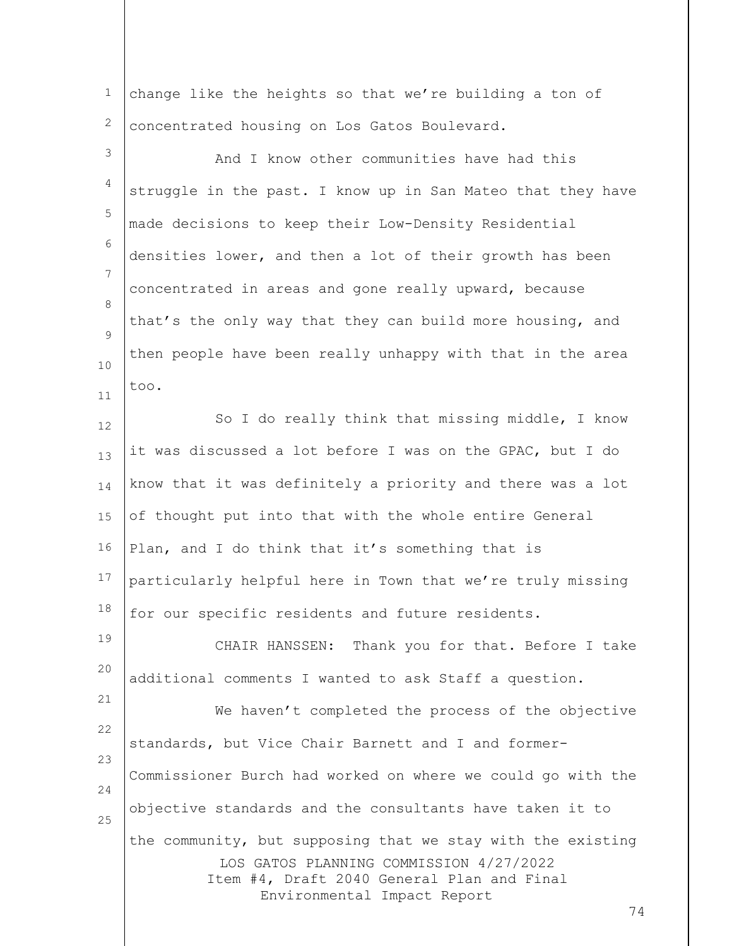1 2 change like the heights so that we're building a ton of concentrated housing on Los Gatos Boulevard.

LOS GATOS PLANNING COMMISSION 4/27/2022 Item #4, Draft 2040 General Plan and Final Environmental Impact Report 3 4 5 6 7 8  $\mathsf{Q}$ 10 11 12 13 14 15 16 17 18 19 20 21 22 23 24 25 And I know other communities have had this struggle in the past. I know up in San Mateo that they have made decisions to keep their Low-Density Residential densities lower, and then a lot of their growth has been concentrated in areas and gone really upward, because that's the only way that they can build more housing, and then people have been really unhappy with that in the area too. So I do really think that missing middle, I know it was discussed a lot before I was on the GPAC, but I do know that it was definitely a priority and there was a lot of thought put into that with the whole entire General Plan, and I do think that it's something that is particularly helpful here in Town that we're truly missing for our specific residents and future residents. CHAIR HANSSEN: Thank you for that. Before I take additional comments I wanted to ask Staff a question. We haven't completed the process of the objective standards, but Vice Chair Barnett and I and former-Commissioner Burch had worked on where we could go with the objective standards and the consultants have taken it to the community, but supposing that we stay with the existing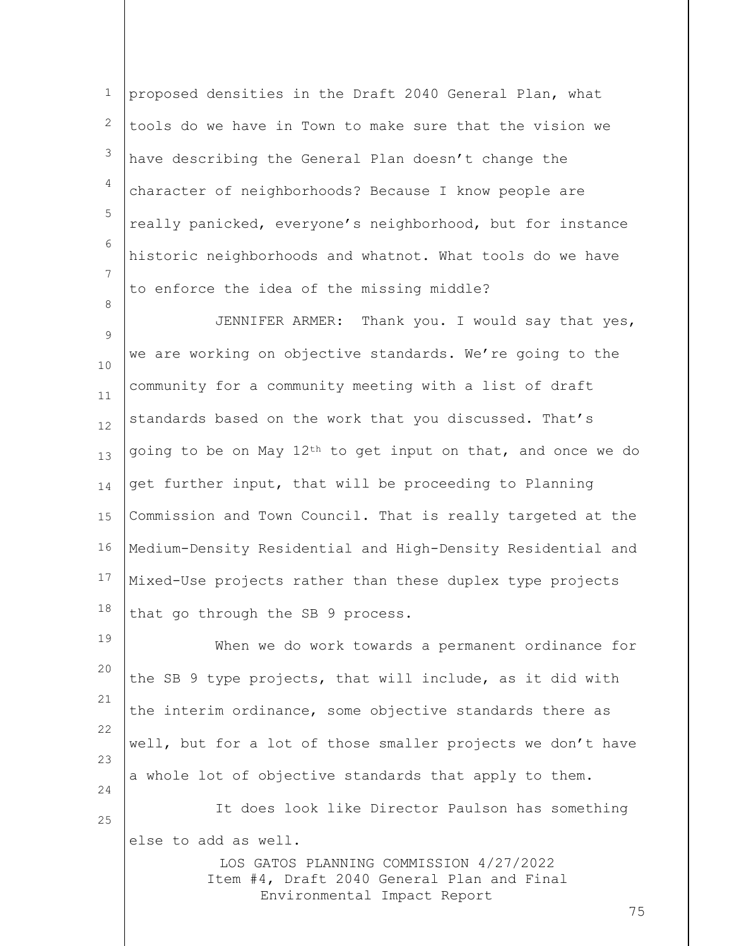1 2 3 4 5 6 7 proposed densities in the Draft 2040 General Plan, what tools do we have in Town to make sure that the vision we have describing the General Plan doesn't change the character of neighborhoods? Because I know people are really panicked, everyone's neighborhood, but for instance historic neighborhoods and whatnot. What tools do we have to enforce the idea of the missing middle?

8

9 10 11 12 13 14 15 16 17 18 JENNIFER ARMER: Thank you. I would say that yes, we are working on objective standards. We're going to the community for a community meeting with a list of draft standards based on the work that you discussed. That's going to be on May 12th to get input on that, and once we do get further input, that will be proceeding to Planning Commission and Town Council. That is really targeted at the Medium-Density Residential and High-Density Residential and Mixed-Use projects rather than these duplex type projects that go through the SB 9 process.

LOS GATOS PLANNING COMMISSION 4/27/2022 19 20 21 22 23 24 25 When we do work towards a permanent ordinance for the SB 9 type projects, that will include, as it did with the interim ordinance, some objective standards there as well, but for a lot of those smaller projects we don't have a whole lot of objective standards that apply to them. It does look like Director Paulson has something else to add as well.

Item #4, Draft 2040 General Plan and Final Environmental Impact Report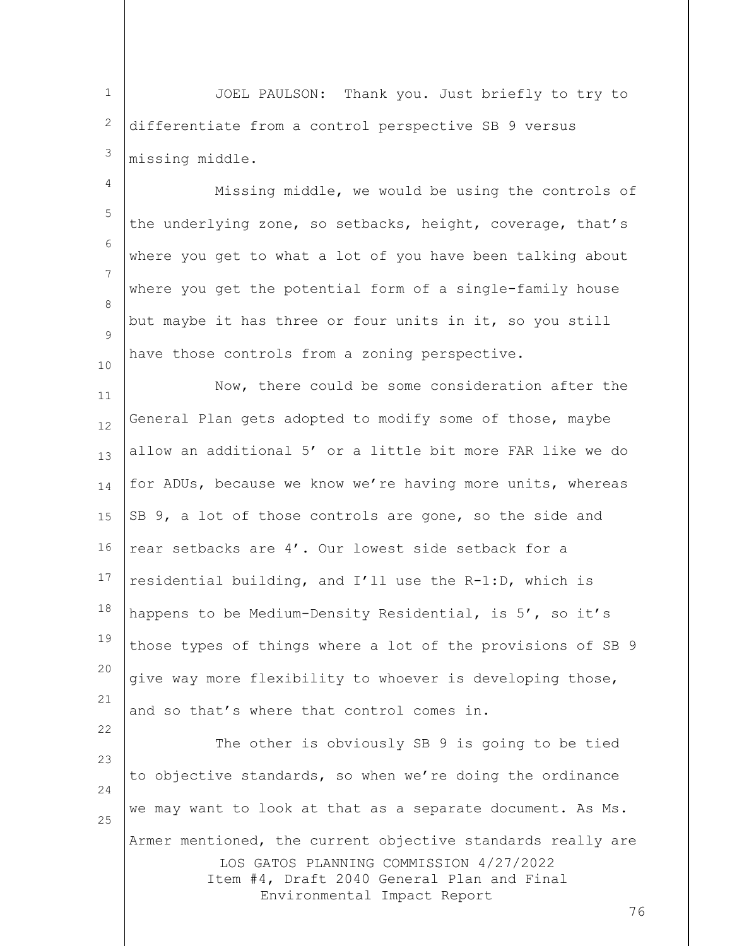1 2 3 JOEL PAULSON: Thank you. Just briefly to try to differentiate from a control perspective SB 9 versus missing middle.

4 5 6 7 8  $\mathsf{Q}$ 10 Missing middle, we would be using the controls of the underlying zone, so setbacks, height, coverage, that's where you get to what a lot of you have been talking about where you get the potential form of a single-family house but maybe it has three or four units in it, so you still have those controls from a zoning perspective.

11 12 13 14 15 16 17 18 19 20 21 Now, there could be some consideration after the General Plan gets adopted to modify some of those, maybe allow an additional 5' or a little bit more FAR like we do for ADUs, because we know we're having more units, whereas SB 9, a lot of those controls are gone, so the side and rear setbacks are 4'. Our lowest side setback for a residential building, and I'll use the R-1:D, which is happens to be Medium-Density Residential, is 5', so it's those types of things where a lot of the provisions of SB 9 give way more flexibility to whoever is developing those, and so that's where that control comes in.

LOS GATOS PLANNING COMMISSION 4/27/2022 Item #4, Draft 2040 General Plan and Final Environmental Impact Report 23 24 25 The other is obviously SB 9 is going to be tied to objective standards, so when we're doing the ordinance we may want to look at that as a separate document. As Ms. Armer mentioned, the current objective standards really are

22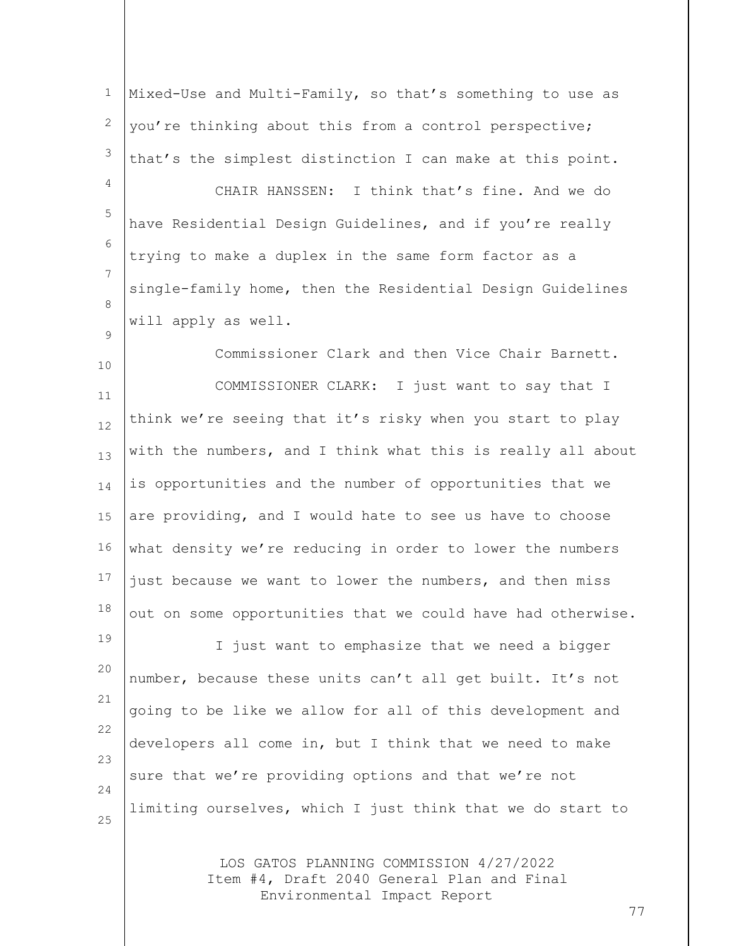1 2 3 Mixed-Use and Multi-Family, so that's something to use as you're thinking about this from a control perspective; that's the simplest distinction I can make at this point.

4

 $\mathsf{Q}$ 

5 6 7 8 CHAIR HANSSEN: I think that's fine. And we do have Residential Design Guidelines, and if you're really trying to make a duplex in the same form factor as a single-family home, then the Residential Design Guidelines will apply as well.

10 11 12 13 14 15 16 17 18 Commissioner Clark and then Vice Chair Barnett. COMMISSIONER CLARK: I just want to say that I think we're seeing that it's risky when you start to play with the numbers, and I think what this is really all about is opportunities and the number of opportunities that we are providing, and I would hate to see us have to choose what density we're reducing in order to lower the numbers just because we want to lower the numbers, and then miss out on some opportunities that we could have had otherwise.

19 20 21 22 23 24 25 I just want to emphasize that we need a bigger number, because these units can't all get built. It's not going to be like we allow for all of this development and developers all come in, but I think that we need to make sure that we're providing options and that we're not limiting ourselves, which I just think that we do start to

> LOS GATOS PLANNING COMMISSION 4/27/2022 Item #4, Draft 2040 General Plan and Final Environmental Impact Report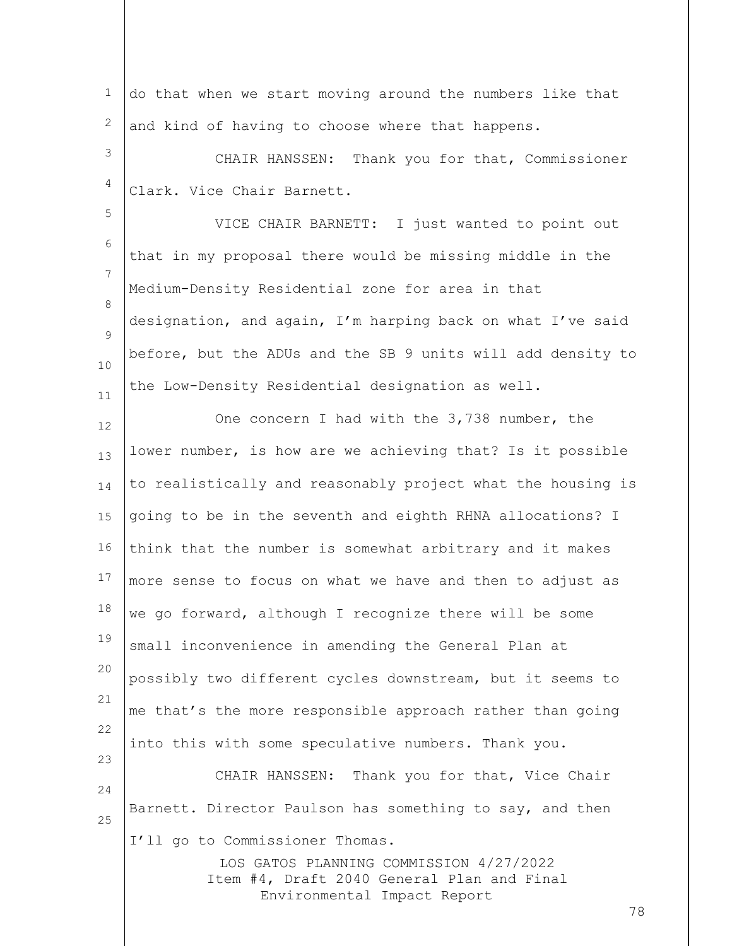1 2 do that when we start moving around the numbers like that and kind of having to choose where that happens.

3 4 CHAIR HANSSEN: Thank you for that, Commissioner Clark. Vice Chair Barnett.

5

6 7 8  $\mathsf{Q}$ 10 11 VICE CHAIR BARNETT: I just wanted to point out that in my proposal there would be missing middle in the Medium-Density Residential zone for area in that designation, and again, I'm harping back on what I've said before, but the ADUs and the SB 9 units will add density to the Low-Density Residential designation as well.

LOS GATOS PLANNING COMMISSION 4/27/2022 Item #4, Draft 2040 General Plan and Final Environmental Impact Report 12 13 14 15 16 17 18 19 20 21 22 23 24 25 One concern I had with the 3,738 number, the lower number, is how are we achieving that? Is it possible to realistically and reasonably project what the housing is going to be in the seventh and eighth RHNA allocations? I think that the number is somewhat arbitrary and it makes more sense to focus on what we have and then to adjust as we go forward, although I recognize there will be some small inconvenience in amending the General Plan at possibly two different cycles downstream, but it seems to me that's the more responsible approach rather than going into this with some speculative numbers. Thank you. CHAIR HANSSEN: Thank you for that, Vice Chair Barnett. Director Paulson has something to say, and then I'll go to Commissioner Thomas.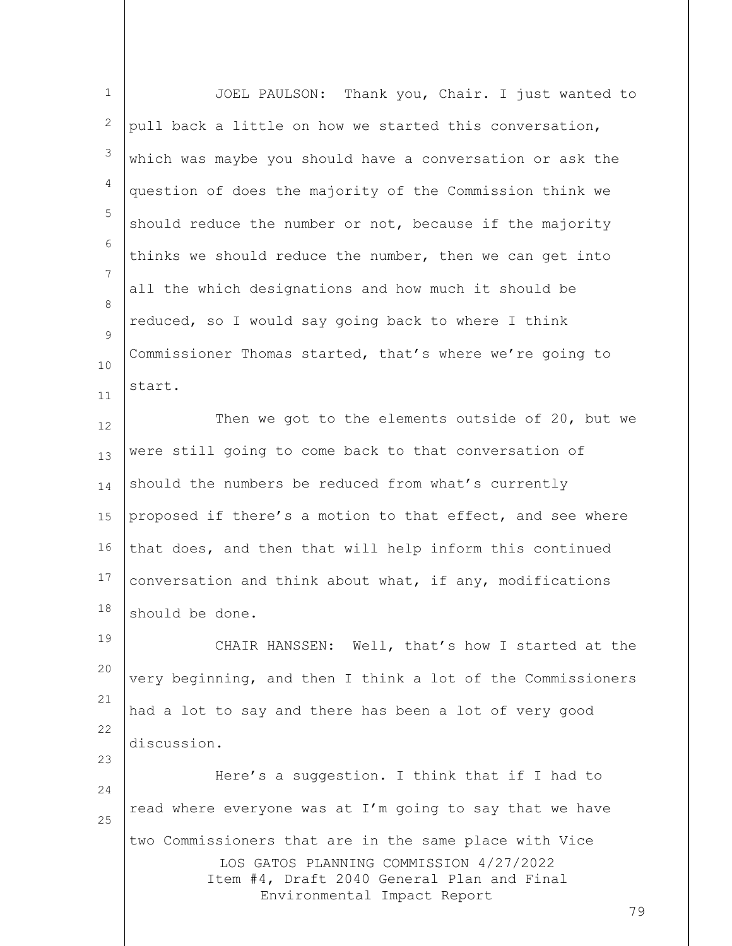| $\mathbf 1$ | JOEL PAULSON: Thank you, Chair. I just wanted to                                                                                                                               |
|-------------|--------------------------------------------------------------------------------------------------------------------------------------------------------------------------------|
| 2           | pull back a little on how we started this conversation,                                                                                                                        |
| 3           | which was maybe you should have a conversation or ask the                                                                                                                      |
| 4           | question of does the majority of the Commission think we                                                                                                                       |
| 5           | should reduce the number or not, because if the majority                                                                                                                       |
| 6           | thinks we should reduce the number, then we can get into                                                                                                                       |
| 7           | all the which designations and how much it should be                                                                                                                           |
| 8<br>9      | reduced, so I would say going back to where I think                                                                                                                            |
| 10          | Commissioner Thomas started, that's where we're going to                                                                                                                       |
| 11          | start.                                                                                                                                                                         |
| 12          | Then we got to the elements outside of 20, but we                                                                                                                              |
| 13          | were still going to come back to that conversation of                                                                                                                          |
| 14          | should the numbers be reduced from what's currently                                                                                                                            |
| 15          | proposed if there's a motion to that effect, and see where                                                                                                                     |
| 16          | that does, and then that will help inform this continued                                                                                                                       |
| 17          | conversation and think about what, if any, modifications                                                                                                                       |
| 18          | should be done.                                                                                                                                                                |
| 19          | CHAIR HANSSEN: Well, that's how I started at the                                                                                                                               |
| 20          | very beginning, and then I think a lot of the Commissioners                                                                                                                    |
| 21          | had a lot to say and there has been a lot of very good                                                                                                                         |
| 22          | discussion.                                                                                                                                                                    |
| 23<br>24    | Here's a suggestion. I think that if I had to                                                                                                                                  |
| 25          | read where everyone was at I'm going to say that we have                                                                                                                       |
|             | two Commissioners that are in the same place with Vice<br>LOS GATOS PLANNING COMMISSION 4/27/2022<br>Item #4, Draft 2040 General Plan and Final<br>Environmental Impact Report |
|             | 79                                                                                                                                                                             |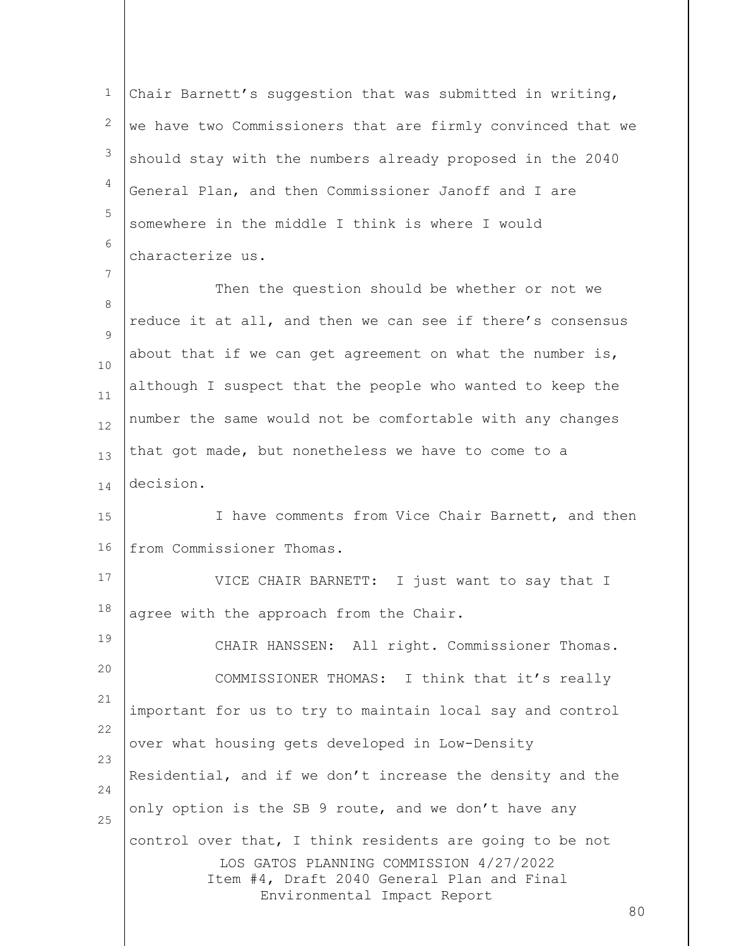1 2 3 4 5 6 Chair Barnett's suggestion that was submitted in writing, we have two Commissioners that are firmly convinced that we should stay with the numbers already proposed in the 2040 General Plan, and then Commissioner Janoff and I are somewhere in the middle I think is where I would characterize us.

8  $\mathsf{Q}$ 10 11 12 13 14 Then the question should be whether or not we reduce it at all, and then we can see if there's consensus about that if we can get agreement on what the number is, although I suspect that the people who wanted to keep the number the same would not be comfortable with any changes that got made, but nonetheless we have to come to a decision.

7

19

15 16 I have comments from Vice Chair Barnett, and then from Commissioner Thomas.

17 18 VICE CHAIR BARNETT: I just want to say that I agree with the approach from the Chair.

LOS GATOS PLANNING COMMISSION 4/27/2022 Item #4, Draft 2040 General Plan and Final Environmental Impact Report 20 21 22 23 24 25 CHAIR HANSSEN: All right. Commissioner Thomas. COMMISSIONER THOMAS: I think that it's really important for us to try to maintain local say and control over what housing gets developed in Low-Density Residential, and if we don't increase the density and the only option is the SB 9 route, and we don't have any control over that, I think residents are going to be not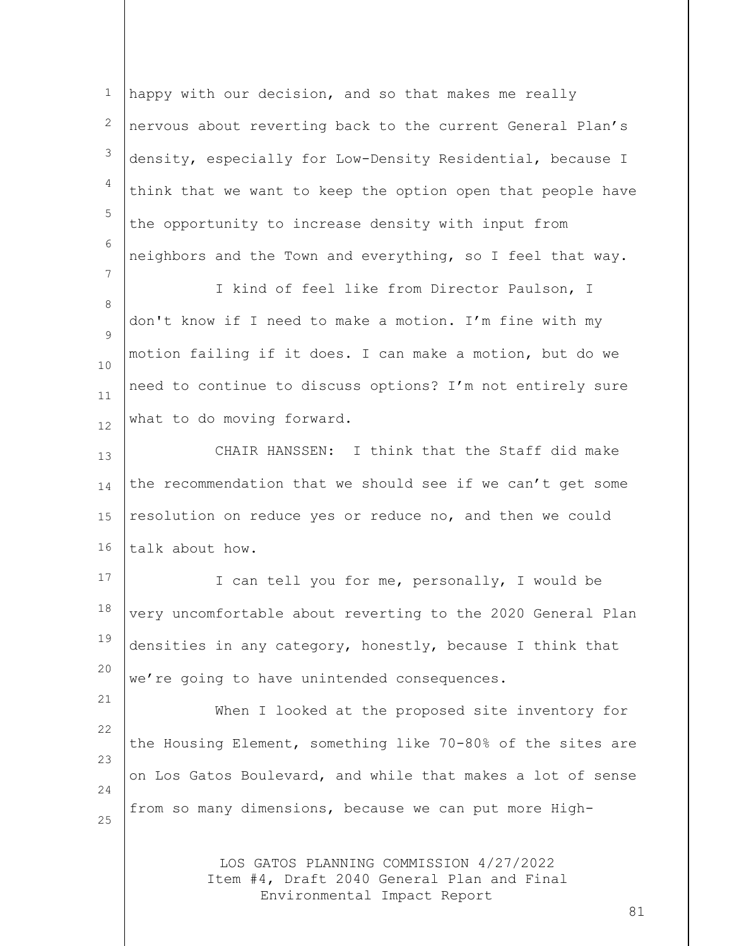1 2 3 4 5 6 7 8  $\mathsf{Q}$ 10 11 12 happy with our decision, and so that makes me really nervous about reverting back to the current General Plan's density, especially for Low-Density Residential, because I think that we want to keep the option open that people have the opportunity to increase density with input from neighbors and the Town and everything, so I feel that way. I kind of feel like from Director Paulson, I don't know if I need to make a motion. I'm fine with my motion failing if it does. I can make a motion, but do we need to continue to discuss options? I'm not entirely sure what to do moving forward.

13 14 15 16 CHAIR HANSSEN: I think that the Staff did make the recommendation that we should see if we can't get some resolution on reduce yes or reduce no, and then we could talk about how.

17 18 19 20 I can tell you for me, personally, I would be very uncomfortable about reverting to the 2020 General Plan densities in any category, honestly, because I think that we're going to have unintended consequences.

21

22 23 24 25 When I looked at the proposed site inventory for the Housing Element, something like 70-80% of the sites are on Los Gatos Boulevard, and while that makes a lot of sense from so many dimensions, because we can put more High-

> LOS GATOS PLANNING COMMISSION 4/27/2022 Item #4, Draft 2040 General Plan and Final Environmental Impact Report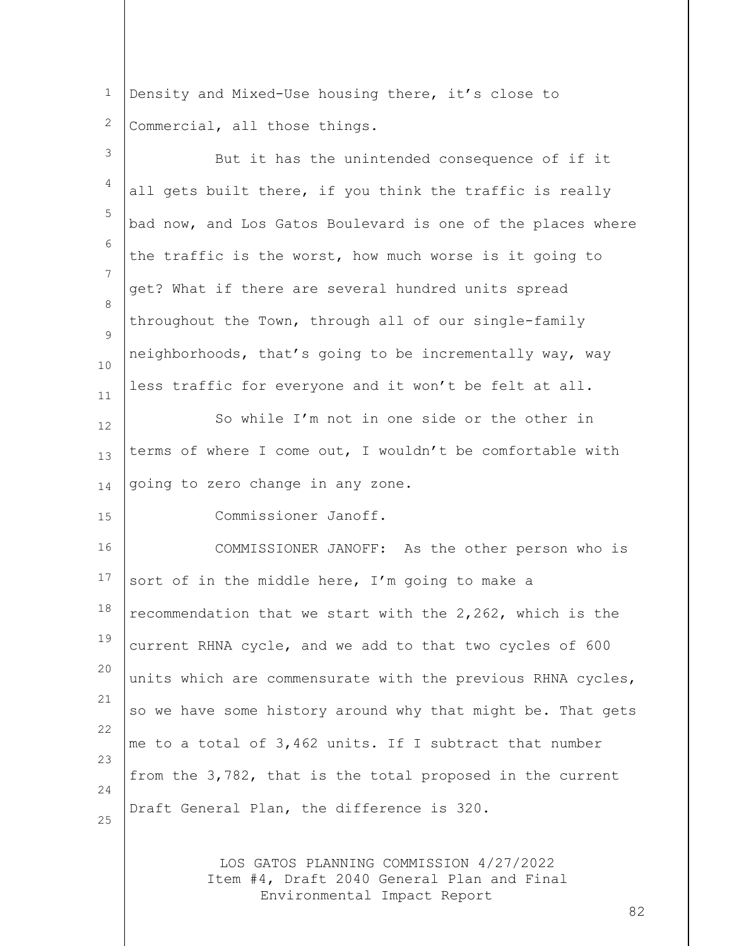1 2 Density and Mixed-Use housing there, it's close to Commercial, all those things.

| 3                   | But it has the unintended consequence of if it                                        |
|---------------------|---------------------------------------------------------------------------------------|
| 4                   | all gets built there, if you think the traffic is really                              |
| 5                   | bad now, and Los Gatos Boulevard is one of the places where                           |
| 6<br>$\overline{7}$ | the traffic is the worst, how much worse is it going to                               |
| 8                   | get? What if there are several hundred units spread                                   |
| 9                   | throughout the Town, through all of our single-family                                 |
| 10                  | neighborhoods, that's going to be incrementally way, way                              |
| 11                  | less traffic for everyone and it won't be felt at all.                                |
| 12                  | So while I'm not in one side or the other in                                          |
| 13                  | terms of where I come out, I wouldn't be comfortable with                             |
| 14                  | going to zero change in any zone.                                                     |
| 15                  | Commissioner Janoff.                                                                  |
| 16                  | COMMISSIONER JANOFF: As the other person who is                                       |
| 17                  | sort of in the middle here, I'm going to make a                                       |
| 18                  | recommendation that we start with the 2,262, which is the                             |
| 19                  | current RHNA cycle, and we add to that two cycles of 600                              |
| 20                  | units which are commensurate with the previous RHNA cycles,                           |
| 21<br>22            | so we have some history around why that might be. That gets                           |
| 23                  | me to a total of 3,462 units. If I subtract that number                               |
| 24                  | from the 3,782, that is the total proposed in the current                             |
| 25                  | Draft General Plan, the difference is 320.                                            |
|                     | LOS GATOS PLANNING COMMISSION 4/27/2022<br>Item #4, Draft 2040 General Plan and Final |

Environmental Impact Report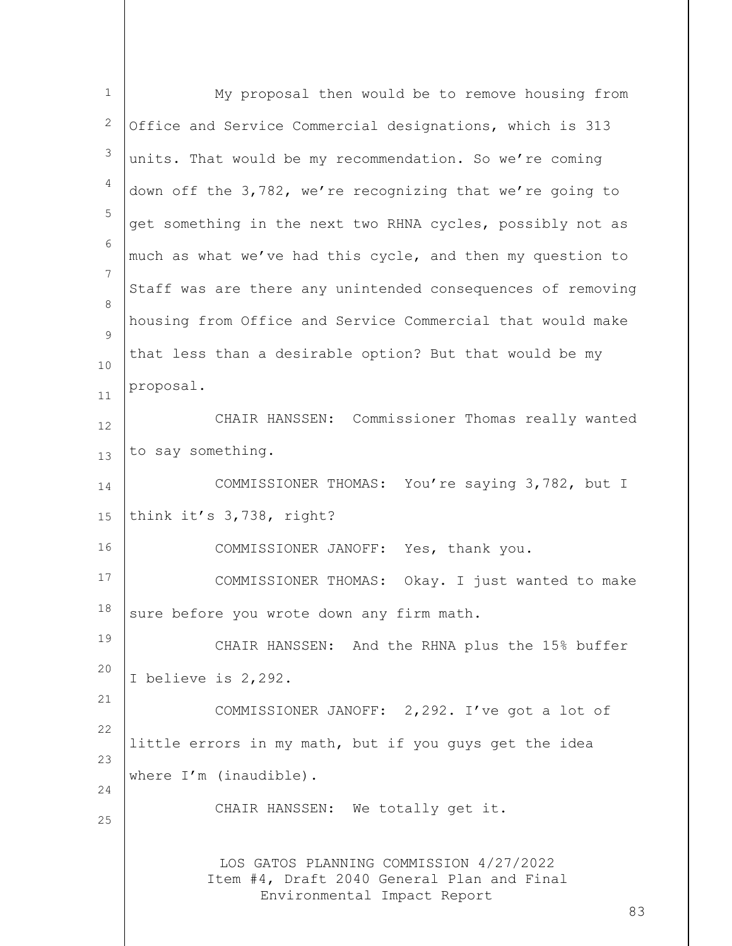| $\mathbf{1}$   | My proposal then would be to remove housing from                                                                           |
|----------------|----------------------------------------------------------------------------------------------------------------------------|
| 2              | Office and Service Commercial designations, which is 313                                                                   |
| 3              | units. That would be my recommendation. So we're coming                                                                    |
| $\overline{4}$ | down off the 3,782, we're recognizing that we're going to                                                                  |
| 5              | get something in the next two RHNA cycles, possibly not as                                                                 |
| 6              | much as what we've had this cycle, and then my question to                                                                 |
| 7              | Staff was are there any unintended consequences of removing                                                                |
| 8              | housing from Office and Service Commercial that would make                                                                 |
| 9<br>10        | that less than a desirable option? But that would be my                                                                    |
| 11             | proposal.                                                                                                                  |
| 12             | CHAIR HANSSEN: Commissioner Thomas really wanted                                                                           |
| 13             | to say something.                                                                                                          |
| 14             | COMMISSIONER THOMAS: You're saying 3,782, but I                                                                            |
| 15             | think it's 3,738, right?                                                                                                   |
| 16             | COMMISSIONER JANOFF: Yes, thank you.                                                                                       |
| 17             | COMMISSIONER THOMAS: Okay. I just wanted to make                                                                           |
| 18             | sure before you wrote down any firm math.                                                                                  |
| 19             | CHAIR HANSSEN: And the RHNA plus the 15% buffer                                                                            |
| 20             | I believe is 2,292.                                                                                                        |
| 21             | COMMISSIONER JANOFF: 2,292. I've got a lot of                                                                              |
| 22             | little errors in my math, but if you guys get the idea                                                                     |
| 23<br>24       | where I'm (inaudible).                                                                                                     |
| 25             | CHAIR HANSSEN: We totally get it.                                                                                          |
|                | LOS GATOS PLANNING COMMISSION 4/27/2022<br>Item #4, Draft 2040 General Plan and Final<br>Environmental Impact Report<br>83 |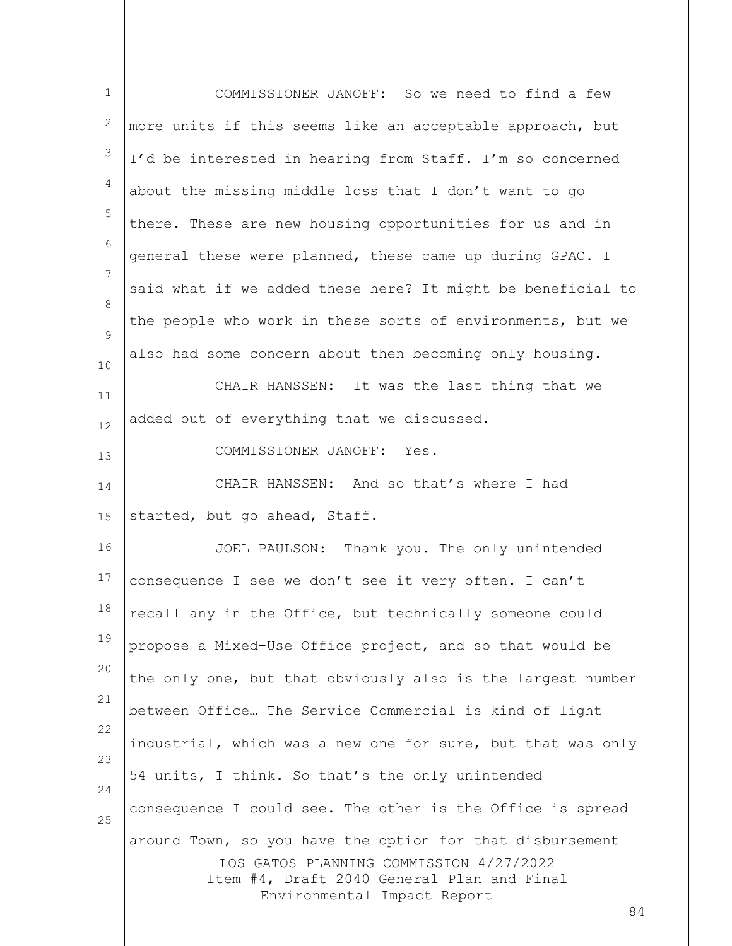| $\mathbf{1}$    | COMMISSIONER JANOFF: So we need to find a few                                                                                                                                           |
|-----------------|-----------------------------------------------------------------------------------------------------------------------------------------------------------------------------------------|
| 2               | more units if this seems like an acceptable approach, but                                                                                                                               |
| $\mathfrak{Z}$  | I'd be interested in hearing from Staff. I'm so concerned                                                                                                                               |
| $\overline{4}$  | about the missing middle loss that I don't want to go                                                                                                                                   |
| 5               | there. These are new housing opportunities for us and in                                                                                                                                |
| 6               | general these were planned, these came up during GPAC. I                                                                                                                                |
| $7\phantom{.0}$ | said what if we added these here? It might be beneficial to                                                                                                                             |
| 8<br>9          | the people who work in these sorts of environments, but we                                                                                                                              |
| $10$            | also had some concern about then becoming only housing.                                                                                                                                 |
| 11              | CHAIR HANSSEN: It was the last thing that we                                                                                                                                            |
| 12              | added out of everything that we discussed.                                                                                                                                              |
| 13              | COMMISSIONER JANOFF: Yes.                                                                                                                                                               |
| 14              | CHAIR HANSSEN: And so that's where I had                                                                                                                                                |
| 15              | started, but go ahead, Staff.                                                                                                                                                           |
| 16              | JOEL PAULSON: Thank you. The only unintended                                                                                                                                            |
| 17              | consequence I see we don't see it very often. I can't                                                                                                                                   |
| 18              | recall any in the Office, but technically someone could                                                                                                                                 |
| 19              | propose a Mixed-Use Office project, and so that would be                                                                                                                                |
| 20              | the only one, but that obviously also is the largest number                                                                                                                             |
| 21              | between Office The Service Commercial is kind of light                                                                                                                                  |
| 22              | industrial, which was a new one for sure, but that was only                                                                                                                             |
| 23              | 54 units, I think. So that's the only unintended                                                                                                                                        |
| 24<br>25        | consequence I could see. The other is the Office is spread                                                                                                                              |
|                 | around Town, so you have the option for that disbursement<br>LOS GATOS PLANNING COMMISSION 4/27/2022<br>Item #4, Draft 2040 General Plan and Final<br>Environmental Impact Report<br>84 |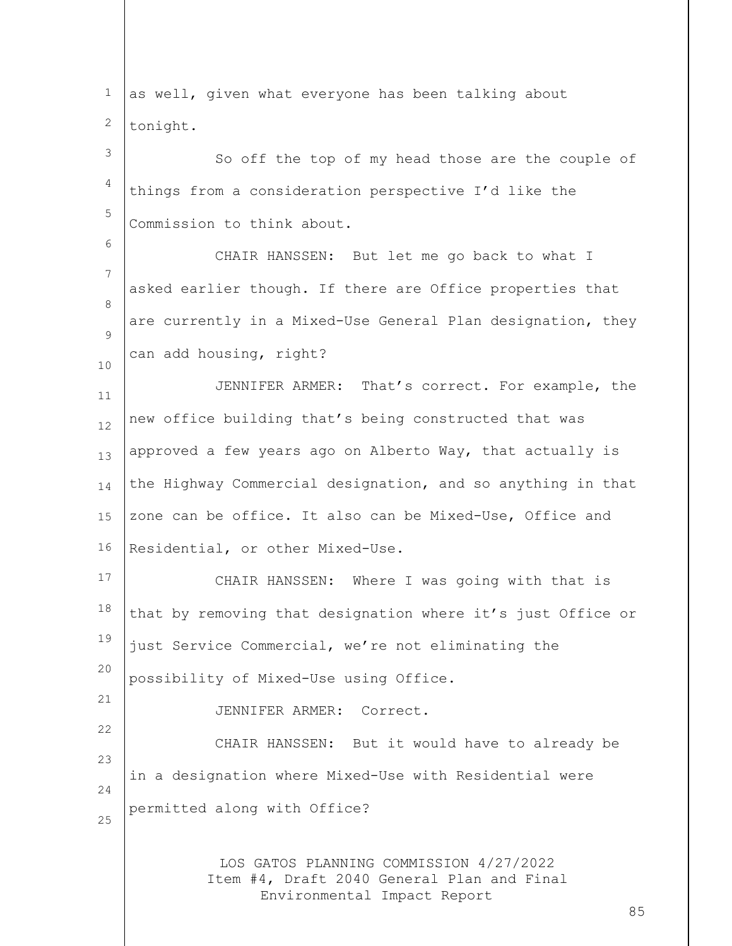| $\mathbf{1}$ | as well, given what everyone has been talking about                                                                        |
|--------------|----------------------------------------------------------------------------------------------------------------------------|
| 2            | tonight.                                                                                                                   |
| 3            | So off the top of my head those are the couple of                                                                          |
| 4            | things from a consideration perspective I'd like the                                                                       |
| 5            | Commission to think about.                                                                                                 |
| 6            | CHAIR HANSSEN: But let me go back to what I                                                                                |
| 7            | asked earlier though. If there are Office properties that                                                                  |
| 8            | are currently in a Mixed-Use General Plan designation, they                                                                |
| 9            | can add housing, right?                                                                                                    |
| 10<br>11     | JENNIFER ARMER: That's correct. For example, the                                                                           |
| 12           | new office building that's being constructed that was                                                                      |
| 13           | approved a few years ago on Alberto Way, that actually is                                                                  |
| 14           | the Highway Commercial designation, and so anything in that                                                                |
| 15           | zone can be office. It also can be Mixed-Use, Office and                                                                   |
| 16           | Residential, or other Mixed-Use.                                                                                           |
| 17           | CHAIR HANSSEN: Where I was going with that is                                                                              |
| 18           | that by removing that designation where it's just Office or                                                                |
| 19           | just Service Commercial, we're not eliminating the                                                                         |
| 20           | possibility of Mixed-Use using Office.                                                                                     |
| 21           | JENNIFER ARMER: Correct.                                                                                                   |
| 22           | CHAIR HANSSEN: But it would have to already be                                                                             |
| 23           | in a designation where Mixed-Use with Residential were                                                                     |
| 24           | permitted along with Office?                                                                                               |
| 25           |                                                                                                                            |
|              | LOS GATOS PLANNING COMMISSION 4/27/2022<br>Item #4, Draft 2040 General Plan and Final<br>Environmental Impact Report<br>85 |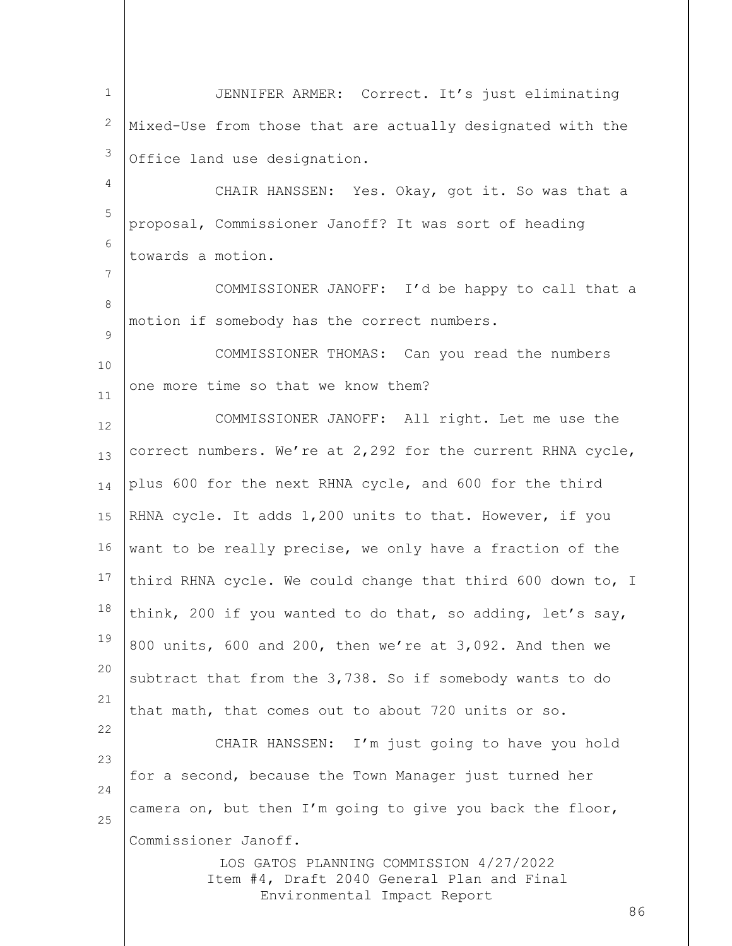LOS GATOS PLANNING COMMISSION 4/27/2022 Item #4, Draft 2040 General Plan and Final Environmental Impact Report 86 1 2 3 4 5 6 7 8  $\mathsf{Q}$ 10 11 12 13 14 15 16 17 18 19 20 21 22 23 24 25 JENNIFER ARMER: Correct. It's just eliminating Mixed-Use from those that are actually designated with the Office land use designation. CHAIR HANSSEN: Yes. Okay, got it. So was that a proposal, Commissioner Janoff? It was sort of heading towards a motion. COMMISSIONER JANOFF: I'd be happy to call that a motion if somebody has the correct numbers. COMMISSIONER THOMAS: Can you read the numbers one more time so that we know them? COMMISSIONER JANOFF: All right. Let me use the correct numbers. We're at 2,292 for the current RHNA cycle, plus 600 for the next RHNA cycle, and 600 for the third RHNA cycle. It adds 1,200 units to that. However, if you want to be really precise, we only have a fraction of the third RHNA cycle. We could change that third 600 down to, I think, 200 if you wanted to do that, so adding, let's say, 800 units, 600 and 200, then we're at 3,092. And then we subtract that from the 3,738. So if somebody wants to do that math, that comes out to about 720 units or so. CHAIR HANSSEN: I'm just going to have you hold for a second, because the Town Manager just turned her camera on, but then I'm going to give you back the floor, Commissioner Janoff.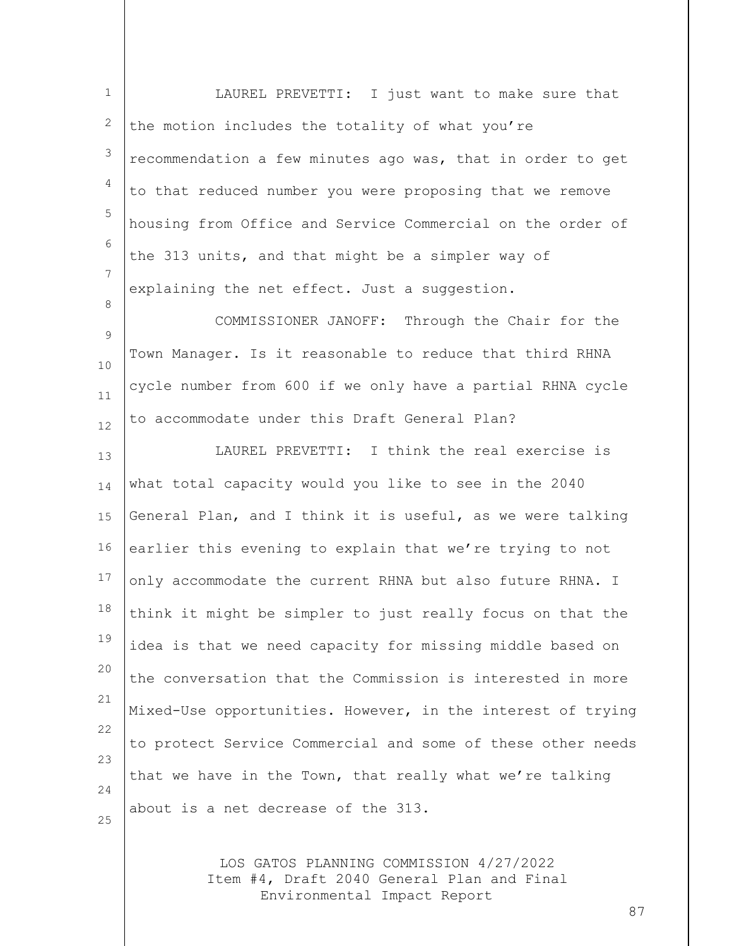1 2 3 4 5 6 7 8  $\mathsf{Q}$ 10 11 12 13 14 15 16 17 18 19 20 21 22 23 24 25 LAUREL PREVETTI: I just want to make sure that the motion includes the totality of what you're recommendation a few minutes ago was, that in order to get to that reduced number you were proposing that we remove housing from Office and Service Commercial on the order of the 313 units, and that might be a simpler way of explaining the net effect. Just a suggestion. COMMISSIONER JANOFF: Through the Chair for the Town Manager. Is it reasonable to reduce that third RHNA cycle number from 600 if we only have a partial RHNA cycle to accommodate under this Draft General Plan? LAUREL PREVETTI: I think the real exercise is what total capacity would you like to see in the 2040 General Plan, and I think it is useful, as we were talking earlier this evening to explain that we're trying to not only accommodate the current RHNA but also future RHNA. I think it might be simpler to just really focus on that the idea is that we need capacity for missing middle based on the conversation that the Commission is interested in more Mixed-Use opportunities. However, in the interest of trying to protect Service Commercial and some of these other needs that we have in the Town, that really what we're talking about is a net decrease of the 313.

> LOS GATOS PLANNING COMMISSION 4/27/2022 Item #4, Draft 2040 General Plan and Final Environmental Impact Report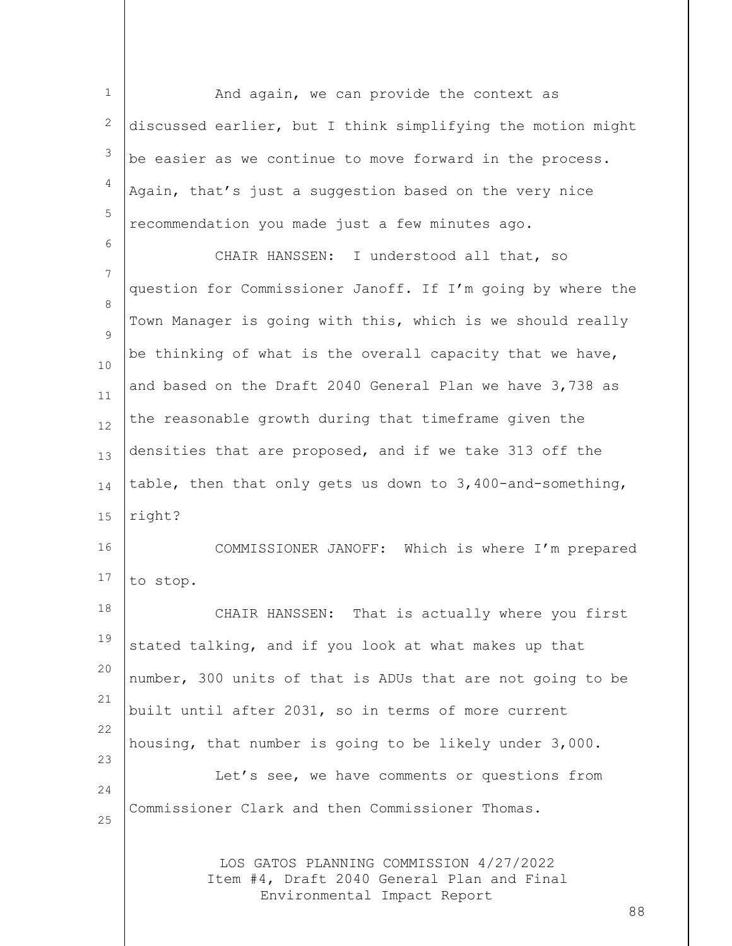1 2 3 4 5 And again, we can provide the context as discussed earlier, but I think simplifying the motion might be easier as we continue to move forward in the process. Again, that's just a suggestion based on the very nice recommendation you made just a few minutes ago.

6

7 8  $\mathsf{Q}$ 10 11 12 13 14 15 16 17 CHAIR HANSSEN: I understood all that, so question for Commissioner Janoff. If I'm going by where the Town Manager is going with this, which is we should really be thinking of what is the overall capacity that we have, and based on the Draft 2040 General Plan we have 3,738 as the reasonable growth during that timeframe given the densities that are proposed, and if we take 313 off the table, then that only gets us down to 3,400-and-something, right? COMMISSIONER JANOFF: Which is where I'm prepared to stop.

18 19 20 21 22 23 24 25 CHAIR HANSSEN: That is actually where you first stated talking, and if you look at what makes up that number, 300 units of that is ADUs that are not going to be built until after 2031, so in terms of more current housing, that number is going to be likely under 3,000. Let's see, we have comments or questions from Commissioner Clark and then Commissioner Thomas.

> LOS GATOS PLANNING COMMISSION 4/27/2022 Item #4, Draft 2040 General Plan and Final Environmental Impact Report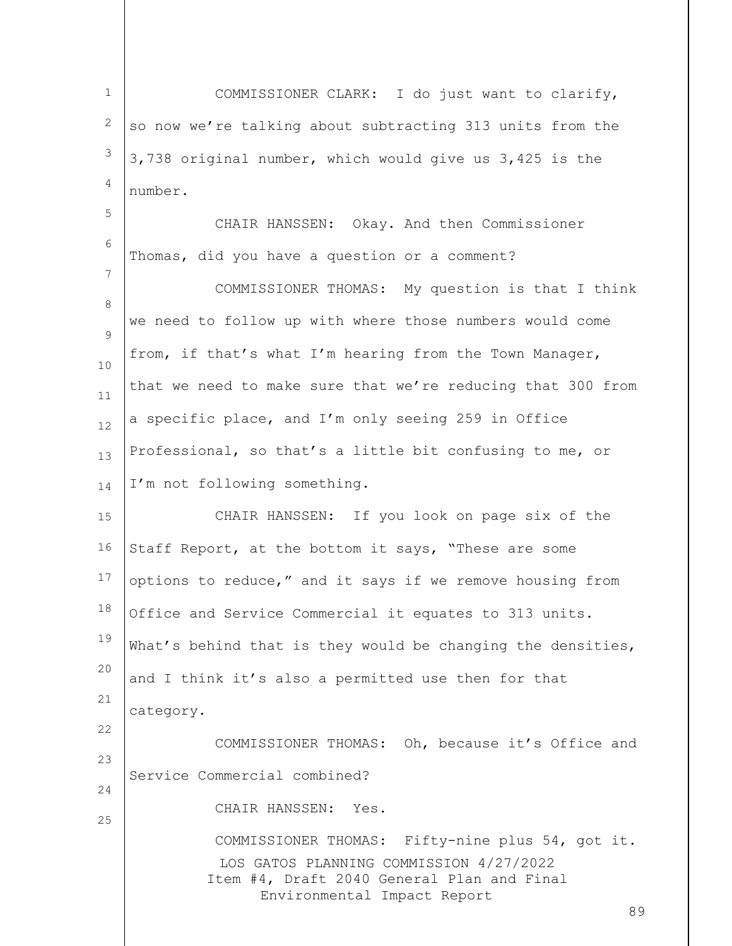LOS GATOS PLANNING COMMISSION 4/27/2022 Item #4, Draft 2040 General Plan and Final Environmental Impact Report 89 1 2 3 4 5 6 7 8  $\mathsf{Q}$ 10 11 12 13 14 15 16 17 18 19 20 21 22 23 24 25 COMMISSIONER CLARK: I do just want to clarify, so now we're talking about subtracting 313 units from the 3,738 original number, which would give us 3,425 is the number. CHAIR HANSSEN: Okay. And then Commissioner Thomas, did you have a question or a comment? COMMISSIONER THOMAS: My question is that I think we need to follow up with where those numbers would come from, if that's what I'm hearing from the Town Manager, that we need to make sure that we're reducing that 300 from a specific place, and I'm only seeing 259 in Office Professional, so that's a little bit confusing to me, or I'm not following something. CHAIR HANSSEN: If you look on page six of the Staff Report, at the bottom it says, "These are some options to reduce," and it says if we remove housing from Office and Service Commercial it equates to 313 units. What's behind that is they would be changing the densities, and I think it's also a permitted use then for that category. COMMISSIONER THOMAS: Oh, because it's Office and Service Commercial combined? CHAIR HANSSEN: Yes. COMMISSIONER THOMAS: Fifty-nine plus 54, got it.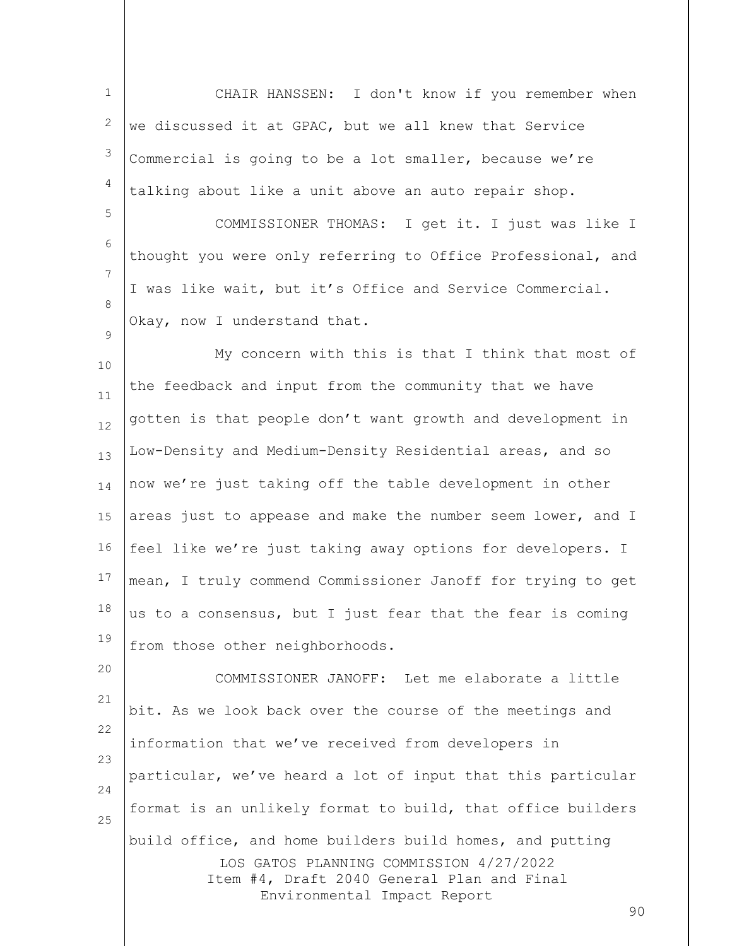1 2 3 4 5 6 7 8 CHAIR HANSSEN: I don't know if you remember when we discussed it at GPAC, but we all knew that Service Commercial is going to be a lot smaller, because we're talking about like a unit above an auto repair shop. COMMISSIONER THOMAS: I get it. I just was like I thought you were only referring to Office Professional, and I was like wait, but it's Office and Service Commercial. Okay, now I understand that.

 $\mathsf{Q}$ 

10 11 12 13 14 15 16 17 18 19 My concern with this is that I think that most of the feedback and input from the community that we have gotten is that people don't want growth and development in Low-Density and Medium-Density Residential areas, and so now we're just taking off the table development in other areas just to appease and make the number seem lower, and I feel like we're just taking away options for developers. I mean, I truly commend Commissioner Janoff for trying to get us to a consensus, but I just fear that the fear is coming from those other neighborhoods.

LOS GATOS PLANNING COMMISSION 4/27/2022 Item #4, Draft 2040 General Plan and Final Environmental Impact Report 20 21 22 23 24 25 COMMISSIONER JANOFF: Let me elaborate a little bit. As we look back over the course of the meetings and information that we've received from developers in particular, we've heard a lot of input that this particular format is an unlikely format to build, that office builders build office, and home builders build homes, and putting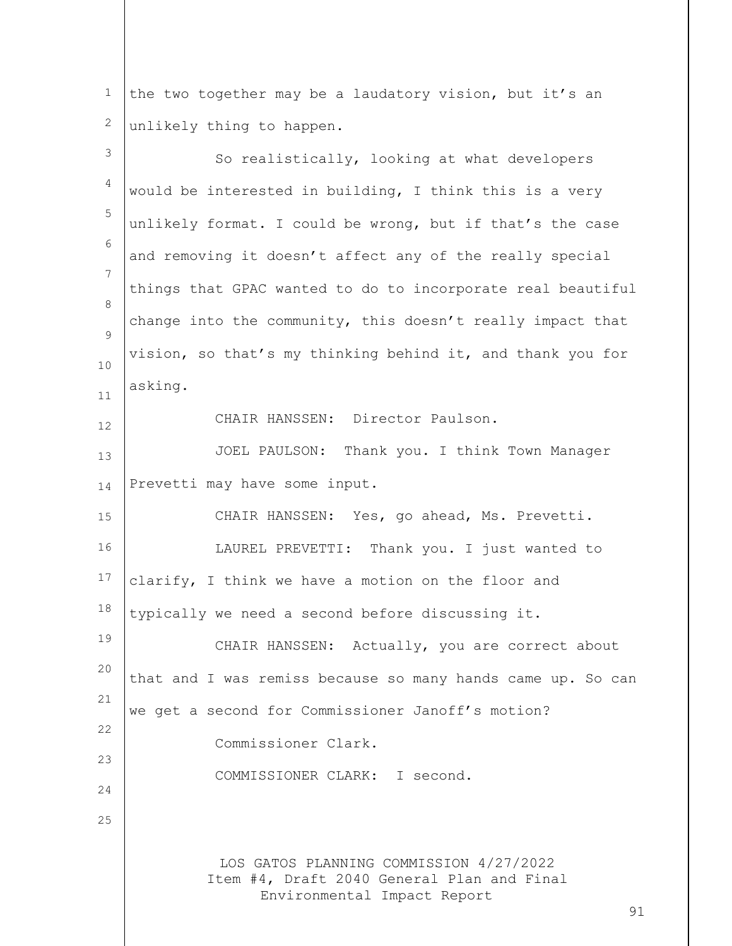1 2 the two together may be a laudatory vision, but it's an unlikely thing to happen.

| $\mathsf 3$    | So realistically, looking at what developers                                                                               |
|----------------|----------------------------------------------------------------------------------------------------------------------------|
| $\overline{4}$ | would be interested in building, I think this is a very                                                                    |
| 5              | unlikely format. I could be wrong, but if that's the case                                                                  |
| 6              | and removing it doesn't affect any of the really special                                                                   |
| 7<br>8         | things that GPAC wanted to do to incorporate real beautiful                                                                |
| 9              | change into the community, this doesn't really impact that                                                                 |
| 10             | vision, so that's my thinking behind it, and thank you for                                                                 |
| 11             | asking.                                                                                                                    |
| 12             | CHAIR HANSSEN: Director Paulson.                                                                                           |
| 13             | JOEL PAULSON: Thank you. I think Town Manager                                                                              |
| 14             | Prevetti may have some input.                                                                                              |
| 15             | CHAIR HANSSEN: Yes, go ahead, Ms. Prevetti.                                                                                |
| 16             | LAUREL PREVETTI: Thank you. I just wanted to                                                                               |
| 17             | clarify, I think we have a motion on the floor and                                                                         |
| 18             | typically we need a second before discussing it.                                                                           |
| 19             | CHAIR HANSSEN: Actually, you are correct about                                                                             |
| 20<br>21       | that and I was remiss because so many hands came up. So can                                                                |
| 22             | we get a second for Commissioner Janoff's motion?                                                                          |
| 23             | Commissioner Clark.                                                                                                        |
| 24             | COMMISSIONER CLARK: I second.                                                                                              |
| 25             |                                                                                                                            |
|                | LOS GATOS PLANNING COMMISSION 4/27/2022<br>Item #4, Draft 2040 General Plan and Final<br>Environmental Impact Report<br>91 |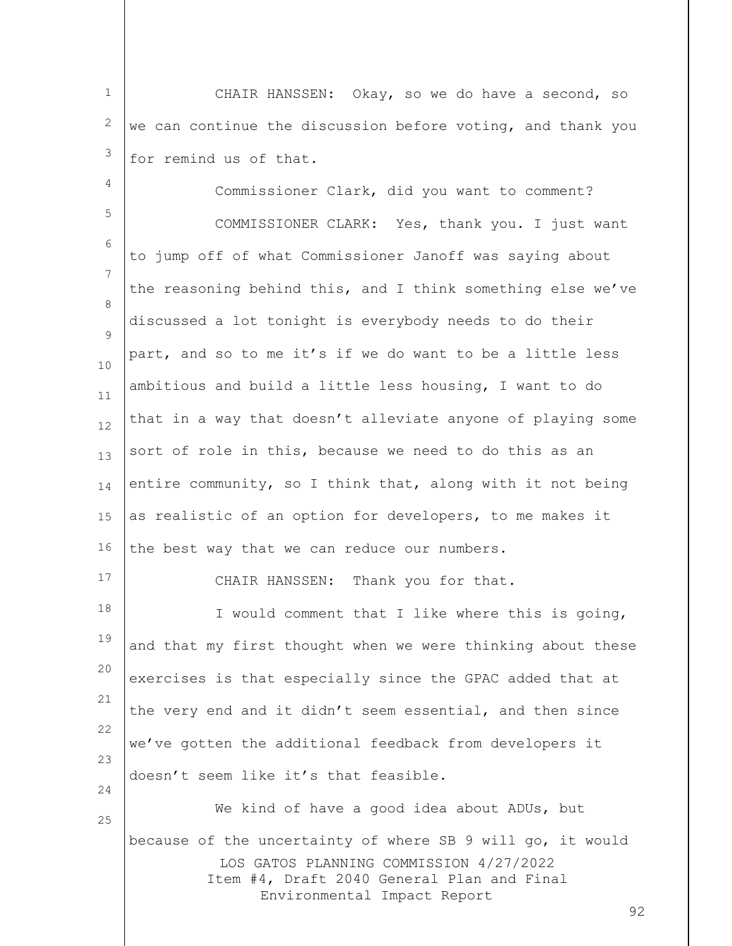1 2 3 CHAIR HANSSEN: Okay, so we do have a second, so we can continue the discussion before voting, and thank you for remind us of that.

LOS GATOS PLANNING COMMISSION 4/27/2022 Item #4, Draft 2040 General Plan and Final Environmental Impact Report 4 5 6 7 8  $\mathsf{Q}$ 10 11 12 13 14 15 16 17 18 19 20 21 22 23 24 25 Commissioner Clark, did you want to comment? COMMISSIONER CLARK: Yes, thank you. I just want to jump off of what Commissioner Janoff was saying about the reasoning behind this, and I think something else we've discussed a lot tonight is everybody needs to do their part, and so to me it's if we do want to be a little less ambitious and build a little less housing, I want to do that in a way that doesn't alleviate anyone of playing some sort of role in this, because we need to do this as an entire community, so I think that, along with it not being as realistic of an option for developers, to me makes it the best way that we can reduce our numbers. CHAIR HANSSEN: Thank you for that. I would comment that I like where this is going, and that my first thought when we were thinking about these exercises is that especially since the GPAC added that at the very end and it didn't seem essential, and then since we've gotten the additional feedback from developers it doesn't seem like it's that feasible. We kind of have a good idea about ADUs, but because of the uncertainty of where SB 9 will go, it would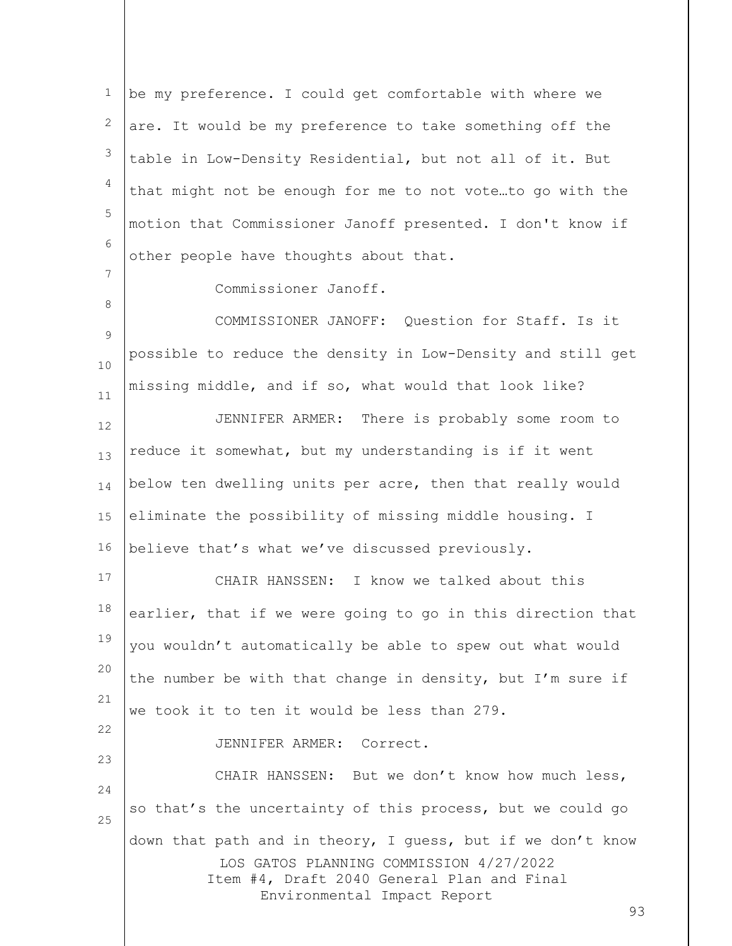1 2 3 4 5 6 7 be my preference. I could get comfortable with where we are. It would be my preference to take something off the table in Low-Density Residential, but not all of it. But that might not be enough for me to not vote…to go with the motion that Commissioner Janoff presented. I don't know if other people have thoughts about that.

Commissioner Janoff.

8

23

 $\mathsf{Q}$ 10 11 COMMISSIONER JANOFF: Question for Staff. Is it possible to reduce the density in Low-Density and still get missing middle, and if so, what would that look like?

12 13 14 15 16 JENNIFER ARMER: There is probably some room to reduce it somewhat, but my understanding is if it went below ten dwelling units per acre, then that really would eliminate the possibility of missing middle housing. I believe that's what we've discussed previously.

17 18 19 20 21 22 CHAIR HANSSEN: I know we talked about this earlier, that if we were going to go in this direction that you wouldn't automatically be able to spew out what would the number be with that change in density, but I'm sure if we took it to ten it would be less than 279.

JENNIFER ARMER: Correct.

LOS GATOS PLANNING COMMISSION 4/27/2022 Item #4, Draft 2040 General Plan and Final Environmental Impact Report 24 25 CHAIR HANSSEN: But we don't know how much less, so that's the uncertainty of this process, but we could go down that path and in theory, I guess, but if we don't know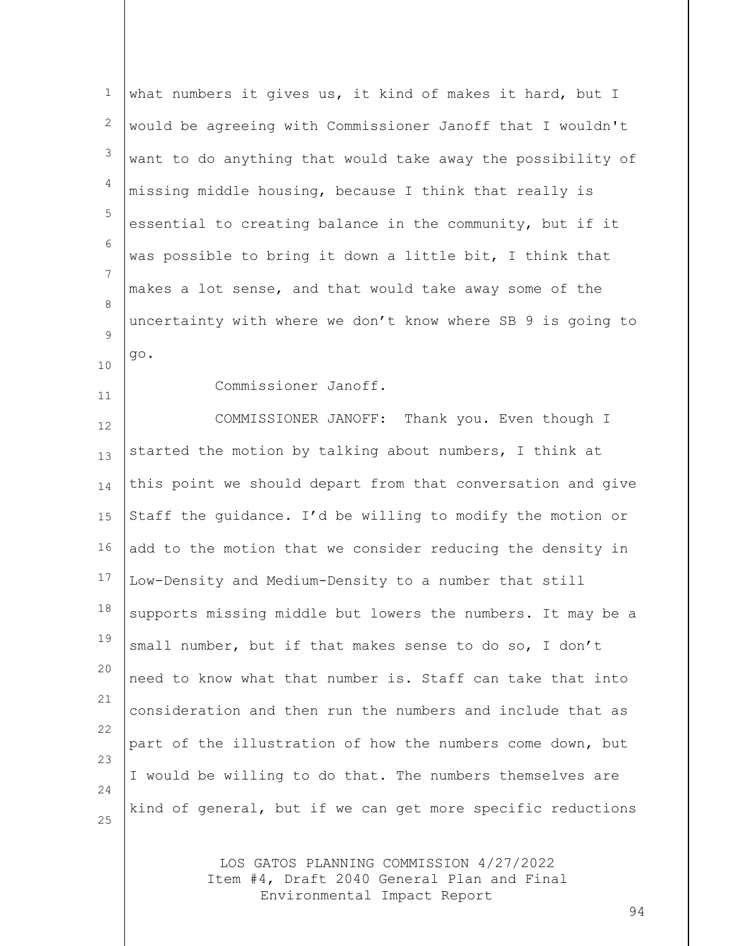| $1\,$          | what numbers it gives us, it kind of makes it hard, but I   |
|----------------|-------------------------------------------------------------|
| $\mathbf{2}$   | would be agreeing with Commissioner Janoff that I wouldn't  |
| $\mathfrak{S}$ | want to do anything that would take away the possibility of |
| 4              | missing middle housing, because I think that really is      |
| 5              | essential to creating balance in the community, but if it   |
| $6\,$          | was possible to bring it down a little bit, I think that    |
| $\overline{7}$ | makes a lot sense, and that would take away some of the     |
| 8              | uncertainty with where we don't know where SB 9 is going to |
| 9              | go.                                                         |
| 10             | Commissioner Janoff.                                        |
| 11<br>12       | COMMISSIONER JANOFF: Thank you. Even though I               |
| 13             | started the motion by talking about numbers, I think at     |
| 14             | this point we should depart from that conversation and give |
| 15             | Staff the quidance. I'd be willing to modify the motion or  |
| 16             | add to the motion that we consider reducing the density in  |
| 17             | Low-Density and Medium-Density to a number that still       |
| 18             | supports missing middle but lowers the numbers. It may be a |
| 19             | small number, but if that makes sense to do so, I don't     |
| 20             | need to know what that number is. Staff can take that into  |
| 21             | consideration and then run the numbers and include that as  |
| 22             | part of the illustration of how the numbers come down, but  |
| 23             | I would be willing to do that. The numbers themselves are   |
| 24             | kind of general, but if we can get more specific reductions |
| 25             |                                                             |
|                | LOS GATOS PLANNING COMMISSION 4/27/2022                     |

Item #4, Draft 2040 General Plan and Final Environmental Impact Report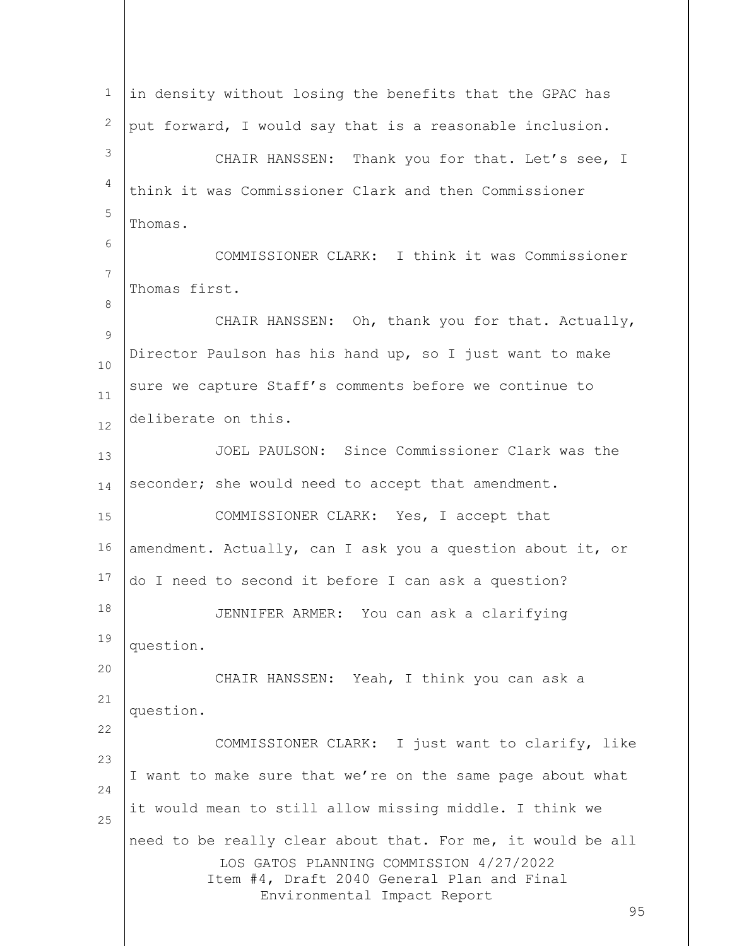LOS GATOS PLANNING COMMISSION 4/27/2022 Item #4, Draft 2040 General Plan and Final Environmental Impact Report 95 1 2 3 4 5 6 7 8 9 10 11 12 13 14 15 16 17 18 19 20 21 22 23 24 25 in density without losing the benefits that the GPAC has put forward, I would say that is a reasonable inclusion. CHAIR HANSSEN: Thank you for that. Let's see, I think it was Commissioner Clark and then Commissioner Thomas. COMMISSIONER CLARK: I think it was Commissioner Thomas first. CHAIR HANSSEN: Oh, thank you for that. Actually, Director Paulson has his hand up, so I just want to make sure we capture Staff's comments before we continue to deliberate on this. JOEL PAULSON: Since Commissioner Clark was the seconder; she would need to accept that amendment. COMMISSIONER CLARK: Yes, I accept that amendment. Actually, can I ask you a question about it, or do I need to second it before I can ask a question? JENNIFER ARMER: You can ask a clarifying question. CHAIR HANSSEN: Yeah, I think you can ask a question. COMMISSIONER CLARK: I just want to clarify, like I want to make sure that we're on the same page about what it would mean to still allow missing middle. I think we need to be really clear about that. For me, it would be all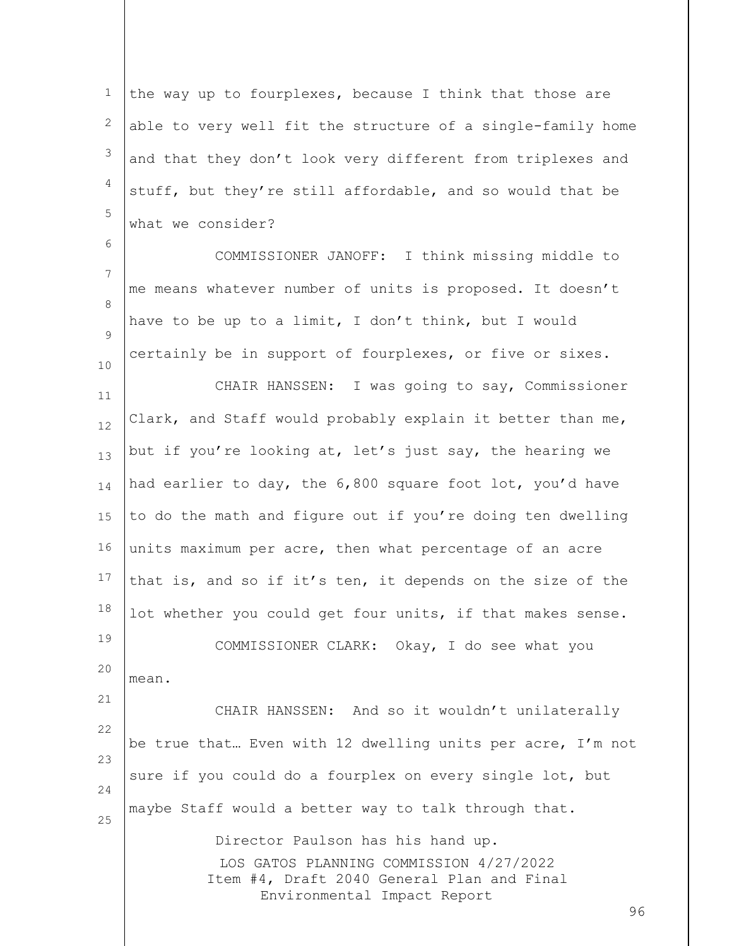1 2 3 4 5 the way up to fourplexes, because I think that those are able to very well fit the structure of a single-family home and that they don't look very different from triplexes and stuff, but they're still affordable, and so would that be what we consider?

7 8  $\mathsf{Q}$ COMMISSIONER JANOFF: I think missing middle to me means whatever number of units is proposed. It doesn't have to be up to a limit, I don't think, but I would certainly be in support of fourplexes, or five or sixes.

6

10

mean.

11 12 13 14 15 16 17 18 19 20 CHAIR HANSSEN: I was going to say, Commissioner Clark, and Staff would probably explain it better than me, but if you're looking at, let's just say, the hearing we had earlier to day, the 6,800 square foot lot, you'd have to do the math and figure out if you're doing ten dwelling units maximum per acre, then what percentage of an acre that is, and so if it's ten, it depends on the size of the lot whether you could get four units, if that makes sense. COMMISSIONER CLARK: Okay, I do see what you

21 22 23 24 25 CHAIR HANSSEN: And so it wouldn't unilaterally be true that… Even with 12 dwelling units per acre, I'm not sure if you could do a fourplex on every single lot, but maybe Staff would a better way to talk through that.

> LOS GATOS PLANNING COMMISSION 4/27/2022 Item #4, Draft 2040 General Plan and Final Environmental Impact Report Director Paulson has his hand up.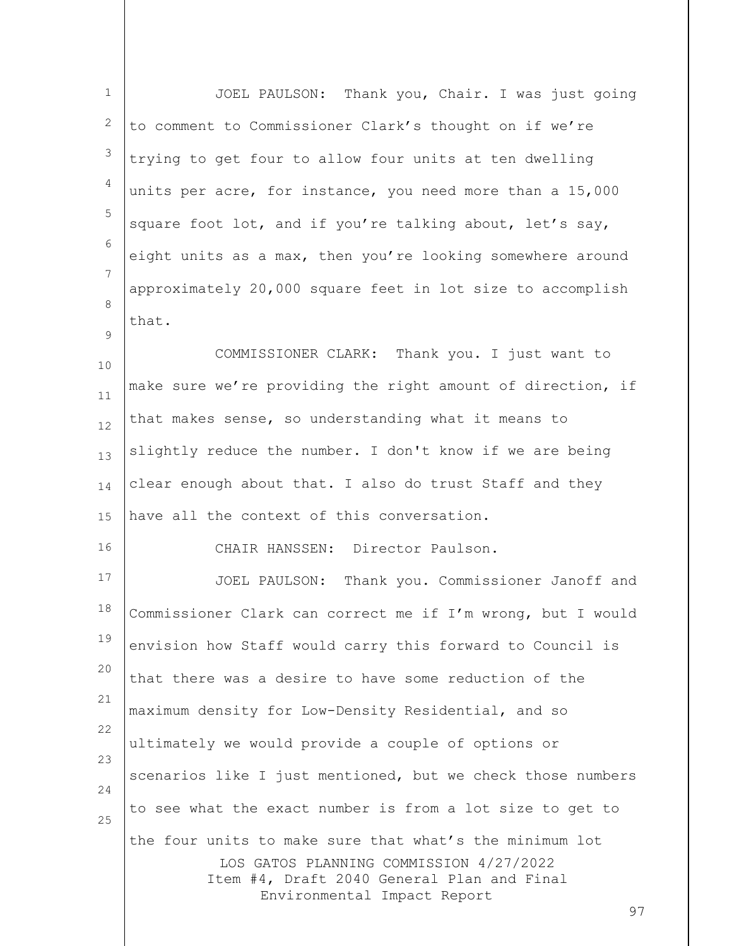| $\mathbf{1}$   | JOEL PAULSON: Thank you, Chair. I was just going                                      |
|----------------|---------------------------------------------------------------------------------------|
| 2              | to comment to Commissioner Clark's thought on if we're                                |
| 3              | trying to get four to allow four units at ten dwelling                                |
| $\overline{4}$ | units per acre, for instance, you need more than a 15,000                             |
| 5              | square foot lot, and if you're talking about, let's say,                              |
| 6              | eight units as a max, then you're looking somewhere around                            |
| $\overline{7}$ | approximately 20,000 square feet in lot size to accomplish                            |
| 8              | that.                                                                                 |
| 9<br>10        | COMMISSIONER CLARK: Thank you. I just want to                                         |
| 11             | make sure we're providing the right amount of direction, if                           |
| 12             | that makes sense, so understanding what it means to                                   |
| 13             | slightly reduce the number. I don't know if we are being                              |
| 14             | clear enough about that. I also do trust Staff and they                               |
| 15             | have all the context of this conversation.                                            |
| 16             | CHAIR HANSSEN: Director Paulson.                                                      |
| 17             | JOEL PAULSON: Thank you. Commissioner Janoff and                                      |
| 18             | Commissioner Clark can correct me if I'm wrong, but I would                           |
| 19             | envision how Staff would carry this forward to Council is                             |
| 20             | that there was a desire to have some reduction of the                                 |
| 21             | maximum density for Low-Density Residential, and so                                   |
| 22             | ultimately we would provide a couple of options or                                    |
| 23             | scenarios like I just mentioned, but we check those numbers                           |
| 24             | to see what the exact number is from a lot size to get to                             |
| 25             | the four units to make sure that what's the minimum lot                               |
|                | LOS GATOS PLANNING COMMISSION 4/27/2022<br>Item #4, Draft 2040 General Plan and Final |
|                | Environmental Impact Report<br>97                                                     |
|                |                                                                                       |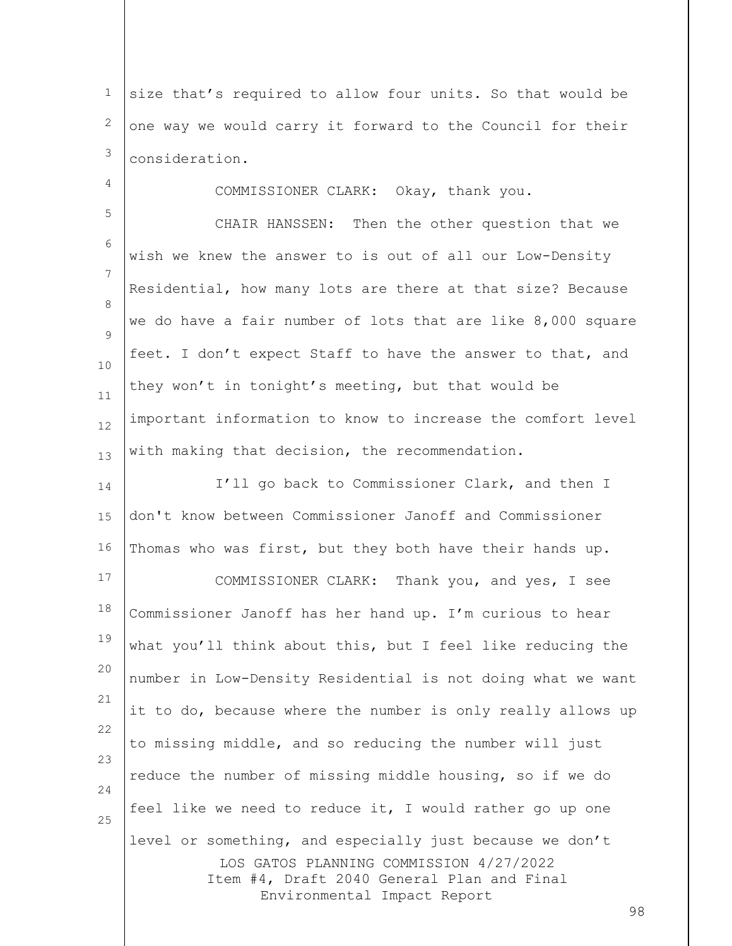1 2 3 size that's required to allow four units. So that would be one way we would carry it forward to the Council for their consideration.

COMMISSIONER CLARK: Okay, thank you.

4

5

6 7 8  $\mathsf{Q}$ 10 11 12 13 CHAIR HANSSEN: Then the other question that we wish we knew the answer to is out of all our Low-Density Residential, how many lots are there at that size? Because we do have a fair number of lots that are like 8,000 square feet. I don't expect Staff to have the answer to that, and they won't in tonight's meeting, but that would be important information to know to increase the comfort level with making that decision, the recommendation.

LOS GATOS PLANNING COMMISSION 4/27/2022 Item #4, Draft 2040 General Plan and Final Environmental Impact Report 14 15 16 17 18 19 20 21 22 23 24 25 I'll go back to Commissioner Clark, and then I don't know between Commissioner Janoff and Commissioner Thomas who was first, but they both have their hands up. COMMISSIONER CLARK: Thank you, and yes, I see Commissioner Janoff has her hand up. I'm curious to hear what you'll think about this, but I feel like reducing the number in Low-Density Residential is not doing what we want it to do, because where the number is only really allows up to missing middle, and so reducing the number will just reduce the number of missing middle housing, so if we do feel like we need to reduce it, I would rather go up one level or something, and especially just because we don't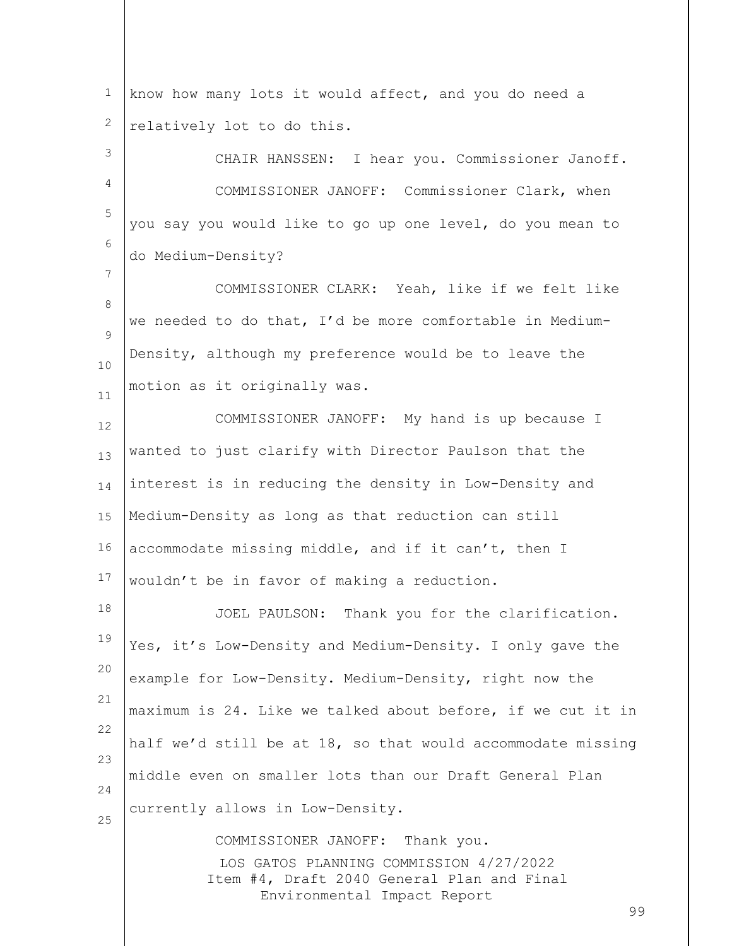1 2 know how many lots it would affect, and you do need a relatively lot to do this.

3 4 5 6 CHAIR HANSSEN: I hear you. Commissioner Janoff. COMMISSIONER JANOFF: Commissioner Clark, when you say you would like to go up one level, do you mean to do Medium-Density?

8  $\mathsf{Q}$ 10 11 COMMISSIONER CLARK: Yeah, like if we felt like we needed to do that, I'd be more comfortable in Medium-Density, although my preference would be to leave the motion as it originally was.

7

12 13 14 15 16 17 COMMISSIONER JANOFF: My hand is up because I wanted to just clarify with Director Paulson that the interest is in reducing the density in Low-Density and Medium-Density as long as that reduction can still accommodate missing middle, and if it can't, then I wouldn't be in favor of making a reduction.

18 19 20 21 22 23 24 25 JOEL PAULSON: Thank you for the clarification. Yes, it's Low-Density and Medium-Density. I only gave the example for Low-Density. Medium-Density, right now the maximum is 24. Like we talked about before, if we cut it in half we'd still be at 18, so that would accommodate missing middle even on smaller lots than our Draft General Plan currently allows in Low-Density.

> LOS GATOS PLANNING COMMISSION 4/27/2022 Item #4, Draft 2040 General Plan and Final Environmental Impact Report COMMISSIONER JANOFF: Thank you.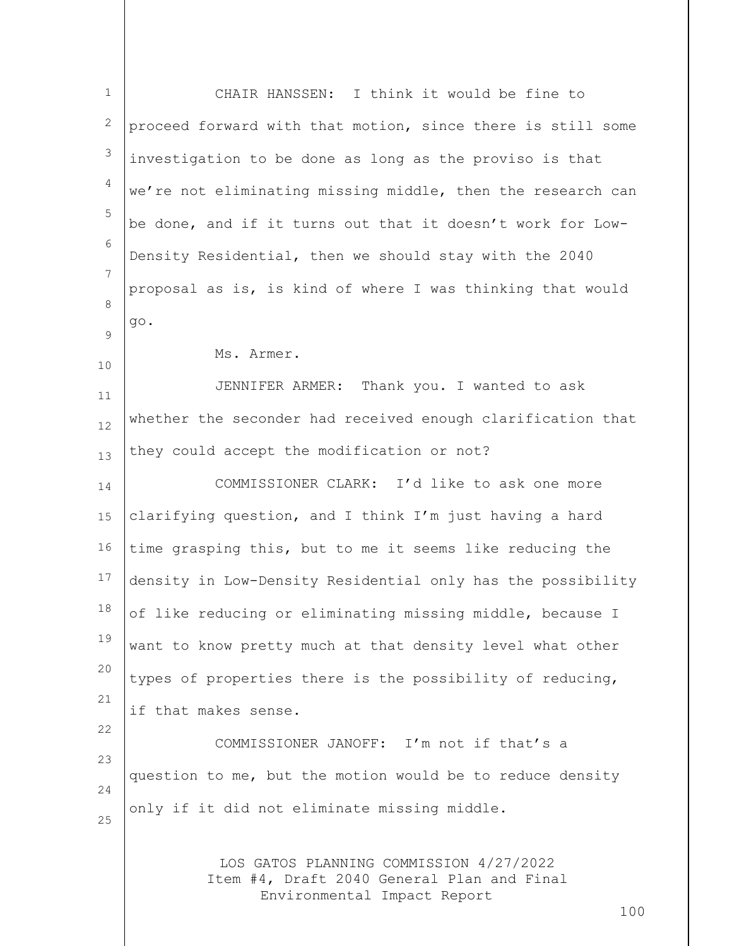| $\mathbf{1}$   | CHAIR HANSSEN: I think it would be fine to                                            |
|----------------|---------------------------------------------------------------------------------------|
| 2              | proceed forward with that motion, since there is still some                           |
| 3              | investigation to be done as long as the proviso is that                               |
| $\overline{4}$ | we're not eliminating missing middle, then the research can                           |
| 5              | be done, and if it turns out that it doesn't work for Low-                            |
| 6              | Density Residential, then we should stay with the 2040                                |
| 7              | proposal as is, is kind of where I was thinking that would                            |
| 8<br>9         | go.                                                                                   |
| 10             | Ms. Armer.                                                                            |
| 11             | JENNIFER ARMER: Thank you. I wanted to ask                                            |
| 12             | whether the seconder had received enough clarification that                           |
| 13             | they could accept the modification or not?                                            |
| 14             | COMMISSIONER CLARK: I'd like to ask one more                                          |
| 15             | clarifying question, and I think I'm just having a hard                               |
| 16             | time grasping this, but to me it seems like reducing the                              |
| 17             | density in Low-Density Residential only has the possibility                           |
| 18             | of like reducing or eliminating missing middle, because I                             |
| 19             | want to know pretty much at that density level what other                             |
| 20             | types of properties there is the possibility of reducing,                             |
| 21             | if that makes sense.                                                                  |
| 22             | COMMISSIONER JANOFF: I'm not if that's a                                              |
| 23             | question to me, but the motion would be to reduce density                             |
| 24<br>25       | only if it did not eliminate missing middle.                                          |
|                |                                                                                       |
|                | LOS GATOS PLANNING COMMISSION 4/27/2022<br>Item #4, Draft 2040 General Plan and Final |
|                | Environmental Impact Report<br>100                                                    |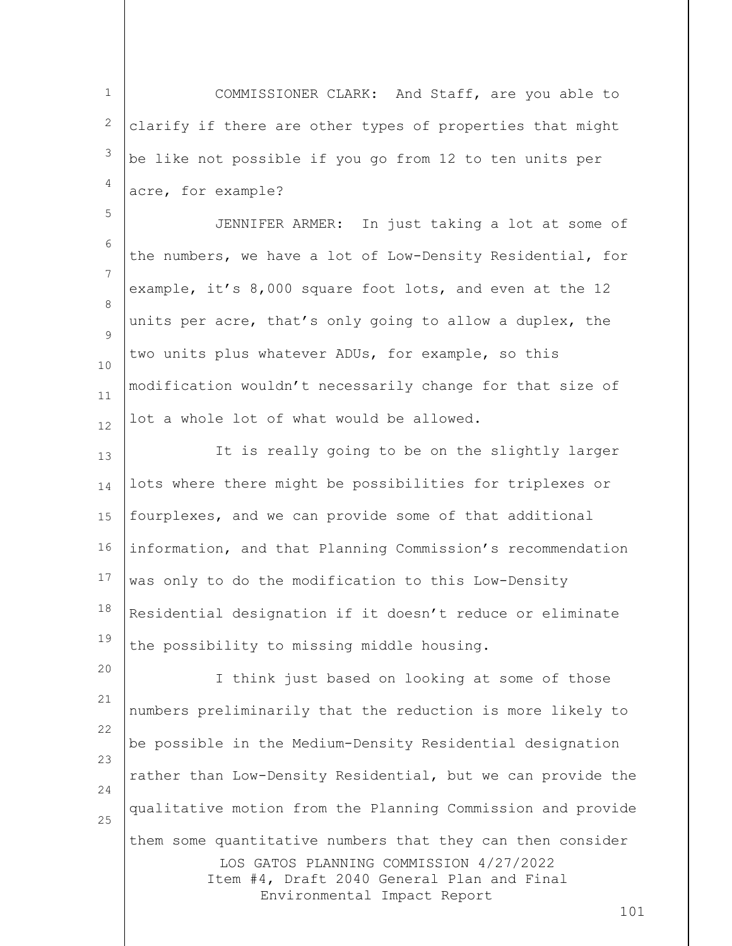1 2 3 4 5 6 7 8  $\mathsf{Q}$ 10 11 12 COMMISSIONER CLARK: And Staff, are you able to clarify if there are other types of properties that might be like not possible if you go from 12 to ten units per acre, for example? JENNIFER ARMER: In just taking a lot at some of the numbers, we have a lot of Low-Density Residential, for example, it's 8,000 square foot lots, and even at the 12 units per acre, that's only going to allow a duplex, the two units plus whatever ADUs, for example, so this modification wouldn't necessarily change for that size of lot a whole lot of what would be allowed.

13 14 15 16 17 18 19 It is really going to be on the slightly larger lots where there might be possibilities for triplexes or fourplexes, and we can provide some of that additional information, and that Planning Commission's recommendation was only to do the modification to this Low-Density Residential designation if it doesn't reduce or eliminate the possibility to missing middle housing.

LOS GATOS PLANNING COMMISSION 4/27/2022 Item #4, Draft 2040 General Plan and Final Environmental Impact Report 20 21 22 23 24 25 I think just based on looking at some of those numbers preliminarily that the reduction is more likely to be possible in the Medium-Density Residential designation rather than Low-Density Residential, but we can provide the qualitative motion from the Planning Commission and provide them some quantitative numbers that they can then consider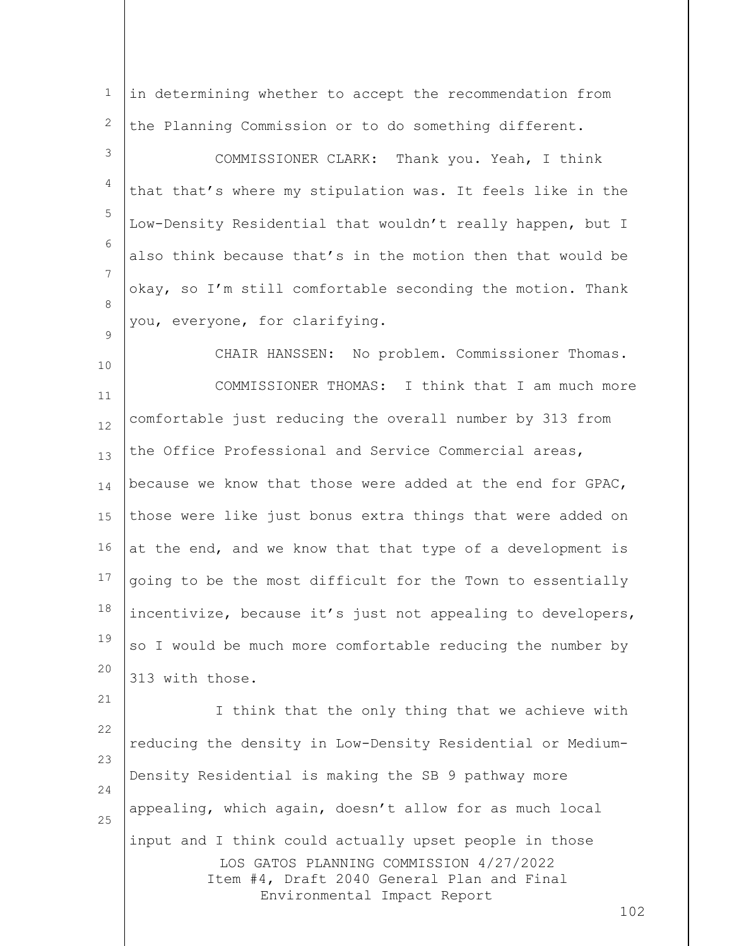LOS GATOS PLANNING COMMISSION 4/27/2022 Item #4, Draft 2040 General Plan and Final 1 2 3 4 5 6 7 8  $\mathsf{Q}$ 10 11 12 13 14 15 16 17 18 19 20 21 22 23 24 25 in determining whether to accept the recommendation from the Planning Commission or to do something different. COMMISSIONER CLARK: Thank you. Yeah, I think that that's where my stipulation was. It feels like in the Low-Density Residential that wouldn't really happen, but I also think because that's in the motion then that would be okay, so I'm still comfortable seconding the motion. Thank you, everyone, for clarifying. CHAIR HANSSEN: No problem. Commissioner Thomas. COMMISSIONER THOMAS: I think that I am much more comfortable just reducing the overall number by 313 from the Office Professional and Service Commercial areas, because we know that those were added at the end for GPAC, those were like just bonus extra things that were added on at the end, and we know that that type of a development is going to be the most difficult for the Town to essentially incentivize, because it's just not appealing to developers, so I would be much more comfortable reducing the number by 313 with those. I think that the only thing that we achieve with reducing the density in Low-Density Residential or Medium-Density Residential is making the SB 9 pathway more appealing, which again, doesn't allow for as much local input and I think could actually upset people in those

Environmental Impact Report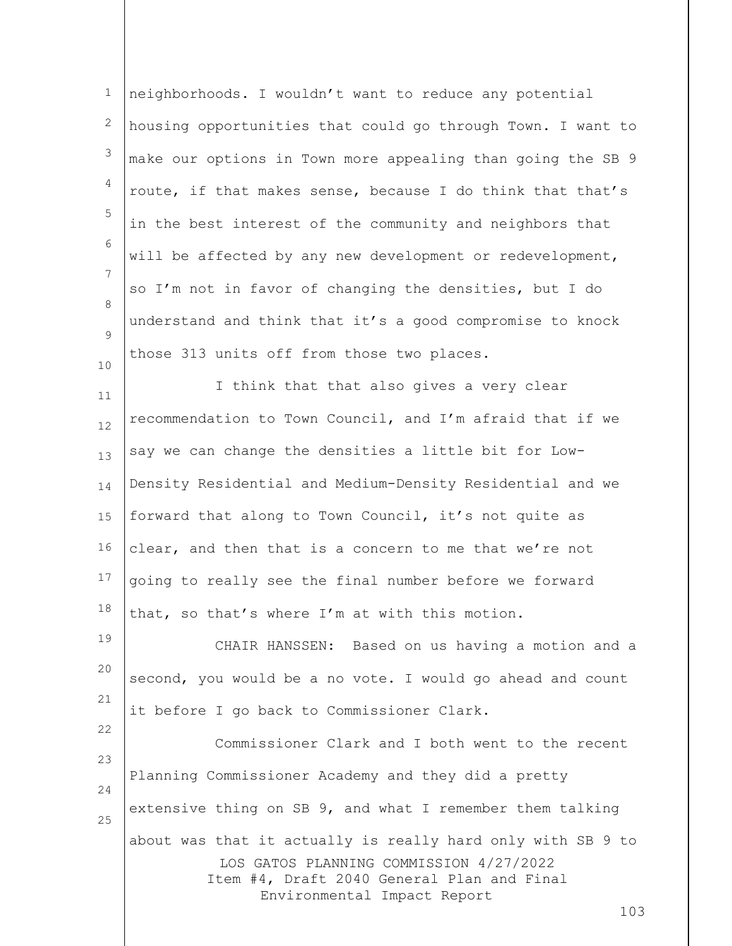| $\mathbf{1}$   | neighborhoods. I wouldn't want to reduce any potential      |
|----------------|-------------------------------------------------------------|
| 2              | housing opportunities that could go through Town. I want to |
| 3              | make our options in Town more appealing than going the SB 9 |
| $\overline{4}$ | route, if that makes sense, because I do think that that's  |
| 5              | in the best interest of the community and neighbors that    |
| 6              | will be affected by any new development or redevelopment,   |
| 7              | so I'm not in favor of changing the densities, but I do     |
| 8              | understand and think that it's a good compromise to knock   |
| 9              | those 313 units off from those two places.                  |
| 10<br>11       | I think that that also gives a very clear                   |
| 12             | recommendation to Town Council, and I'm afraid that if we   |
| 13             | say we can change the densities a little bit for Low-       |
| 14             | Density Residential and Medium-Density Residential and we   |
| 15             | forward that along to Town Council, it's not quite as       |
| 16             | clear, and then that is a concern to me that we're not      |
| 17             | going to really see the final number before we forward      |
| 18             | that, so that's where I'm at with this motion.              |
| 19             | CHAIR HANSSEN: Based on us having a motion and a            |
| 20             | second, you would be a no vote. I would go ahead and count  |
| 21             | it before I go back to Commissioner Clark.                  |
| 22             | Commissioner Clark and I both went to the recent            |
| 23             | Planning Commissioner Academy and they did a pretty         |
| 24             | extensive thing on SB 9, and what I remember them talking   |

about was that it actually is really hard only with SB 9 to

25

LOS GATOS PLANNING COMMISSION 4/27/2022 Item #4, Draft 2040 General Plan and Final Environmental Impact Report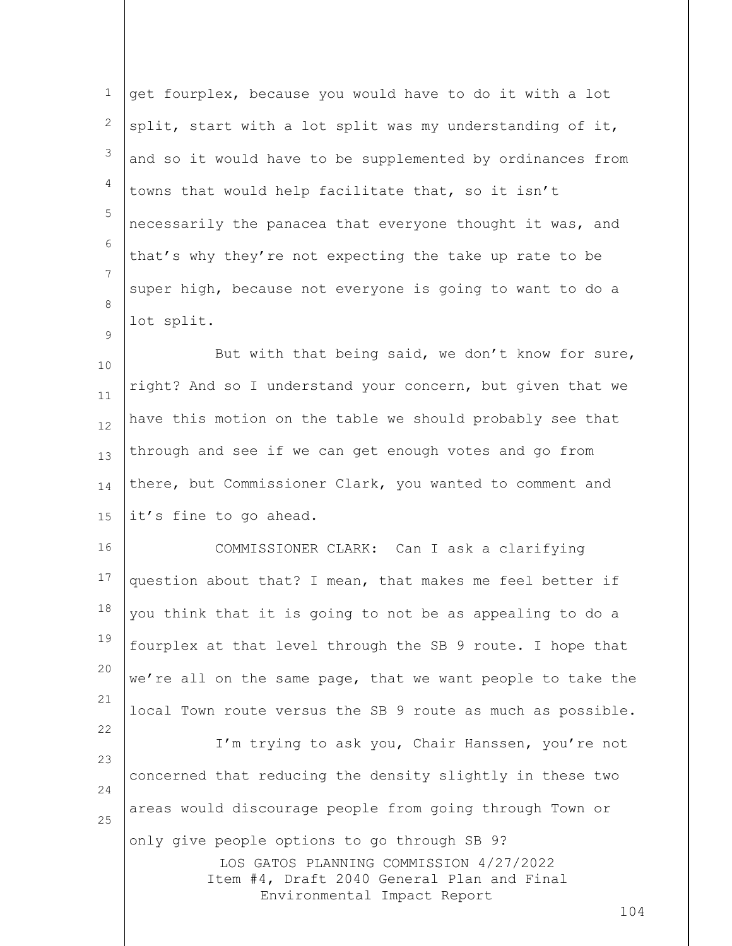| $\mathbf 1$ | get fourplex, because you would have to do it with a lot                              |
|-------------|---------------------------------------------------------------------------------------|
| 2           | split, start with a lot split was my understanding of it,                             |
| 3           | and so it would have to be supplemented by ordinances from                            |
| 4           | towns that would help facilitate that, so it isn't                                    |
| 5           | necessarily the panacea that everyone thought it was, and                             |
| 6           | that's why they're not expecting the take up rate to be                               |
| 7           | super high, because not everyone is going to want to do a                             |
| 8<br>9      | lot split.                                                                            |
| 10          | But with that being said, we don't know for sure,                                     |
| 11          | right? And so I understand your concern, but given that we                            |
| 12          | have this motion on the table we should probably see that                             |
| 13          | through and see if we can get enough votes and go from                                |
| 14          | there, but Commissioner Clark, you wanted to comment and                              |
| 15          | it's fine to go ahead.                                                                |
| 16          | COMMISSIONER CLARK: Can I ask a clarifying                                            |
| 17          | question about that? I mean, that makes me feel better if                             |
| 18          | you think that it is going to not be as appealing to do a                             |
| 19          | fourplex at that level through the SB 9 route. I hope that                            |
| 20          | we're all on the same page, that we want people to take the                           |
| 21          | local Town route versus the SB 9 route as much as possible.                           |
| 22          | I'm trying to ask you, Chair Hanssen, you're not                                      |
| 23          | concerned that reducing the density slightly in these two                             |
| 24<br>25    | areas would discourage people from going through Town or                              |
|             | only give people options to go through SB 9?                                          |
|             | LOS GATOS PLANNING COMMISSION 4/27/2022<br>Item #4, Draft 2040 General Plan and Final |
|             | Environmental Impact Report<br>104                                                    |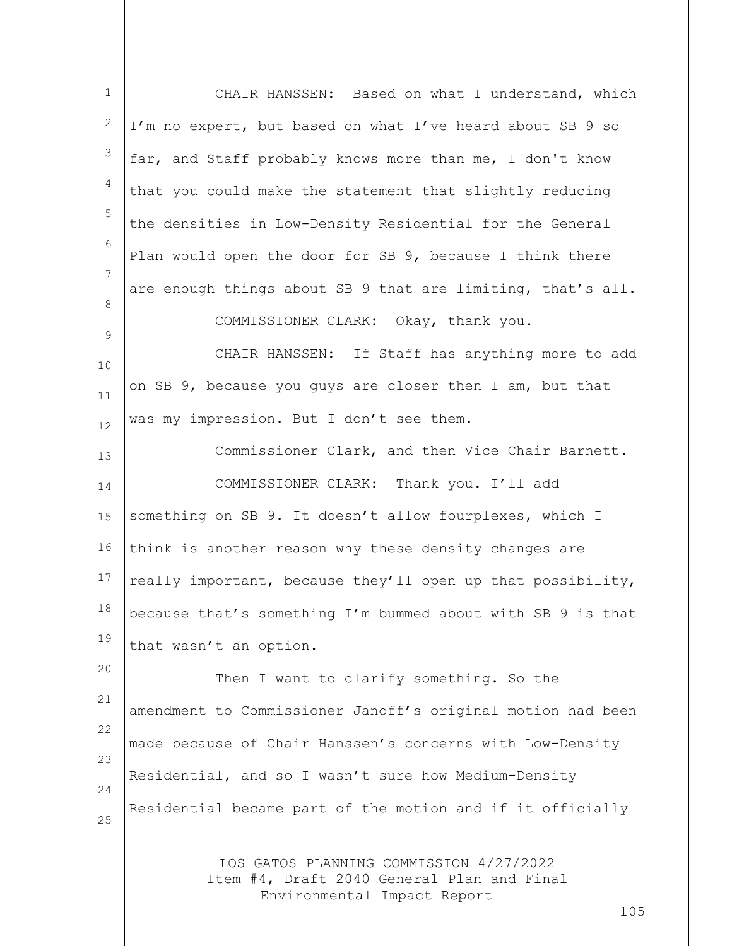| $1\,$            | CHAIR HANSSEN: Based on what I understand, which                                                                     |
|------------------|----------------------------------------------------------------------------------------------------------------------|
| 2                | I'm no expert, but based on what I've heard about SB 9 so                                                            |
| $\mathfrak{Z}$   | far, and Staff probably knows more than me, I don't know                                                             |
| 4                | that you could make the statement that slightly reducing                                                             |
| 5                | the densities in Low-Density Residential for the General                                                             |
| 6                | Plan would open the door for SB 9, because I think there                                                             |
| 7                | are enough things about SB 9 that are limiting, that's all.                                                          |
| 8<br>$\mathsf 9$ | COMMISSIONER CLARK: Okay, thank you.                                                                                 |
| $10$             | CHAIR HANSSEN: If Staff has anything more to add                                                                     |
| 11               | on SB 9, because you guys are closer then I am, but that                                                             |
| 12               | was my impression. But I don't see them.                                                                             |
| 13               | Commissioner Clark, and then Vice Chair Barnett.                                                                     |
| 14               | COMMISSIONER CLARK: Thank you. I'll add                                                                              |
| 15               | something on SB 9. It doesn't allow fourplexes, which I                                                              |
| 16               | think is another reason why these density changes are                                                                |
| 17               | really important, because they'll open up that possibility,                                                          |
| 18               | because that's something I'm bummed about with SB 9 is that                                                          |
| 19               | that wasn't an option.                                                                                               |
| 20               | Then I want to clarify something. So the                                                                             |
| 21               | amendment to Commissioner Janoff's original motion had been                                                          |
| 22<br>23         | made because of Chair Hanssen's concerns with Low-Density                                                            |
| 24               | Residential, and so I wasn't sure how Medium-Density                                                                 |
| 25               | Residential became part of the motion and if it officially                                                           |
|                  | LOS GATOS PLANNING COMMISSION 4/27/2022<br>Item #4, Draft 2040 General Plan and Final<br>Environmental Impact Report |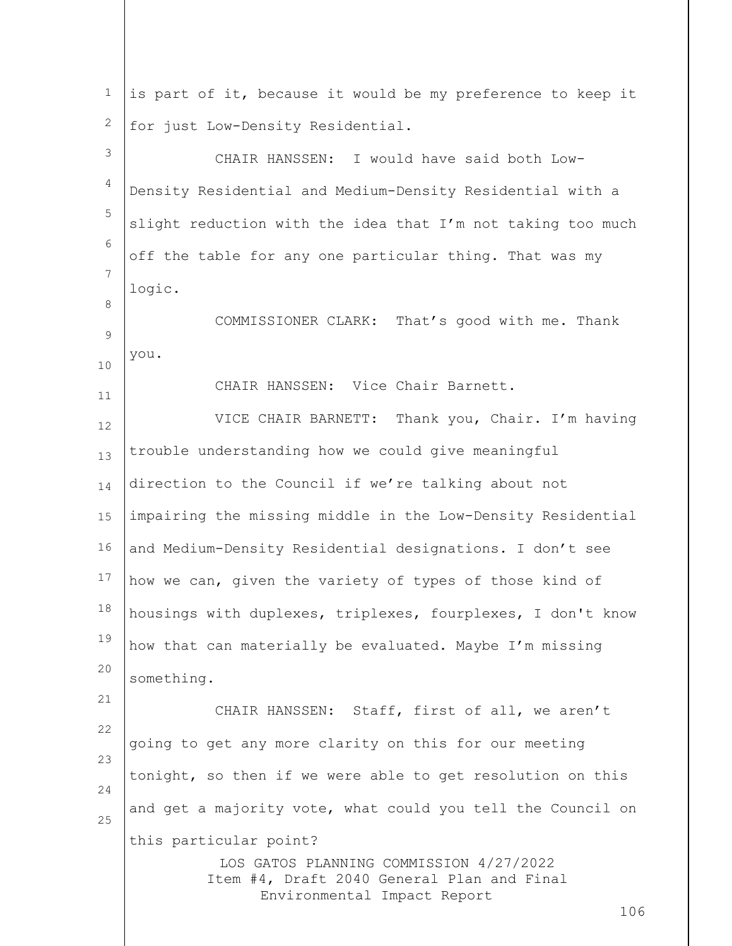| $\mathbf 1$ | is part of it, because it would be my preference to keep it                           |
|-------------|---------------------------------------------------------------------------------------|
| 2           | for just Low-Density Residential.                                                     |
| 3           | CHAIR HANSSEN: I would have said both Low-                                            |
| 4           | Density Residential and Medium-Density Residential with a                             |
| 5           | slight reduction with the idea that I'm not taking too much                           |
| 6           | off the table for any one particular thing. That was my                               |
| 7           | logic.                                                                                |
| 8<br>9      | COMMISSIONER CLARK: That's good with me. Thank                                        |
| 10          | you.                                                                                  |
| 11          | CHAIR HANSSEN: Vice Chair Barnett.                                                    |
| 12          | VICE CHAIR BARNETT: Thank you, Chair. I'm having                                      |
| 13          | trouble understanding how we could give meaningful                                    |
| 14          | direction to the Council if we're talking about not                                   |
| 15          | impairing the missing middle in the Low-Density Residential                           |
| 16          | and Medium-Density Residential designations. I don't see                              |
| 17          | how we can, given the variety of types of those kind of                               |
| 18          | housings with duplexes, triplexes, fourplexes, I don't know                           |
| 19          | how that can materially be evaluated. Maybe I'm missing                               |
| 20          | something.                                                                            |
| 21          | CHAIR HANSSEN: Staff, first of all, we aren't                                         |
| 22<br>23    | going to get any more clarity on this for our meeting                                 |
| 24          | tonight, so then if we were able to get resolution on this                            |
| 25          | and get a majority vote, what could you tell the Council on                           |
|             | this particular point?                                                                |
|             | LOS GATOS PLANNING COMMISSION 4/27/2022<br>Item #4, Draft 2040 General Plan and Final |
|             | Environmental Impact Report<br>106                                                    |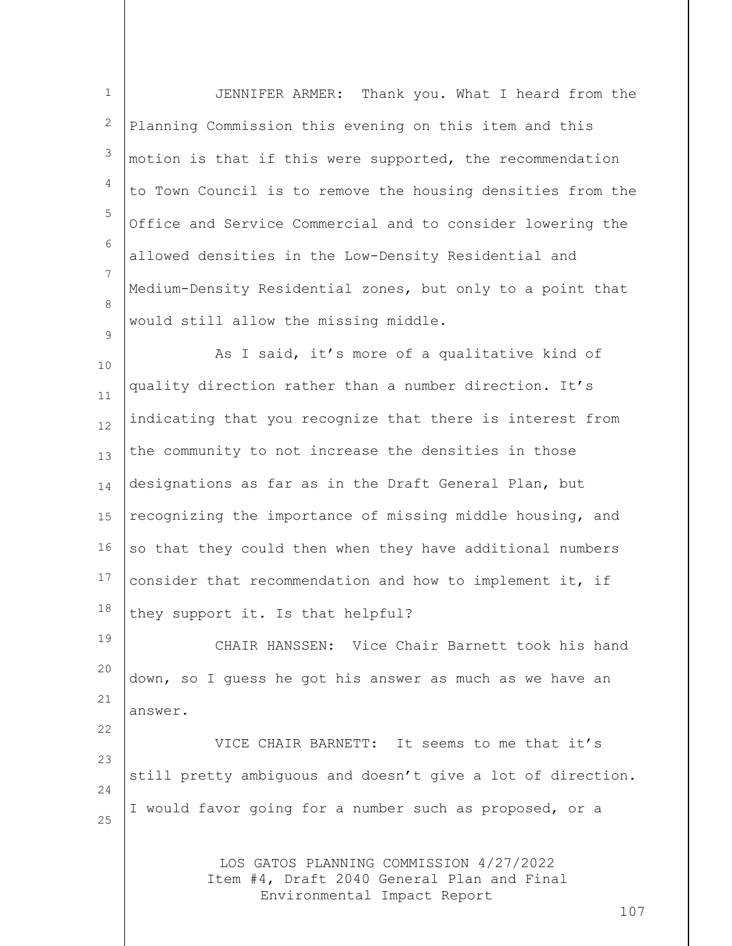| JENNIFER ARMER: Thank you. What I heard from the                                      |
|---------------------------------------------------------------------------------------|
| Planning Commission this evening on this item and this                                |
| motion is that if this were supported, the recommendation                             |
| to Town Council is to remove the housing densities from the                           |
| Office and Service Commercial and to consider lowering the                            |
| allowed densities in the Low-Density Residential and                                  |
| Medium-Density Residential zones, but only to a point that                            |
| would still allow the missing middle.                                                 |
| As I said, it's more of a qualitative kind of                                         |
| quality direction rather than a number direction. It's                                |
| indicating that you recognize that there is interest from                             |
| the community to not increase the densities in those                                  |
| designations as far as in the Draft General Plan, but                                 |
| recognizing the importance of missing middle housing, and                             |
| so that they could then when they have additional numbers                             |
| consider that recommendation and how to implement it, if                              |
| they support it. Is that helpful?                                                     |
| CHAIR HANSSEN: Vice Chair Barnett took his hand                                       |
| down, so I quess he got his answer as much as we have an                              |
| answer.                                                                               |
| VICE CHAIR BARNETT: It seems to me that it's                                          |
| still pretty ambiguous and doesn't give a lot of direction.                           |
| I would favor going for a number such as proposed, or a                               |
|                                                                                       |
| LOS GATOS PLANNING COMMISSION 4/27/2022<br>Item #4, Draft 2040 General Plan and Final |
| Environmental Impact Report<br>107                                                    |
|                                                                                       |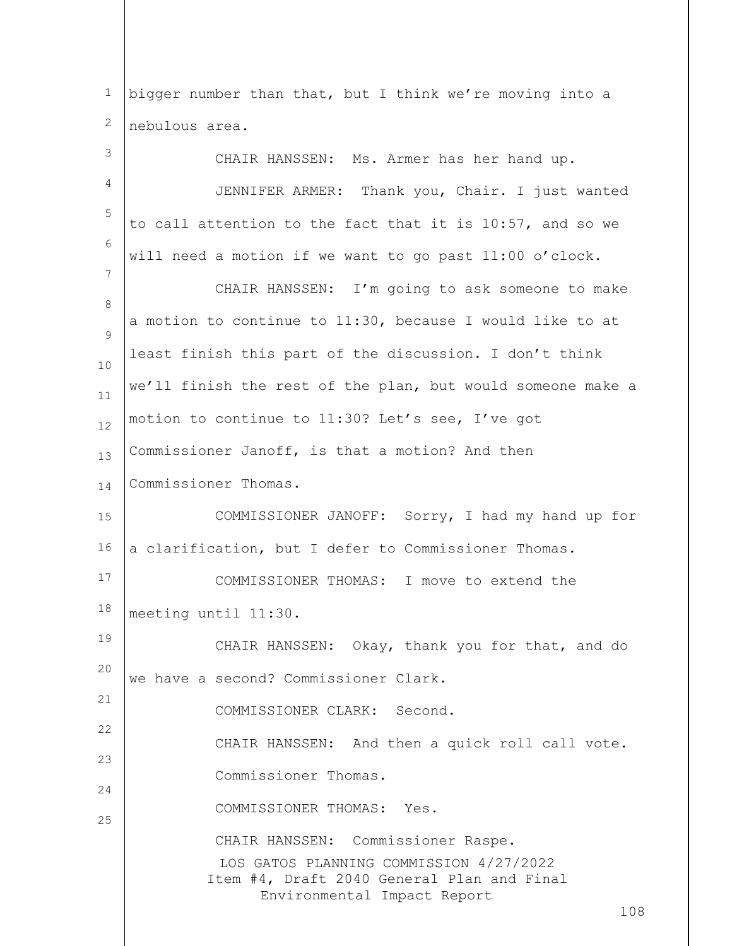1 2 bigger number than that, but I think we're moving into a nebulous area.

| 3        | CHAIR HANSSEN: Ms. Armer has her hand up.                                                                                                                         |
|----------|-------------------------------------------------------------------------------------------------------------------------------------------------------------------|
| 4        | JENNIFER ARMER: Thank you, Chair. I just wanted                                                                                                                   |
| 5        | to call attention to the fact that it is 10:57, and so we                                                                                                         |
| 6        | will need a motion if we want to go past 11:00 o'clock.                                                                                                           |
| 7        | CHAIR HANSSEN: I'm going to ask someone to make                                                                                                                   |
| 8<br>9   | a motion to continue to 11:30, because I would like to at                                                                                                         |
| 10       | least finish this part of the discussion. I don't think                                                                                                           |
| 11       | we'll finish the rest of the plan, but would someone make a                                                                                                       |
| 12       | motion to continue to 11:30? Let's see, I've got                                                                                                                  |
| 13       | Commissioner Janoff, is that a motion? And then                                                                                                                   |
| 14       | Commissioner Thomas.                                                                                                                                              |
| 15       | COMMISSIONER JANOFF: Sorry, I had my hand up for                                                                                                                  |
| 16       | a clarification, but I defer to Commissioner Thomas.                                                                                                              |
| 17       | COMMISSIONER THOMAS: I move to extend the                                                                                                                         |
| 18       | meeting until 11:30.                                                                                                                                              |
| 19       | CHAIR HANSSEN: Okay, thank you for that, and do                                                                                                                   |
| 20       | we have a second? Commissioner Clark.                                                                                                                             |
| 21       | COMMISSIONER CLARK: Second.                                                                                                                                       |
| 22<br>23 | CHAIR HANSSEN: And then a quick roll call vote.                                                                                                                   |
| 24       | Commissioner Thomas.                                                                                                                                              |
| 25       | COMMISSIONER THOMAS: Yes.                                                                                                                                         |
|          | CHAIR HANSSEN: Commissioner Raspe.<br>LOS GATOS PLANNING COMMISSION 4/27/2022<br>Item #4, Draft 2040 General Plan and Final<br>Environmental Impact Report<br>108 |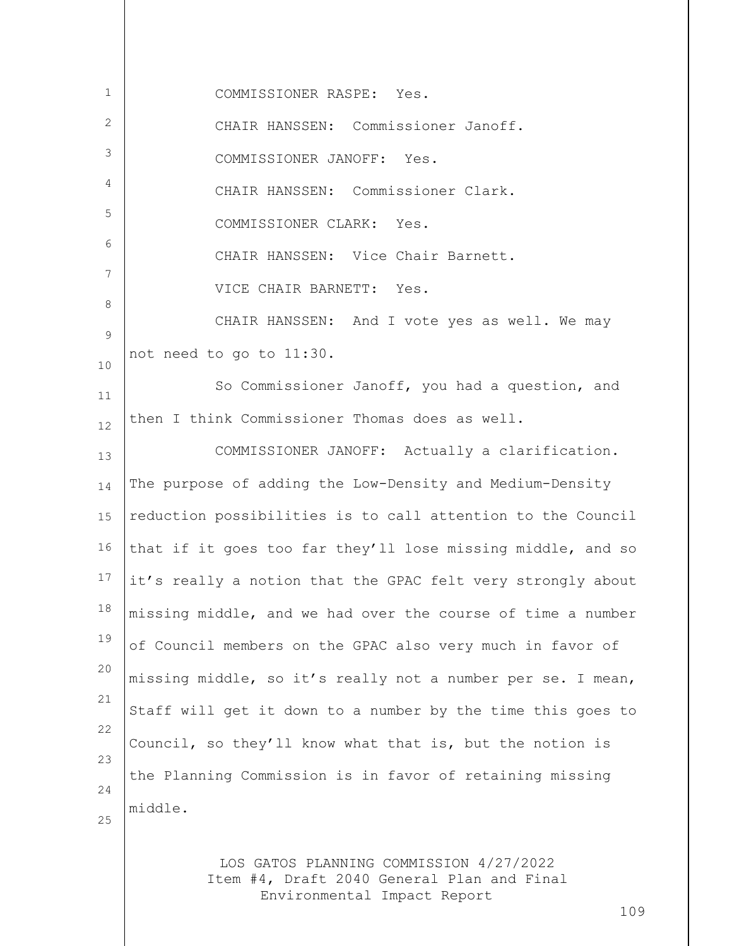| $\mathbf{1}$ | COMMISSIONER RASPE: Yes.                                                                                             |
|--------------|----------------------------------------------------------------------------------------------------------------------|
| 2            | CHAIR HANSSEN: Commissioner Janoff.                                                                                  |
| 3            | COMMISSIONER JANOFF: Yes.                                                                                            |
| 4            | CHAIR HANSSEN: Commissioner Clark.                                                                                   |
| 5            | COMMISSIONER CLARK: Yes.                                                                                             |
| 6            | CHAIR HANSSEN: Vice Chair Barnett.                                                                                   |
| 7            | VICE CHAIR BARNETT: Yes.                                                                                             |
| 8            | CHAIR HANSSEN: And I vote yes as well. We may                                                                        |
| 9<br>10      | not need to go to 11:30.                                                                                             |
| 11           | So Commissioner Janoff, you had a question, and                                                                      |
| 12           | then I think Commissioner Thomas does as well.                                                                       |
| 13           | COMMISSIONER JANOFF: Actually a clarification.                                                                       |
| 14           | The purpose of adding the Low-Density and Medium-Density                                                             |
| 15           | reduction possibilities is to call attention to the Council                                                          |
| 16           | that if it goes too far they'll lose missing middle, and so                                                          |
| 17           | it's really a notion that the GPAC felt very strongly about                                                          |
| 18           | missing middle, and we had over the course of time a number                                                          |
| 19           | of Council members on the GPAC also very much in favor of                                                            |
| 20           | missing middle, so it's really not a number per se. I mean,                                                          |
| 21           | Staff will get it down to a number by the time this goes to                                                          |
| 22           | Council, so they'll know what that is, but the notion is                                                             |
| 23           | the Planning Commission is in favor of retaining missing                                                             |
| 24<br>25     | middle.                                                                                                              |
|              |                                                                                                                      |
|              | LOS GATOS PLANNING COMMISSION 4/27/2022<br>Item #4, Draft 2040 General Plan and Final<br>Environmental Impact Report |

109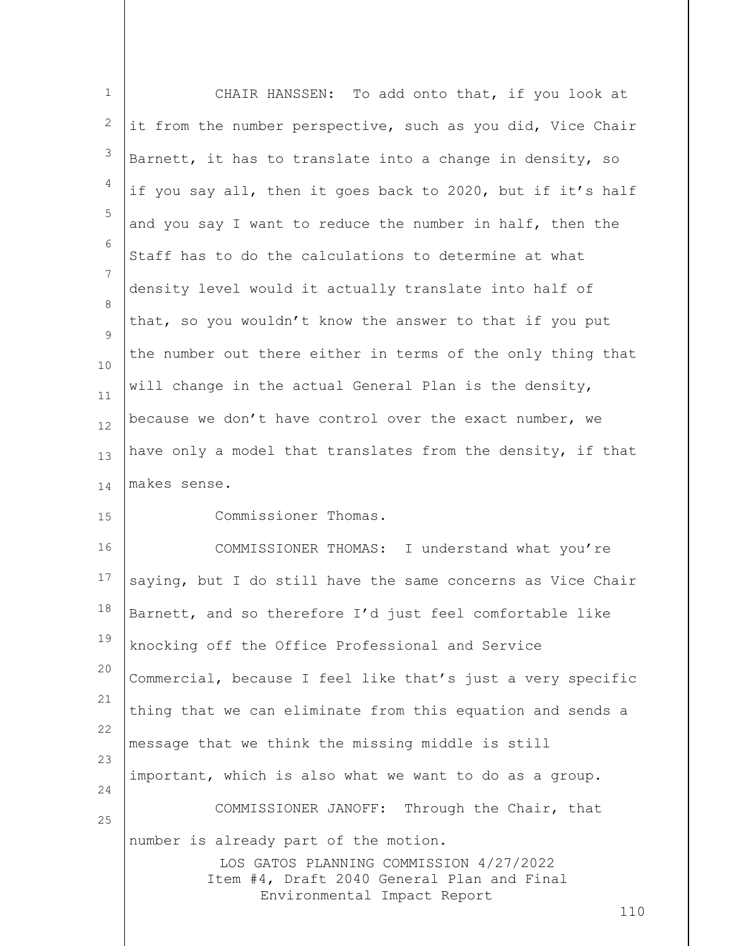| $1\,$    | CHAIR HANSSEN: To add onto that, if you look at                                       |
|----------|---------------------------------------------------------------------------------------|
| 2        | it from the number perspective, such as you did, Vice Chair                           |
| 3        | Barnett, it has to translate into a change in density, so                             |
| 4        | if you say all, then it goes back to 2020, but if it's half                           |
| 5        | and you say I want to reduce the number in half, then the                             |
| 6        | Staff has to do the calculations to determine at what                                 |
| 7<br>8   | density level would it actually translate into half of                                |
| 9        | that, so you wouldn't know the answer to that if you put                              |
| 10       | the number out there either in terms of the only thing that                           |
| 11       | will change in the actual General Plan is the density,                                |
| 12       | because we don't have control over the exact number, we                               |
| 13       | have only a model that translates from the density, if that                           |
| 14       | makes sense.                                                                          |
| 15       | Commissioner Thomas.                                                                  |
| 16       | COMMISSIONER THOMAS: I understand what you're                                         |
| 17       | saying, but I do still have the same concerns as Vice Chair                           |
| 18       | Barnett, and so therefore I'd just feel comfortable like                              |
| 19       | knocking off the Office Professional and Service                                      |
| 20<br>21 | Commercial, because I feel like that's just a very specific                           |
| 22       | thing that we can eliminate from this equation and sends a                            |
| 23       | message that we think the missing middle is still                                     |
| 24       | important, which is also what we want to do as a group.                               |
| 25       | COMMISSIONER JANOFF: Through the Chair, that                                          |
|          | number is already part of the motion.                                                 |
|          | LOS GATOS PLANNING COMMISSION 4/27/2022<br>Item #4, Draft 2040 General Plan and Final |
|          | Environmental Impact Report<br>110                                                    |
|          |                                                                                       |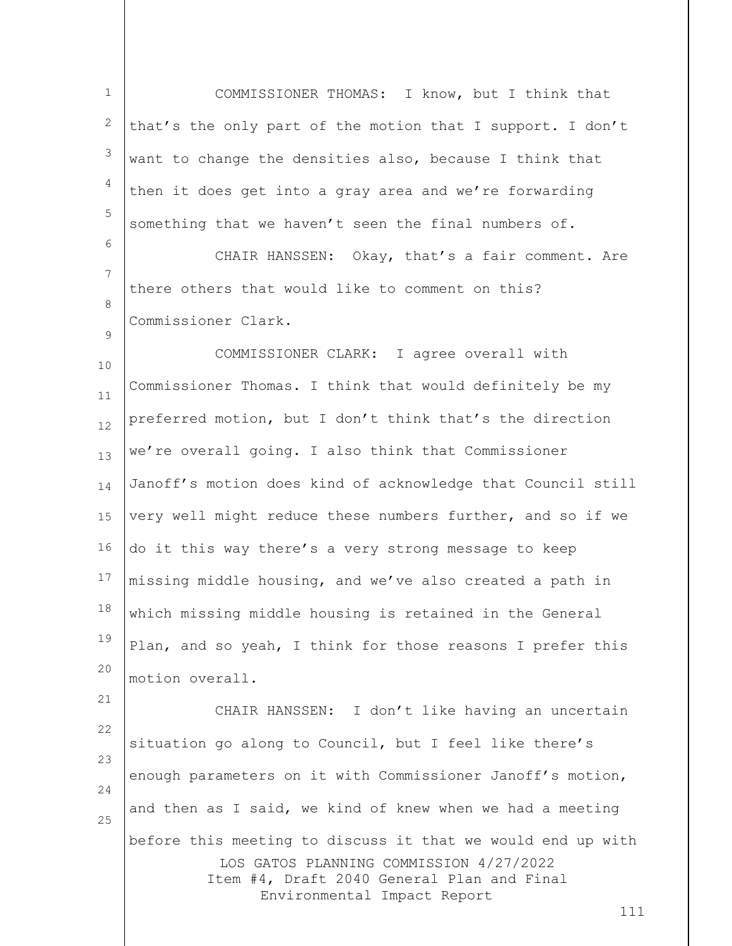1 2 3 4 5 6 7 COMMISSIONER THOMAS: I know, but I think that that's the only part of the motion that I support. I don't want to change the densities also, because I think that then it does get into a gray area and we're forwarding something that we haven't seen the final numbers of. CHAIR HANSSEN: Okay, that's a fair comment. Are

8 there others that would like to comment on this? Commissioner Clark.

 $\mathsf{Q}$ 

21

10 11 12 13 14 15 16 17 18 19 20 COMMISSIONER CLARK: I agree overall with Commissioner Thomas. I think that would definitely be my preferred motion, but I don't think that's the direction we're overall going. I also think that Commissioner Janoff's motion does kind of acknowledge that Council still very well might reduce these numbers further, and so if we do it this way there's a very strong message to keep missing middle housing, and we've also created a path in which missing middle housing is retained in the General Plan, and so yeah, I think for those reasons I prefer this motion overall.

LOS GATOS PLANNING COMMISSION 4/27/2022 Item #4, Draft 2040 General Plan and Final Environmental Impact Report 22 23 24 25 CHAIR HANSSEN: I don't like having an uncertain situation go along to Council, but I feel like there's enough parameters on it with Commissioner Janoff's motion, and then as I said, we kind of knew when we had a meeting before this meeting to discuss it that we would end up with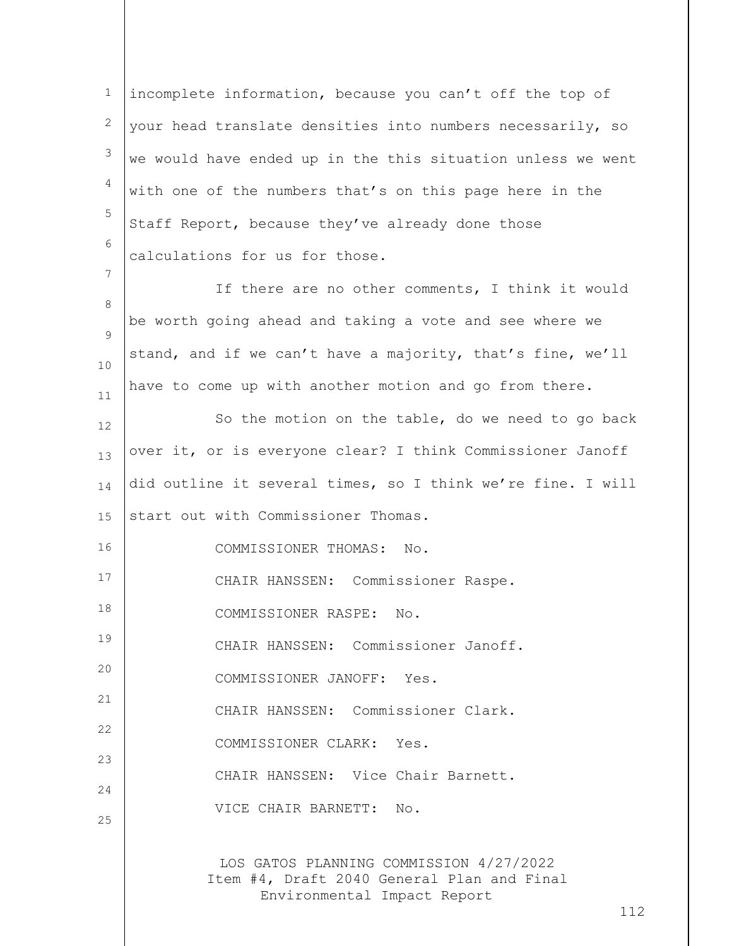LOS GATOS PLANNING COMMISSION 4/27/2022 Item #4, Draft 2040 General Plan and Final Environmental Impact Report 1 2 3 4 5 6 7 8  $\mathsf{Q}$ 10 11 12 13 14 15 16 17 18 19 20 21 22 23 24 25 incomplete information, because you can't off the top of your head translate densities into numbers necessarily, so we would have ended up in the this situation unless we went with one of the numbers that's on this page here in the Staff Report, because they've already done those calculations for us for those. If there are no other comments, I think it would be worth going ahead and taking a vote and see where we stand, and if we can't have a majority, that's fine, we'll have to come up with another motion and go from there. So the motion on the table, do we need to go back over it, or is everyone clear? I think Commissioner Janoff did outline it several times, so I think we're fine. I will start out with Commissioner Thomas. COMMISSIONER THOMAS: No. CHAIR HANSSEN: Commissioner Raspe. COMMISSIONER RASPE: No. CHAIR HANSSEN: Commissioner Janoff. COMMISSIONER JANOFF: Yes. CHAIR HANSSEN: Commissioner Clark. COMMISSIONER CLARK: Yes. CHAIR HANSSEN: Vice Chair Barnett. VICE CHAIR BARNETT: No.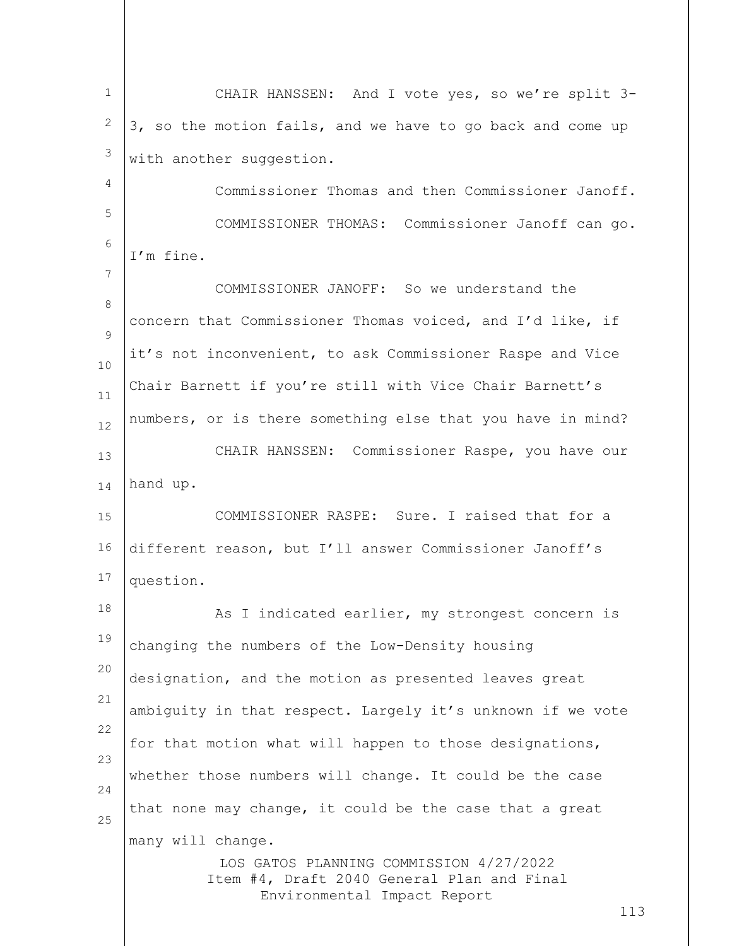LOS GATOS PLANNING COMMISSION 4/27/2022 Item #4, Draft 2040 General Plan and Final Environmental Impact Report 113 1 2 3 4 5 6 7 8  $\mathsf{Q}$ 10 11 12 13 14 15 16 17 18 19 20 21 22 23 24 25 CHAIR HANSSEN: And I vote yes, so we're split 3- 3, so the motion fails, and we have to go back and come up with another suggestion. Commissioner Thomas and then Commissioner Janoff. COMMISSIONER THOMAS: Commissioner Janoff can go. I'm fine. COMMISSIONER JANOFF: So we understand the concern that Commissioner Thomas voiced, and I'd like, if it's not inconvenient, to ask Commissioner Raspe and Vice Chair Barnett if you're still with Vice Chair Barnett's numbers, or is there something else that you have in mind? CHAIR HANSSEN: Commissioner Raspe, you have our hand up. COMMISSIONER RASPE: Sure. I raised that for a different reason, but I'll answer Commissioner Janoff's question. As I indicated earlier, my strongest concern is changing the numbers of the Low-Density housing designation, and the motion as presented leaves great ambiguity in that respect. Largely it's unknown if we vote for that motion what will happen to those designations, whether those numbers will change. It could be the case that none may change, it could be the case that a great many will change.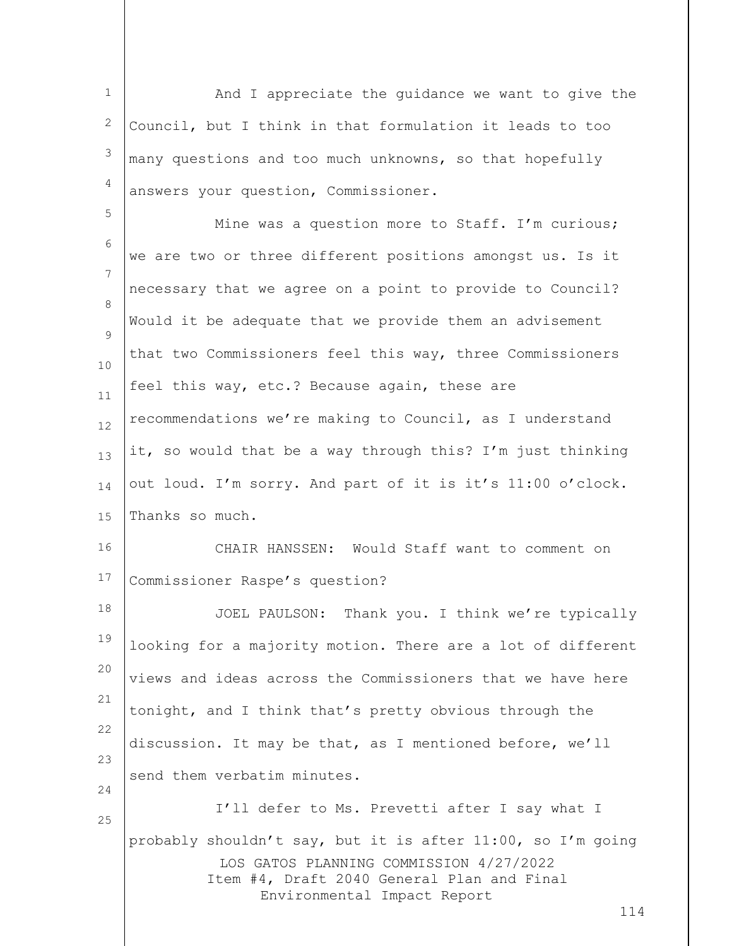LOS GATOS PLANNING COMMISSION 4/27/2022 Item #4, Draft 2040 General Plan and Final Environmental Impact Report 114 1 2 3 4 5 6 7 8  $\mathsf{Q}$ 10 11 12 13 14 15 16 17 18 19 20 21 22 23 24 25 And I appreciate the guidance we want to give the Council, but I think in that formulation it leads to too many questions and too much unknowns, so that hopefully answers your question, Commissioner. Mine was a question more to Staff. I'm curious; we are two or three different positions amongst us. Is it necessary that we agree on a point to provide to Council? Would it be adequate that we provide them an advisement that two Commissioners feel this way, three Commissioners feel this way, etc.? Because again, these are recommendations we're making to Council, as I understand it, so would that be a way through this? I'm just thinking out loud. I'm sorry. And part of it is it's 11:00 o'clock. Thanks so much. CHAIR HANSSEN: Would Staff want to comment on Commissioner Raspe's question? JOEL PAULSON: Thank you. I think we're typically looking for a majority motion. There are a lot of different views and ideas across the Commissioners that we have here tonight, and I think that's pretty obvious through the discussion. It may be that, as I mentioned before, we'll send them verbatim minutes. I'll defer to Ms. Prevetti after I say what I probably shouldn't say, but it is after 11:00, so I'm going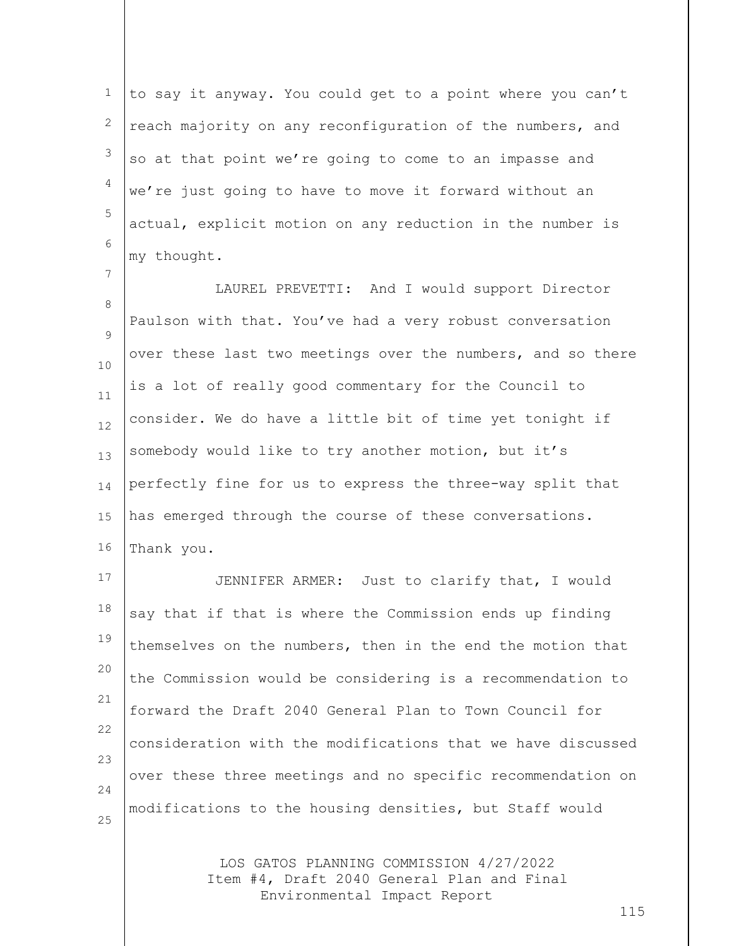1 2 3 4 5 6 to say it anyway. You could get to a point where you can't reach majority on any reconfiguration of the numbers, and so at that point we're going to come to an impasse and we're just going to have to move it forward without an actual, explicit motion on any reduction in the number is my thought.

7

8  $\mathsf{Q}$ 10 11 12 13 14 15 16 LAUREL PREVETTI: And I would support Director Paulson with that. You've had a very robust conversation over these last two meetings over the numbers, and so there is a lot of really good commentary for the Council to consider. We do have a little bit of time yet tonight if somebody would like to try another motion, but it's perfectly fine for us to express the three-way split that has emerged through the course of these conversations. Thank you.

17 18 19 20 21 22 23 24 25 JENNIFER ARMER: Just to clarify that, I would say that if that is where the Commission ends up finding themselves on the numbers, then in the end the motion that the Commission would be considering is a recommendation to forward the Draft 2040 General Plan to Town Council for consideration with the modifications that we have discussed over these three meetings and no specific recommendation on modifications to the housing densities, but Staff would

> LOS GATOS PLANNING COMMISSION 4/27/2022 Item #4, Draft 2040 General Plan and Final Environmental Impact Report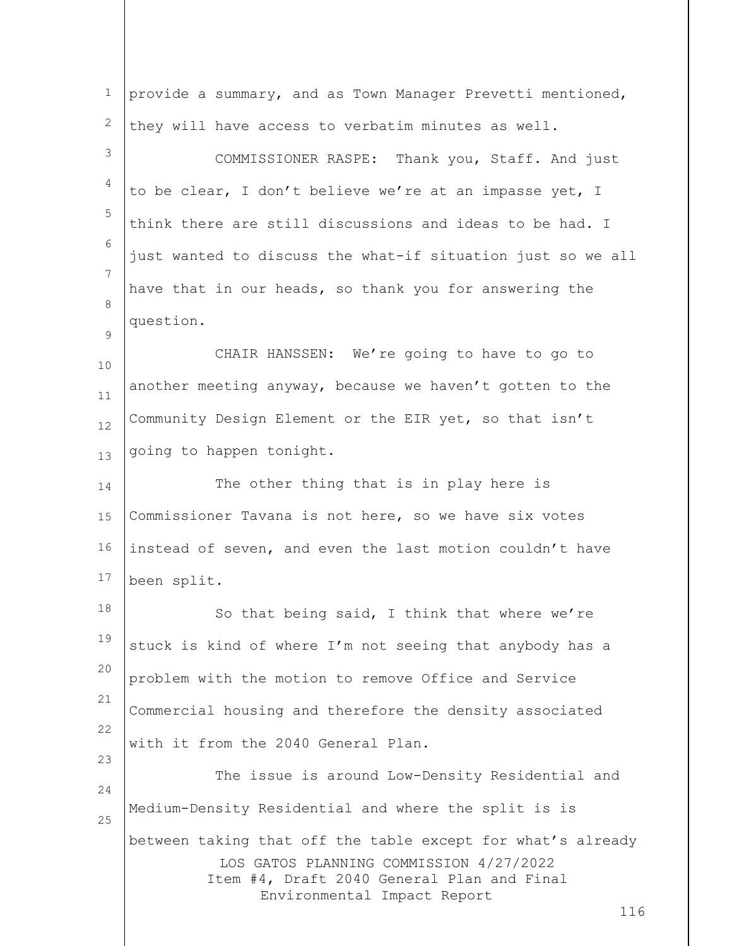| $\mathbf 1$ | provide a summary, and as Town Manager Prevetti mentioned,                                                                                                                                 |
|-------------|--------------------------------------------------------------------------------------------------------------------------------------------------------------------------------------------|
| 2           | they will have access to verbatim minutes as well.                                                                                                                                         |
| 3           | COMMISSIONER RASPE: Thank you, Staff. And just                                                                                                                                             |
| 4           | to be clear, I don't believe we're at an impasse yet, I                                                                                                                                    |
| 5           | think there are still discussions and ideas to be had. I                                                                                                                                   |
| 6           | just wanted to discuss the what-if situation just so we all                                                                                                                                |
| 7           | have that in our heads, so thank you for answering the                                                                                                                                     |
| 8<br>9      | question.                                                                                                                                                                                  |
| 10          | CHAIR HANSSEN: We're going to have to go to                                                                                                                                                |
| 11          | another meeting anyway, because we haven't gotten to the                                                                                                                                   |
| 12          | Community Design Element or the EIR yet, so that isn't                                                                                                                                     |
| 13          | going to happen tonight.                                                                                                                                                                   |
| 14          | The other thing that is in play here is                                                                                                                                                    |
| 15          | Commissioner Tavana is not here, so we have six votes                                                                                                                                      |
| 16          | instead of seven, and even the last motion couldn't have                                                                                                                                   |
| 17          | been split.                                                                                                                                                                                |
| 18          | So that being said, I think that where we're                                                                                                                                               |
| 19          | stuck is kind of where I'm not seeing that anybody has a                                                                                                                                   |
| 20          | problem with the motion to remove Office and Service                                                                                                                                       |
| 21<br>22    | Commercial housing and therefore the density associated                                                                                                                                    |
| 23          | with it from the 2040 General Plan.                                                                                                                                                        |
| 24          | The issue is around Low-Density Residential and                                                                                                                                            |
| 25          | Medium-Density Residential and where the split is is                                                                                                                                       |
|             | between taking that off the table except for what's already<br>LOS GATOS PLANNING COMMISSION 4/27/2022<br>Item #4, Draft 2040 General Plan and Final<br>Environmental Impact Report<br>116 |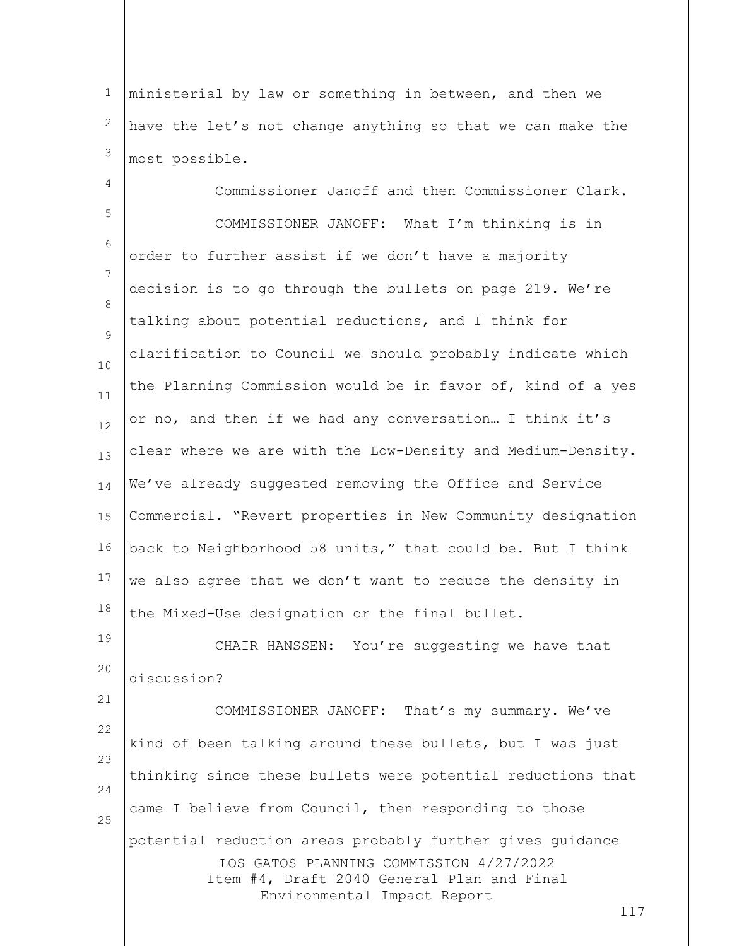1 2 3 ministerial by law or something in between, and then we have the let's not change anything so that we can make the most possible.

4 5 6 7 8  $\mathsf{Q}$ 10 11 12 13 14 15 16 17 18 19 Commissioner Janoff and then Commissioner Clark. COMMISSIONER JANOFF: What I'm thinking is in order to further assist if we don't have a majority decision is to go through the bullets on page 219. We're talking about potential reductions, and I think for clarification to Council we should probably indicate which the Planning Commission would be in favor of, kind of a yes or no, and then if we had any conversation… I think it's clear where we are with the Low-Density and Medium-Density. We've already suggested removing the Office and Service Commercial. "Revert properties in New Community designation back to Neighborhood 58 units," that could be. But I think we also agree that we don't want to reduce the density in the Mixed-Use designation or the final bullet. CHAIR HANSSEN: You're suggesting we have that

20 discussion?

21

LOS GATOS PLANNING COMMISSION 4/27/2022 Item #4, Draft 2040 General Plan and Final Environmental Impact Report 22 23 24 25 COMMISSIONER JANOFF: That's my summary. We've kind of been talking around these bullets, but I was just thinking since these bullets were potential reductions that came I believe from Council, then responding to those potential reduction areas probably further gives guidance

117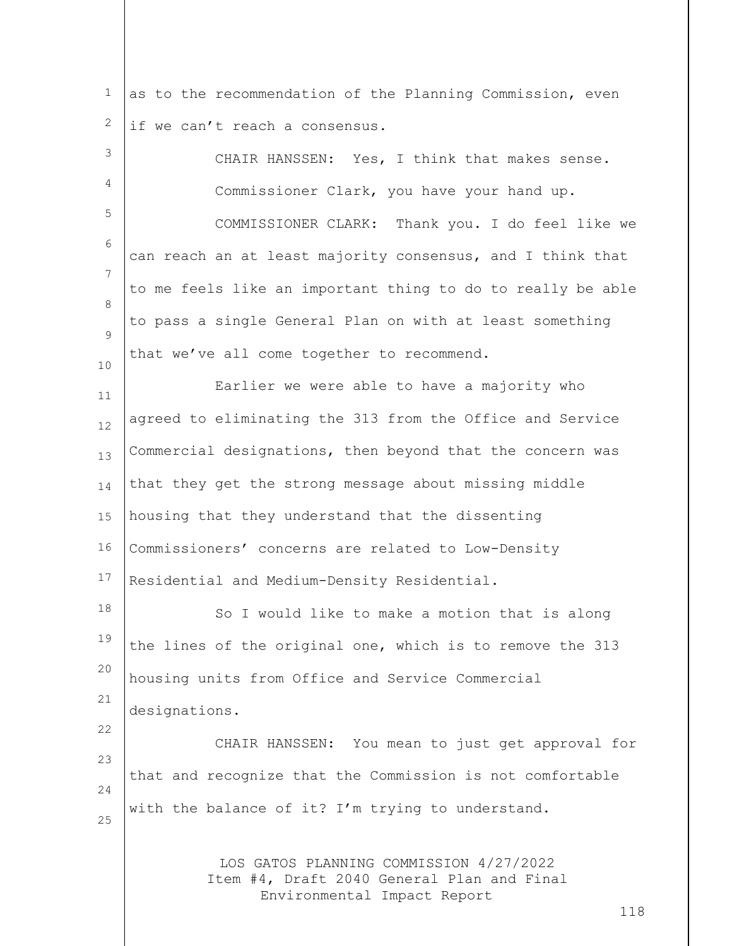1 2 as to the recommendation of the Planning Commission, even if we can't reach a consensus.

| 3               | CHAIR HANSSEN: Yes, I think that makes sense.                                                                               |
|-----------------|-----------------------------------------------------------------------------------------------------------------------------|
| 4               | Commissioner Clark, you have your hand up.                                                                                  |
| 5               | COMMISSIONER CLARK: Thank you. I do feel like we                                                                            |
| 6               | can reach an at least majority consensus, and I think that                                                                  |
| $7\phantom{.0}$ | to me feels like an important thing to do to really be able                                                                 |
| 8<br>9          | to pass a single General Plan on with at least something                                                                    |
| 10              | that we've all come together to recommend.                                                                                  |
| 11              | Earlier we were able to have a majority who                                                                                 |
| 12              | agreed to eliminating the 313 from the Office and Service                                                                   |
| 13              | Commercial designations, then beyond that the concern was                                                                   |
| 14              | that they get the strong message about missing middle                                                                       |
| 15              | housing that they understand that the dissenting                                                                            |
| 16              | Commissioners' concerns are related to Low-Density                                                                          |
| 17              | Residential and Medium-Density Residential.                                                                                 |
| 18              | So I would like to make a motion that is along                                                                              |
| 19              | the lines of the original one, which is to remove the 313                                                                   |
| 20              | housing units from Office and Service Commercial                                                                            |
| 21<br>22        | designations.                                                                                                               |
| 23              | CHAIR HANSSEN: You mean to just get approval for                                                                            |
| 24              | that and recognize that the Commission is not comfortable                                                                   |
| 25              | with the balance of it? I'm trying to understand.                                                                           |
|                 | LOS GATOS PLANNING COMMISSION 4/27/2022<br>Item #4, Draft 2040 General Plan and Final<br>Environmental Impact Report<br>118 |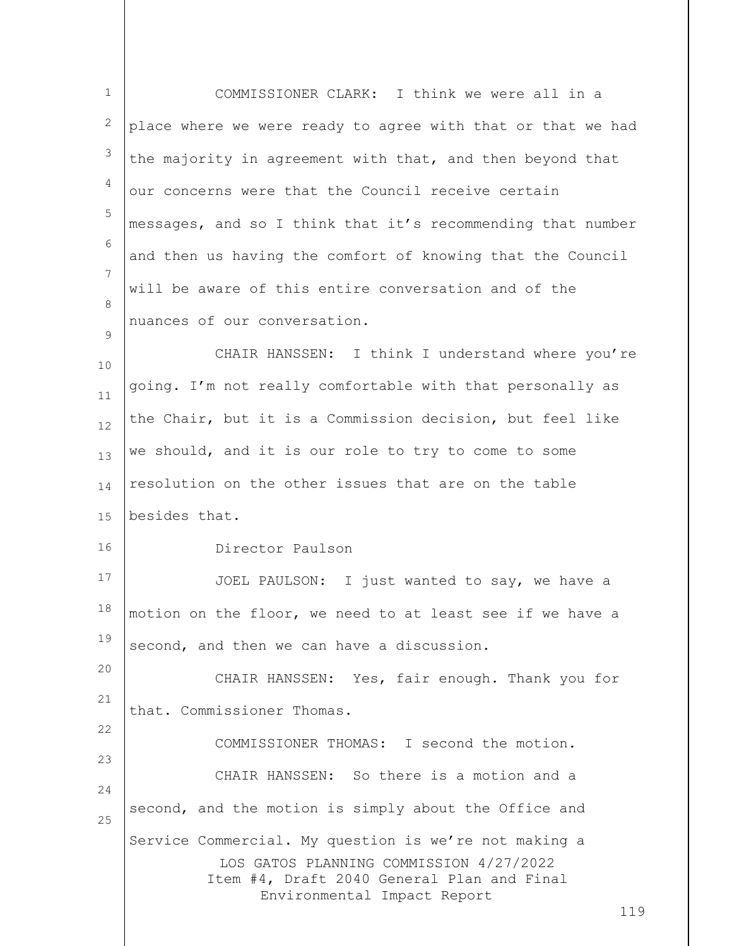| $\mathbf{1}$ | COMMISSIONER CLARK: I think we were all in a                                                                                                                                         |
|--------------|--------------------------------------------------------------------------------------------------------------------------------------------------------------------------------------|
| 2            | place where we were ready to agree with that or that we had                                                                                                                          |
| 3            | the majority in agreement with that, and then beyond that                                                                                                                            |
| 4            | our concerns were that the Council receive certain                                                                                                                                   |
| 5            | messages, and so I think that it's recommending that number                                                                                                                          |
| 6            | and then us having the comfort of knowing that the Council                                                                                                                           |
| 7            | will be aware of this entire conversation and of the                                                                                                                                 |
| 8            | nuances of our conversation.                                                                                                                                                         |
| 9<br>10      | CHAIR HANSSEN: I think I understand where you're                                                                                                                                     |
| 11           | going. I'm not really comfortable with that personally as                                                                                                                            |
| 12           | the Chair, but it is a Commission decision, but feel like                                                                                                                            |
| 13           | we should, and it is our role to try to come to some                                                                                                                                 |
| 14           | resolution on the other issues that are on the table                                                                                                                                 |
| 15           | besides that.                                                                                                                                                                        |
| 16           | Director Paulson                                                                                                                                                                     |
| 17           | JOEL PAULSON: I just wanted to say, we have a                                                                                                                                        |
| 18           | motion on the floor, we need to at least see if we have a                                                                                                                            |
| 19           | second, and then we can have a discussion.                                                                                                                                           |
| 20           | CHAIR HANSSEN: Yes, fair enough. Thank you for                                                                                                                                       |
| 21           | that. Commissioner Thomas.                                                                                                                                                           |
| 22           | COMMISSIONER THOMAS: I second the motion.                                                                                                                                            |
| 23<br>24     | CHAIR HANSSEN: So there is a motion and a                                                                                                                                            |
| 25           | second, and the motion is simply about the Office and                                                                                                                                |
|              | Service Commercial. My question is we're not making a<br>LOS GATOS PLANNING COMMISSION 4/27/2022<br>Item #4, Draft 2040 General Plan and Final<br>Environmental Impact Report<br>119 |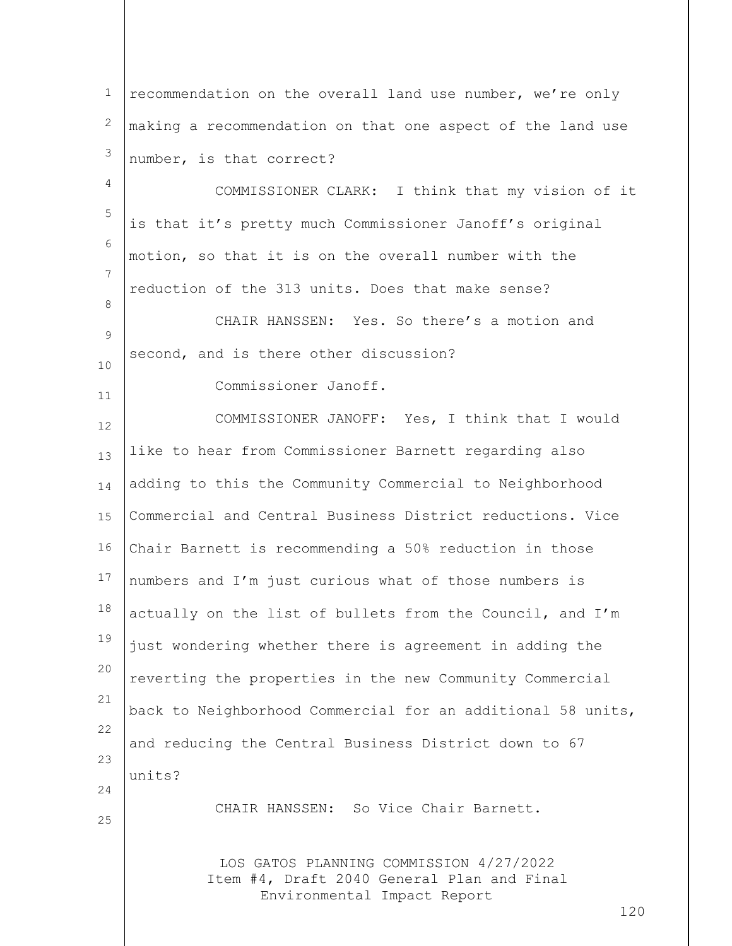| $\mathbf{1}$      | recommendation on the overall land use number, we're only                             |     |
|-------------------|---------------------------------------------------------------------------------------|-----|
| $\mathbf{2}$      | making a recommendation on that one aspect of the land use                            |     |
| 3                 | number, is that correct?                                                              |     |
| 4                 | COMMISSIONER CLARK: I think that my vision of it                                      |     |
| 5                 | is that it's pretty much Commissioner Janoff's original                               |     |
| 6                 | motion, so that it is on the overall number with the                                  |     |
| 7                 | reduction of the 313 units. Does that make sense?                                     |     |
| 8                 | CHAIR HANSSEN: Yes. So there's a motion and                                           |     |
| $\mathsf 9$<br>10 | second, and is there other discussion?                                                |     |
| 11                | Commissioner Janoff.                                                                  |     |
| 12                | COMMISSIONER JANOFF: Yes, I think that I would                                        |     |
| 13                | like to hear from Commissioner Barnett regarding also                                 |     |
| 14                | adding to this the Community Commercial to Neighborhood                               |     |
| 15                | Commercial and Central Business District reductions. Vice                             |     |
| 16                | Chair Barnett is recommending a 50% reduction in those                                |     |
| 17                | numbers and I'm just curious what of those numbers is                                 |     |
| 18                | actually on the list of bullets from the Council, and I'm                             |     |
| 19                | just wondering whether there is agreement in adding the                               |     |
| 20                | reverting the properties in the new Community Commercial                              |     |
| 21                | back to Neighborhood Commercial for an additional 58 units,                           |     |
| 22                | and reducing the Central Business District down to 67                                 |     |
| 23                | units?                                                                                |     |
| 24<br>25          | CHAIR HANSSEN: So Vice Chair Barnett.                                                 |     |
|                   |                                                                                       |     |
|                   | LOS GATOS PLANNING COMMISSION 4/27/2022<br>Item #4, Draft 2040 General Plan and Final |     |
|                   | Environmental Impact Report                                                           | 120 |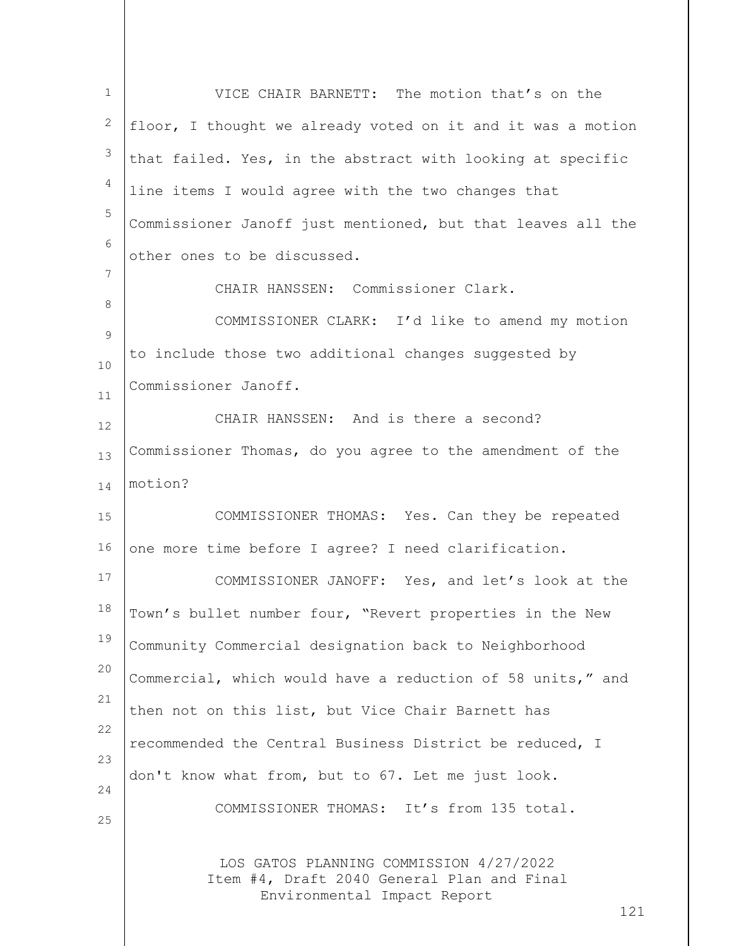| $\mathbf{1}$         | VICE CHAIR BARNETT: The motion that's on the                                                                                |
|----------------------|-----------------------------------------------------------------------------------------------------------------------------|
| 2                    | floor, I thought we already voted on it and it was a motion                                                                 |
| 3                    | that failed. Yes, in the abstract with looking at specific                                                                  |
| 4                    | line items I would agree with the two changes that                                                                          |
| 5                    | Commissioner Janoff just mentioned, but that leaves all the                                                                 |
| 6                    | other ones to be discussed.                                                                                                 |
| 7                    | CHAIR HANSSEN: Commissioner Clark.                                                                                          |
| 8                    | COMMISSIONER CLARK: I'd like to amend my motion                                                                             |
| $\overline{9}$<br>10 | to include those two additional changes suggested by                                                                        |
| 11                   | Commissioner Janoff.                                                                                                        |
| 12                   | CHAIR HANSSEN: And is there a second?                                                                                       |
| 13                   | Commissioner Thomas, do you agree to the amendment of the                                                                   |
| 14                   | motion?                                                                                                                     |
| 15                   | COMMISSIONER THOMAS: Yes. Can they be repeated                                                                              |
| 16                   | one more time before I agree? I need clarification.                                                                         |
| 17                   | COMMISSIONER JANOFF: Yes, and let's look at the                                                                             |
| 18                   | Town's bullet number four, "Revert properties in the New                                                                    |
| 19                   | Community Commercial designation back to Neighborhood                                                                       |
| 20                   | Commercial, which would have a reduction of 58 units," and                                                                  |
| 21                   | then not on this list, but Vice Chair Barnett has                                                                           |
| 22                   | recommended the Central Business District be reduced, I                                                                     |
| 23<br>24             | don't know what from, but to 67. Let me just look.                                                                          |
| 25                   | COMMISSIONER THOMAS: It's from 135 total.                                                                                   |
|                      | LOS GATOS PLANNING COMMISSION 4/27/2022<br>Item #4, Draft 2040 General Plan and Final<br>Environmental Impact Report<br>121 |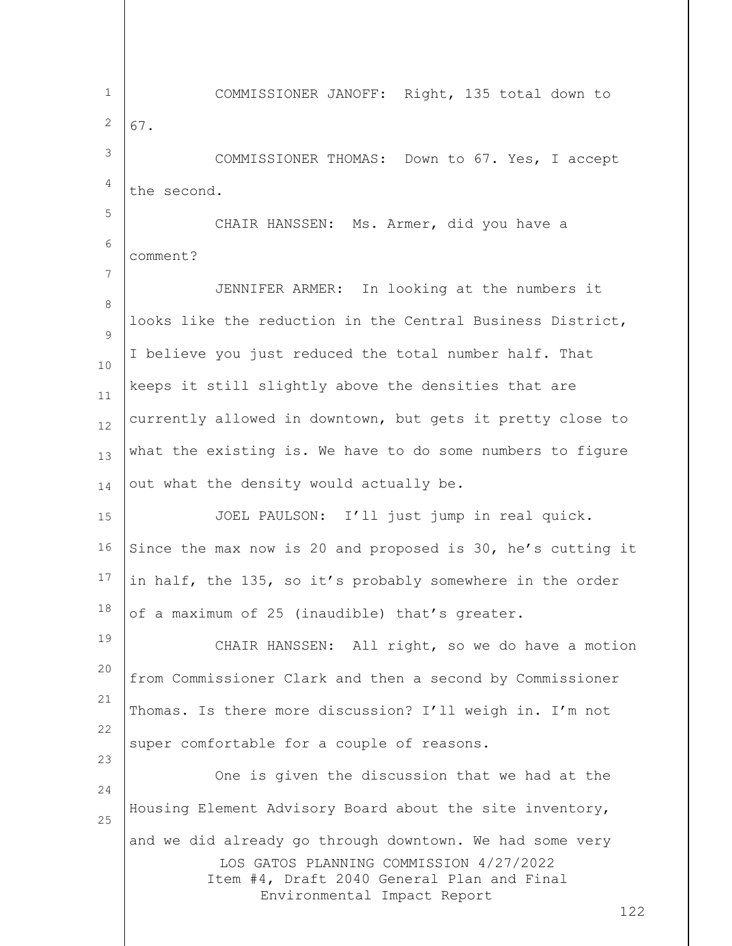LOS GATOS PLANNING COMMISSION 4/27/2022 Item #4, Draft 2040 General Plan and Final Environmental Impact Report 122 1 2 3 4 5 6 7 8  $\mathsf{Q}$ 10 11 12 13 14 15 16 17 18 19 20 21 22 23 24 25 COMMISSIONER JANOFF: Right, 135 total down to 67. COMMISSIONER THOMAS: Down to 67. Yes, I accept the second. CHAIR HANSSEN: Ms. Armer, did you have a comment? JENNIFER ARMER: In looking at the numbers it looks like the reduction in the Central Business District, I believe you just reduced the total number half. That keeps it still slightly above the densities that are currently allowed in downtown, but gets it pretty close to what the existing is. We have to do some numbers to figure out what the density would actually be. JOEL PAULSON: I'll just jump in real quick. Since the max now is 20 and proposed is 30, he's cutting it in half, the 135, so it's probably somewhere in the order of a maximum of 25 (inaudible) that's greater. CHAIR HANSSEN: All right, so we do have a motion from Commissioner Clark and then a second by Commissioner Thomas. Is there more discussion? I'll weigh in. I'm not super comfortable for a couple of reasons. One is given the discussion that we had at the Housing Element Advisory Board about the site inventory, and we did already go through downtown. We had some very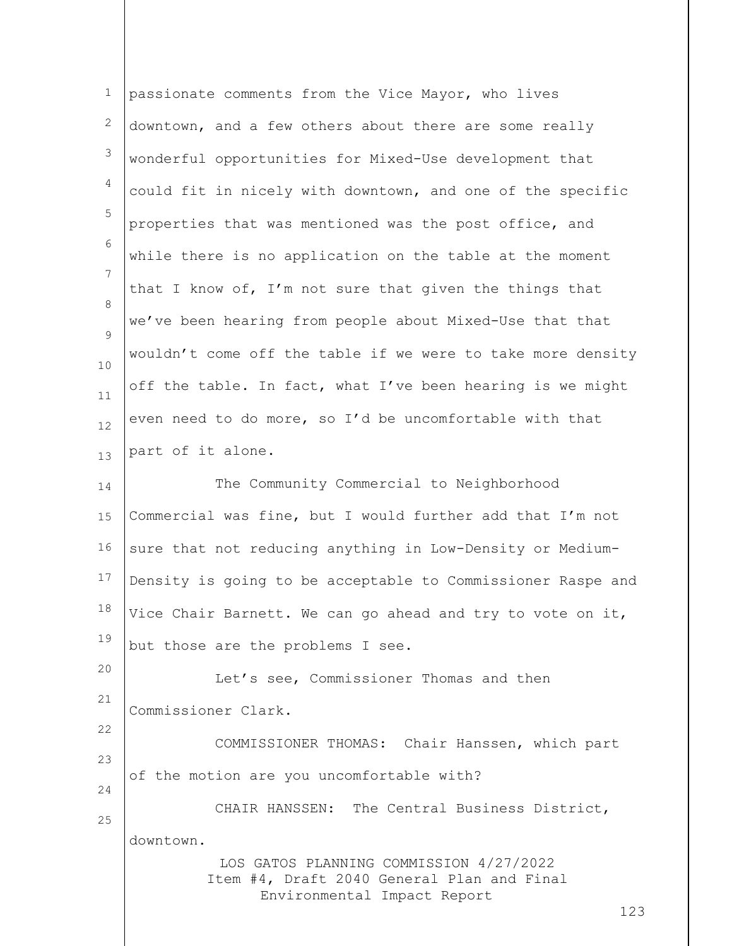| $\mathbf 1$     | passionate comments from the Vice Mayor, who lives                                                                          |
|-----------------|-----------------------------------------------------------------------------------------------------------------------------|
| $\mathbf{2}$    | downtown, and a few others about there are some really                                                                      |
| $\mathsf 3$     | wonderful opportunities for Mixed-Use development that                                                                      |
| $\overline{4}$  | could fit in nicely with downtown, and one of the specific                                                                  |
| 5               | properties that was mentioned was the post office, and                                                                      |
| 6               | while there is no application on the table at the moment                                                                    |
| $7\phantom{.0}$ | that I know of, I'm not sure that given the things that                                                                     |
| 8               | we've been hearing from people about Mixed-Use that that                                                                    |
| 9<br>10         | wouldn't come off the table if we were to take more density                                                                 |
| 11              | off the table. In fact, what I've been hearing is we might                                                                  |
| 12              | even need to do more, so I'd be uncomfortable with that                                                                     |
| 13              | part of it alone.                                                                                                           |
| 14              | The Community Commercial to Neighborhood                                                                                    |
| 15              | Commercial was fine, but I would further add that I'm not                                                                   |
| 16              | sure that not reducing anything in Low-Density or Medium-                                                                   |
| 17              | Density is going to be acceptable to Commissioner Raspe and                                                                 |
| 18              | Vice Chair Barnett. We can go ahead and try to vote on it,                                                                  |
| 19              | but those are the problems I see.                                                                                           |
| 20              | Let's see, Commissioner Thomas and then                                                                                     |
| 21              | Commissioner Clark.                                                                                                         |
| 22              | COMMISSIONER THOMAS: Chair Hanssen, which part                                                                              |
| 23<br>24        | of the motion are you uncomfortable with?                                                                                   |
| 25              | CHAIR HANSSEN: The Central Business District,                                                                               |
|                 | downtown.                                                                                                                   |
|                 | LOS GATOS PLANNING COMMISSION 4/27/2022<br>Item #4, Draft 2040 General Plan and Final<br>Environmental Impact Report<br>123 |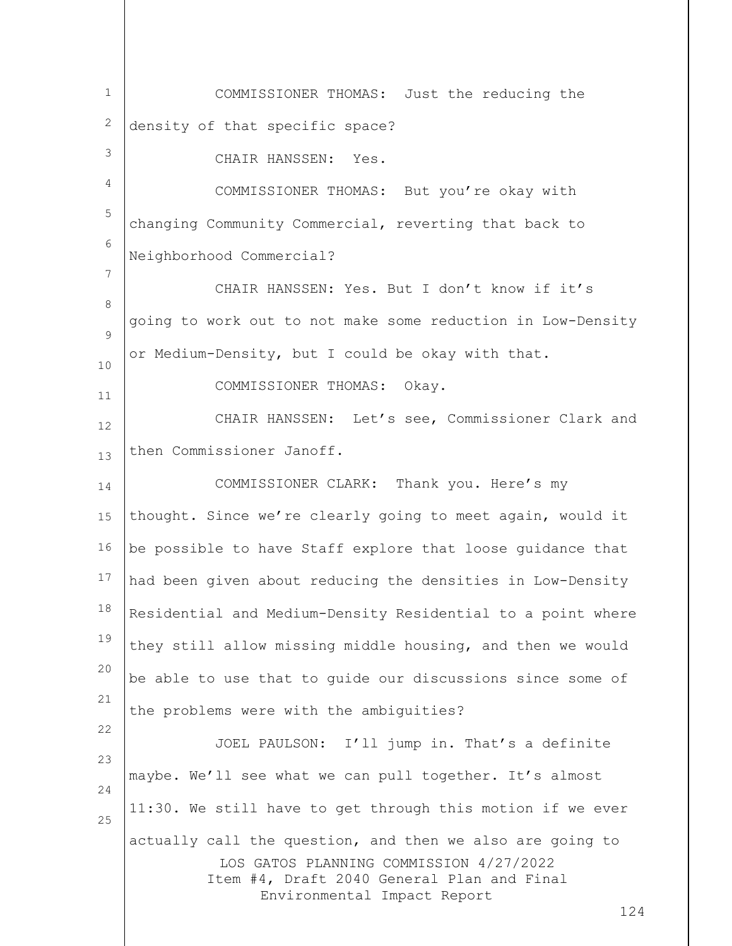| $\mathbf{1}$ | COMMISSIONER THOMAS: Just the reducing the                                                                                                                                               |
|--------------|------------------------------------------------------------------------------------------------------------------------------------------------------------------------------------------|
| 2            | density of that specific space?                                                                                                                                                          |
| 3            | CHAIR HANSSEN: Yes.                                                                                                                                                                      |
| 4            | COMMISSIONER THOMAS: But you're okay with                                                                                                                                                |
| 5            | changing Community Commercial, reverting that back to                                                                                                                                    |
| 6            | Neighborhood Commercial?                                                                                                                                                                 |
| 7            | CHAIR HANSSEN: Yes. But I don't know if it's                                                                                                                                             |
| $\,8\,$      | going to work out to not make some reduction in Low-Density                                                                                                                              |
| 9            | or Medium-Density, but I could be okay with that.                                                                                                                                        |
| 10<br>11     | COMMISSIONER THOMAS: Okay.                                                                                                                                                               |
| 12           | CHAIR HANSSEN: Let's see, Commissioner Clark and                                                                                                                                         |
| 13           | then Commissioner Janoff.                                                                                                                                                                |
| 14           | COMMISSIONER CLARK: Thank you. Here's my                                                                                                                                                 |
| 15           | thought. Since we're clearly going to meet again, would it                                                                                                                               |
| 16           | be possible to have Staff explore that loose guidance that                                                                                                                               |
| 17           | had been given about reducing the densities in Low-Density                                                                                                                               |
| 18           | Residential and Medium-Density Residential to a point where                                                                                                                              |
| 19           | they still allow missing middle housing, and then we would                                                                                                                               |
| 20           | be able to use that to guide our discussions since some of                                                                                                                               |
| 21           | the problems were with the ambiguities?                                                                                                                                                  |
| 22           | JOEL PAULSON: I'll jump in. That's a definite                                                                                                                                            |
| 23<br>24     | maybe. We'll see what we can pull together. It's almost                                                                                                                                  |
| 25           | 11:30. We still have to get through this motion if we ever                                                                                                                               |
|              | actually call the question, and then we also are going to<br>LOS GATOS PLANNING COMMISSION 4/27/2022<br>Item #4, Draft 2040 General Plan and Final<br>Environmental Impact Report<br>124 |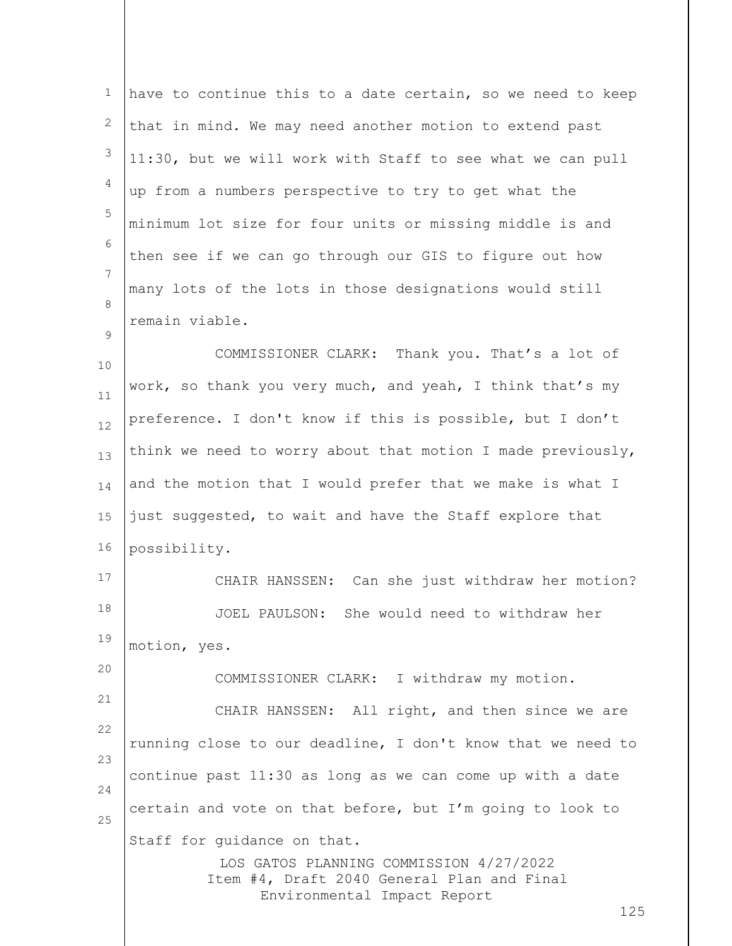| 1        | have to continue this to a date certain, so we need to keep                                                                                                |
|----------|------------------------------------------------------------------------------------------------------------------------------------------------------------|
| 2        | that in mind. We may need another motion to extend past                                                                                                    |
| 3        | 11:30, but we will work with Staff to see what we can pull                                                                                                 |
| 4        | up from a numbers perspective to try to get what the                                                                                                       |
| 5        | minimum lot size for four units or missing middle is and                                                                                                   |
| 6        | then see if we can go through our GIS to figure out how                                                                                                    |
| 7        | many lots of the lots in those designations would still                                                                                                    |
| 8        | remain viable.                                                                                                                                             |
| 9<br>10  | COMMISSIONER CLARK: Thank you. That's a lot of                                                                                                             |
| 11       | work, so thank you very much, and yeah, I think that's my                                                                                                  |
| 12       | preference. I don't know if this is possible, but I don't                                                                                                  |
| 13       | think we need to worry about that motion I made previously,                                                                                                |
| 14       | and the motion that I would prefer that we make is what I                                                                                                  |
| 15       | just suggested, to wait and have the Staff explore that                                                                                                    |
| 16       | possibility.                                                                                                                                               |
| 17       | CHAIR HANSSEN: Can she just withdraw her motion?                                                                                                           |
| 18       | She would need to withdraw her<br>JOEL PAULSON:                                                                                                            |
| 19       | motion, yes.                                                                                                                                               |
| 20       | COMMISSIONER CLARK: I withdraw my motion.                                                                                                                  |
| 21       | CHAIR HANSSEN: All right, and then since we are                                                                                                            |
| 22       | running close to our deadline, I don't know that we need to                                                                                                |
| 23<br>24 | continue past 11:30 as long as we can come up with a date                                                                                                  |
| 25       | certain and vote on that before, but I'm going to look to                                                                                                  |
|          | Staff for quidance on that.<br>LOS GATOS PLANNING COMMISSION 4/27/2022<br>Item #4, Draft 2040 General Plan and Final<br>Environmental Impact Report<br>125 |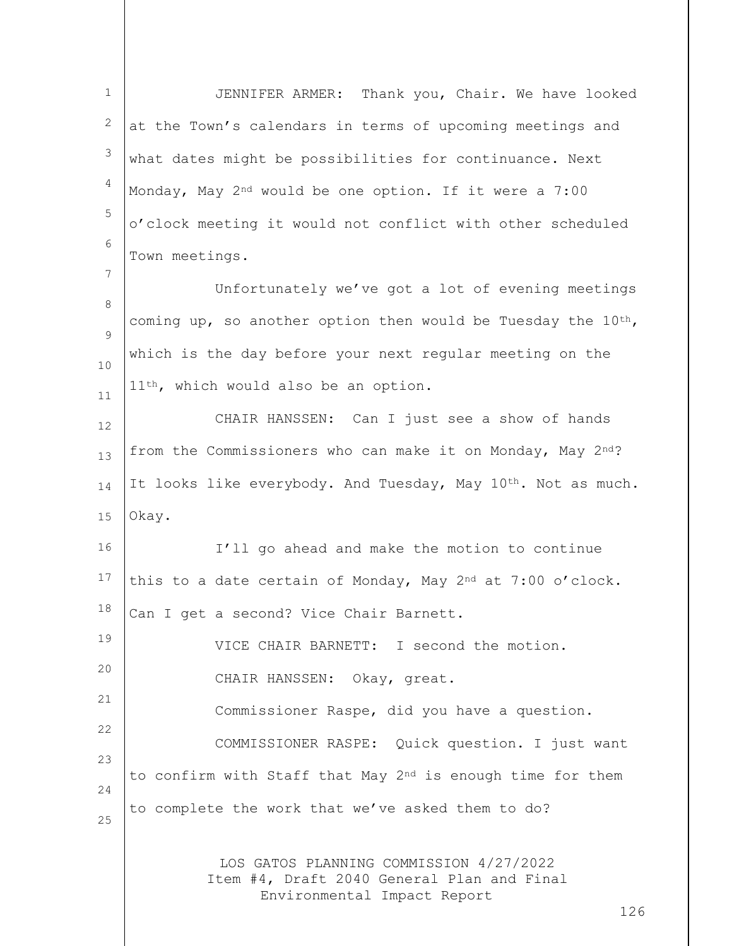LOS GATOS PLANNING COMMISSION 4/27/2022 Item #4, Draft 2040 General Plan and Final Environmental Impact Report 1 2 3 4 5 6 7 8  $\mathsf{Q}$ 10 11 12 13 14 15 16 17 18 19 20 21 22 23 24 25 JENNIFER ARMER: Thank you, Chair. We have looked at the Town's calendars in terms of upcoming meetings and what dates might be possibilities for continuance. Next Monday, May 2nd would be one option. If it were a 7:00 o'clock meeting it would not conflict with other scheduled Town meetings. Unfortunately we've got a lot of evening meetings coming up, so another option then would be Tuesday the  $10^{th}$ , which is the day before your next regular meeting on the 11<sup>th</sup>, which would also be an option. CHAIR HANSSEN: Can I just see a show of hands from the Commissioners who can make it on Monday, May  $2^{nd}$ ? It looks like everybody. And Tuesday, May 10<sup>th</sup>. Not as much. Okay. I'll go ahead and make the motion to continue this to a date certain of Monday, May  $2<sup>nd</sup>$  at 7:00 o'clock. Can I get a second? Vice Chair Barnett. VICE CHAIR BARNETT: I second the motion. CHAIR HANSSEN: Okay, great. Commissioner Raspe, did you have a question. COMMISSIONER RASPE: Quick question. I just want to confirm with Staff that May 2<sup>nd</sup> is enough time for them to complete the work that we've asked them to do?

126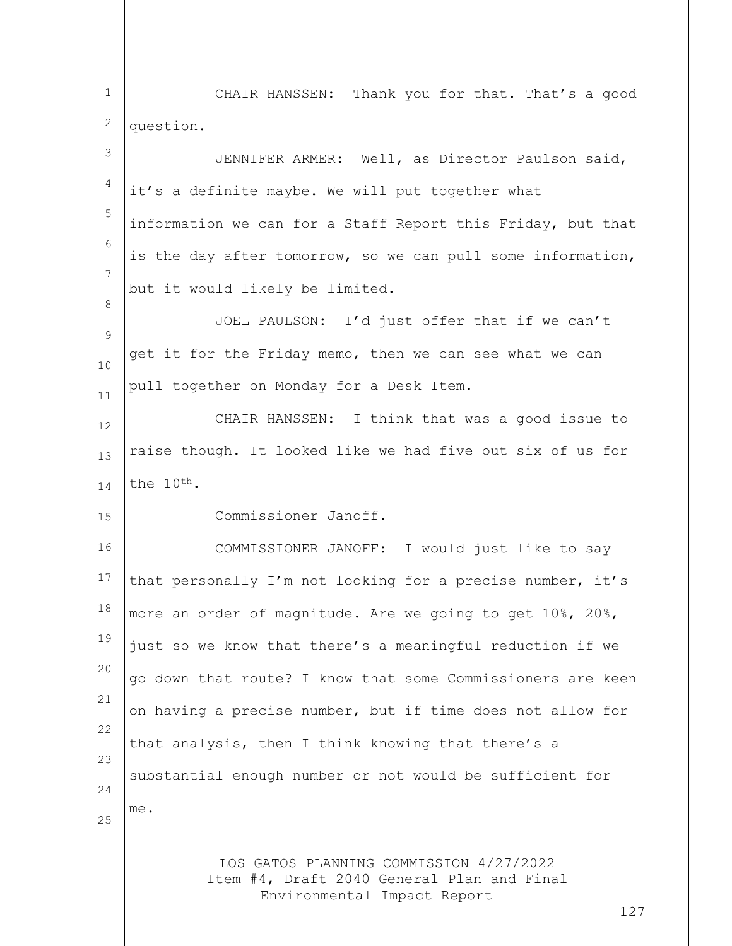LOS GATOS PLANNING COMMISSION 4/27/2022 Item #4, Draft 2040 General Plan and Final Environmental Impact Report 127 1 2 3 4 5 6 7 8  $\mathsf{Q}$ 10 11 12 13 14 15 16 17 18 19 20 21 22 23 24 25 CHAIR HANSSEN: Thank you for that. That's a good question. JENNIFER ARMER: Well, as Director Paulson said, it's a definite maybe. We will put together what information we can for a Staff Report this Friday, but that is the day after tomorrow, so we can pull some information, but it would likely be limited. JOEL PAULSON: I'd just offer that if we can't get it for the Friday memo, then we can see what we can pull together on Monday for a Desk Item. CHAIR HANSSEN: I think that was a good issue to raise though. It looked like we had five out six of us for the 10th. Commissioner Janoff. COMMISSIONER JANOFF: I would just like to say that personally I'm not looking for a precise number, it's more an order of magnitude. Are we going to get 10%, 20%, just so we know that there's a meaningful reduction if we go down that route? I know that some Commissioners are keen on having a precise number, but if time does not allow for that analysis, then I think knowing that there's a substantial enough number or not would be sufficient for me.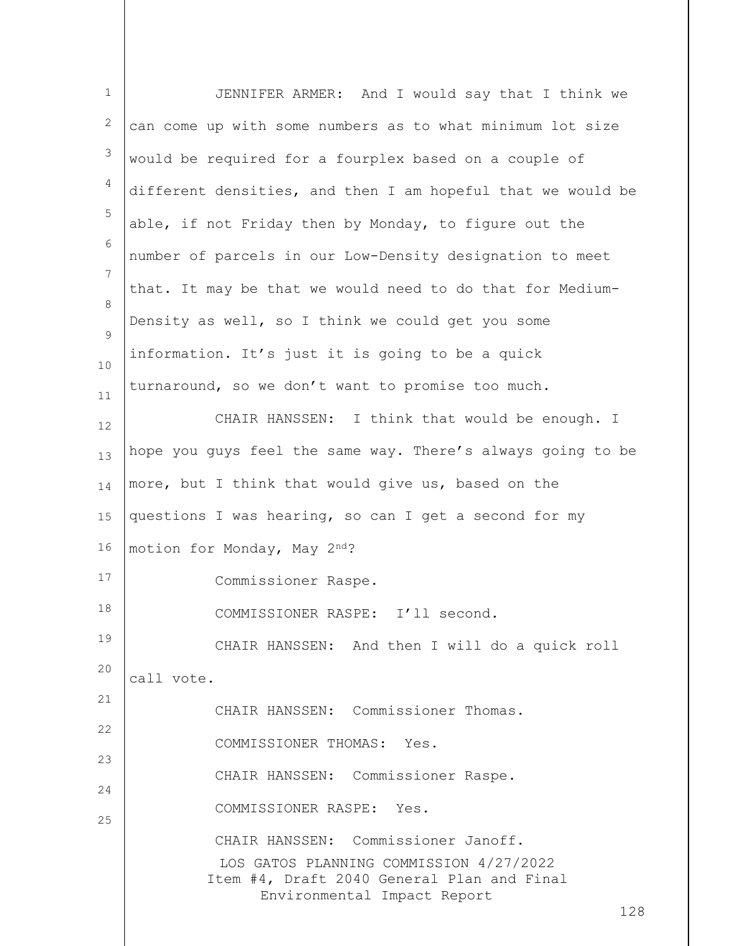| $\mathbf 1$  | JENNIFER ARMER: And I would say that I think we                                       |
|--------------|---------------------------------------------------------------------------------------|
| $\mathbf{2}$ | can come up with some numbers as to what minimum lot size                             |
| 3            | would be required for a fourplex based on a couple of                                 |
| 4            | different densities, and then I am hopeful that we would be                           |
| 5            | able, if not Friday then by Monday, to figure out the                                 |
| 6            | number of parcels in our Low-Density designation to meet                              |
| 7            | that. It may be that we would need to do that for Medium-                             |
| 8<br>9       | Density as well, so I think we could get you some                                     |
| 10           | information. It's just it is going to be a quick                                      |
| 11           | turnaround, so we don't want to promise too much.                                     |
| 12           | CHAIR HANSSEN: I think that would be enough. I                                        |
| 13           | hope you guys feel the same way. There's always going to be                           |
| 14           | more, but I think that would give us, based on the                                    |
| 15           | questions I was hearing, so can I get a second for my                                 |
| 16           | motion for Monday, May 2nd?                                                           |
| 17           | Commissioner Raspe.                                                                   |
| 18           | COMMISSIONER RASPE:<br>I'll second.                                                   |
| 19           | CHAIR HANSSEN: And then I will do a quick roll                                        |
| 20           | call vote.                                                                            |
| 21           | CHAIR HANSSEN: Commissioner Thomas.                                                   |
| 22           | COMMISSIONER THOMAS: Yes.                                                             |
| 23<br>24     | CHAIR HANSSEN: Commissioner Raspe.                                                    |
| 25           | COMMISSIONER RASPE: Yes.                                                              |
|              | CHAIR HANSSEN: Commissioner Janoff.                                                   |
|              | LOS GATOS PLANNING COMMISSION 4/27/2022<br>Item #4, Draft 2040 General Plan and Final |
|              | Environmental Impact Report<br>128                                                    |
|              |                                                                                       |